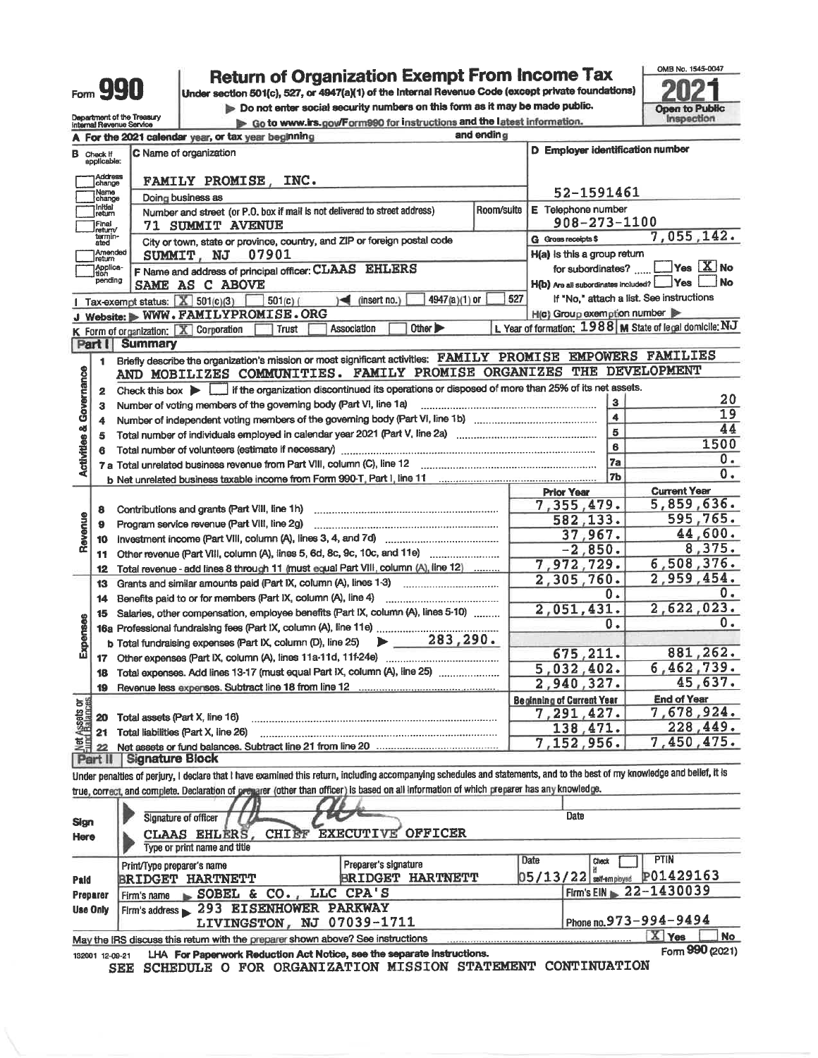| Form |  |
|------|--|

## **Return of Organization Exempt From Income Tax**

Under section 501(c), 527, or 4947(a)(1) of the Internal Revenue Code (except private foundations) > Do not enter social security numbers on this form as it may be made public.



|                                    | Internal Revenue Service         | Department of the treasury                                                            | So to www.irs.gov/Form990 for instructions and the latest information.                                                                  |            |                                                          | <b>Inspection</b>                |  |  |
|------------------------------------|----------------------------------|---------------------------------------------------------------------------------------|-----------------------------------------------------------------------------------------------------------------------------------------|------------|----------------------------------------------------------|----------------------------------|--|--|
|                                    |                                  |                                                                                       | A For the 2021 calendar year, or tax year beginning                                                                                     | and ending |                                                          |                                  |  |  |
|                                    | <b>B</b> Check If<br>applicable: | D Employer identification number<br>C Name of organization                            |                                                                                                                                         |            |                                                          |                                  |  |  |
|                                    | <b>Address</b><br>change         |                                                                                       | <b>FAMILY PROMISE,</b><br>INC.                                                                                                          |            |                                                          |                                  |  |  |
|                                    | Name<br>change                   |                                                                                       | Doing business as                                                                                                                       | 52-1591461 |                                                          |                                  |  |  |
|                                    | t İnitial<br>return              |                                                                                       | Number and street (or P.O. box if mail is not delivered to street address)                                                              | Room/suite | E Telephone number                                       |                                  |  |  |
|                                    | Final                            |                                                                                       | <b>71 SUMMIT AVENUE</b>                                                                                                                 |            | $908 - 273 - 1100$                                       |                                  |  |  |
|                                    | return/<br>termin-<br>ated       |                                                                                       | City or town, state or province, country, and ZIP or foreign postal code                                                                |            | G Gross receipts \$                                      | 7,055,142.                       |  |  |
|                                    | Amended<br>return                |                                                                                       | 07901<br>SUMMIT, NJ                                                                                                                     |            | H(a) Is this a group return                              |                                  |  |  |
|                                    | Applica-<br> tion                |                                                                                       | F Name and address of principal officer: CLAAS EHLERS                                                                                   |            |                                                          | for subordinates?  Yes X No      |  |  |
|                                    | pending                          |                                                                                       | SAME AS C ABOVE                                                                                                                         |            | H(b) Are all subordinates included? Ves                  | <b>No</b>                        |  |  |
|                                    |                                  |                                                                                       | Tax-exempt status: $X$ 501(c)(3) $\Box$<br>4947(a)(1) or<br>$\blacksquare$ (insert no.)<br>$501(c)$ (                                   | 527        | If "No," attach a list. See instructions                 |                                  |  |  |
|                                    |                                  |                                                                                       | J Website: WWW.FAMILYPROMISE.ORG                                                                                                        |            | H(c) Group exemption number                              |                                  |  |  |
|                                    |                                  |                                                                                       | Other ><br>Association<br>K Form of organization: X Corporation<br>Trust                                                                |            | L. Year of formation: 1988 M State of legal domicile: NJ |                                  |  |  |
|                                    | Part II                          | <b>Summary</b>                                                                        |                                                                                                                                         |            |                                                          |                                  |  |  |
|                                    | 1                                |                                                                                       | Briefly describe the organization's mission or most significant activities: FAMILY PROMISE EMPOWERS FAMILIES                            |            |                                                          |                                  |  |  |
| <b>Activities &amp; Governance</b> |                                  |                                                                                       | AND MOBILIZES COMMUNITIES. FAMILY PROMISE ORGANIZES THE DEVELOPMENT                                                                     |            |                                                          |                                  |  |  |
|                                    | 2                                |                                                                                       | Check this box   if the organization discontinued its operations or disposed of more than 25% of its net assets.                        |            |                                                          |                                  |  |  |
|                                    | 3                                |                                                                                       | Number of voting members of the governing body (Part VI, line 1a)                                                                       |            | $\mathbf{3}$                                             | 20                               |  |  |
|                                    | 4                                |                                                                                       | $\blacktriangleleft$                                                                                                                    | 19         |                                                          |                                  |  |  |
|                                    | 5                                |                                                                                       | $\overline{5}$<br>Total number of individuals employed in calendar year 2021 (Part V, line 2a) <i>manumeron communically communical</i> | 44         |                                                          |                                  |  |  |
|                                    | 6                                |                                                                                       | 6<br>Total number of volunteers (estimate if necessary) manufacture contract contract control of volunteers (estimate if necessary)     | 1500       |                                                          |                                  |  |  |
|                                    |                                  | <b>7a</b><br>7 a Total unrelated business revenue from Part VIII, column (C), line 12 |                                                                                                                                         |            |                                                          | О.                               |  |  |
|                                    |                                  |                                                                                       |                                                                                                                                         |            | 7 <sub>b</sub>                                           | 0.                               |  |  |
|                                    |                                  |                                                                                       |                                                                                                                                         |            | <b>Prior Year</b>                                        | <b>Current Year</b>              |  |  |
|                                    | 8                                |                                                                                       |                                                                                                                                         |            | 7,355,479.                                               | 5,859,636.                       |  |  |
| Revenue                            | 9                                |                                                                                       | Program service revenue (Part VIII, line 2g)                                                                                            |            | 582,133.                                                 | 595,765.                         |  |  |
|                                    | 10                               |                                                                                       |                                                                                                                                         |            | 37,967.                                                  | 44,600.<br>8,375.                |  |  |
|                                    | 11                               |                                                                                       | $-2,850.$                                                                                                                               |            |                                                          |                                  |  |  |
|                                    | 12                               |                                                                                       | Total revenue - add lines 8 through 11 (must equal Part VIII, column (A), line 12)                                                      |            | 7,972,729.                                               | 6,508,376.                       |  |  |
|                                    | 13                               |                                                                                       | Grants and similar amounts paid (Part IX, column (A), lines 1-3)                                                                        |            | 2,305,760.                                               | 2,959,454.                       |  |  |
|                                    | 14                               |                                                                                       | Benefits paid to or for members (Part IX, column (A), line 4)<br>$\ldots \ldots \ldots \ldots \ldots \ldots \ldots \ldots \ldots$       |            | о.                                                       | 0.                               |  |  |
|                                    | 15                               |                                                                                       | Salaries, other compensation, employee benefits (Part IX, column (A), lines 5-10)                                                       |            | 2,051,431.                                               | 2,622,023.<br>0.                 |  |  |
| Expenses                           |                                  |                                                                                       |                                                                                                                                         |            | 0.                                                       |                                  |  |  |
|                                    |                                  |                                                                                       | <b>b</b> Total fundraising expenses (Part IX, column (D), line 25) $\rightarrow$ 283, 290.                                              |            |                                                          | 881,262.                         |  |  |
|                                    | 17 <sub>1</sub>                  |                                                                                       |                                                                                                                                         |            | 675,211.                                                 | 6,462,739.                       |  |  |
|                                    | 18                               |                                                                                       | Total expenses. Add lines 13-17 (must equal Part IX, column (A), line 25)                                                               |            | 5,032,402.                                               | 45,637.                          |  |  |
|                                    | 19                               |                                                                                       |                                                                                                                                         |            | 2,940,327.                                               |                                  |  |  |
| Net Assets or                      |                                  |                                                                                       |                                                                                                                                         |            | <b>Beginning of Current Year</b>                         | <b>End of Year</b><br>7,678,924. |  |  |
|                                    | 20                               |                                                                                       | Total assets (Part X, line 16)                                                                                                          |            | 7,291,427.                                               | 228,449.                         |  |  |
|                                    |                                  |                                                                                       | 21 Total liabilities (Part X, line 26)                                                                                                  |            | 138,471.                                                 | 7,450,475.                       |  |  |
|                                    |                                  |                                                                                       |                                                                                                                                         |            | 7,152,956.                                               |                                  |  |  |
|                                    |                                  | <b>Part II Signature Block</b>                                                        |                                                                                                                                         |            |                                                          |                                  |  |  |

Under penalties of perjury, I declare that I have examined this return, including accompanying schedules and statements, and to the best of my knowledge and belief, it is true, correct, and complete. Declaration of proparer (other than officer) is based on all information of which preparer has any knowledge.

| <b>Sign</b><br>Here     | Signature of officer<br><b>EXECUTIVE OFFICER</b><br><b>CLAAS EHLERS</b><br><b>CHIEF</b><br>Type or print name and title                                   | Date                                                                                               |
|-------------------------|-----------------------------------------------------------------------------------------------------------------------------------------------------------|----------------------------------------------------------------------------------------------------|
| Paid<br><b>Preparer</b> | Preparer's signature<br>Print/Type preparer's name<br><b>BRIDGET HARTNETT</b><br><b>BRIDGET HARTNETT</b><br>Firm's name SOBEL & CO., LLC CPA'S            | <b>PTIN</b><br>Date<br>Check<br>05/13/22 ssif-employed P01429163<br>Firm's EIN $\geq 22 - 1430039$ |
| <b>Use Only</b>         | Firm's address 293 EISENHOWER PARKWAY<br>LIVINGSTON, NJ 07039-1711                                                                                        | Phone no.973-994-9494                                                                              |
| 132001 12-09-21         | May the IRS discuss this return with the preparer shown above? See instructions<br>LHA For Paperwork Reduction Act Notice, see the separate instructions. | X Yes<br><b>No</b><br>Form 990 (2021)                                                              |

SEE SCHEDULE O FOR ORGANIZATION MISSION STATEMENT CONTINUATION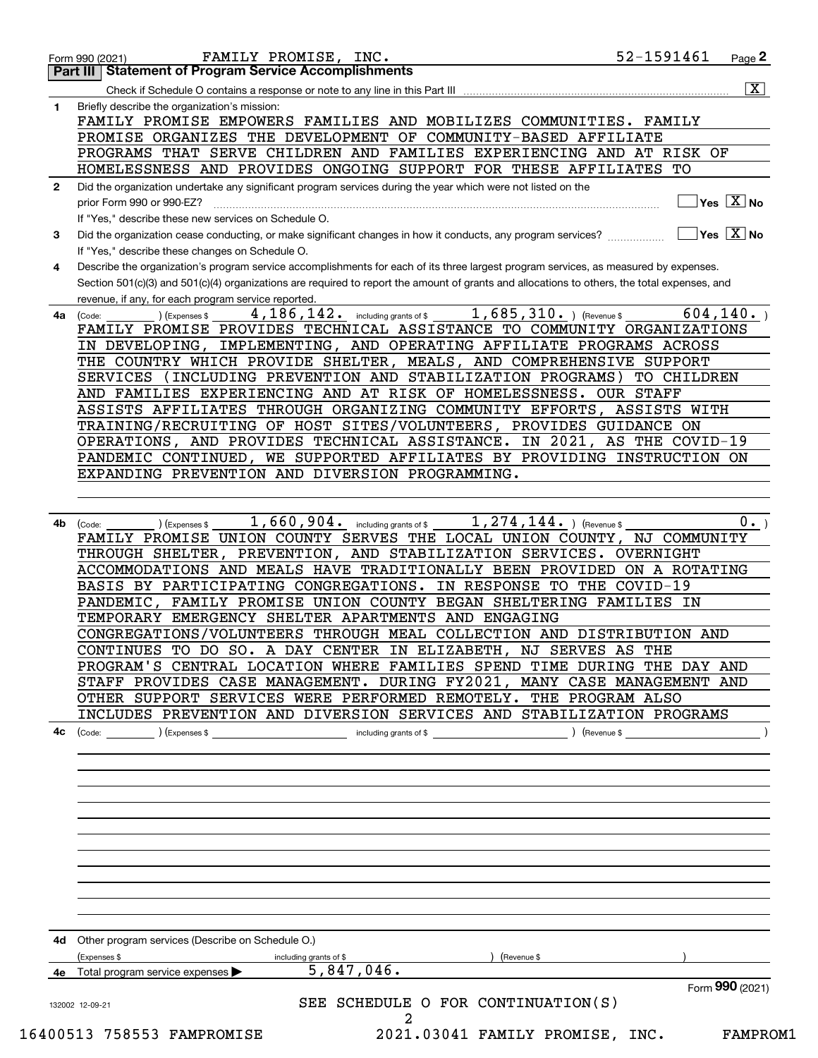| Briefly describe the organization's mission:<br>1<br>FAMILY PROMISE EMPOWERS FAMILIES AND MOBILIZES COMMUNITIES. FAMILY<br>PROMISE ORGANIZES THE DEVELOPMENT OF COMMUNITY-BASED AFFILIATE<br>PROGRAMS THAT SERVE CHILDREN AND FAMILIES EXPERIENCING AND AT RISK OF<br>HOMELESSNESS AND PROVIDES ONGOING SUPPORT FOR THESE AFFILIATES TO<br>Did the organization undertake any significant program services during the year which were not listed on the<br>$\mathbf{2}$<br>prior Form 990 or 990-EZ?<br>If "Yes," describe these new services on Schedule O.<br>Did the organization cease conducting, or make significant changes in how it conducts, any program services?<br>If "Yes," describe these changes on Schedule O.<br>Describe the organization's program service accomplishments for each of its three largest program services, as measured by expenses.<br>Section 501(c)(3) and 501(c)(4) organizations are required to report the amount of grants and allocations to others, the total expenses, and<br>revenue, if any, for each program service reported.<br>$1,685,310.$ (Revenue \$)<br>4, 186, 142. including grants of \$<br>(Expenses \$<br>(Code:<br>FAMILY PROMISE PROVIDES TECHNICAL ASSISTANCE TO COMMUNITY ORGANIZATIONS<br>IN DEVELOPING, IMPLEMENTING, AND OPERATING AFFILIATE PROGRAMS ACROSS<br>THE COUNTRY WHICH PROVIDE SHELTER, MEALS, AND COMPREHENSIVE SUPPORT<br>(INCLUDING PREVENTION AND STABILIZATION PROGRAMS)<br>TO CHILDREN<br><b>SERVICES</b><br>AND FAMILIES EXPERIENCING AND AT RISK OF HOMELESSNESS. OUR STAFF<br>ASSISTS AFFILIATES THROUGH ORGANIZING COMMUNITY EFFORTS, ASSISTS WITH<br>TRAINING/RECRUITING OF HOST SITES/VOLUNTEERS, PROVIDES GUIDANCE ON<br>OPERATIONS, AND PROVIDES TECHNICAL ASSISTANCE. IN 2021, AS THE COVID-19<br>PANDEMIC CONTINUED, WE SUPPORTED AFFILIATES BY PROVIDING INSTRUCTION ON<br>EXPANDING PREVENTION AND DIVERSION PROGRAMMING.<br>1,660,904.<br>$1, 274, 144.$ ) (Revenue \$<br>(Expenses \$<br>including grants of \$<br>(Code:<br>FAMILY PROMISE UNION COUNTY SERVES THE LOCAL UNION COUNTY, NJ COMMUNITY<br>THROUGH SHELTER, PREVENTION, AND STABILIZATION SERVICES. OVERNIGHT<br>ACCOMMODATIONS AND MEALS HAVE TRADITIONALLY BEEN PROVIDED ON A ROTATING<br>BASIS BY PARTICIPATING CONGREGATIONS.<br>IN RESPONSE TO THE COVID-19<br>PANDEMIC, FAMILY PROMISE UNION COUNTY BEGAN SHELTERING FAMILIES IN<br>TEMPORARY EMERGENCY SHELTER APARTMENTS AND ENGAGING<br>CONGREGATIONS/VOLUNTEERS THROUGH MEAL COLLECTION AND DISTRIBUTION AND<br>CONTINUES TO DO SO. A DAY CENTER IN ELIZABETH, NJ SERVES AS THE<br>PROGRAM'S CENTRAL LOCATION WHERE FAMILIES SPEND TIME DURING THE DAY AND<br>STAFF PROVIDES CASE MANAGEMENT. DURING FY2021, MANY CASE MANAGEMENT AND<br>OTHER SUPPORT SERVICES WERE PERFORMED REMOTELY. THE PROGRAM ALSO<br>INCLUDES PREVENTION AND DIVERSION SERVICES AND STABILIZATION PROGRAMS<br>(Expenses \$<br>) (Revenue \$<br>including grants of \$<br>5,847,046.<br><b>4e</b> Total program service expenses $\blacktriangleright$ | 52-1591461<br>$Page$ 2                 |
|--------------------------------------------------------------------------------------------------------------------------------------------------------------------------------------------------------------------------------------------------------------------------------------------------------------------------------------------------------------------------------------------------------------------------------------------------------------------------------------------------------------------------------------------------------------------------------------------------------------------------------------------------------------------------------------------------------------------------------------------------------------------------------------------------------------------------------------------------------------------------------------------------------------------------------------------------------------------------------------------------------------------------------------------------------------------------------------------------------------------------------------------------------------------------------------------------------------------------------------------------------------------------------------------------------------------------------------------------------------------------------------------------------------------------------------------------------------------------------------------------------------------------------------------------------------------------------------------------------------------------------------------------------------------------------------------------------------------------------------------------------------------------------------------------------------------------------------------------------------------------------------------------------------------------------------------------------------------------------------------------------------------------------------------------------------------------------------------------------------------------------------------------------------------------------------------------------------------------------------------------------------------------------------------------------------------------------------------------------------------------------------------------------------------------------------------------------------------------------------------------------------------------------------------------------------------------------------------------------------------------------------------------------------------------------------------------------------------------------------------------------------------------------------------------------------------------------------------------------------------------------------------------------------------------------------------------------------------------------------------------------------------------------------------------------|----------------------------------------|
|                                                                                                                                                                                                                                                                                                                                                                                                                                                                                                                                                                                                                                                                                                                                                                                                                                                                                                                                                                                                                                                                                                                                                                                                                                                                                                                                                                                                                                                                                                                                                                                                                                                                                                                                                                                                                                                                                                                                                                                                                                                                                                                                                                                                                                                                                                                                                                                                                                                                                                                                                                                                                                                                                                                                                                                                                                                                                                                                                                                                                                                        | $\overline{\mathbf{x}}$                |
|                                                                                                                                                                                                                                                                                                                                                                                                                                                                                                                                                                                                                                                                                                                                                                                                                                                                                                                                                                                                                                                                                                                                                                                                                                                                                                                                                                                                                                                                                                                                                                                                                                                                                                                                                                                                                                                                                                                                                                                                                                                                                                                                                                                                                                                                                                                                                                                                                                                                                                                                                                                                                                                                                                                                                                                                                                                                                                                                                                                                                                                        |                                        |
|                                                                                                                                                                                                                                                                                                                                                                                                                                                                                                                                                                                                                                                                                                                                                                                                                                                                                                                                                                                                                                                                                                                                                                                                                                                                                                                                                                                                                                                                                                                                                                                                                                                                                                                                                                                                                                                                                                                                                                                                                                                                                                                                                                                                                                                                                                                                                                                                                                                                                                                                                                                                                                                                                                                                                                                                                                                                                                                                                                                                                                                        |                                        |
| 3<br>4<br>4a<br>4b<br>4d Other program services (Describe on Schedule O.)                                                                                                                                                                                                                                                                                                                                                                                                                                                                                                                                                                                                                                                                                                                                                                                                                                                                                                                                                                                                                                                                                                                                                                                                                                                                                                                                                                                                                                                                                                                                                                                                                                                                                                                                                                                                                                                                                                                                                                                                                                                                                                                                                                                                                                                                                                                                                                                                                                                                                                                                                                                                                                                                                                                                                                                                                                                                                                                                                                              | $Yes \ \boxed{X}$ No                   |
|                                                                                                                                                                                                                                                                                                                                                                                                                                                                                                                                                                                                                                                                                                                                                                                                                                                                                                                                                                                                                                                                                                                                                                                                                                                                                                                                                                                                                                                                                                                                                                                                                                                                                                                                                                                                                                                                                                                                                                                                                                                                                                                                                                                                                                                                                                                                                                                                                                                                                                                                                                                                                                                                                                                                                                                                                                                                                                                                                                                                                                                        | $\sqrt{}$ Yes $\sqrt{}$ X $\sqrt{}$ No |
|                                                                                                                                                                                                                                                                                                                                                                                                                                                                                                                                                                                                                                                                                                                                                                                                                                                                                                                                                                                                                                                                                                                                                                                                                                                                                                                                                                                                                                                                                                                                                                                                                                                                                                                                                                                                                                                                                                                                                                                                                                                                                                                                                                                                                                                                                                                                                                                                                                                                                                                                                                                                                                                                                                                                                                                                                                                                                                                                                                                                                                                        |                                        |
|                                                                                                                                                                                                                                                                                                                                                                                                                                                                                                                                                                                                                                                                                                                                                                                                                                                                                                                                                                                                                                                                                                                                                                                                                                                                                                                                                                                                                                                                                                                                                                                                                                                                                                                                                                                                                                                                                                                                                                                                                                                                                                                                                                                                                                                                                                                                                                                                                                                                                                                                                                                                                                                                                                                                                                                                                                                                                                                                                                                                                                                        | 604, 140.                              |
|                                                                                                                                                                                                                                                                                                                                                                                                                                                                                                                                                                                                                                                                                                                                                                                                                                                                                                                                                                                                                                                                                                                                                                                                                                                                                                                                                                                                                                                                                                                                                                                                                                                                                                                                                                                                                                                                                                                                                                                                                                                                                                                                                                                                                                                                                                                                                                                                                                                                                                                                                                                                                                                                                                                                                                                                                                                                                                                                                                                                                                                        | $0 \cdot$                              |
|                                                                                                                                                                                                                                                                                                                                                                                                                                                                                                                                                                                                                                                                                                                                                                                                                                                                                                                                                                                                                                                                                                                                                                                                                                                                                                                                                                                                                                                                                                                                                                                                                                                                                                                                                                                                                                                                                                                                                                                                                                                                                                                                                                                                                                                                                                                                                                                                                                                                                                                                                                                                                                                                                                                                                                                                                                                                                                                                                                                                                                                        |                                        |
|                                                                                                                                                                                                                                                                                                                                                                                                                                                                                                                                                                                                                                                                                                                                                                                                                                                                                                                                                                                                                                                                                                                                                                                                                                                                                                                                                                                                                                                                                                                                                                                                                                                                                                                                                                                                                                                                                                                                                                                                                                                                                                                                                                                                                                                                                                                                                                                                                                                                                                                                                                                                                                                                                                                                                                                                                                                                                                                                                                                                                                                        |                                        |
|                                                                                                                                                                                                                                                                                                                                                                                                                                                                                                                                                                                                                                                                                                                                                                                                                                                                                                                                                                                                                                                                                                                                                                                                                                                                                                                                                                                                                                                                                                                                                                                                                                                                                                                                                                                                                                                                                                                                                                                                                                                                                                                                                                                                                                                                                                                                                                                                                                                                                                                                                                                                                                                                                                                                                                                                                                                                                                                                                                                                                                                        |                                        |
| SEE SCHEDULE O FOR CONTINUATION(S)<br>132002 12-09-21                                                                                                                                                                                                                                                                                                                                                                                                                                                                                                                                                                                                                                                                                                                                                                                                                                                                                                                                                                                                                                                                                                                                                                                                                                                                                                                                                                                                                                                                                                                                                                                                                                                                                                                                                                                                                                                                                                                                                                                                                                                                                                                                                                                                                                                                                                                                                                                                                                                                                                                                                                                                                                                                                                                                                                                                                                                                                                                                                                                                  | Form 990 (2021)                        |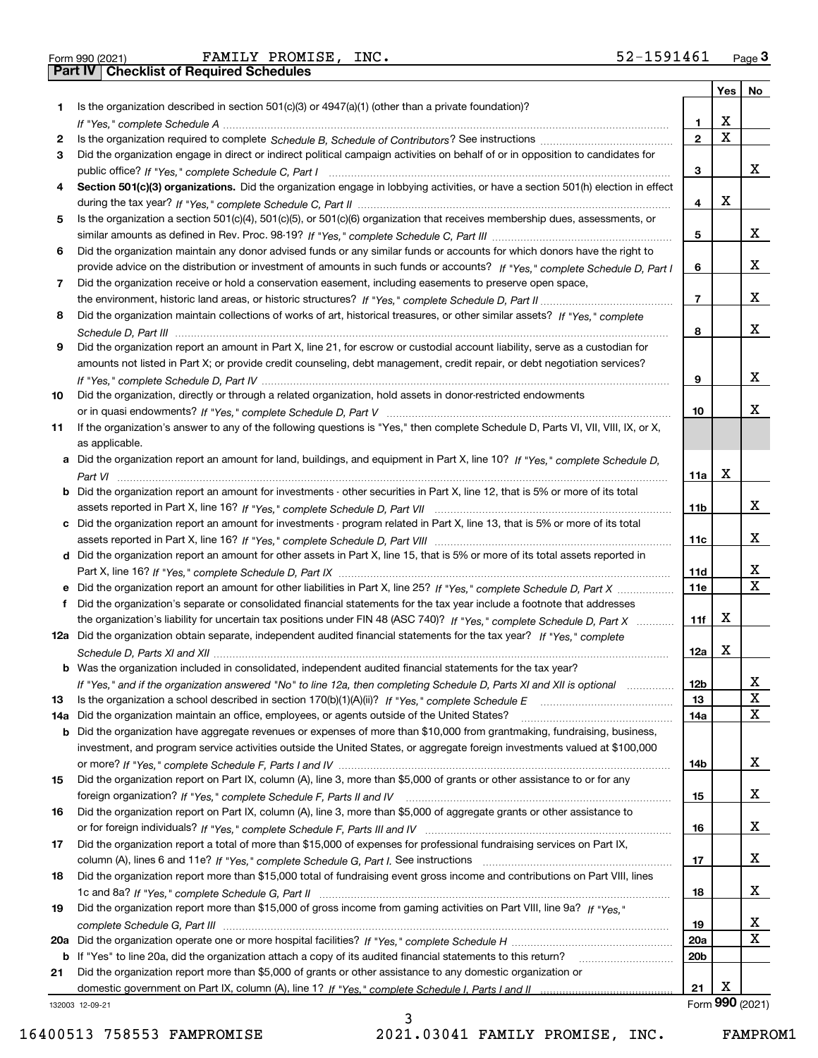| Form 990 (2021 |  |
|----------------|--|

Form 990 (2021) FAMILY PROMISE,INC. 52-1591461 <sub>Page</sub> 3<br>**Part IV | Checklist of Required Schedules** 

|    |                                                                                                                                                                                                                                                   |                 | Yes         | No     |
|----|---------------------------------------------------------------------------------------------------------------------------------------------------------------------------------------------------------------------------------------------------|-----------------|-------------|--------|
| 1  | Is the organization described in section $501(c)(3)$ or $4947(a)(1)$ (other than a private foundation)?                                                                                                                                           |                 |             |        |
|    |                                                                                                                                                                                                                                                   | 1               | X           |        |
| 2  |                                                                                                                                                                                                                                                   | $\overline{2}$  | $\mathbf X$ |        |
| 3  | Did the organization engage in direct or indirect political campaign activities on behalf of or in opposition to candidates for                                                                                                                   |                 |             |        |
|    |                                                                                                                                                                                                                                                   | 3               |             | x      |
| 4  | Section 501(c)(3) organizations. Did the organization engage in lobbying activities, or have a section 501(h) election in effect                                                                                                                  |                 |             |        |
|    |                                                                                                                                                                                                                                                   | 4               | X           |        |
| 5  | Is the organization a section 501(c)(4), 501(c)(5), or 501(c)(6) organization that receives membership dues, assessments, or                                                                                                                      |                 |             |        |
|    |                                                                                                                                                                                                                                                   | 5               |             | x      |
| 6  | Did the organization maintain any donor advised funds or any similar funds or accounts for which donors have the right to                                                                                                                         |                 |             |        |
|    | provide advice on the distribution or investment of amounts in such funds or accounts? If "Yes," complete Schedule D, Part I                                                                                                                      | 6               |             | x      |
| 7  | Did the organization receive or hold a conservation easement, including easements to preserve open space,                                                                                                                                         |                 |             |        |
|    |                                                                                                                                                                                                                                                   | $\overline{7}$  |             | x      |
| 8  | Did the organization maintain collections of works of art, historical treasures, or other similar assets? If "Yes," complete                                                                                                                      |                 |             |        |
|    |                                                                                                                                                                                                                                                   | 8               |             | x      |
| 9  | Did the organization report an amount in Part X, line 21, for escrow or custodial account liability, serve as a custodian for                                                                                                                     |                 |             |        |
|    | amounts not listed in Part X; or provide credit counseling, debt management, credit repair, or debt negotiation services?                                                                                                                         |                 |             |        |
|    |                                                                                                                                                                                                                                                   | 9               |             | x      |
| 10 | Did the organization, directly or through a related organization, hold assets in donor-restricted endowments                                                                                                                                      |                 |             |        |
|    |                                                                                                                                                                                                                                                   | 10              |             | x      |
| 11 | If the organization's answer to any of the following questions is "Yes," then complete Schedule D, Parts VI, VII, VIII, IX, or X,                                                                                                                 |                 |             |        |
|    | as applicable.                                                                                                                                                                                                                                    |                 |             |        |
|    | a Did the organization report an amount for land, buildings, and equipment in Part X, line 10? If "Yes." complete Schedule D.                                                                                                                     |                 |             |        |
|    |                                                                                                                                                                                                                                                   | 11a             | X           |        |
|    | <b>b</b> Did the organization report an amount for investments - other securities in Part X, line 12, that is 5% or more of its total                                                                                                             |                 |             | x      |
|    |                                                                                                                                                                                                                                                   | 11 <sub>b</sub> |             |        |
|    | c Did the organization report an amount for investments - program related in Part X, line 13, that is 5% or more of its total                                                                                                                     |                 |             | x      |
|    |                                                                                                                                                                                                                                                   | 11c             |             |        |
|    | d Did the organization report an amount for other assets in Part X, line 15, that is 5% or more of its total assets reported in                                                                                                                   |                 |             | x      |
|    |                                                                                                                                                                                                                                                   | <b>11d</b>      |             | X      |
|    | e Did the organization report an amount for other liabilities in Part X, line 25? If "Yes," complete Schedule D, Part X                                                                                                                           | <b>11e</b>      |             |        |
| f  | Did the organization's separate or consolidated financial statements for the tax year include a footnote that addresses                                                                                                                           |                 | X           |        |
|    | the organization's liability for uncertain tax positions under FIN 48 (ASC 740)? If "Yes," complete Schedule D, Part X<br>12a Did the organization obtain separate, independent audited financial statements for the tax year? If "Yes," complete | 11f             |             |        |
|    |                                                                                                                                                                                                                                                   |                 | х           |        |
|    | <b>b</b> Was the organization included in consolidated, independent audited financial statements for the tax year?                                                                                                                                | 12a             |             |        |
|    |                                                                                                                                                                                                                                                   |                 |             |        |
|    | If "Yes," and if the organization answered "No" to line 12a, then completing Schedule D, Parts XI and XII is optional                                                                                                                             | 12b<br>13       |             | ▵<br>X |
| 13 | 14a Did the organization maintain an office, employees, or agents outside of the United States?                                                                                                                                                   | 14a             |             | X      |
|    | <b>b</b> Did the organization have aggregate revenues or expenses of more than \$10,000 from grantmaking, fundraising, business,                                                                                                                  |                 |             |        |
|    | investment, and program service activities outside the United States, or aggregate foreign investments valued at \$100,000                                                                                                                        |                 |             |        |
|    |                                                                                                                                                                                                                                                   | 14b             |             | x      |
| 15 | Did the organization report on Part IX, column (A), line 3, more than \$5,000 of grants or other assistance to or for any                                                                                                                         |                 |             |        |
|    |                                                                                                                                                                                                                                                   | 15              |             | x      |
| 16 | Did the organization report on Part IX, column (A), line 3, more than \$5,000 of aggregate grants or other assistance to                                                                                                                          |                 |             |        |
|    |                                                                                                                                                                                                                                                   | 16              |             | X.     |
| 17 | Did the organization report a total of more than \$15,000 of expenses for professional fundraising services on Part IX,                                                                                                                           |                 |             |        |
|    |                                                                                                                                                                                                                                                   | 17              |             | x      |
| 18 | Did the organization report more than \$15,000 total of fundraising event gross income and contributions on Part VIII, lines                                                                                                                      |                 |             |        |
|    |                                                                                                                                                                                                                                                   | 18              |             | x      |
| 19 | Did the organization report more than \$15,000 of gross income from gaming activities on Part VIII, line 9a? If "Yes."                                                                                                                            |                 |             |        |
|    |                                                                                                                                                                                                                                                   | 19              |             | х      |
|    |                                                                                                                                                                                                                                                   | 20a             |             | X      |
|    | <b>b</b> If "Yes" to line 20a, did the organization attach a copy of its audited financial statements to this return?                                                                                                                             | 20 <sub>b</sub> |             |        |
| 21 | Did the organization report more than \$5,000 of grants or other assistance to any domestic organization or                                                                                                                                       |                 |             |        |
|    |                                                                                                                                                                                                                                                   | 21              | х           |        |
|    |                                                                                                                                                                                                                                                   |                 |             |        |

132003 12-09-21

Form (2021) **990**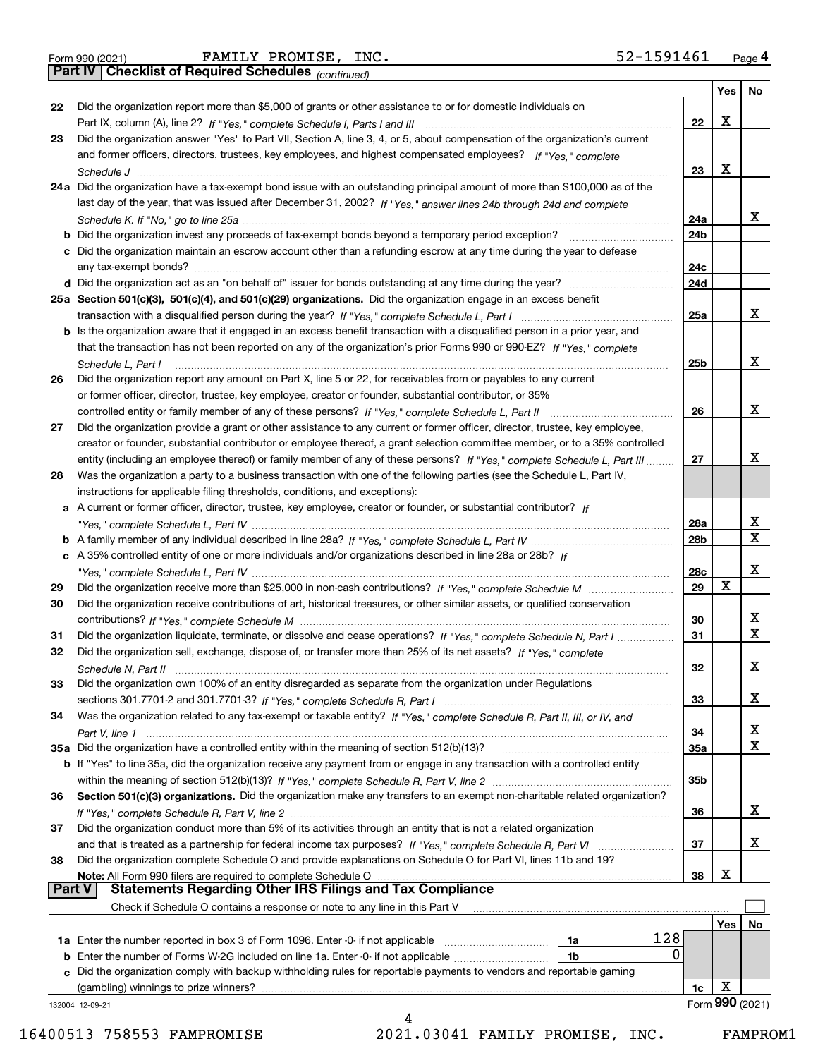|  | Form 990 (2021) |  |
|--|-----------------|--|
|  |                 |  |

Form 990 (2021) FAMILY PROMISE,INC. 52-1591461 <sub>Page</sub> 4<br>**Part IV | Checklist of Required Schedules** <sub>(continued)</sub>

*(continued)*

|               |                                                                                                                                   |                 | Yes | ∣ No            |
|---------------|-----------------------------------------------------------------------------------------------------------------------------------|-----------------|-----|-----------------|
| 22            | Did the organization report more than \$5,000 of grants or other assistance to or for domestic individuals on                     |                 |     |                 |
|               |                                                                                                                                   | 22              | X   |                 |
| 23            | Did the organization answer "Yes" to Part VII, Section A, line 3, 4, or 5, about compensation of the organization's current       |                 |     |                 |
|               | and former officers, directors, trustees, key employees, and highest compensated employees? If "Yes," complete                    |                 |     |                 |
|               |                                                                                                                                   | 23              | х   |                 |
|               | 24a Did the organization have a tax-exempt bond issue with an outstanding principal amount of more than \$100,000 as of the       |                 |     |                 |
|               | last day of the year, that was issued after December 31, 2002? If "Yes," answer lines 24b through 24d and complete                |                 |     |                 |
|               |                                                                                                                                   | 24a             |     | x               |
|               | <b>b</b> Did the organization invest any proceeds of tax-exempt bonds beyond a temporary period exception?                        | 24b             |     |                 |
|               | c Did the organization maintain an escrow account other than a refunding escrow at any time during the year to defease            |                 |     |                 |
|               |                                                                                                                                   | 24c             |     |                 |
|               |                                                                                                                                   | 24d             |     |                 |
|               | 25a Section 501(c)(3), 501(c)(4), and 501(c)(29) organizations. Did the organization engage in an excess benefit                  |                 |     |                 |
|               |                                                                                                                                   | 25a             |     | x               |
|               | b Is the organization aware that it engaged in an excess benefit transaction with a disqualified person in a prior year, and      |                 |     |                 |
|               | that the transaction has not been reported on any of the organization's prior Forms 990 or 990-EZ? If "Yes," complete             |                 |     |                 |
|               | Schedule L. Part I                                                                                                                | 25b             |     | x               |
| 26            | Did the organization report any amount on Part X, line 5 or 22, for receivables from or payables to any current                   |                 |     |                 |
|               | or former officer, director, trustee, key employee, creator or founder, substantial contributor, or 35%                           |                 |     |                 |
|               |                                                                                                                                   | 26              |     | x               |
| 27            | Did the organization provide a grant or other assistance to any current or former officer, director, trustee, key employee,       |                 |     |                 |
|               | creator or founder, substantial contributor or employee thereof, a grant selection committee member, or to a 35% controlled       |                 |     |                 |
|               | entity (including an employee thereof) or family member of any of these persons? If "Yes," complete Schedule L, Part III          | 27              |     | х               |
| 28            | Was the organization a party to a business transaction with one of the following parties (see the Schedule L, Part IV,            |                 |     |                 |
|               | instructions for applicable filing thresholds, conditions, and exceptions):                                                       |                 |     |                 |
|               | a A current or former officer, director, trustee, key employee, creator or founder, or substantial contributor? If                |                 |     |                 |
|               |                                                                                                                                   | 28a             |     | x               |
|               |                                                                                                                                   | 28 <sub>b</sub> |     | X               |
|               | c A 35% controlled entity of one or more individuals and/or organizations described in line 28a or 28b? If                        |                 |     |                 |
|               |                                                                                                                                   | 28c             |     | х               |
| 29            |                                                                                                                                   | 29              | X   |                 |
| 30            | Did the organization receive contributions of art, historical treasures, or other similar assets, or qualified conservation       |                 |     |                 |
|               |                                                                                                                                   | 30              |     | x               |
| 31            | Did the organization liquidate, terminate, or dissolve and cease operations? If "Yes," complete Schedule N, Part I                | 31              |     | $\mathbf x$     |
| 32            | Did the organization sell, exchange, dispose of, or transfer more than 25% of its net assets? If "Yes," complete                  |                 |     |                 |
|               | Schedule N, Part II                                                                                                               | 32              |     | х               |
| 33            | Did the organization own 100% of an entity disregarded as separate from the organization under Regulations                        |                 |     |                 |
|               |                                                                                                                                   | 33              |     | х               |
| 34            | Was the organization related to any tax-exempt or taxable entity? If "Yes," complete Schedule R, Part II, III, or IV, and         |                 |     |                 |
|               |                                                                                                                                   | 34              |     | X               |
|               | 35a Did the organization have a controlled entity within the meaning of section 512(b)(13)?                                       | 35a             |     | X               |
|               | b If "Yes" to line 35a, did the organization receive any payment from or engage in any transaction with a controlled entity       |                 |     |                 |
|               |                                                                                                                                   | 35b             |     |                 |
| 36            | Section 501(c)(3) organizations. Did the organization make any transfers to an exempt non-charitable related organization?        |                 |     |                 |
|               |                                                                                                                                   | 36              |     | x               |
| 37            | Did the organization conduct more than 5% of its activities through an entity that is not a related organization                  |                 |     |                 |
|               |                                                                                                                                   |                 |     | x               |
|               |                                                                                                                                   | 37              |     |                 |
| 38            | Did the organization complete Schedule O and provide explanations on Schedule O for Part VI, lines 11b and 19?                    |                 | X   |                 |
| <b>Part V</b> | Note: All Form 990 filers are required to complete Schedule O<br><b>Statements Regarding Other IRS Filings and Tax Compliance</b> | 38              |     |                 |
|               | Check if Schedule O contains a response or note to any line in this Part V                                                        |                 |     |                 |
|               |                                                                                                                                   |                 |     |                 |
|               | 128                                                                                                                               |                 | Yes | No              |
|               | <b>1a</b> Enter the number reported in box 3 of Form 1096. Enter 0 if not applicable <i>mummumumum</i><br>1a<br>0                 |                 |     |                 |
|               | <b>b</b> Enter the number of Forms W-2G included on line 1a. Enter -0- if not applicable <i>manumumum</i><br>1b                   |                 |     |                 |
|               | c Did the organization comply with backup withholding rules for reportable payments to vendors and reportable gaming              |                 |     |                 |
|               | (gambling) winnings to prize winners?                                                                                             | 1c              | х   |                 |
|               | 132004 12-09-21                                                                                                                   |                 |     | Form 990 (2021) |
|               |                                                                                                                                   |                 |     |                 |

16400513 758553 FAMPROMISE 2021.03041 FAMILY PROMISE, INC. FAMPROM1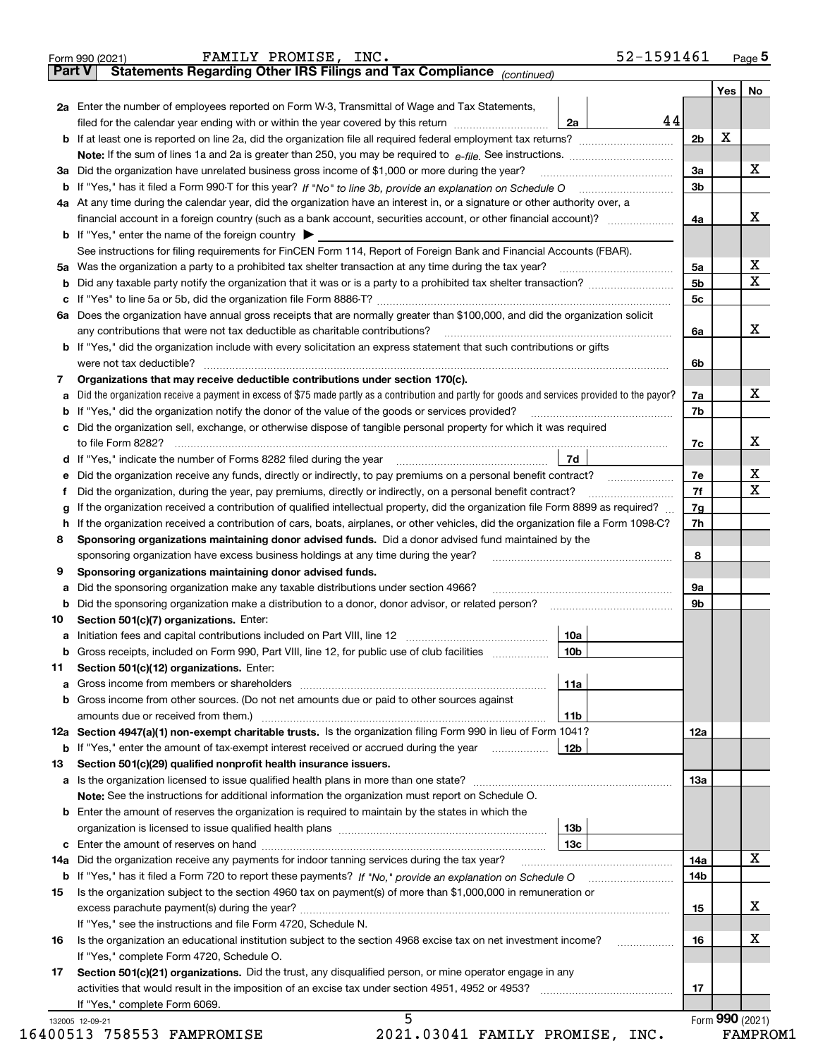|    | Statements Regarding Other IRS Filings and Tax Compliance (continued)                                                                           |          |                | Yes             | No                      |
|----|-------------------------------------------------------------------------------------------------------------------------------------------------|----------|----------------|-----------------|-------------------------|
|    | 2a Enter the number of employees reported on Form W-3, Transmittal of Wage and Tax Statements,                                                  |          |                |                 |                         |
|    | filed for the calendar year ending with or within the year covered by this return                                                               | 44<br>2a |                |                 |                         |
|    |                                                                                                                                                 |          | 2 <sub>b</sub> | х               |                         |
|    |                                                                                                                                                 |          |                |                 |                         |
|    | 3a Did the organization have unrelated business gross income of \$1,000 or more during the year?                                                |          | 3a             |                 | X                       |
|    |                                                                                                                                                 |          | 3 <sub>b</sub> |                 |                         |
|    | 4a At any time during the calendar year, did the organization have an interest in, or a signature or other authority over, a                    |          |                |                 |                         |
|    | financial account in a foreign country (such as a bank account, securities account, or other financial account)?                                |          | 4a             |                 | х                       |
|    | <b>b</b> If "Yes," enter the name of the foreign country $\blacktriangleright$                                                                  |          |                |                 |                         |
|    | See instructions for filing requirements for FinCEN Form 114, Report of Foreign Bank and Financial Accounts (FBAR).                             |          |                |                 |                         |
|    |                                                                                                                                                 |          | 5a             |                 | х                       |
| b  |                                                                                                                                                 |          | 5b             |                 | $\overline{\mathbf{X}}$ |
|    |                                                                                                                                                 |          | 5c             |                 |                         |
|    | 6a Does the organization have annual gross receipts that are normally greater than \$100,000, and did the organization solicit                  |          |                |                 |                         |
|    | any contributions that were not tax deductible as charitable contributions?                                                                     |          | 6a             |                 | X                       |
|    | <b>b</b> If "Yes," did the organization include with every solicitation an express statement that such contributions or gifts                   |          |                |                 |                         |
|    |                                                                                                                                                 |          | 6b             |                 |                         |
| 7  | Organizations that may receive deductible contributions under section 170(c).                                                                   |          |                |                 |                         |
| а  | Did the organization receive a payment in excess of \$75 made partly as a contribution and partly for goods and services provided to the payor? |          | 7a             |                 | х                       |
| b  | If "Yes," did the organization notify the donor of the value of the goods or services provided?                                                 |          | 7b             |                 |                         |
|    | c Did the organization sell, exchange, or otherwise dispose of tangible personal property for which it was required                             |          |                |                 |                         |
|    |                                                                                                                                                 |          | 7c             |                 | X                       |
|    | d If "Yes," indicate the number of Forms 8282 filed during the year [11] [11] No. 2010 [12] Henry Manuscones (                                  | 7d       |                |                 |                         |
| е  | Did the organization receive any funds, directly or indirectly, to pay premiums on a personal benefit contract?                                 |          | 7e             |                 | х                       |
| f  | Did the organization, during the year, pay premiums, directly or indirectly, on a personal benefit contract?                                    |          | 7f             |                 | $\mathbf X$             |
| g  | If the organization received a contribution of qualified intellectual property, did the organization file Form 8899 as required?                |          | 7g             |                 |                         |
| h  | If the organization received a contribution of cars, boats, airplanes, or other vehicles, did the organization file a Form 1098-C?              |          | 7h             |                 |                         |
| 8  | Sponsoring organizations maintaining donor advised funds. Did a donor advised fund maintained by the                                            |          |                |                 |                         |
|    | sponsoring organization have excess business holdings at any time during the year?                                                              |          | 8              |                 |                         |
| 9  | Sponsoring organizations maintaining donor advised funds.                                                                                       |          |                |                 |                         |
| а  | Did the sponsoring organization make any taxable distributions under section 4966?                                                              |          | 9a             |                 |                         |
| b  | Did the sponsoring organization make a distribution to a donor, donor advisor, or related person? [[[[[[[[[[[                                   |          | 9b             |                 |                         |
| 10 | Section 501(c)(7) organizations. Enter:                                                                                                         |          |                |                 |                         |
|    |                                                                                                                                                 | 10a      |                |                 |                         |
|    | Gross receipts, included on Form 990, Part VIII, line 12, for public use of club facilities                                                     | 10b      |                |                 |                         |
| 11 | Section 501(c)(12) organizations. Enter:                                                                                                        |          |                |                 |                         |
|    |                                                                                                                                                 | 11a      |                |                 |                         |
|    | b Gross income from other sources. (Do not net amounts due or paid to other sources against                                                     |          |                |                 |                         |
|    |                                                                                                                                                 | 11b      |                |                 |                         |
|    | 12a Section 4947(a)(1) non-exempt charitable trusts. Is the organization filing Form 990 in lieu of Form 1041?                                  |          | 12a            |                 |                         |
|    | <b>b</b> If "Yes," enter the amount of tax-exempt interest received or accrued during the year                                                  | 12b      |                |                 |                         |
| 13 | Section 501(c)(29) qualified nonprofit health insurance issuers.                                                                                |          |                |                 |                         |
|    | a Is the organization licensed to issue qualified health plans in more than one state?                                                          |          | 13а            |                 |                         |
|    | Note: See the instructions for additional information the organization must report on Schedule O.                                               |          |                |                 |                         |
|    | <b>b</b> Enter the amount of reserves the organization is required to maintain by the states in which the                                       |          |                |                 |                         |
|    |                                                                                                                                                 | 13b      |                |                 |                         |
|    |                                                                                                                                                 | 13с      |                |                 |                         |
|    | 14a Did the organization receive any payments for indoor tanning services during the tax year?                                                  |          | 14a            |                 | X                       |
|    |                                                                                                                                                 |          | 14b            |                 |                         |
| 15 | Is the organization subject to the section 4960 tax on payment(s) of more than \$1,000,000 in remuneration or                                   |          |                |                 |                         |
|    |                                                                                                                                                 |          |                |                 | x                       |
|    |                                                                                                                                                 |          | 15             |                 |                         |
|    | If "Yes," see the instructions and file Form 4720, Schedule N.                                                                                  |          |                |                 | х                       |
| 16 | Is the organization an educational institution subject to the section 4968 excise tax on net investment income?                                 |          | 16             |                 |                         |
|    | If "Yes," complete Form 4720, Schedule O.                                                                                                       |          |                |                 |                         |
| 17 | Section 501(c)(21) organizations. Did the trust, any disqualified person, or mine operator engage in any                                        |          |                |                 |                         |
|    |                                                                                                                                                 |          | 17             |                 |                         |
|    | If "Yes," complete Form 6069.                                                                                                                   |          |                | Form 990 (2021) |                         |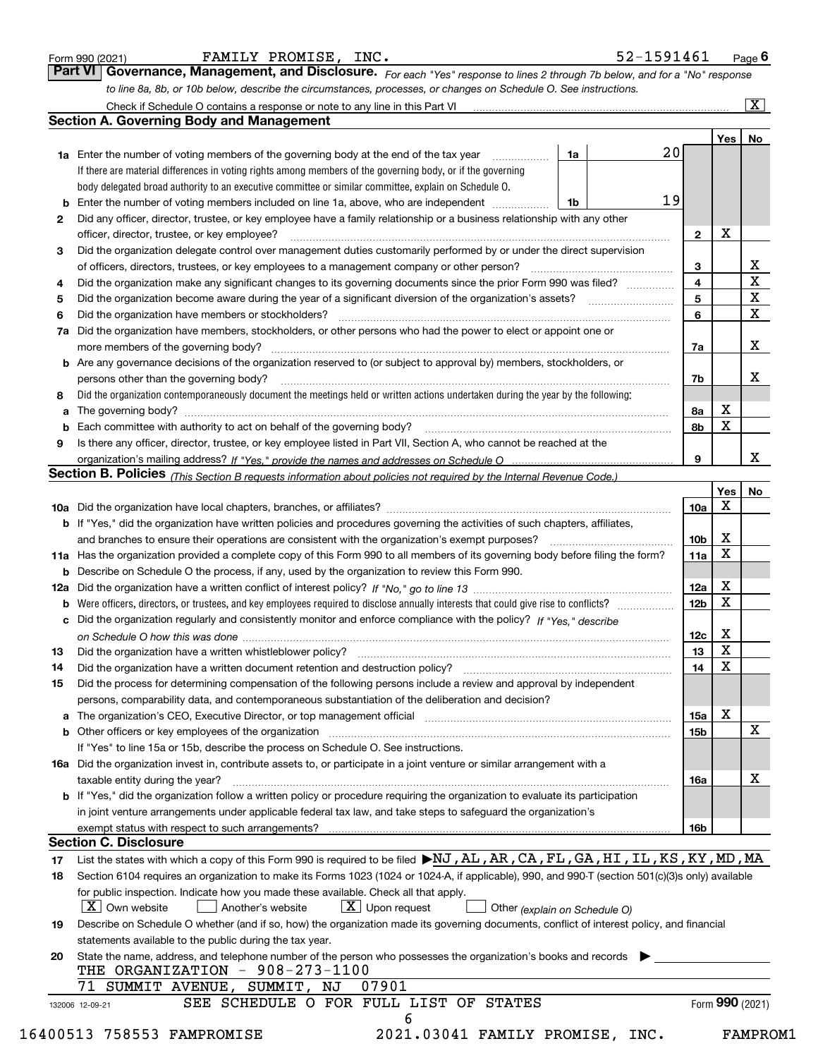|  | Form 990 (2021) |
|--|-----------------|
|  |                 |

*For each "Yes" response to lines 2 through 7b below, and for a "No" response to line 8a, 8b, or 10b below, describe the circumstances, processes, or changes on Schedule O. See instructions.* Form 990 (2021) **FAMILY PROMISE, INC.**<br>**Part VI Governance, Management, and Disclosure.** For each "Yes" response to lines 2 through 7b below, and for a "No" response

|              |                                                                                                                                                                            |    |    |                 | Yes   No    |                         |
|--------------|----------------------------------------------------------------------------------------------------------------------------------------------------------------------------|----|----|-----------------|-------------|-------------------------|
|              | <b>1a</b> Enter the number of voting members of the governing body at the end of the tax year <i>manumum</i>                                                               | 1a | 20 |                 |             |                         |
|              | If there are material differences in voting rights among members of the governing body, or if the governing                                                                |    |    |                 |             |                         |
|              | body delegated broad authority to an executive committee or similar committee, explain on Schedule O.                                                                      |    |    |                 |             |                         |
|              |                                                                                                                                                                            | 1b | 19 |                 |             |                         |
| $\mathbf{2}$ | Did any officer, director, trustee, or key employee have a family relationship or a business relationship with any other                                                   |    |    |                 |             |                         |
|              | officer, director, trustee, or key employee?                                                                                                                               |    |    | $\mathbf{2}$    | X           |                         |
| 3            | Did the organization delegate control over management duties customarily performed by or under the direct supervision                                                      |    |    |                 |             |                         |
|              |                                                                                                                                                                            |    |    | 3               |             | X                       |
| 4            | Did the organization make any significant changes to its governing documents since the prior Form 990 was filed?                                                           |    |    | 4               |             | $\overline{\textbf{x}}$ |
| 5            |                                                                                                                                                                            |    |    | 5               |             | $\mathbf X$             |
| 6            | Did the organization have members or stockholders?                                                                                                                         |    |    | 6               |             | $\mathbf{x}$            |
|              | 7a Did the organization have members, stockholders, or other persons who had the power to elect or appoint one or                                                          |    |    |                 |             |                         |
|              |                                                                                                                                                                            |    |    | 7a              |             | X                       |
|              | <b>b</b> Are any governance decisions of the organization reserved to (or subject to approval by) members, stockholders, or                                                |    |    |                 |             |                         |
|              | persons other than the governing body?                                                                                                                                     |    |    | 7b              |             | Х                       |
| 8            | Did the organization contemporaneously document the meetings held or written actions undertaken during the year by the following:                                          |    |    |                 |             |                         |
| a            |                                                                                                                                                                            |    |    | 8a              | X           |                         |
|              |                                                                                                                                                                            |    |    | 8b              | $\mathbf X$ |                         |
| 9            | Is there any officer, director, trustee, or key employee listed in Part VII, Section A, who cannot be reached at the                                                       |    |    |                 |             |                         |
|              |                                                                                                                                                                            |    |    | 9               |             | X                       |
|              | Section B. Policies <sub>(This</sub> Section B requests information about policies not required by the Internal Revenue Code.)                                             |    |    |                 |             |                         |
|              |                                                                                                                                                                            |    |    |                 | Yes         | No                      |
|              |                                                                                                                                                                            |    |    | 10a             | $\mathbf X$ |                         |
|              | <b>b</b> If "Yes," did the organization have written policies and procedures governing the activities of such chapters, affiliates,                                        |    |    |                 |             |                         |
|              |                                                                                                                                                                            |    |    | 10 <sub>b</sub> | X           |                         |
|              | 11a Has the organization provided a complete copy of this Form 990 to all members of its governing body before filing the form?                                            |    |    | 11a             | $\mathbf X$ |                         |
|              | <b>b</b> Describe on Schedule O the process, if any, used by the organization to review this Form 990.                                                                     |    |    |                 |             |                         |
|              |                                                                                                                                                                            |    |    | 12a             | X           |                         |
| b            |                                                                                                                                                                            |    |    | 12 <sub>b</sub> | X           |                         |
|              | c Did the organization regularly and consistently monitor and enforce compliance with the policy? If "Yes," describe                                                       |    |    |                 |             |                         |
|              |                                                                                                                                                                            |    |    | 12c             | X           |                         |
| 13           |                                                                                                                                                                            |    |    | 13              | $\mathbf X$ |                         |
| 14           | Did the organization have a written document retention and destruction policy? manufactured and the organization have a written document retention and destruction policy? |    |    | 14              | $\mathbf X$ |                         |
| 15           | Did the process for determining compensation of the following persons include a review and approval by independent                                                         |    |    |                 |             |                         |
|              | persons, comparability data, and contemporaneous substantiation of the deliberation and decision?                                                                          |    |    |                 |             |                         |
|              |                                                                                                                                                                            |    |    | 15a             | X           |                         |
|              | <b>b</b> Other officers or key employees of the organization                                                                                                               |    |    | 15 <sub>b</sub> |             | X                       |
|              | If "Yes" to line 15a or 15b, describe the process on Schedule O. See instructions.                                                                                         |    |    |                 |             |                         |
|              | 16a Did the organization invest in, contribute assets to, or participate in a joint venture or similar arrangement with a                                                  |    |    |                 |             |                         |
|              | taxable entity during the year?                                                                                                                                            |    |    | 16a             |             | х                       |
|              | b If "Yes," did the organization follow a written policy or procedure requiring the organization to evaluate its participation                                             |    |    |                 |             |                         |
|              | in joint venture arrangements under applicable federal tax law, and take steps to safequard the organization's                                                             |    |    |                 |             |                         |
|              | exempt status with respect to such arrangements?                                                                                                                           |    |    | <b>16b</b>      |             |                         |
|              | <b>Section C. Disclosure</b>                                                                                                                                               |    |    |                 |             |                         |
| 17           | List the states with which a copy of this Form 990 is required to be filed NJ, AL, AR, CA, FL, GA, HI, IL, KS, KY, MD, MA                                                  |    |    |                 |             |                         |
| 18           | Section 6104 requires an organization to make its Forms 1023 (1024 or 1024-A, if applicable), 990, and 990-T (section 501(c)(3)s only) available                           |    |    |                 |             |                         |
|              | for public inspection. Indicate how you made these available. Check all that apply.                                                                                        |    |    |                 |             |                         |
|              | $\boxed{\text{X}}$ Upon request<br>$ X $ Own website<br>Another's website<br>Other (explain on Schedule O)                                                                 |    |    |                 |             |                         |
| 19           | Describe on Schedule O whether (and if so, how) the organization made its governing documents, conflict of interest policy, and financial                                  |    |    |                 |             |                         |
|              | statements available to the public during the tax year.                                                                                                                    |    |    |                 |             |                         |
| 20           | State the name, address, and telephone number of the person who possesses the organization's books and records                                                             |    |    |                 |             |                         |
|              | THE ORGANIZATION - 908-273-1100                                                                                                                                            |    |    |                 |             |                         |
|              | 07901<br>71 SUMMIT AVENUE, SUMMIT, NJ                                                                                                                                      |    |    |                 |             |                         |
|              |                                                                                                                                                                            |    |    |                 |             |                         |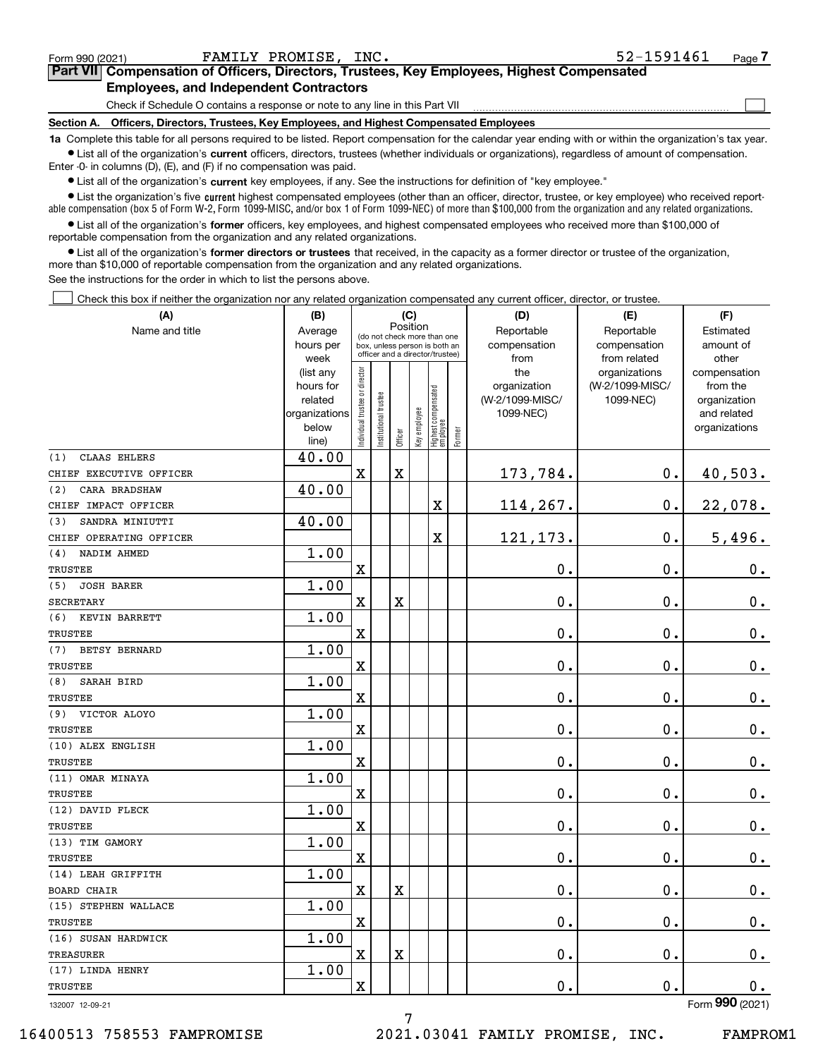| Form 990 (2021) | FAMILY PROMISE, INC.                                                                                                                                       | 52-1591461<br>Page |
|-----------------|------------------------------------------------------------------------------------------------------------------------------------------------------------|--------------------|
|                 | Part VII Compensation of Officers, Directors, Trustees, Key Employees, Highest Compensated                                                                 |                    |
|                 | <b>Employees, and Independent Contractors</b>                                                                                                              |                    |
|                 | Check if Schedule O contains a response or note to any line in this Part VII                                                                               |                    |
| Section A.      | Officers, Directors, Trustees, Key Employees, and Highest Compensated Employees                                                                            |                    |
|                 | 1a Complete this table for all persons required to be listed. Report compensation for the calendar year ending with or within the organization's tax year. |                    |

**•** List all of the organization's current officers, directors, trustees (whether individuals or organizations), regardless of amount of compensation. Enter -0- in columns (D), (E), and (F) if no compensation was paid.

 $\bullet$  List all of the organization's  $\sf current$  key employees, if any. See the instructions for definition of "key employee."

**•** List the organization's five current highest compensated employees (other than an officer, director, trustee, or key employee) who received reportable compensation (box 5 of Form W-2, Form 1099-MISC, and/or box 1 of Form 1099-NEC) of more than \$100,000 from the organization and any related organizations.

**•** List all of the organization's former officers, key employees, and highest compensated employees who received more than \$100,000 of reportable compensation from the organization and any related organizations.

**former directors or trustees**  ¥ List all of the organization's that received, in the capacity as a former director or trustee of the organization, more than \$10,000 of reportable compensation from the organization and any related organizations.

See the instructions for the order in which to list the persons above.

Check this box if neither the organization nor any related organization compensated any current officer, director, or trustee.  $\mathcal{L}^{\text{max}}$ 

| (A)                      | (B)                    | (C)                                     |                                                                  |         |              |                                   |              | (D)                 | (E)                              | (F)                            |
|--------------------------|------------------------|-----------------------------------------|------------------------------------------------------------------|---------|--------------|-----------------------------------|--------------|---------------------|----------------------------------|--------------------------------|
| Name and title           | Average                | Position<br>(do not check more than one |                                                                  |         |              | Reportable                        | Reportable   | Estimated           |                                  |                                |
|                          | hours per              |                                         | box, unless person is both an<br>officer and a director/trustee) |         |              | compensation                      | compensation | amount of           |                                  |                                |
|                          | week                   |                                         |                                                                  |         |              |                                   |              | from                | from related                     | other                          |
|                          | (list any<br>hours for | ndividual trustee or director           |                                                                  |         |              |                                   |              | the<br>organization | organizations<br>(W-2/1099-MISC/ | compensation<br>from the       |
|                          | related                |                                         |                                                                  |         |              |                                   |              | (W-2/1099-MISC/     | 1099-NEC)                        | organization                   |
|                          | organizations          |                                         |                                                                  |         |              |                                   |              | 1099-NEC)           |                                  | and related                    |
|                          | below                  |                                         | nstitutional trustee                                             |         | key employee |                                   |              |                     |                                  | organizations                  |
|                          | line)                  |                                         |                                                                  | Officer |              | Highest compensated<br>  employee | Former       |                     |                                  |                                |
| CLAAS EHLERS<br>(1)      | 40.00                  |                                         |                                                                  |         |              |                                   |              |                     |                                  |                                |
| CHIEF EXECUTIVE OFFICER  |                        | $\mathbf X$                             |                                                                  | X       |              |                                   |              | 173,784.            | 0.                               | 40,503.                        |
| CARA BRADSHAW<br>(2)     | 40.00                  |                                         |                                                                  |         |              |                                   |              |                     |                                  |                                |
| CHIEF IMPACT OFFICER     |                        |                                         |                                                                  |         |              | $\overline{\textbf{X}}$           |              | 114,267.            | 0.                               | 22,078.                        |
| SANDRA MINIUTTI<br>(3)   | 40.00                  |                                         |                                                                  |         |              |                                   |              |                     |                                  |                                |
| CHIEF OPERATING OFFICER  |                        |                                         |                                                                  |         |              | $\overline{\textbf{X}}$           |              | 121, 173.           | 0.                               | 5,496.                         |
| NADIM AHMED<br>(4)       | 1.00                   |                                         |                                                                  |         |              |                                   |              |                     |                                  |                                |
| TRUSTEE                  |                        | $\mathbf x$                             |                                                                  |         |              |                                   |              | $\mathbf 0$ .       | $\mathbf 0$ .                    | $0_{.}$                        |
| <b>JOSH BARER</b><br>(5) | 1.00                   |                                         |                                                                  |         |              |                                   |              |                     |                                  |                                |
| <b>SECRETARY</b>         |                        | $\mathbf X$                             |                                                                  | X       |              |                                   |              | $\mathbf 0$ .       | $\mathbf 0$ .                    | $\mathbf 0$ .                  |
| KEVIN BARRETT<br>(6)     | 1.00                   |                                         |                                                                  |         |              |                                   |              |                     |                                  |                                |
| TRUSTEE                  |                        | $\overline{\textbf{X}}$                 |                                                                  |         |              |                                   |              | $\mathbf 0$ .       | $\mathbf 0$ .                    | $\mathbf 0$ .                  |
| (7)<br>BETSY BERNARD     | 1.00                   |                                         |                                                                  |         |              |                                   |              |                     |                                  |                                |
| TRUSTEE                  |                        | $\mathbf X$                             |                                                                  |         |              |                                   |              | 0.                  | 0.                               | $\mathbf 0$ .                  |
| (8)<br>SARAH BIRD        | 1.00                   |                                         |                                                                  |         |              |                                   |              |                     |                                  |                                |
| TRUSTEE                  |                        | $\mathbf x$                             |                                                                  |         |              |                                   |              | $\mathbf 0$ .       | $\mathbf 0$ .                    | $\mathbf 0$ .                  |
| VICTOR ALOYO<br>(9)      | 1.00                   |                                         |                                                                  |         |              |                                   |              |                     |                                  |                                |
| TRUSTEE                  |                        | $\mathbf X$                             |                                                                  |         |              |                                   |              | $\mathbf 0$ .       | $\mathbf 0$ .                    | $0_{.}$                        |
| (10) ALEX ENGLISH        | 1.00                   |                                         |                                                                  |         |              |                                   |              |                     |                                  |                                |
| TRUSTEE                  |                        | $\mathbf x$                             |                                                                  |         |              |                                   |              | $\mathbf 0$ .       | $\mathbf 0$ .                    | $\mathbf 0$ .                  |
| (11) OMAR MINAYA         | 1.00                   |                                         |                                                                  |         |              |                                   |              |                     |                                  |                                |
| <b>TRUSTEE</b>           |                        | $\mathbf X$                             |                                                                  |         |              |                                   |              | 0.                  | $\mathbf 0$ .                    | $\mathbf 0$ .                  |
| (12) DAVID FLECK         | 1.00                   |                                         |                                                                  |         |              |                                   |              |                     |                                  |                                |
| TRUSTEE                  |                        | $\mathbf x$                             |                                                                  |         |              |                                   |              | $\mathbf 0$ .       | $\mathbf 0$ .                    | $\mathbf 0$ .                  |
| (13) TIM GAMORY          | 1.00                   |                                         |                                                                  |         |              |                                   |              |                     |                                  |                                |
| TRUSTEE                  |                        | $\mathbf X$                             |                                                                  |         |              |                                   |              | $\mathbf 0$ .       | $\mathbf 0$ .                    | $\mathbf 0$ .                  |
| (14) LEAH GRIFFITH       | 1.00                   |                                         |                                                                  |         |              |                                   |              |                     |                                  |                                |
| <b>BOARD CHAIR</b>       |                        | $\mathbf X$                             |                                                                  | X       |              |                                   |              | 0.                  | $\mathbf 0$ .                    | $\mathbf 0$ .                  |
| (15) STEPHEN WALLACE     | 1.00                   |                                         |                                                                  |         |              |                                   |              |                     |                                  |                                |
| TRUSTEE                  |                        | $\mathbf x$                             |                                                                  |         |              |                                   |              | 0.                  | 0.                               | $\mathbf 0$ .                  |
| (16) SUSAN HARDWICK      | 1.00                   |                                         |                                                                  |         |              |                                   |              |                     |                                  |                                |
| TREASURER                |                        | $\mathbf X$                             |                                                                  | X       |              |                                   |              | 0.                  | $\mathbf 0$ .                    | $0_{.}$                        |
| (17) LINDA HENRY         | 1.00                   |                                         |                                                                  |         |              |                                   |              |                     |                                  |                                |
| TRUSTEE                  |                        | $\mathbf x$                             |                                                                  |         |              |                                   |              | $\mathbf 0$ .       | 0.                               | 0.<br>$\overline{\phantom{a}}$ |

7

132007 12-09-21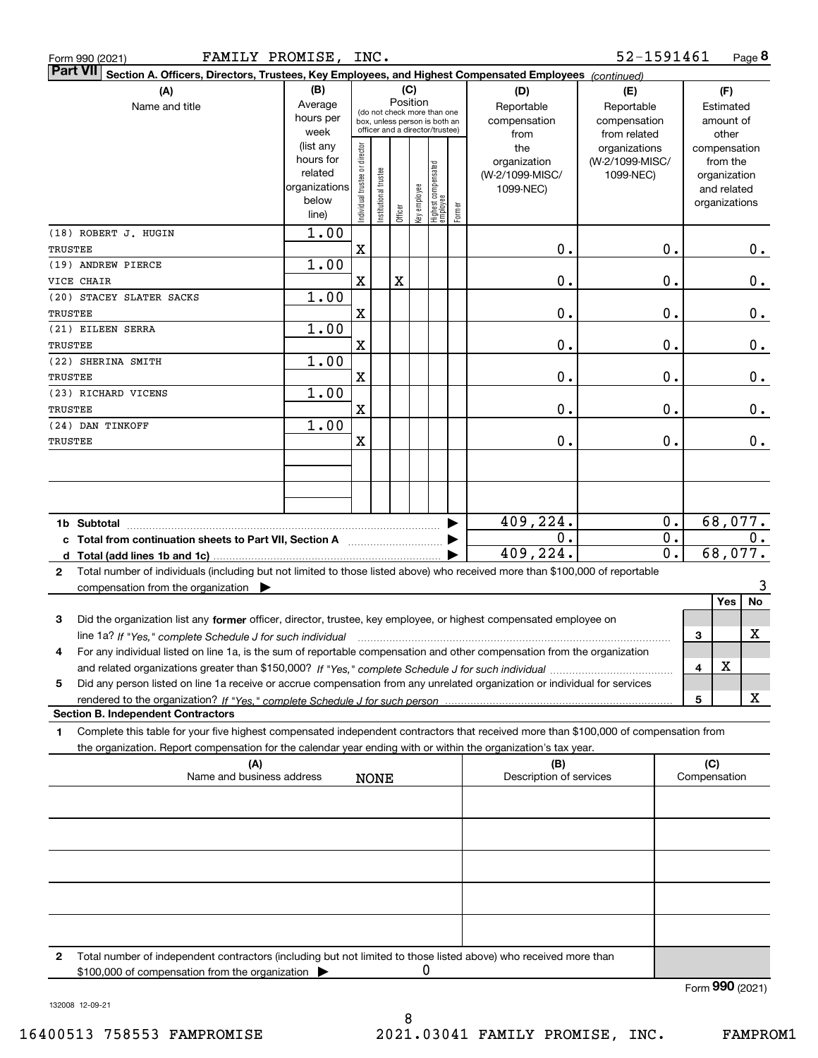|  | Form 990 (2021) |
|--|-----------------|
|  |                 |

Form 990 (2021) **FAMILY PROMISE, INC.** 52-1591461 Page

**8** 52-1591461

|                | ∣Part VII ∣<br>Section A. Officers, Directors, Trustees, Key Employees, and Highest Compensated Employees (continued)                                                                    |                          |                                         |                                 |             |              |                                  |        |                         |                 |                  |              |                              |    |
|----------------|------------------------------------------------------------------------------------------------------------------------------------------------------------------------------------------|--------------------------|-----------------------------------------|---------------------------------|-------------|--------------|----------------------------------|--------|-------------------------|-----------------|------------------|--------------|------------------------------|----|
|                | (A)                                                                                                                                                                                      | (B)                      |                                         |                                 |             | (C)          |                                  |        | (D)                     | (E)             |                  |              | (F)                          |    |
|                | Name and title                                                                                                                                                                           | Average                  | Position<br>(do not check more than one |                                 |             |              |                                  |        | Reportable              | Reportable      |                  |              | Estimated                    |    |
|                |                                                                                                                                                                                          | hours per                |                                         | box, unless person is both an   |             |              |                                  |        | compensation            | compensation    |                  |              | amount of                    |    |
|                |                                                                                                                                                                                          | week                     |                                         | officer and a director/trustee) |             |              |                                  |        | from                    | from related    |                  |              | other                        |    |
|                |                                                                                                                                                                                          | (list any                |                                         |                                 |             |              |                                  |        | the                     | organizations   |                  |              | compensation                 |    |
|                |                                                                                                                                                                                          | hours for                |                                         |                                 |             |              |                                  |        | organization            | (W-2/1099-MISC/ |                  |              | from the                     |    |
|                |                                                                                                                                                                                          | related<br>organizations |                                         |                                 |             |              |                                  |        | (W-2/1099-MISC/         | 1099-NEC)       |                  |              | organization                 |    |
|                |                                                                                                                                                                                          | below                    |                                         |                                 |             |              |                                  |        | 1099-NEC)               |                 |                  |              | and related<br>organizations |    |
|                |                                                                                                                                                                                          | line)                    | Individual trustee or director          | Institutional trustee           | Officer     | Key employee | Highest compensated<br> employee | Former |                         |                 |                  |              |                              |    |
|                | (18) ROBERT J. HUGIN                                                                                                                                                                     | 1.00                     |                                         |                                 |             |              |                                  |        |                         |                 |                  |              |                              |    |
| <b>TRUSTEE</b> |                                                                                                                                                                                          |                          | $\mathbf X$                             |                                 |             |              |                                  |        | Ο.                      |                 | 0.               |              |                              | 0. |
|                | (19) ANDREW PIERCE                                                                                                                                                                       | 1.00                     |                                         |                                 |             |              |                                  |        |                         |                 |                  |              |                              |    |
|                | VICE CHAIR                                                                                                                                                                               |                          | X                                       |                                 | $\mathbf X$ |              |                                  |        | 0.                      |                 | 0.               |              |                              | 0. |
|                | (20) STACEY SLATER SACKS                                                                                                                                                                 | 1.00                     |                                         |                                 |             |              |                                  |        |                         |                 |                  |              |                              |    |
| TRUSTEE        |                                                                                                                                                                                          |                          | X                                       |                                 |             |              |                                  |        | Ο.                      |                 | 0.               |              |                              | 0. |
|                | (21) EILEEN SERRA                                                                                                                                                                        | 1.00                     |                                         |                                 |             |              |                                  |        |                         |                 |                  |              |                              |    |
| TRUSTEE        |                                                                                                                                                                                          |                          | X                                       |                                 |             |              |                                  |        | Ο.                      |                 | 0.               |              |                              | 0. |
|                | (22) SHERINA SMITH                                                                                                                                                                       | 1.00                     |                                         |                                 |             |              |                                  |        |                         |                 |                  |              |                              |    |
| TRUSTEE        |                                                                                                                                                                                          |                          | X                                       |                                 |             |              |                                  |        | Ο.                      |                 | 0.               |              |                              | 0. |
|                | (23) RICHARD VICENS                                                                                                                                                                      | 1.00                     |                                         |                                 |             |              |                                  |        |                         |                 |                  |              |                              |    |
| <b>TRUSTEE</b> |                                                                                                                                                                                          |                          | X                                       |                                 |             |              |                                  |        | Ο.                      |                 | 0.               |              |                              | 0. |
|                | (24) DAN TINKOFF                                                                                                                                                                         | 1.00                     |                                         |                                 |             |              |                                  |        |                         |                 |                  |              |                              |    |
| <b>TRUSTEE</b> |                                                                                                                                                                                          |                          | X                                       |                                 |             |              |                                  |        | 0.                      |                 | 0.               |              |                              | 0. |
|                |                                                                                                                                                                                          |                          |                                         |                                 |             |              |                                  |        |                         |                 |                  |              |                              |    |
|                |                                                                                                                                                                                          |                          |                                         |                                 |             |              |                                  |        |                         |                 |                  |              |                              |    |
|                |                                                                                                                                                                                          |                          |                                         |                                 |             |              |                                  |        |                         |                 |                  |              |                              |    |
|                |                                                                                                                                                                                          |                          |                                         |                                 |             |              |                                  |        |                         |                 |                  |              |                              |    |
|                | 1b Subtotal                                                                                                                                                                              |                          |                                         |                                 |             |              |                                  |        | 409, 224.               |                 | 0.<br>0.         |              | 68,077.                      | 0. |
|                | c Total from continuation sheets to Part VII, Section A manufactured in the Total from continuum                                                                                         |                          |                                         |                                 |             |              |                                  |        | ο.<br>409,224.          |                 | $\overline{0}$ . | 68,077.      |                              |    |
|                |                                                                                                                                                                                          |                          |                                         |                                 |             |              |                                  |        |                         |                 |                  |              |                              |    |
| $\mathbf{2}$   | Total number of individuals (including but not limited to those listed above) who received more than \$100,000 of reportable<br>compensation from the organization $\blacktriangleright$ |                          |                                         |                                 |             |              |                                  |        |                         |                 |                  |              |                              | 3  |
|                |                                                                                                                                                                                          |                          |                                         |                                 |             |              |                                  |        |                         |                 |                  |              | Yes                          | No |
| 3              | Did the organization list any former officer, director, trustee, key employee, or highest compensated employee on                                                                        |                          |                                         |                                 |             |              |                                  |        |                         |                 |                  |              |                              |    |
|                | line 1a? If "Yes," complete Schedule J for such individual manufactured contains and the Yes," complete Schedule J for such individual                                                   |                          |                                         |                                 |             |              |                                  |        |                         |                 |                  | 3            |                              | X  |
| 4              | For any individual listed on line 1a, is the sum of reportable compensation and other compensation from the organization                                                                 |                          |                                         |                                 |             |              |                                  |        |                         |                 |                  |              |                              |    |
|                |                                                                                                                                                                                          |                          |                                         |                                 |             |              |                                  |        |                         |                 |                  | 4            | X                            |    |
| 5              | Did any person listed on line 1a receive or accrue compensation from any unrelated organization or individual for services                                                               |                          |                                         |                                 |             |              |                                  |        |                         |                 |                  |              |                              |    |
|                |                                                                                                                                                                                          |                          |                                         |                                 |             |              |                                  |        |                         |                 |                  | 5            |                              | X  |
|                | <b>Section B. Independent Contractors</b>                                                                                                                                                |                          |                                         |                                 |             |              |                                  |        |                         |                 |                  |              |                              |    |
| 1.             | Complete this table for your five highest compensated independent contractors that received more than \$100,000 of compensation from                                                     |                          |                                         |                                 |             |              |                                  |        |                         |                 |                  |              |                              |    |
|                | the organization. Report compensation for the calendar year ending with or within the organization's tax year.                                                                           |                          |                                         |                                 |             |              |                                  |        |                         |                 |                  |              |                              |    |
|                | (A)                                                                                                                                                                                      |                          |                                         |                                 |             |              |                                  |        | (B)                     |                 |                  | (C)          |                              |    |
|                | Name and business address                                                                                                                                                                |                          |                                         | <b>NONE</b>                     |             |              |                                  |        | Description of services |                 |                  | Compensation |                              |    |
|                |                                                                                                                                                                                          |                          |                                         |                                 |             |              |                                  |        |                         |                 |                  |              |                              |    |
|                |                                                                                                                                                                                          |                          |                                         |                                 |             |              |                                  |        |                         |                 |                  |              |                              |    |
|                |                                                                                                                                                                                          |                          |                                         |                                 |             |              |                                  |        |                         |                 |                  |              |                              |    |
|                |                                                                                                                                                                                          |                          |                                         |                                 |             |              |                                  |        |                         |                 |                  |              |                              |    |
|                |                                                                                                                                                                                          |                          |                                         |                                 |             |              |                                  |        |                         |                 |                  |              |                              |    |
|                |                                                                                                                                                                                          |                          |                                         |                                 |             |              |                                  |        |                         |                 |                  |              |                              |    |
|                |                                                                                                                                                                                          |                          |                                         |                                 |             |              |                                  |        |                         |                 |                  |              |                              |    |
|                |                                                                                                                                                                                          |                          |                                         |                                 |             |              |                                  |        |                         |                 |                  |              |                              |    |
| 2              | Total number of independent contractors (including but not limited to those listed above) who received more than                                                                         |                          |                                         |                                 |             |              |                                  |        |                         |                 |                  |              |                              |    |
|                | \$100,000 of compensation from the organization                                                                                                                                          |                          |                                         |                                 |             | 0            |                                  |        |                         |                 |                  |              |                              |    |

Form (2021) **990**

132008 12-09-21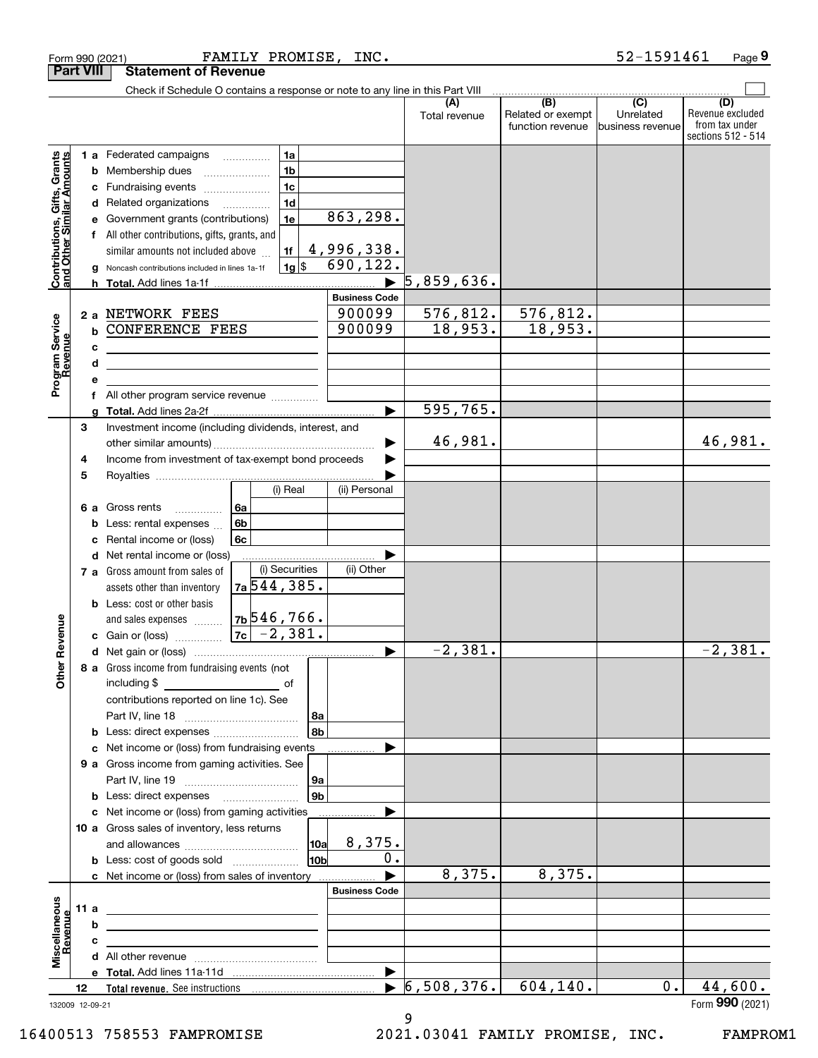|                                                                                         | <b>Part VIII</b> |                                       | <b>Statement of Revenue</b>                                                                                                                                                                                                                                                                                                                                                                                                          |                                                                                            |                      |                                                                                 |                                    |                                       |                                                  |                                                                 |
|-----------------------------------------------------------------------------------------|------------------|---------------------------------------|--------------------------------------------------------------------------------------------------------------------------------------------------------------------------------------------------------------------------------------------------------------------------------------------------------------------------------------------------------------------------------------------------------------------------------------|--------------------------------------------------------------------------------------------|----------------------|---------------------------------------------------------------------------------|------------------------------------|---------------------------------------|--------------------------------------------------|-----------------------------------------------------------------|
|                                                                                         |                  |                                       | Check if Schedule O contains a response or note to any line in this Part VIII                                                                                                                                                                                                                                                                                                                                                        |                                                                                            |                      |                                                                                 |                                    | (B)                                   |                                                  |                                                                 |
|                                                                                         |                  |                                       |                                                                                                                                                                                                                                                                                                                                                                                                                                      |                                                                                            |                      |                                                                                 | (A)<br>Total revenue               | Related or exempt<br>function revenue | $\overline{C}$<br>Unrelated<br> business revenue | (D)<br>Revenue excluded<br>from tax under<br>sections 512 - 514 |
| Contributions, Gifts, Grants<br>and Other Similar Amounts<br>Program Service<br>Revenue |                  | b<br>c<br>d<br>f<br>h.<br>b<br>c<br>d | 1 a Federated campaigns<br>Membership dues<br>Fundraising events<br>Related organizations<br>Government grants (contributions)<br>All other contributions, gifts, grants, and<br>similar amounts not included above<br>Noncash contributions included in lines 1a-1f<br>2 a NETWORK FEES<br>CONFERENCE FEES<br><u> 1989 - Johann Stein, marwolaethau a bhann an t-Amhainn an t-Amhainn an t-Amhainn an t-Amhainn an t-Amhainn an</u> | 1a<br>1 <sub>b</sub><br>1 <sub>c</sub><br>1 <sub>d</sub><br>1e<br>1f<br>$1g$ $\frac{1}{3}$ |                      | 863,298.<br>4,996,338.<br>690, 122.<br><b>Business Code</b><br>900099<br>900099 | 5,859,636.<br>576, 812.<br>18,953. | 576,812.<br>18,953.                   |                                                  |                                                                 |
|                                                                                         |                  | f                                     |                                                                                                                                                                                                                                                                                                                                                                                                                                      |                                                                                            |                      |                                                                                 |                                    |                                       |                                                  |                                                                 |
|                                                                                         | 3<br>4           |                                       | Investment income (including dividends, interest, and<br>Income from investment of tax-exempt bond proceeds                                                                                                                                                                                                                                                                                                                          |                                                                                            |                      | $\blacktriangleright$                                                           | 595,765.<br>46,981.                |                                       |                                                  | 46,981.                                                         |
|                                                                                         | 5                | 6а<br>b<br>c                          | Gross rents<br>.<br>Less: rental expenses<br>Rental income or (loss)                                                                                                                                                                                                                                                                                                                                                                 | (i) Real<br>6a<br>6b<br>6c                                                                 |                      | (ii) Personal                                                                   |                                    |                                       |                                                  |                                                                 |
|                                                                                         |                  | d                                     | Net rental income or (loss)<br>7 a Gross amount from sales of<br>assets other than inventory<br><b>b</b> Less: cost or other basis                                                                                                                                                                                                                                                                                                   | (i) Securities<br>7a 544, 385.<br>7ь 546, 766.                                             |                      | (ii) Other                                                                      |                                    |                                       |                                                  |                                                                 |
| Revenue<br><b>Other</b>                                                                 |                  |                                       | and sales expenses<br>c Gain or (loss)<br>8 a Gross income from fundraising events (not<br>including \$                                                                                                                                                                                                                                                                                                                              | $ 7c  - 2,381.$                                                                            |                      | ▶                                                                               | $-2,381.$                          |                                       |                                                  | $-2,381.$                                                       |
|                                                                                         |                  |                                       | contributions reported on line 1c). See<br>c Net income or (loss) from fundraising events                                                                                                                                                                                                                                                                                                                                            |                                                                                            | 8a<br>8b             |                                                                                 |                                    |                                       |                                                  |                                                                 |
|                                                                                         |                  |                                       | 9 a Gross income from gaming activities. See<br><b>b</b> Less: direct expenses <b>manually</b>                                                                                                                                                                                                                                                                                                                                       |                                                                                            | 9a<br>9 <sub>b</sub> |                                                                                 |                                    |                                       |                                                  |                                                                 |
|                                                                                         |                  |                                       | c Net income or (loss) from gaming activities<br>10 a Gross sales of inventory, less returns<br><b>b</b> Less: cost of goods sold                                                                                                                                                                                                                                                                                                    |                                                                                            | 10a<br>10bl          | .<br>8,375.<br>0.                                                               |                                    |                                       |                                                  |                                                                 |
|                                                                                         |                  |                                       | c Net income or (loss) from sales of inventory                                                                                                                                                                                                                                                                                                                                                                                       |                                                                                            |                      | <b>Business Code</b>                                                            | 8,375.                             | 8,375.                                |                                                  |                                                                 |
| Miscellaneous<br>Revenue                                                                | 11 a             | b<br>с                                | the contract of the contract of the contract of the contract of the<br><u> 1980 - Jan Sterling and Sterling and Sterling and Sterling and Sterling and Sterling and Sterling and Sterling</u>                                                                                                                                                                                                                                        |                                                                                            |                      |                                                                                 |                                    |                                       |                                                  |                                                                 |
|                                                                                         |                  |                                       |                                                                                                                                                                                                                                                                                                                                                                                                                                      |                                                                                            |                      | ▶                                                                               |                                    |                                       |                                                  |                                                                 |
|                                                                                         | 12               |                                       |                                                                                                                                                                                                                                                                                                                                                                                                                                      |                                                                                            |                      |                                                                                 | $\triangleright$ 6,508,376.        | 604, 140.                             | $0$ .                                            | 44,600.<br>Form 990 (2021)                                      |
| 132009 12-09-21                                                                         |                  |                                       |                                                                                                                                                                                                                                                                                                                                                                                                                                      |                                                                                            |                      |                                                                                 |                                    |                                       |                                                  |                                                                 |

Form 990 (2021) **FAMILY PROMISE,INC.** 52-I59I46I Page

 $\tt{FAMILY}$   $\tt{PROMISE}$ ,  $\tt{INC.}$   $\tt{52-1591461}$ 

## 16400513 758553 FAMPROMISE 2021.03041 FAMILY PROMISE, INC. FAMPROM1

9

**9**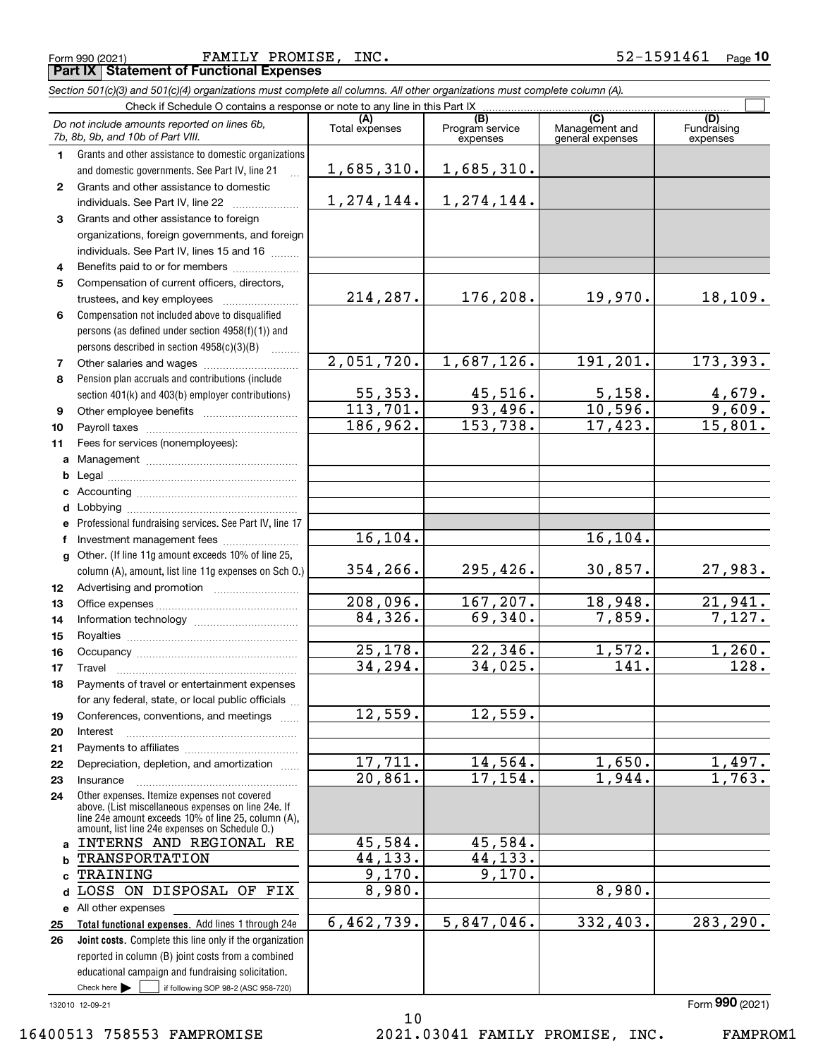Form 990 (2021) Page FAMILY PROMISE, INC. 52-1591461 **Part IX Statement of Functional Expenses**

|              | Section 501(c)(3) and 501(c)(4) organizations must complete all columns. All other organizations must complete column (A).                                                                                   |                    |                             |                                    |                                    |
|--------------|--------------------------------------------------------------------------------------------------------------------------------------------------------------------------------------------------------------|--------------------|-----------------------------|------------------------------------|------------------------------------|
|              | Check if Schedule O contains a response or note to any line in this Part IX                                                                                                                                  | (A)                | (B)                         | (C)                                | (D)                                |
|              | Do not include amounts reported on lines 6b,<br>7b, 8b, 9b, and 10b of Part VIII.                                                                                                                            | Total expenses     | Program service<br>expenses | Management and<br>general expenses | Fundraising<br>expenses            |
| $\mathbf 1$  | Grants and other assistance to domestic organizations                                                                                                                                                        |                    |                             |                                    |                                    |
|              | and domestic governments. See Part IV, line 21                                                                                                                                                               | 1,685,310.         | 1,685,310.                  |                                    |                                    |
| $\mathbf{2}$ | Grants and other assistance to domestic                                                                                                                                                                      |                    |                             |                                    |                                    |
|              | individuals. See Part IV, line 22                                                                                                                                                                            | 1, 274, 144.       | 1, 274, 144.                |                                    |                                    |
| 3            | Grants and other assistance to foreign                                                                                                                                                                       |                    |                             |                                    |                                    |
|              | organizations, foreign governments, and foreign                                                                                                                                                              |                    |                             |                                    |                                    |
|              | individuals. See Part IV, lines 15 and 16                                                                                                                                                                    |                    |                             |                                    |                                    |
| 4            | Benefits paid to or for members                                                                                                                                                                              |                    |                             |                                    |                                    |
| 5            | Compensation of current officers, directors,                                                                                                                                                                 |                    |                             |                                    |                                    |
|              | trustees, and key employees                                                                                                                                                                                  | 214,287.           | 176,208.                    | 19,970.                            | 18, 109.                           |
| 6            | Compensation not included above to disqualified                                                                                                                                                              |                    |                             |                                    |                                    |
|              | persons (as defined under section 4958(f)(1)) and                                                                                                                                                            |                    |                             |                                    |                                    |
|              | persons described in section 4958(c)(3)(B)                                                                                                                                                                   |                    |                             |                                    |                                    |
| 7            |                                                                                                                                                                                                              | 2,051,720.         | 1,687,126.                  | 191,201.                           | 173,393.                           |
| 8            | Pension plan accruals and contributions (include                                                                                                                                                             |                    |                             |                                    |                                    |
|              | section 401(k) and 403(b) employer contributions)                                                                                                                                                            | $55,353$ .         | 45,516.                     | 5,158.                             | $\frac{4,679.}{9,609.}$<br>15,801. |
| 9            |                                                                                                                                                                                                              | 113,701.           | 93,496.                     | 10,596.                            |                                    |
| 10           |                                                                                                                                                                                                              | 186,962.           | 153,738.                    | 17,423.                            |                                    |
| 11           | Fees for services (nonemployees):                                                                                                                                                                            |                    |                             |                                    |                                    |
|              |                                                                                                                                                                                                              |                    |                             |                                    |                                    |
| b            |                                                                                                                                                                                                              |                    |                             |                                    |                                    |
| c            |                                                                                                                                                                                                              |                    |                             |                                    |                                    |
| d            |                                                                                                                                                                                                              |                    |                             |                                    |                                    |
| e            | Professional fundraising services. See Part IV, line 17                                                                                                                                                      |                    |                             |                                    |                                    |
| f            | Investment management fees                                                                                                                                                                                   | 16, 104.           |                             | 16, 104.                           |                                    |
| g            | Other. (If line 11g amount exceeds 10% of line 25,                                                                                                                                                           |                    |                             |                                    |                                    |
|              | column (A), amount, list line 11g expenses on Sch O.)                                                                                                                                                        | 354,266.           | 295,426.                    | 30,857.                            | <u>27,983.</u>                     |
| 12           |                                                                                                                                                                                                              |                    |                             |                                    |                                    |
| 13           |                                                                                                                                                                                                              | 208,096.           | 167,207.                    | 18,948.                            | $\frac{21,941.7}{7,127.}$          |
| 14           |                                                                                                                                                                                                              | 84,326.            | 69,340.                     | 7,859.                             |                                    |
| 15           |                                                                                                                                                                                                              |                    |                             |                                    |                                    |
| 16           |                                                                                                                                                                                                              | 25, 178.           | 22, 346.                    | 1,572.                             | 1,260.                             |
| 17           |                                                                                                                                                                                                              | 34,294.            | 34,025.                     | 141.                               | 128.                               |
| 18           | Payments of travel or entertainment expenses                                                                                                                                                                 |                    |                             |                                    |                                    |
|              | for any federal, state, or local public officials                                                                                                                                                            |                    |                             |                                    |                                    |
| 19           | Conferences, conventions, and meetings                                                                                                                                                                       | 12,559.            | 12,559.                     |                                    |                                    |
| 20           | Interest                                                                                                                                                                                                     |                    |                             |                                    |                                    |
| 21           |                                                                                                                                                                                                              |                    |                             |                                    |                                    |
| 22           | Depreciation, depletion, and amortization                                                                                                                                                                    | 17,711.<br>20,861. | 14,564.<br>17, 154.         | 1,650.<br>1,944.                   | $\frac{1,497.}{1,763.}$            |
| 23           | Insurance                                                                                                                                                                                                    |                    |                             |                                    |                                    |
| 24           | Other expenses. Itemize expenses not covered<br>above. (List miscellaneous expenses on line 24e. If<br>line 24e amount exceeds 10% of line 25, column (A),<br>amount, list line 24e expenses on Schedule 0.) |                    |                             |                                    |                                    |
| a            | INTERNS AND REGIONAL RE                                                                                                                                                                                      | 45,584.            | 45,584.                     |                                    |                                    |
| b            | <b>TRANSPORTATION</b>                                                                                                                                                                                        | 44,133.            | 44,133.                     |                                    |                                    |
| C            | TRAINING                                                                                                                                                                                                     | 9,170.             | 9,170.                      |                                    |                                    |
| d            | LOSS ON DISPOSAL OF FIX                                                                                                                                                                                      | 8,980.             |                             | 8,980.                             |                                    |
|              | e All other expenses                                                                                                                                                                                         |                    |                             |                                    |                                    |
| 25           | Total functional expenses. Add lines 1 through 24e                                                                                                                                                           | 6,462,739.         | 5,847,046.                  | 332,403.                           | 283, 290.                          |
| 26           | Joint costs. Complete this line only if the organization                                                                                                                                                     |                    |                             |                                    |                                    |
|              | reported in column (B) joint costs from a combined                                                                                                                                                           |                    |                             |                                    |                                    |
|              | educational campaign and fundraising solicitation.                                                                                                                                                           |                    |                             |                                    |                                    |

132010 12-09-21

Check here

 $\mathcal{L}^{\text{max}}$ 

if following SOP 98-2 (ASC 958-720)

16400513 758553 FAMPROMISE 2021.03041 FAMILY PROMISE, INC. FAMPROM1

10

Form (2021) **990**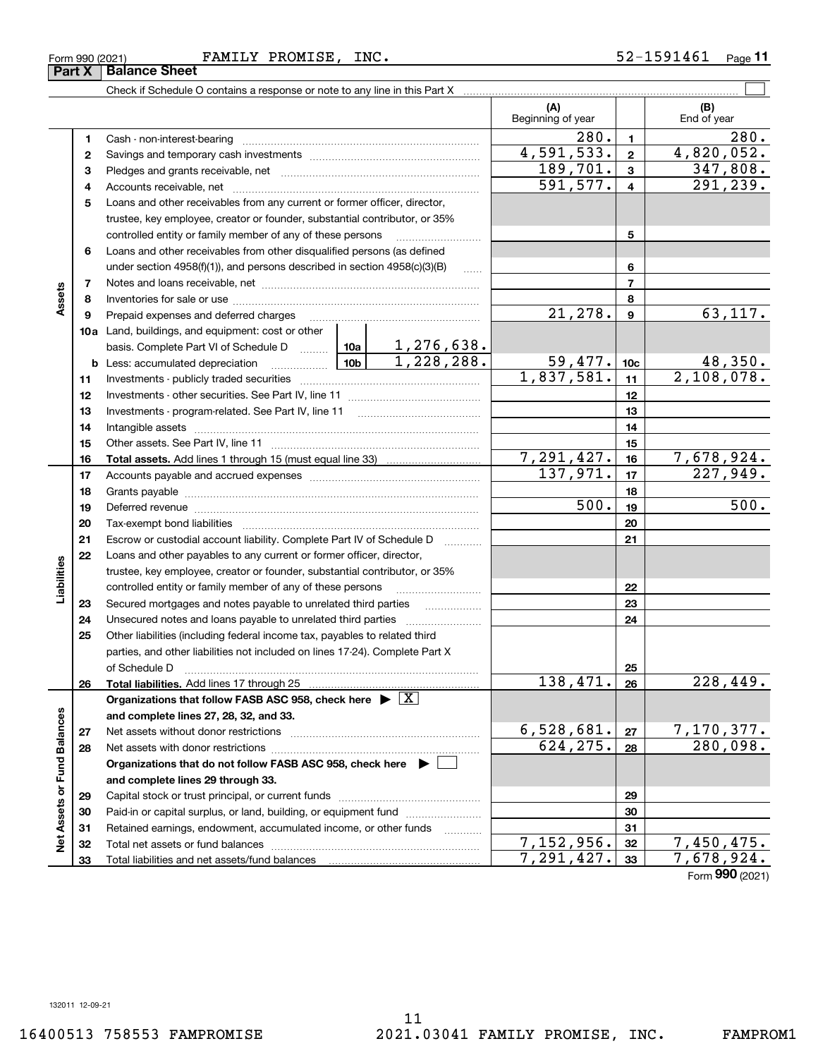Form 990 (2021) Page FAMILY PROMISE, INC. 52-1591461 **11**

 $\overline{\Box}$ 

| heet:                                                          |  |  |
|----------------------------------------------------------------|--|--|
| edule O contains a response or note to any line in this Part X |  |  |

|                      |    | Check if Schedule O contains a response or note to any line in this Part X                                                                                                                                                     |                          |                         |                               |
|----------------------|----|--------------------------------------------------------------------------------------------------------------------------------------------------------------------------------------------------------------------------------|--------------------------|-------------------------|-------------------------------|
|                      |    |                                                                                                                                                                                                                                | (A)<br>Beginning of year |                         | (B)<br>End of year            |
|                      | 1. |                                                                                                                                                                                                                                | 280.                     | 1                       | 280.                          |
|                      | 2  |                                                                                                                                                                                                                                | 4,591,533.               | $\mathbf{2}$            | 4,820,052.                    |
|                      | з  |                                                                                                                                                                                                                                | 189,701.                 | $\mathbf{3}$            | 347,808.                      |
|                      | 4  |                                                                                                                                                                                                                                | 591,577.                 | $\overline{\mathbf{4}}$ | 291,239.                      |
|                      | 5  | Loans and other receivables from any current or former officer, director,                                                                                                                                                      |                          |                         |                               |
|                      |    | trustee, key employee, creator or founder, substantial contributor, or 35%                                                                                                                                                     |                          |                         |                               |
|                      |    | controlled entity or family member of any of these persons                                                                                                                                                                     |                          | 5                       |                               |
|                      | 6  | Loans and other receivables from other disqualified persons (as defined                                                                                                                                                        |                          |                         |                               |
|                      |    | under section $4958(f)(1)$ , and persons described in section $4958(c)(3)(B)$<br><b>Section</b>                                                                                                                                |                          | 6                       |                               |
|                      | 7  |                                                                                                                                                                                                                                |                          | $\overline{7}$          |                               |
| Assets               | 8  |                                                                                                                                                                                                                                |                          | 8                       |                               |
|                      | 9  | Prepaid expenses and deferred charges                                                                                                                                                                                          | 21,278.                  | 9                       | 63, 117.                      |
|                      |    | 10a Land, buildings, and equipment: cost or other                                                                                                                                                                              |                          |                         |                               |
|                      |    | 1,276,638.<br>basis. Complete Part VI of Schedule D  10a                                                                                                                                                                       |                          |                         |                               |
|                      |    | 1,228,288.                                                                                                                                                                                                                     | 59,477.                  | 10 <sub>c</sub>         | 48,350.                       |
|                      | 11 |                                                                                                                                                                                                                                | $\overline{1,837},581.$  | 11                      | 2,108,078.                    |
|                      | 12 |                                                                                                                                                                                                                                |                          | 12                      |                               |
|                      | 13 |                                                                                                                                                                                                                                |                          | 13                      |                               |
|                      | 14 | Intangible assets [111] material contracts are also assets an intermediate assets and all contracts and all contracts are all contracts and an international contracts and all contracts are all contracts and all contracts a |                          | 14                      |                               |
|                      | 15 |                                                                                                                                                                                                                                |                          | 15                      |                               |
|                      | 16 |                                                                                                                                                                                                                                | 7,291,427.               | 16                      | 7,678,924.                    |
|                      | 17 |                                                                                                                                                                                                                                | 137,971.                 | 17                      | 227,949.                      |
|                      | 18 |                                                                                                                                                                                                                                |                          | 18                      |                               |
|                      | 19 | Deferred revenue <b>construction and construction</b> construction and construction and construction and construction                                                                                                          | 500.                     | 19                      | 500.                          |
|                      | 20 |                                                                                                                                                                                                                                |                          | 20                      |                               |
|                      | 21 | Escrow or custodial account liability. Complete Part IV of Schedule D                                                                                                                                                          |                          | 21                      |                               |
|                      | 22 | Loans and other payables to any current or former officer, director,                                                                                                                                                           |                          |                         |                               |
| Liabilities          |    | trustee, key employee, creator or founder, substantial contributor, or 35%                                                                                                                                                     |                          |                         |                               |
|                      |    | controlled entity or family member of any of these persons                                                                                                                                                                     |                          | 22                      |                               |
|                      | 23 | Secured mortgages and notes payable to unrelated third parties                                                                                                                                                                 |                          | 23                      |                               |
|                      | 24 | Unsecured notes and loans payable to unrelated third parties                                                                                                                                                                   |                          | 24                      |                               |
|                      | 25 | Other liabilities (including federal income tax, payables to related third                                                                                                                                                     |                          |                         |                               |
|                      |    | parties, and other liabilities not included on lines 17-24). Complete Part X<br>of Schedule D                                                                                                                                  |                          |                         |                               |
|                      |    | Total liabilities. Add lines 17 through 25                                                                                                                                                                                     | 138,471.                 | 25<br>26                | 228,449.                      |
|                      | 26 | Organizations that follow FASB ASC 958, check here $\triangleright \lfloor X \rfloor$                                                                                                                                          |                          |                         |                               |
|                      |    | and complete lines 27, 28, 32, and 33.                                                                                                                                                                                         |                          |                         |                               |
|                      | 27 | Net assets without donor restrictions                                                                                                                                                                                          | 6,528,681.               | 27                      |                               |
|                      | 28 |                                                                                                                                                                                                                                | 624,275.                 | 28                      | $\frac{7,170,377.}{280,098.}$ |
|                      |    | Organizations that do not follow FASB ASC 958, check here ▶ □                                                                                                                                                                  |                          |                         |                               |
| <b>Fund Balances</b> |    | and complete lines 29 through 33.                                                                                                                                                                                              |                          |                         |                               |
|                      | 29 |                                                                                                                                                                                                                                |                          | 29                      |                               |
|                      | 30 | Paid-in or capital surplus, or land, building, or equipment fund                                                                                                                                                               |                          | 30                      |                               |
|                      | 31 | Retained earnings, endowment, accumulated income, or other funds                                                                                                                                                               |                          | 31                      |                               |
| Net Assets or        | 32 |                                                                                                                                                                                                                                | 7,152,956.               | 32                      | 7,450,475.                    |
|                      | 33 |                                                                                                                                                                                                                                | 7,291,427.               | 33                      | 7,678,924.                    |
|                      |    |                                                                                                                                                                                                                                |                          |                         | Form 990 (2021)               |

11

**Part X Balance Sheet**<br>**Part X Balance Sheet**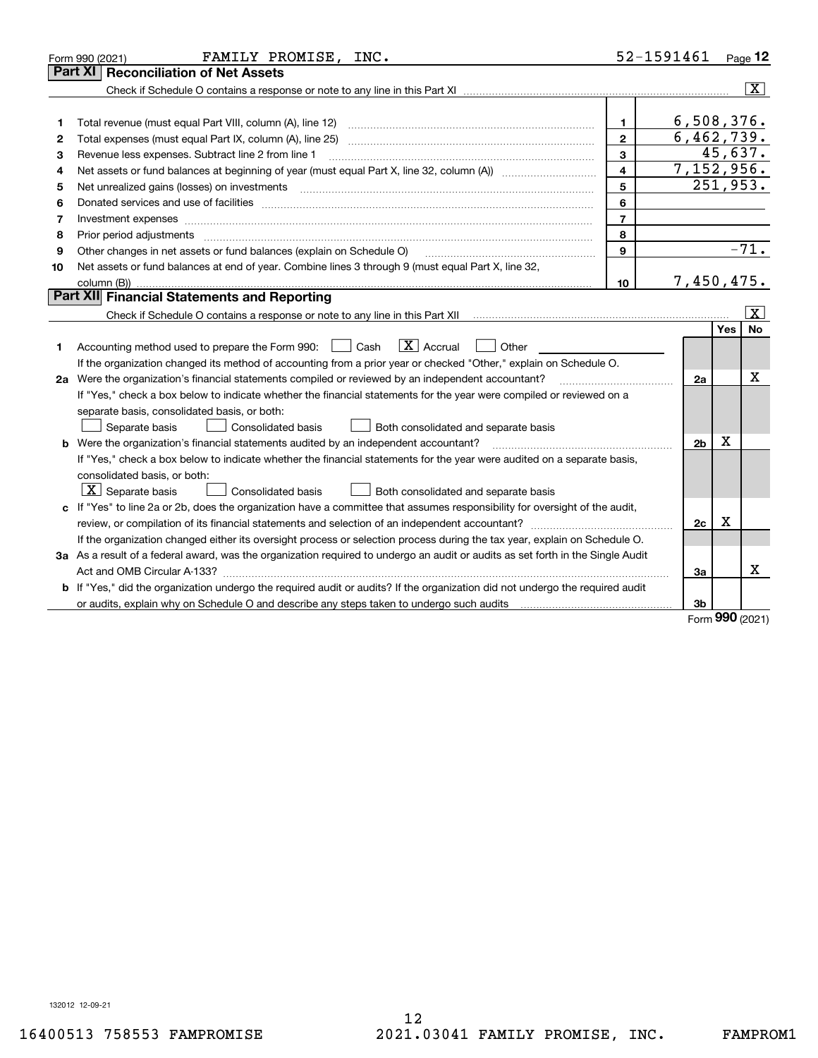|    | FAMILY PROMISE,<br>INC.<br>Form 990 (2021)                                                                                                                                              |                | 52-1591461     |            | Page 12                 |
|----|-----------------------------------------------------------------------------------------------------------------------------------------------------------------------------------------|----------------|----------------|------------|-------------------------|
|    | Part XI<br><b>Reconciliation of Net Assets</b>                                                                                                                                          |                |                |            |                         |
|    |                                                                                                                                                                                         |                |                |            | $\overline{\mathbf{X}}$ |
|    |                                                                                                                                                                                         |                |                |            |                         |
| 1  |                                                                                                                                                                                         | $\mathbf{1}$   | 6,508,376.     |            |                         |
| 2  | Total expenses (must equal Part IX, column (A), line 25)                                                                                                                                | $\overline{2}$ | 6,462,739.     |            |                         |
| з  | Revenue less expenses. Subtract line 2 from line 1                                                                                                                                      | 3              |                | 45,637.    |                         |
| 4  | Net assets or fund balances at beginning of year (must equal Part X, line 32, column (A)) <i>massets</i> or fund balances at beginning of year (must equal Part X, line 32, column (A)) | $\overline{4}$ | 7, 152, 956.   |            |                         |
| 5  |                                                                                                                                                                                         | 5              | 251,953.       |            |                         |
| 6  |                                                                                                                                                                                         | 6              |                |            |                         |
| 7  | Investment expenses                                                                                                                                                                     | $\overline{7}$ |                |            |                         |
| 8  |                                                                                                                                                                                         | 8              |                |            |                         |
| 9  | Other changes in net assets or fund balances (explain on Schedule O)                                                                                                                    | $\mathbf{9}$   |                |            | $-71.$                  |
| 10 | Net assets or fund balances at end of year. Combine lines 3 through 9 (must equal Part X, line 32,                                                                                      |                |                |            |                         |
|    |                                                                                                                                                                                         | 10             | 7,450,475.     |            |                         |
|    | Part XII Financial Statements and Reporting                                                                                                                                             |                |                |            |                         |
|    |                                                                                                                                                                                         |                |                |            | $\overline{\mathbf{x}}$ |
|    |                                                                                                                                                                                         |                |                | <b>Yes</b> | <b>No</b>               |
| 1. | $\boxed{\text{X}}$ Accrual<br>Accounting method used to prepare the Form 990: <u>[</u> Cash<br>Other                                                                                    |                |                |            |                         |
|    | If the organization changed its method of accounting from a prior year or checked "Other," explain on Schedule O.                                                                       |                |                |            |                         |
|    | 2a Were the organization's financial statements compiled or reviewed by an independent accountant?                                                                                      |                | 2a             |            | $\mathbf X$             |
|    | If "Yes," check a box below to indicate whether the financial statements for the year were compiled or reviewed on a                                                                    |                |                |            |                         |
|    | separate basis, consolidated basis, or both:                                                                                                                                            |                |                |            |                         |
|    | Both consolidated and separate basis<br>Separate basis<br><b>Consolidated basis</b>                                                                                                     |                |                |            |                         |
|    | <b>b</b> Were the organization's financial statements audited by an independent accountant?                                                                                             |                | 2 <sub>b</sub> | х          |                         |
|    | If "Yes," check a box below to indicate whether the financial statements for the year were audited on a separate basis,                                                                 |                |                |            |                         |
|    | consolidated basis, or both:                                                                                                                                                            |                |                |            |                         |
|    | $X$ Separate basis<br><b>Consolidated basis</b><br>Both consolidated and separate basis                                                                                                 |                |                |            |                         |
|    | c If "Yes" to line 2a or 2b, does the organization have a committee that assumes responsibility for oversight of the audit,                                                             |                |                |            |                         |
|    |                                                                                                                                                                                         |                | 2c             | х          |                         |
|    | If the organization changed either its oversight process or selection process during the tax year, explain on Schedule O.                                                               |                |                |            |                         |
|    | 3a As a result of a federal award, was the organization required to undergo an audit or audits as set forth in the Single Audit                                                         |                |                |            |                         |
|    |                                                                                                                                                                                         |                | За             |            | X                       |
|    | <b>b</b> If "Yes," did the organization undergo the required audit or audits? If the organization did not undergo the required audit                                                    |                |                |            |                         |
|    | or audits, explain why on Schedule O and describe any steps taken to undergo such audits [11] our manuscription why on Schedule O and describe any steps taken to undergo such audits   |                | 3b             |            |                         |
|    |                                                                                                                                                                                         |                |                |            |                         |

Form (2021) **990**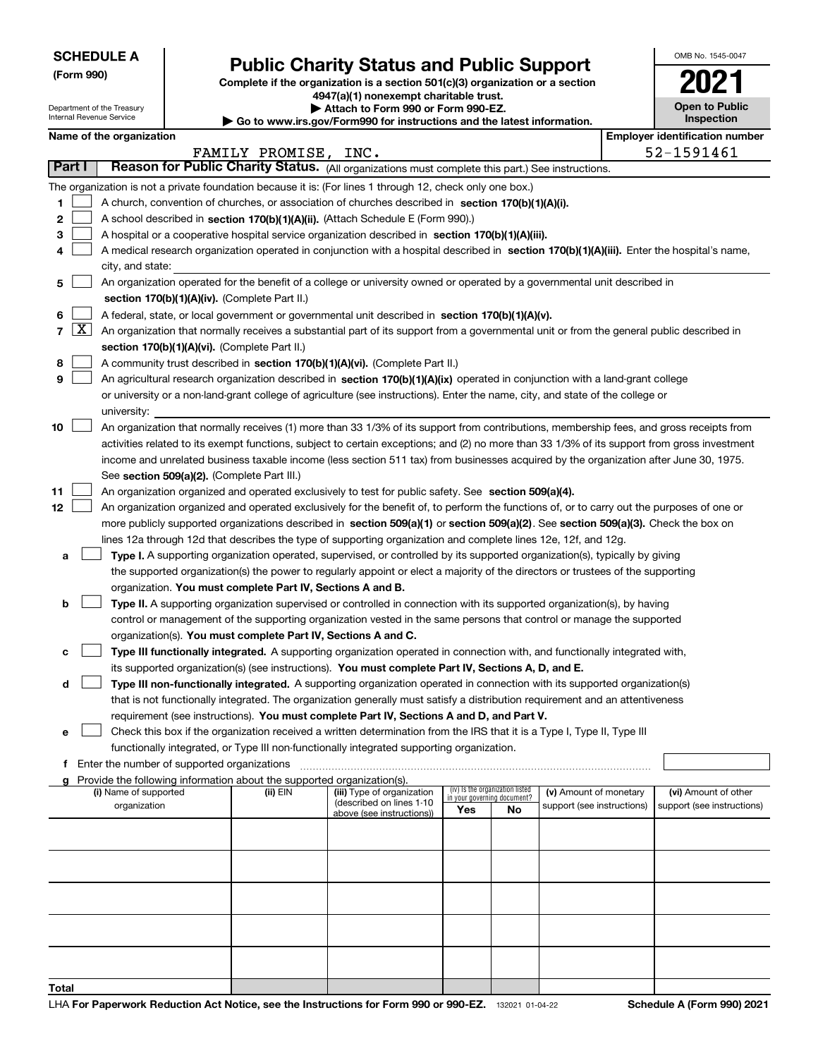Department of the Treasury Internal Revenue Service

**(Form 990)**

**Total**

## **Public Charity Status and Public Support**

**Complete if the organization is a section 501(c)(3) organization or a section 4947(a)(1) nonexempt charitable trust.**

**| Attach to Form 990 or Form 990-EZ.** 

**| Go to www.irs.gov/Form990 for instructions and the latest information.**

| OMB No 1545-0047                    |
|-------------------------------------|
| 202                                 |
| <b>Open to Public</b><br>Inspection |

|    |                                                                                                                                | Name of the organization                                                                                                                      |                      |                                                        |     |                                                                |                            | <b>Employer identification number</b><br>52-1591461 |                            |  |
|----|--------------------------------------------------------------------------------------------------------------------------------|-----------------------------------------------------------------------------------------------------------------------------------------------|----------------------|--------------------------------------------------------|-----|----------------------------------------------------------------|----------------------------|-----------------------------------------------------|----------------------------|--|
|    | Part I                                                                                                                         | Reason for Public Charity Status. (All organizations must complete this part.) See instructions.                                              | FAMILY PROMISE, INC. |                                                        |     |                                                                |                            |                                                     |                            |  |
|    |                                                                                                                                |                                                                                                                                               |                      |                                                        |     |                                                                |                            |                                                     |                            |  |
|    |                                                                                                                                | The organization is not a private foundation because it is: (For lines 1 through 12, check only one box.)                                     |                      |                                                        |     |                                                                |                            |                                                     |                            |  |
| 1  |                                                                                                                                | A church, convention of churches, or association of churches described in section 170(b)(1)(A)(i).                                            |                      |                                                        |     |                                                                |                            |                                                     |                            |  |
| 2  |                                                                                                                                | A school described in section 170(b)(1)(A)(ii). (Attach Schedule E (Form 990).)                                                               |                      |                                                        |     |                                                                |                            |                                                     |                            |  |
| 3  |                                                                                                                                | A hospital or a cooperative hospital service organization described in section 170(b)(1)(A)(iii).                                             |                      |                                                        |     |                                                                |                            |                                                     |                            |  |
| 4  |                                                                                                                                | A medical research organization operated in conjunction with a hospital described in section 170(b)(1)(A)(iii). Enter the hospital's name,    |                      |                                                        |     |                                                                |                            |                                                     |                            |  |
|    |                                                                                                                                | city, and state:                                                                                                                              |                      |                                                        |     |                                                                |                            |                                                     |                            |  |
|    | An organization operated for the benefit of a college or university owned or operated by a governmental unit described in<br>5 |                                                                                                                                               |                      |                                                        |     |                                                                |                            |                                                     |                            |  |
|    |                                                                                                                                | section 170(b)(1)(A)(iv). (Complete Part II.)                                                                                                 |                      |                                                        |     |                                                                |                            |                                                     |                            |  |
| 6  |                                                                                                                                | A federal, state, or local government or governmental unit described in section 170(b)(1)(A)(v).                                              |                      |                                                        |     |                                                                |                            |                                                     |                            |  |
| 7  |                                                                                                                                | $X$ An organization that normally receives a substantial part of its support from a governmental unit or from the general public described in |                      |                                                        |     |                                                                |                            |                                                     |                            |  |
|    |                                                                                                                                | section 170(b)(1)(A)(vi). (Complete Part II.)                                                                                                 |                      |                                                        |     |                                                                |                            |                                                     |                            |  |
| 8  |                                                                                                                                | A community trust described in section 170(b)(1)(A)(vi). (Complete Part II.)                                                                  |                      |                                                        |     |                                                                |                            |                                                     |                            |  |
| 9  |                                                                                                                                | An agricultural research organization described in section 170(b)(1)(A)(ix) operated in conjunction with a land-grant college                 |                      |                                                        |     |                                                                |                            |                                                     |                            |  |
|    |                                                                                                                                | or university or a non-land-grant college of agriculture (see instructions). Enter the name, city, and state of the college or                |                      |                                                        |     |                                                                |                            |                                                     |                            |  |
|    |                                                                                                                                | university:                                                                                                                                   |                      |                                                        |     |                                                                |                            |                                                     |                            |  |
| 10 |                                                                                                                                | An organization that normally receives (1) more than 33 1/3% of its support from contributions, membership fees, and gross receipts from      |                      |                                                        |     |                                                                |                            |                                                     |                            |  |
|    |                                                                                                                                | activities related to its exempt functions, subject to certain exceptions; and (2) no more than 33 1/3% of its support from gross investment  |                      |                                                        |     |                                                                |                            |                                                     |                            |  |
|    |                                                                                                                                | income and unrelated business taxable income (less section 511 tax) from businesses acquired by the organization after June 30, 1975.         |                      |                                                        |     |                                                                |                            |                                                     |                            |  |
|    |                                                                                                                                | See section 509(a)(2). (Complete Part III.)                                                                                                   |                      |                                                        |     |                                                                |                            |                                                     |                            |  |
| 11 |                                                                                                                                | An organization organized and operated exclusively to test for public safety. See section 509(a)(4).                                          |                      |                                                        |     |                                                                |                            |                                                     |                            |  |
| 12 |                                                                                                                                | An organization organized and operated exclusively for the benefit of, to perform the functions of, or to carry out the purposes of one or    |                      |                                                        |     |                                                                |                            |                                                     |                            |  |
|    |                                                                                                                                | more publicly supported organizations described in section 509(a)(1) or section 509(a)(2). See section 509(a)(3). Check the box on            |                      |                                                        |     |                                                                |                            |                                                     |                            |  |
|    |                                                                                                                                | lines 12a through 12d that describes the type of supporting organization and complete lines 12e, 12f, and 12g.                                |                      |                                                        |     |                                                                |                            |                                                     |                            |  |
| а  |                                                                                                                                | Type I. A supporting organization operated, supervised, or controlled by its supported organization(s), typically by giving                   |                      |                                                        |     |                                                                |                            |                                                     |                            |  |
|    |                                                                                                                                | the supported organization(s) the power to regularly appoint or elect a majority of the directors or trustees of the supporting               |                      |                                                        |     |                                                                |                            |                                                     |                            |  |
|    |                                                                                                                                | organization. You must complete Part IV, Sections A and B.                                                                                    |                      |                                                        |     |                                                                |                            |                                                     |                            |  |
| b  |                                                                                                                                | Type II. A supporting organization supervised or controlled in connection with its supported organization(s), by having                       |                      |                                                        |     |                                                                |                            |                                                     |                            |  |
|    |                                                                                                                                | control or management of the supporting organization vested in the same persons that control or manage the supported                          |                      |                                                        |     |                                                                |                            |                                                     |                            |  |
|    |                                                                                                                                | organization(s). You must complete Part IV, Sections A and C.                                                                                 |                      |                                                        |     |                                                                |                            |                                                     |                            |  |
| с  |                                                                                                                                | Type III functionally integrated. A supporting organization operated in connection with, and functionally integrated with,                    |                      |                                                        |     |                                                                |                            |                                                     |                            |  |
|    |                                                                                                                                | its supported organization(s) (see instructions). You must complete Part IV, Sections A, D, and E.                                            |                      |                                                        |     |                                                                |                            |                                                     |                            |  |
| d  |                                                                                                                                | Type III non-functionally integrated. A supporting organization operated in connection with its supported organization(s)                     |                      |                                                        |     |                                                                |                            |                                                     |                            |  |
|    |                                                                                                                                | that is not functionally integrated. The organization generally must satisfy a distribution requirement and an attentiveness                  |                      |                                                        |     |                                                                |                            |                                                     |                            |  |
|    |                                                                                                                                | requirement (see instructions). You must complete Part IV, Sections A and D, and Part V.                                                      |                      |                                                        |     |                                                                |                            |                                                     |                            |  |
|    |                                                                                                                                | Check this box if the organization received a written determination from the IRS that it is a Type I, Type II, Type III                       |                      |                                                        |     |                                                                |                            |                                                     |                            |  |
|    |                                                                                                                                | functionally integrated, or Type III non-functionally integrated supporting organization.                                                     |                      |                                                        |     |                                                                |                            |                                                     |                            |  |
| f  |                                                                                                                                | Enter the number of supported organizations                                                                                                   |                      |                                                        |     |                                                                |                            |                                                     |                            |  |
|    |                                                                                                                                | g Provide the following information about the supported organization(s).                                                                      |                      |                                                        |     |                                                                |                            |                                                     |                            |  |
|    |                                                                                                                                | (i) Name of supported                                                                                                                         | (ii) EIN             | (iii) Type of organization<br>(described on lines 1-10 |     | (iv) Is the organization listed<br>in your governing document? | (v) Amount of monetary     |                                                     | (vi) Amount of other       |  |
|    |                                                                                                                                | organization                                                                                                                                  |                      | above (see instructions))                              | Yes | No                                                             | support (see instructions) |                                                     | support (see instructions) |  |
|    |                                                                                                                                |                                                                                                                                               |                      |                                                        |     |                                                                |                            |                                                     |                            |  |
|    |                                                                                                                                |                                                                                                                                               |                      |                                                        |     |                                                                |                            |                                                     |                            |  |
|    |                                                                                                                                |                                                                                                                                               |                      |                                                        |     |                                                                |                            |                                                     |                            |  |
|    |                                                                                                                                |                                                                                                                                               |                      |                                                        |     |                                                                |                            |                                                     |                            |  |
|    |                                                                                                                                |                                                                                                                                               |                      |                                                        |     |                                                                |                            |                                                     |                            |  |
|    |                                                                                                                                |                                                                                                                                               |                      |                                                        |     |                                                                |                            |                                                     |                            |  |
|    |                                                                                                                                |                                                                                                                                               |                      |                                                        |     |                                                                |                            |                                                     |                            |  |
|    |                                                                                                                                |                                                                                                                                               |                      |                                                        |     |                                                                |                            |                                                     |                            |  |
|    |                                                                                                                                |                                                                                                                                               |                      |                                                        |     |                                                                |                            |                                                     |                            |  |
|    |                                                                                                                                |                                                                                                                                               |                      |                                                        |     |                                                                |                            |                                                     |                            |  |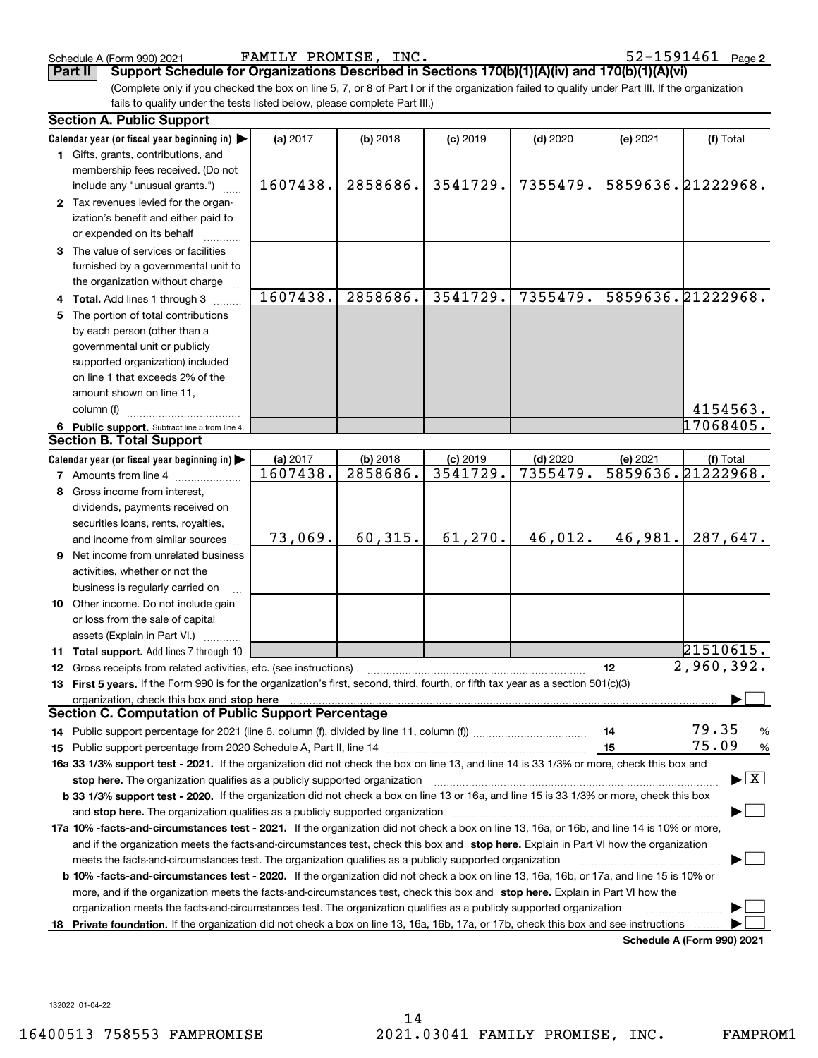| Schedule A (Form 990) 202 <sup>-</sup> |  |  |
|----------------------------------------|--|--|
|                                        |  |  |

FAMILY PROMISE, INC.

| FAMILY PROMISE,<br>INC.<br>Schedule A (Form 990) 2021 | 52-1591461 | Page 2 |
|-------------------------------------------------------|------------|--------|
|-------------------------------------------------------|------------|--------|

**Part II Support Schedule for Organizations Described in Sections 170(b)(1)(A)(iv) and 170(b)(1)(A)(vi)**

(Complete only if you checked the box on line 5, 7, or 8 of Part I or if the organization failed to qualify under Part III. If the organization fails to qualify under the tests listed below, please complete Part III.)

|    | <b>Section A. Public Support</b>                                                                                                               |          |          |            |            |          |                                          |
|----|------------------------------------------------------------------------------------------------------------------------------------------------|----------|----------|------------|------------|----------|------------------------------------------|
|    | Calendar year (or fiscal year beginning in)                                                                                                    | (a) 2017 | (b) 2018 | $(c)$ 2019 | $(d)$ 2020 | (e) 2021 | (f) Total                                |
|    | 1 Gifts, grants, contributions, and                                                                                                            |          |          |            |            |          |                                          |
|    | membership fees received. (Do not                                                                                                              |          |          |            |            |          |                                          |
|    | include any "unusual grants.")                                                                                                                 | 1607438. | 2858686. | 3541729.   | 7355479.   |          | 5859636.21222968.                        |
|    | 2 Tax revenues levied for the organ-                                                                                                           |          |          |            |            |          |                                          |
|    | ization's benefit and either paid to                                                                                                           |          |          |            |            |          |                                          |
|    | or expended on its behalf                                                                                                                      |          |          |            |            |          |                                          |
|    | 3 The value of services or facilities                                                                                                          |          |          |            |            |          |                                          |
|    | furnished by a governmental unit to                                                                                                            |          |          |            |            |          |                                          |
|    | the organization without charge                                                                                                                |          |          |            |            |          |                                          |
|    | 4 Total. Add lines 1 through 3                                                                                                                 | 1607438. | 2858686. | 3541729.   | 7355479.   |          | 5859636.21222968.                        |
| 5. | The portion of total contributions                                                                                                             |          |          |            |            |          |                                          |
|    | by each person (other than a                                                                                                                   |          |          |            |            |          |                                          |
|    | governmental unit or publicly                                                                                                                  |          |          |            |            |          |                                          |
|    | supported organization) included                                                                                                               |          |          |            |            |          |                                          |
|    | on line 1 that exceeds 2% of the                                                                                                               |          |          |            |            |          |                                          |
|    | amount shown on line 11,                                                                                                                       |          |          |            |            |          |                                          |
|    | column (f)                                                                                                                                     |          |          |            |            |          | 4154563.                                 |
|    | 6 Public support. Subtract line 5 from line 4.                                                                                                 |          |          |            |            |          | 17068405.                                |
|    | <b>Section B. Total Support</b>                                                                                                                |          |          |            |            |          |                                          |
|    | Calendar year (or fiscal year beginning in)                                                                                                    | (a) 2017 | (b) 2018 | $(c)$ 2019 | $(d)$ 2020 | (e) 2021 | (f) Total                                |
|    | <b>7</b> Amounts from line 4                                                                                                                   | 1607438. | 2858686. | 3541729.   | 7355479.   |          | 5859636.21222968.                        |
|    | 8 Gross income from interest,                                                                                                                  |          |          |            |            |          |                                          |
|    | dividends, payments received on                                                                                                                |          |          |            |            |          |                                          |
|    | securities loans, rents, royalties,                                                                                                            |          |          |            |            |          |                                          |
|    | and income from similar sources                                                                                                                | 73,069.  | 60, 315. | 61,270.    | 46,012.    | 46,981.  | 287,647.                                 |
|    | <b>9</b> Net income from unrelated business                                                                                                    |          |          |            |            |          |                                          |
|    | activities, whether or not the                                                                                                                 |          |          |            |            |          |                                          |
|    | business is regularly carried on                                                                                                               |          |          |            |            |          |                                          |
|    | 10 Other income. Do not include gain                                                                                                           |          |          |            |            |          |                                          |
|    | or loss from the sale of capital                                                                                                               |          |          |            |            |          |                                          |
|    | assets (Explain in Part VI.)                                                                                                                   |          |          |            |            |          |                                          |
|    | 11 Total support. Add lines 7 through 10                                                                                                       |          |          |            |            |          | 21510615.                                |
|    | 12 Gross receipts from related activities, etc. (see instructions)                                                                             |          |          |            |            | 12       | 2,960,392.                               |
|    | 13 First 5 years. If the Form 990 is for the organization's first, second, third, fourth, or fifth tax year as a section 501(c)(3)             |          |          |            |            |          |                                          |
|    |                                                                                                                                                |          |          |            |            |          |                                          |
|    | <b>Section C. Computation of Public Support Percentage</b>                                                                                     |          |          |            |            |          |                                          |
|    |                                                                                                                                                |          |          |            |            | 14       | 79.35<br>%                               |
|    |                                                                                                                                                |          |          |            |            | 15       | 75.09<br>%                               |
|    | 16a 33 1/3% support test - 2021. If the organization did not check the box on line 13, and line 14 is 33 1/3% or more, check this box and      |          |          |            |            |          |                                          |
|    | stop here. The organization qualifies as a publicly supported organization                                                                     |          |          |            |            |          | $\blacktriangleright$ $\boxed{\text{X}}$ |
|    | b 33 1/3% support test - 2020. If the organization did not check a box on line 13 or 16a, and line 15 is 33 1/3% or more, check this box       |          |          |            |            |          |                                          |
|    | and stop here. The organization qualifies as a publicly supported organization                                                                 |          |          |            |            |          |                                          |
|    | 17a 10% -facts-and-circumstances test - 2021. If the organization did not check a box on line 13, 16a, or 16b, and line 14 is 10% or more,     |          |          |            |            |          |                                          |
|    | and if the organization meets the facts-and-circumstances test, check this box and stop here. Explain in Part VI how the organization          |          |          |            |            |          |                                          |
|    | meets the facts-and-circumstances test. The organization qualifies as a publicly supported organization                                        |          |          |            |            |          |                                          |
|    | <b>b 10% -facts-and-circumstances test - 2020.</b> If the organization did not check a box on line 13, 16a, 16b, or 17a, and line 15 is 10% or |          |          |            |            |          |                                          |
|    | more, and if the organization meets the facts-and-circumstances test, check this box and stop here. Explain in Part VI how the                 |          |          |            |            |          |                                          |
|    | organization meets the facts-and-circumstances test. The organization qualifies as a publicly supported organization                           |          |          |            |            |          |                                          |
|    | 18 Private foundation. If the organization did not check a box on line 13, 16a, 16b, 17a, or 17b, check this box and see instructions          |          |          |            |            |          |                                          |
|    |                                                                                                                                                |          |          |            |            |          | Schedule A (Form 990) 2021               |

**Schedule A (Form 990) 2021**

132022 01-04-22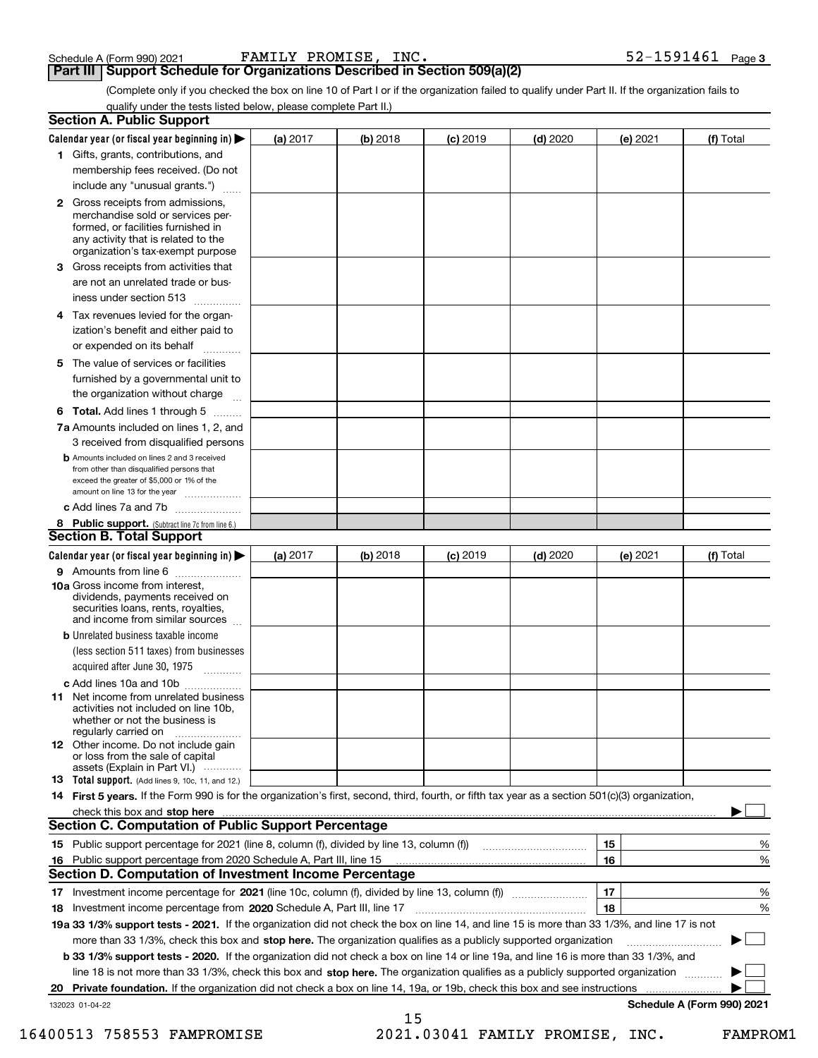| Schedule A (Form 990) 2021 |  |  |
|----------------------------|--|--|
|                            |  |  |

**Part III Support Schedule for Organizations Described in Section 509(a)(2)** 

(Complete only if you checked the box on line 10 of Part I or if the organization failed to qualify under Part II. If the organization fails to qualify under the tests listed below, please complete Part II.)

|    | <b>Section A. Public Support</b>                                                                                                                                                                |            |          |            |            |          |                            |
|----|-------------------------------------------------------------------------------------------------------------------------------------------------------------------------------------------------|------------|----------|------------|------------|----------|----------------------------|
|    | Calendar year (or fiscal year beginning in) $\blacktriangleright$                                                                                                                               | (a) 2017   | (b) 2018 | $(c)$ 2019 | $(d)$ 2020 | (e) 2021 | (f) Total                  |
|    | 1 Gifts, grants, contributions, and                                                                                                                                                             |            |          |            |            |          |                            |
|    | membership fees received. (Do not                                                                                                                                                               |            |          |            |            |          |                            |
|    | include any "unusual grants.")                                                                                                                                                                  |            |          |            |            |          |                            |
|    | <b>2</b> Gross receipts from admissions,<br>merchandise sold or services per-<br>formed, or facilities furnished in<br>any activity that is related to the<br>organization's tax-exempt purpose |            |          |            |            |          |                            |
|    | 3 Gross receipts from activities that                                                                                                                                                           |            |          |            |            |          |                            |
|    | are not an unrelated trade or bus-                                                                                                                                                              |            |          |            |            |          |                            |
|    | iness under section 513                                                                                                                                                                         |            |          |            |            |          |                            |
|    | 4 Tax revenues levied for the organ-<br>ization's benefit and either paid to                                                                                                                    |            |          |            |            |          |                            |
|    | or expended on its behalf                                                                                                                                                                       |            |          |            |            |          |                            |
|    | 5 The value of services or facilities                                                                                                                                                           |            |          |            |            |          |                            |
|    | furnished by a governmental unit to                                                                                                                                                             |            |          |            |            |          |                            |
|    | the organization without charge                                                                                                                                                                 |            |          |            |            |          |                            |
|    | <b>6 Total.</b> Add lines 1 through 5                                                                                                                                                           |            |          |            |            |          |                            |
|    | 7a Amounts included on lines 1, 2, and<br>3 received from disqualified persons                                                                                                                  |            |          |            |            |          |                            |
|    | <b>b</b> Amounts included on lines 2 and 3 received<br>from other than disqualified persons that<br>exceed the greater of \$5,000 or 1% of the<br>amount on line 13 for the year                |            |          |            |            |          |                            |
|    | c Add lines 7a and 7b                                                                                                                                                                           |            |          |            |            |          |                            |
|    | 8 Public support. (Subtract line 7c from line 6.)<br><b>Section B. Total Support</b>                                                                                                            |            |          |            |            |          |                            |
|    | Calendar year (or fiscal year beginning in)                                                                                                                                                     | (a) $2017$ | (b) 2018 | $(c)$ 2019 | $(d)$ 2020 | (e) 2021 | (f) Total                  |
|    | 9 Amounts from line 6                                                                                                                                                                           |            |          |            |            |          |                            |
|    | 10a Gross income from interest,<br>dividends, payments received on<br>securities loans, rents, royalties,<br>and income from similar sources                                                    |            |          |            |            |          |                            |
|    | <b>b</b> Unrelated business taxable income                                                                                                                                                      |            |          |            |            |          |                            |
|    | (less section 511 taxes) from businesses                                                                                                                                                        |            |          |            |            |          |                            |
|    | acquired after June 30, 1975                                                                                                                                                                    |            |          |            |            |          |                            |
|    | c Add lines 10a and 10b                                                                                                                                                                         |            |          |            |            |          |                            |
|    | <b>11</b> Net income from unrelated business<br>activities not included on line 10b.<br>whether or not the business is<br>regularly carried on                                                  |            |          |            |            |          |                            |
|    | <b>12</b> Other income. Do not include gain<br>or loss from the sale of capital<br>assets (Explain in Part VI.)                                                                                 |            |          |            |            |          |                            |
|    | <b>13 Total support.</b> (Add lines 9, 10c, 11, and 12.)                                                                                                                                        |            |          |            |            |          |                            |
|    | 14 First 5 years. If the Form 990 is for the organization's first, second, third, fourth, or fifth tax year as a section 501(c)(3) organization,                                                |            |          |            |            |          |                            |
|    | check this box and stop here with the continuum control to the state of the state of the state of the state of<br><b>Section C. Computation of Public Support Percentage</b>                    |            |          |            |            |          |                            |
|    |                                                                                                                                                                                                 |            |          |            |            | 15       | %                          |
|    | 16 Public support percentage from 2020 Schedule A, Part III, line 15                                                                                                                            |            |          |            |            | 16       | %                          |
|    | <b>Section D. Computation of Investment Income Percentage</b>                                                                                                                                   |            |          |            |            |          |                            |
|    | 17 Investment income percentage for 2021 (line 10c, column (f), divided by line 13, column (f))                                                                                                 |            |          |            |            | 17       | %                          |
|    | 18 Investment income percentage from 2020 Schedule A, Part III, line 17                                                                                                                         |            |          |            |            | 18       | %                          |
|    | 19a 33 1/3% support tests - 2021. If the organization did not check the box on line 14, and line 15 is more than 33 1/3%, and line 17 is not                                                    |            |          |            |            |          |                            |
|    | more than 33 1/3%, check this box and stop here. The organization qualifies as a publicly supported organization                                                                                |            |          |            |            |          |                            |
|    | b 33 1/3% support tests - 2020. If the organization did not check a box on line 14 or line 19a, and line 16 is more than 33 1/3%, and                                                           |            |          |            |            |          |                            |
|    | line 18 is not more than 33 1/3%, check this box and stop here. The organization qualifies as a publicly supported organization                                                                 |            |          |            |            |          |                            |
| 20 | Private foundation. If the organization did not check a box on line 14, 19a, or 19b, check this box and see instructions                                                                        |            |          |            |            |          |                            |
|    | 132023 01-04-22                                                                                                                                                                                 |            | 15       |            |            |          | Schedule A (Form 990) 2021 |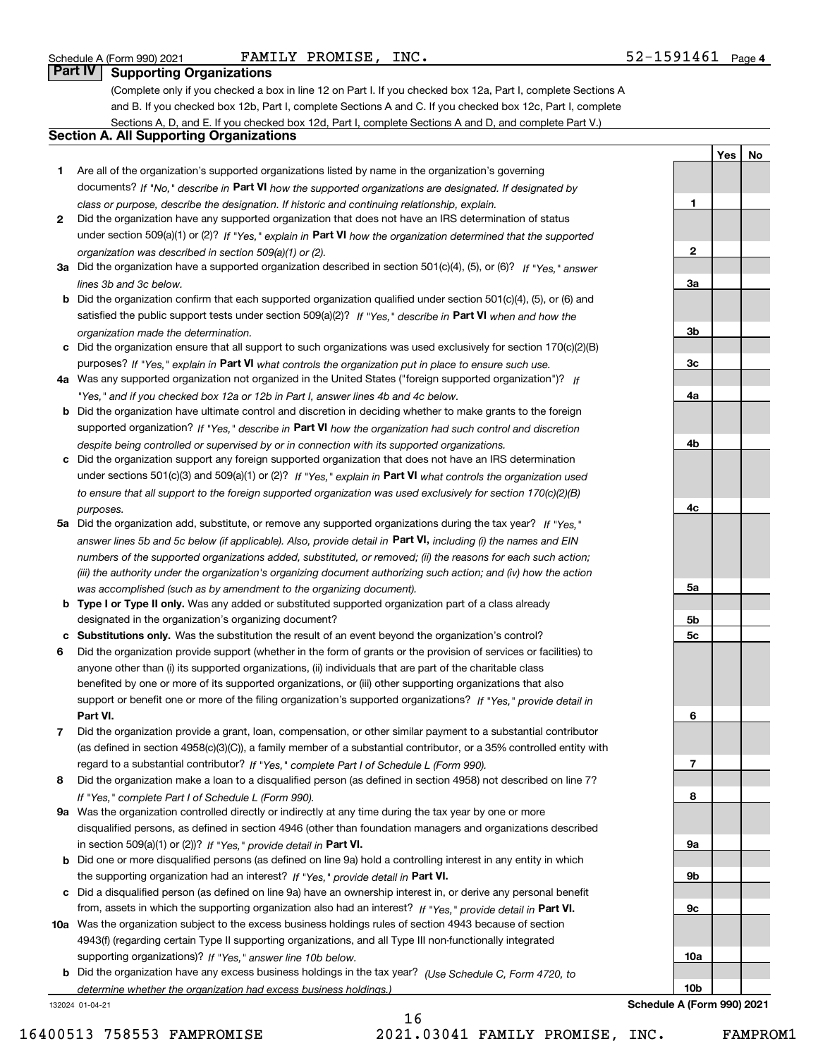**1**

**2**

**3a**

**3b**

**3c**

**4a**

**4b**

**4c**

**5a**

**5b5c**

**6**

**7**

**8**

**9a**

**9b**

**9c**

**10a**

**YesNo**

## **Part IV Supporting Organizations**

(Complete only if you checked a box in line 12 on Part I. If you checked box 12a, Part I, complete Sections A and B. If you checked box 12b, Part I, complete Sections A and C. If you checked box 12c, Part I, complete Sections A, D, and E. If you checked box 12d, Part I, complete Sections A and D, and complete Part V.)

### **Section A. All Supporting Organizations**

- **1** Are all of the organization's supported organizations listed by name in the organization's governing documents? If "No," describe in **Part VI** how the supported organizations are designated. If designated by *class or purpose, describe the designation. If historic and continuing relationship, explain.*
- **2** Did the organization have any supported organization that does not have an IRS determination of status under section 509(a)(1) or (2)? If "Yes," explain in Part VI how the organization determined that the supported *organization was described in section 509(a)(1) or (2).*
- **3a** Did the organization have a supported organization described in section 501(c)(4), (5), or (6)? If "Yes," answer *lines 3b and 3c below.*
- **b** Did the organization confirm that each supported organization qualified under section 501(c)(4), (5), or (6) and satisfied the public support tests under section 509(a)(2)? If "Yes," describe in **Part VI** when and how the *organization made the determination.*
- **c**Did the organization ensure that all support to such organizations was used exclusively for section 170(c)(2)(B) purposes? If "Yes," explain in **Part VI** what controls the organization put in place to ensure such use.
- **4a***If* Was any supported organization not organized in the United States ("foreign supported organization")? *"Yes," and if you checked box 12a or 12b in Part I, answer lines 4b and 4c below.*
- **b** Did the organization have ultimate control and discretion in deciding whether to make grants to the foreign supported organization? If "Yes," describe in **Part VI** how the organization had such control and discretion *despite being controlled or supervised by or in connection with its supported organizations.*
- **c** Did the organization support any foreign supported organization that does not have an IRS determination under sections 501(c)(3) and 509(a)(1) or (2)? If "Yes," explain in **Part VI** what controls the organization used *to ensure that all support to the foreign supported organization was used exclusively for section 170(c)(2)(B) purposes.*
- **5a** Did the organization add, substitute, or remove any supported organizations during the tax year? If "Yes," answer lines 5b and 5c below (if applicable). Also, provide detail in **Part VI,** including (i) the names and EIN *numbers of the supported organizations added, substituted, or removed; (ii) the reasons for each such action; (iii) the authority under the organization's organizing document authorizing such action; and (iv) how the action was accomplished (such as by amendment to the organizing document).*
- **b** Type I or Type II only. Was any added or substituted supported organization part of a class already designated in the organization's organizing document?
- **cSubstitutions only.**  Was the substitution the result of an event beyond the organization's control?
- **6** Did the organization provide support (whether in the form of grants or the provision of services or facilities) to **Part VI.** *If "Yes," provide detail in* support or benefit one or more of the filing organization's supported organizations? anyone other than (i) its supported organizations, (ii) individuals that are part of the charitable class benefited by one or more of its supported organizations, or (iii) other supporting organizations that also
- **7**Did the organization provide a grant, loan, compensation, or other similar payment to a substantial contributor *If "Yes," complete Part I of Schedule L (Form 990).* regard to a substantial contributor? (as defined in section 4958(c)(3)(C)), a family member of a substantial contributor, or a 35% controlled entity with
- **8** Did the organization make a loan to a disqualified person (as defined in section 4958) not described on line 7? *If "Yes," complete Part I of Schedule L (Form 990).*
- **9a** Was the organization controlled directly or indirectly at any time during the tax year by one or more in section 509(a)(1) or (2))? If "Yes," *provide detail in* <code>Part VI.</code> disqualified persons, as defined in section 4946 (other than foundation managers and organizations described
- **b** Did one or more disqualified persons (as defined on line 9a) hold a controlling interest in any entity in which the supporting organization had an interest? If "Yes," provide detail in P**art VI**.
- **c**Did a disqualified person (as defined on line 9a) have an ownership interest in, or derive any personal benefit from, assets in which the supporting organization also had an interest? If "Yes," provide detail in P**art VI.**
- **10a** Was the organization subject to the excess business holdings rules of section 4943 because of section supporting organizations)? If "Yes," answer line 10b below. 4943(f) (regarding certain Type II supporting organizations, and all Type III non-functionally integrated
- **b** Did the organization have any excess business holdings in the tax year? (Use Schedule C, Form 4720, to *determine whether the organization had excess business holdings.)*

132024 01-04-21

**10bSchedule A (Form 990) 2021**

16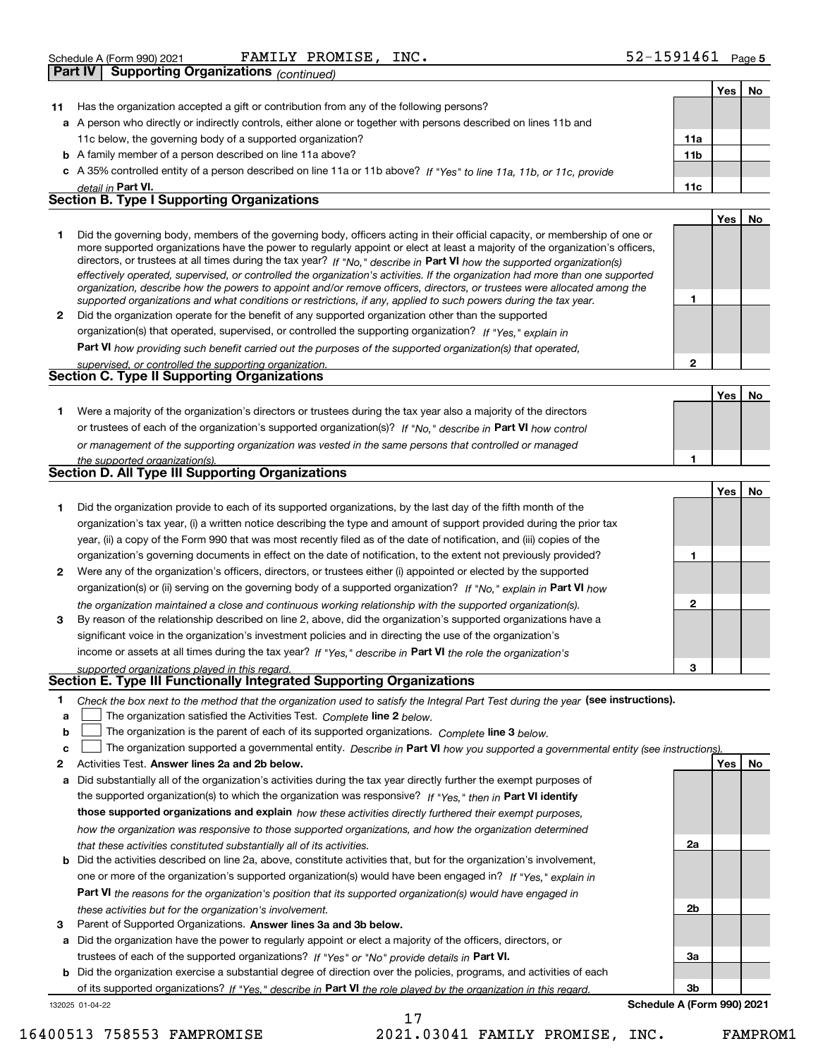| 52-1591461<br>FAMILY PROMISE,<br>INC.<br>Schedule A (Form 990) 2021 | Page 5 |  |
|---------------------------------------------------------------------|--------|--|
|---------------------------------------------------------------------|--------|--|

|              | Part IV<br><b>Supporting Organizations (continued)</b>                                                                                                                                                                                                   |                 |            |    |
|--------------|----------------------------------------------------------------------------------------------------------------------------------------------------------------------------------------------------------------------------------------------------------|-----------------|------------|----|
|              |                                                                                                                                                                                                                                                          |                 | Yes        | No |
| 11           | Has the organization accepted a gift or contribution from any of the following persons?                                                                                                                                                                  |                 |            |    |
|              | a A person who directly or indirectly controls, either alone or together with persons described on lines 11b and                                                                                                                                         |                 |            |    |
|              | 11c below, the governing body of a supported organization?                                                                                                                                                                                               | 11a             |            |    |
|              | <b>b</b> A family member of a person described on line 11a above?                                                                                                                                                                                        | 11 <sub>b</sub> |            |    |
|              | c A 35% controlled entity of a person described on line 11a or 11b above? If "Yes" to line 11a, 11b, or 11c, provide                                                                                                                                     |                 |            |    |
|              | detail in Part VI.                                                                                                                                                                                                                                       | 11c             |            |    |
|              | <b>Section B. Type I Supporting Organizations</b>                                                                                                                                                                                                        |                 |            |    |
|              |                                                                                                                                                                                                                                                          |                 | Yes        | No |
| 1            | Did the governing body, members of the governing body, officers acting in their official capacity, or membership of one or                                                                                                                               |                 |            |    |
|              | more supported organizations have the power to regularly appoint or elect at least a majority of the organization's officers,<br>directors, or trustees at all times during the tax year? If "No," describe in Part VI how the supported organization(s) |                 |            |    |
|              | effectively operated, supervised, or controlled the organization's activities. If the organization had more than one supported                                                                                                                           |                 |            |    |
|              | organization, describe how the powers to appoint and/or remove officers, directors, or trustees were allocated among the                                                                                                                                 |                 |            |    |
|              | supported organizations and what conditions or restrictions, if any, applied to such powers during the tax year.                                                                                                                                         | 1               |            |    |
| $\mathbf{2}$ | Did the organization operate for the benefit of any supported organization other than the supported                                                                                                                                                      |                 |            |    |
|              | organization(s) that operated, supervised, or controlled the supporting organization? If "Yes," explain in                                                                                                                                               |                 |            |    |
|              | Part VI how providing such benefit carried out the purposes of the supported organization(s) that operated,                                                                                                                                              |                 |            |    |
|              | supervised, or controlled the supporting organization.                                                                                                                                                                                                   | $\overline{2}$  |            |    |
|              | <b>Section C. Type II Supporting Organizations</b>                                                                                                                                                                                                       |                 |            |    |
|              |                                                                                                                                                                                                                                                          |                 | Yes        | No |
| 1            | Were a majority of the organization's directors or trustees during the tax year also a majority of the directors                                                                                                                                         |                 |            |    |
|              | or trustees of each of the organization's supported organization(s)? If "No," describe in Part VI how control                                                                                                                                            |                 |            |    |
|              | or management of the supporting organization was vested in the same persons that controlled or managed                                                                                                                                                   |                 |            |    |
|              | the supported organization(s).                                                                                                                                                                                                                           | 1               |            |    |
|              | Section D. All Type III Supporting Organizations                                                                                                                                                                                                         |                 |            |    |
|              |                                                                                                                                                                                                                                                          |                 | Yes        | No |
| 1            | Did the organization provide to each of its supported organizations, by the last day of the fifth month of the                                                                                                                                           |                 |            |    |
|              | organization's tax year, (i) a written notice describing the type and amount of support provided during the prior tax                                                                                                                                    |                 |            |    |
|              | year, (ii) a copy of the Form 990 that was most recently filed as of the date of notification, and (iii) copies of the                                                                                                                                   |                 |            |    |
|              | organization's governing documents in effect on the date of notification, to the extent not previously provided?                                                                                                                                         | 1               |            |    |
| 2            | Were any of the organization's officers, directors, or trustees either (i) appointed or elected by the supported                                                                                                                                         |                 |            |    |
|              | organization(s) or (ii) serving on the governing body of a supported organization? If "No," explain in Part VI how                                                                                                                                       |                 |            |    |
|              | the organization maintained a close and continuous working relationship with the supported organization(s).                                                                                                                                              | 2               |            |    |
| 3            | By reason of the relationship described on line 2, above, did the organization's supported organizations have a                                                                                                                                          |                 |            |    |
|              | significant voice in the organization's investment policies and in directing the use of the organization's                                                                                                                                               |                 |            |    |
|              | income or assets at all times during the tax year? If "Yes," describe in Part VI the role the organization's                                                                                                                                             |                 |            |    |
|              | supported organizations played in this regard.                                                                                                                                                                                                           | 3               |            |    |
|              | Section E. Type III Functionally Integrated Supporting Organizations                                                                                                                                                                                     |                 |            |    |
| 1            | Check the box next to the method that the organization used to satisfy the Integral Part Test during the year (see instructions).                                                                                                                        |                 |            |    |
| a            | The organization satisfied the Activities Test. Complete line 2 below.                                                                                                                                                                                   |                 |            |    |
| b            | The organization is the parent of each of its supported organizations. Complete line 3 below.                                                                                                                                                            |                 |            |    |
| c            | The organization supported a governmental entity. Describe in Part VI how you supported a governmental entity (see instructions)                                                                                                                         |                 |            |    |
| 2            | Activities Test. Answer lines 2a and 2b below.                                                                                                                                                                                                           |                 | <b>Yes</b> | No |
| а            | Did substantially all of the organization's activities during the tax year directly further the exempt purposes of                                                                                                                                       |                 |            |    |
|              | the supported organization(s) to which the organization was responsive? If "Yes," then in Part VI identify                                                                                                                                               |                 |            |    |
|              | those supported organizations and explain how these activities directly furthered their exempt purposes,                                                                                                                                                 |                 |            |    |
|              | how the organization was responsive to those supported organizations, and how the organization determined                                                                                                                                                |                 |            |    |
|              | that these activities constituted substantially all of its activities.                                                                                                                                                                                   | 2a              |            |    |

- **b** Did the activities described on line 2a, above, constitute activities that, but for the organization's involvement, **Part VI**  *the reasons for the organization's position that its supported organization(s) would have engaged in* one or more of the organization's supported organization(s) would have been engaged in? If "Yes," e*xplain in these activities but for the organization's involvement.*
- **3** Parent of Supported Organizations. Answer lines 3a and 3b below.

**a** Did the organization have the power to regularly appoint or elect a majority of the officers, directors, or trustees of each of the supported organizations? If "Yes" or "No" provide details in **Part VI.** 

132025 01-04-22 **b** Did the organization exercise a substantial degree of direction over the policies, programs, and activities of each of its supported organizations? If "Yes," describe in Part VI the role played by the organization in this regard.

**3bSchedule A (Form 990) 2021**

**2b**

**3a**

16400513 758553 FAMPROMISE 2021.03041 FAMILY PROMISE, INC. FAMPROM1

17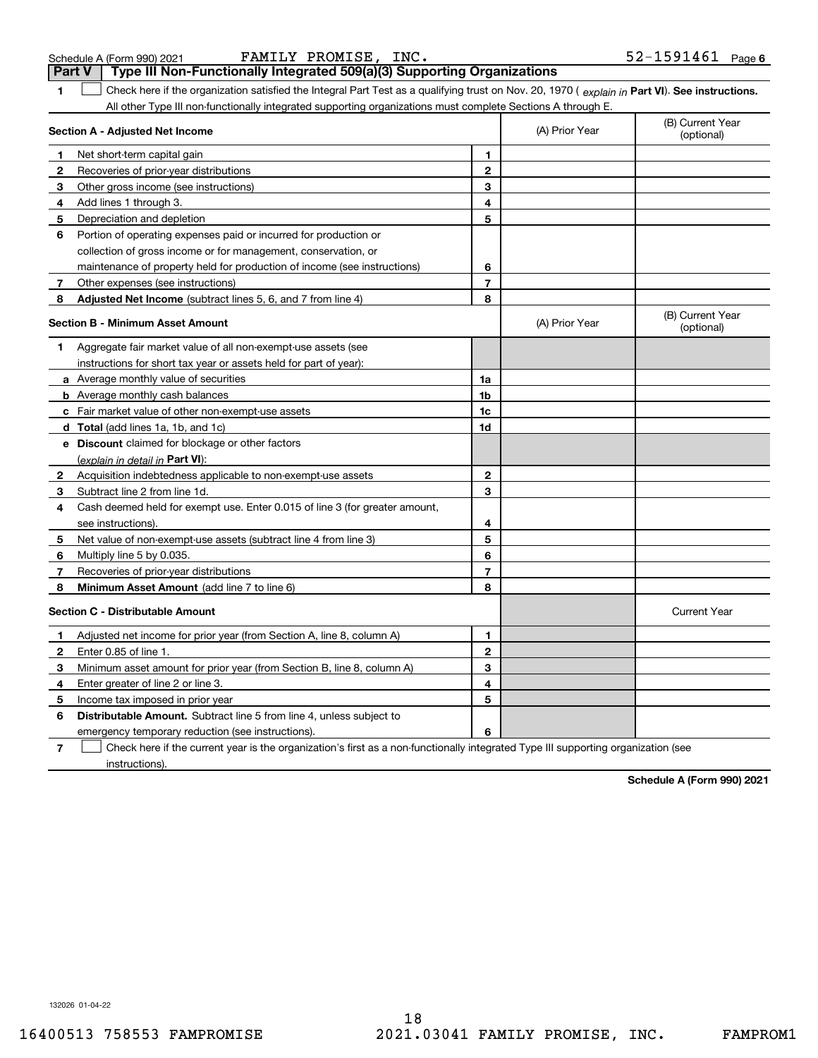| collection of gross income or for management, conservation, or           |                                                                          |   |                |
|--------------------------------------------------------------------------|--------------------------------------------------------------------------|---|----------------|
|                                                                          | maintenance of property held for production of income (see instructions) | 6 |                |
|                                                                          | Other expenses (see instructions)                                        |   |                |
| <b>Adjusted Net Income</b> (subtract lines 5, 6, and 7 from line 4)<br>8 |                                                                          | 8 |                |
|                                                                          | Section B - Minimum Asset Amount                                         |   | (A) Prior Year |
|                                                                          | Aggregate fair market value of all non-exempt-use assets (see            |   |                |
|                                                                          | instructions for short tax year or assets held for part of year).        |   |                |

#### **Section**

**Section A - Adjusted Net Income**

Net short-term capital gain

Depreciation and depletion

Recoveries of prior-year distributions Other gross income (see instructions)

Portion of operating expenses paid or incurred for production or

**4** Add lines 1 through 3.

**1**

**123**

> **56**

|              | $\frac{1}{2}$ . The detection of the case of the decoded from the part of your $\mu$                                              |    |                     |
|--------------|-----------------------------------------------------------------------------------------------------------------------------------|----|---------------------|
|              | a Average monthly value of securities                                                                                             | 1a |                     |
|              | <b>b</b> Average monthly cash balances                                                                                            | 1b |                     |
|              | c Fair market value of other non-exempt-use assets                                                                                | 1c |                     |
|              | d Total (add lines 1a, 1b, and 1c)                                                                                                | 1d |                     |
| е            | <b>Discount</b> claimed for blockage or other factors                                                                             |    |                     |
|              | (explain in detail in Part VI):                                                                                                   |    |                     |
| $\mathbf{2}$ | Acquisition indebtedness applicable to non-exempt-use assets                                                                      | 2  |                     |
| 3            | Subtract line 2 from line 1d.                                                                                                     | 3  |                     |
| 4            | Cash deemed held for exempt use. Enter 0.015 of line 3 (for greater amount,                                                       |    |                     |
|              | see instructions).                                                                                                                | 4  |                     |
| -5           | Net value of non-exempt-use assets (subtract line 4 from line 3)                                                                  | 5  |                     |
| 6            | Multiply line 5 by 0.035.                                                                                                         | 6  |                     |
|              | Recoveries of prior-year distributions                                                                                            |    |                     |
| 8            | Minimum Asset Amount (add line 7 to line 6)                                                                                       | 8  |                     |
|              | <b>Section C - Distributable Amount</b>                                                                                           |    | <b>Current Year</b> |
|              | Adjusted net income for prior year (from Section A, line 8, column A)                                                             | 1  |                     |
| 2            | Enter 0.85 of line 1.                                                                                                             | 2  |                     |
| 3            | Minimum asset amount for prior year (from Section B, line 8, column A)                                                            | 3  |                     |
| 4            | Enter greater of line 2 or line 3.                                                                                                | 4  |                     |
| 5            | Income tax imposed in prior year                                                                                                  | 5  |                     |
| 6            | <b>Distributable Amount.</b> Subtract line 5 from line 4, unless subject to                                                       |    |                     |
|              | emergency temporary reduction (see instructions).                                                                                 | 6  |                     |
| 7            | Check here if the current year is the organization's first as a non-functionally integrated Type III supporting organization (see |    |                     |
|              | instructions).                                                                                                                    |    |                     |

**Schedule A (Form 990) 2021**

(B) Current Year (optional)

(B) Current Year (optional)

Schedule A (Form 990) 2021 Page FAMILY PROMISE, INC. 52-1591461

**Part V Type III Non-Functionally Integrated 509(a)(3) Supporting Organizations** 

1 Check here if the organization satisfied the Integral Part Test as a qualifying trust on Nov. 20, 1970 (explain in Part VI). See instructions.

All other Type III non-functionally integrated supporting organizations must complete Sections A through E.

(A) Prior Year

132026 01-04-22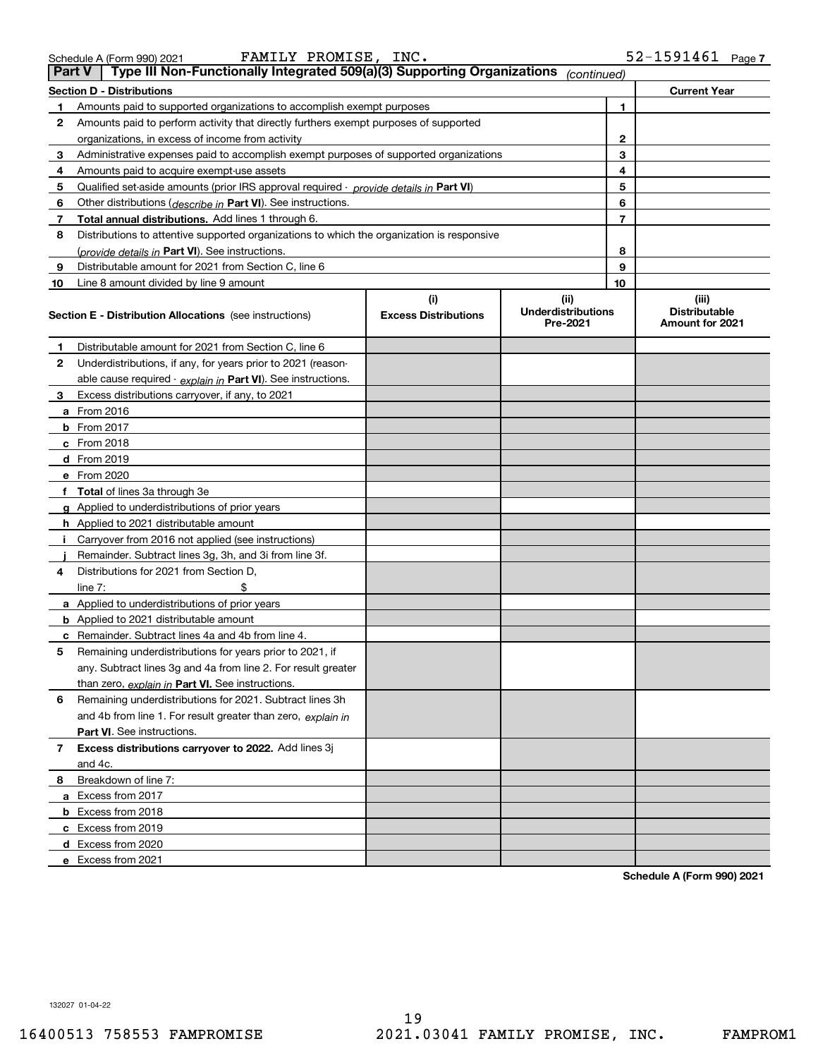**e**

**8**Breakdown of line 7:

and 4c.

**a** Excess from 2017 **b** Excess from 2018 **c**Excess from 2019 **d**Excess from 2020

Excess from 2021

**7Excess distributions carryover to 2022.**  Add lines 3j

**234892**Other distributions ( *describe in* Part VI). See instructions. **Total annual distributions.** Add lines 1 through 6. (*provide details in* Part VI). See instructions. **(i)Excess Distributions (ii) Underdistributions Pre-202112**Underdistributions, if any, for years prior to 2021 (reason-**3**Excess distributions carryover, if any, to 2021 <u>able cause required - *explain in* Part VI). See instructions.</u> **a** From 2016 **b** From 2017 **c**From 2018 **d**From 2019 **e**From 2020 **fTotal**  of lines 3a through 3e Amounts paid to perform activity that directly furthers exempt purposes of supported organizations, in excess of income from activity Administrative expenses paid to accomplish exempt purposes of supported organizations Amounts paid to acquire exempt-use assets Distributions to attentive supported organizations to which the organization is responsive Distributable amount for 2021 from Section C, line 6 Line 8 amount divided by line 9 amount Distributable amount for 2021 from Section C, line 6

## Schedule A (Form 990) 2021 Page FAMILY PROMISE, INC. 52-1591461 **Part V Type III Non-Functionally Integrated 509(a)(3) Supporting Organizations** *(continued)*

**1**Amounts paid to supported organizations to accomplish exempt purposes

**5** Qualified set-aside amounts (prior IRS approval required - *provide details in* Part VI) **6710345678910(iii) Distributable Amount for 2021 Section E - Distribution Allocations**  (see instructions) **4**Distributions for 2021 from Section D, **5** Remaining underdistributions for years prior to 2021, if **6** Remaining underdistributions for 2021. Subtract lines 3h **g**Applied to underdistributions of prior years **h** Applied to 2021 distributable amount **ij** Remainder. Subtract lines 3g, 3h, and 3i from line 3f. **a** Applied to underdistributions of prior years **b** Applied to 2021 distributable amount **c** Remainder. Subtract lines 4a and 4b from line 4. <u>than zero, *explain in* Part VI. See instructions.</u> **Part VI** . See instructions. and 4b from line 1. For result greater than zero, *explain in* i Carryover from 2016 not applied (see instructions)  $line 7:$   $\frac{1}{2}$ any. Subtract lines 3g and 4a from line 2. For result greater

**Section D - Distributions Current Year**

**Schedule A (Form 990) 2021**

**1**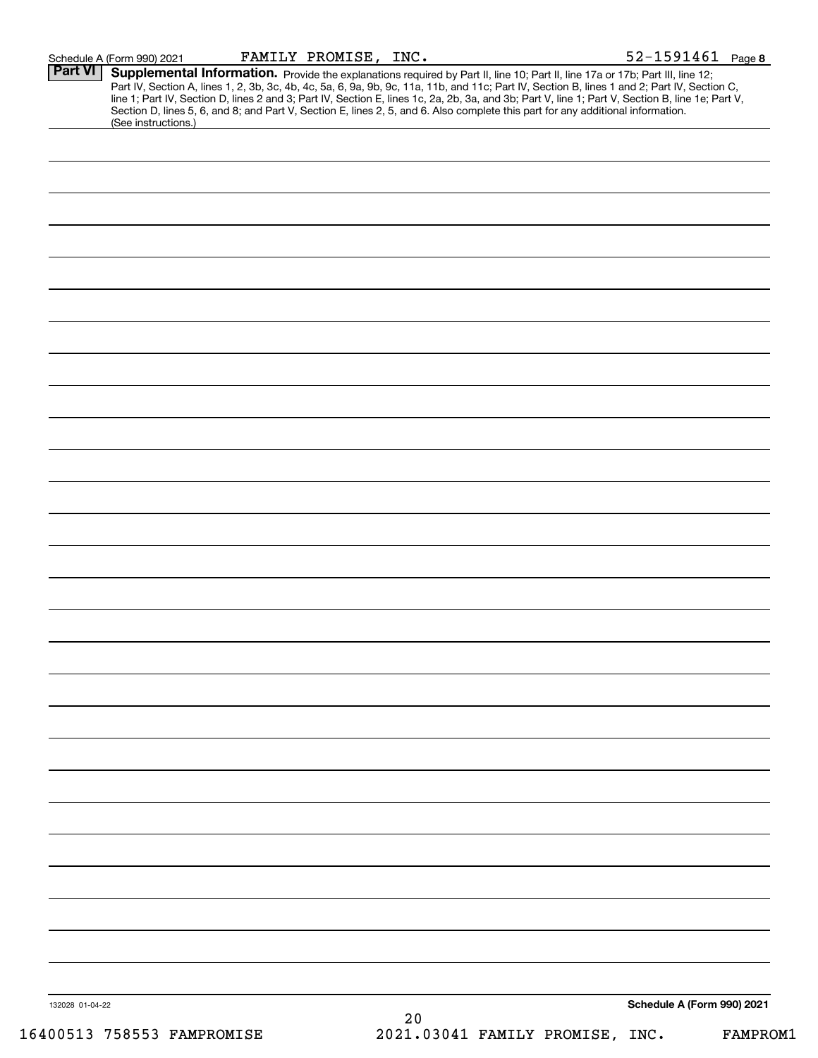| (See instructions.) | <b>Supplemental Information.</b> Provide the explanations required by Part II, line 10; Part II, line 17a or 17b; Part III, line 12;<br>Part IV, Section A, lines 1, 2, 3b, 3c, 4b, 4c, 5a, 6, 9a, 9b, 9c, 11a, 11b, and 11c; Part IV,<br>line 1; Part IV, Section D, lines 2 and 3; Part IV, Section E, lines 1c, 2a, 2b, 3a, and 3b; Part V, line 1; Part V, Section B, line 1e; Part V,<br>Section D, lines 5, 6, and 8; and Part V, Section E, lines 2, 5, and 6. Also complete this part for any additional information. |                 |
|---------------------|-------------------------------------------------------------------------------------------------------------------------------------------------------------------------------------------------------------------------------------------------------------------------------------------------------------------------------------------------------------------------------------------------------------------------------------------------------------------------------------------------------------------------------|-----------------|
|                     |                                                                                                                                                                                                                                                                                                                                                                                                                                                                                                                               |                 |
|                     |                                                                                                                                                                                                                                                                                                                                                                                                                                                                                                                               |                 |
|                     |                                                                                                                                                                                                                                                                                                                                                                                                                                                                                                                               |                 |
|                     |                                                                                                                                                                                                                                                                                                                                                                                                                                                                                                                               |                 |
|                     |                                                                                                                                                                                                                                                                                                                                                                                                                                                                                                                               |                 |
|                     |                                                                                                                                                                                                                                                                                                                                                                                                                                                                                                                               |                 |
|                     |                                                                                                                                                                                                                                                                                                                                                                                                                                                                                                                               |                 |
|                     |                                                                                                                                                                                                                                                                                                                                                                                                                                                                                                                               |                 |
|                     |                                                                                                                                                                                                                                                                                                                                                                                                                                                                                                                               |                 |
|                     |                                                                                                                                                                                                                                                                                                                                                                                                                                                                                                                               |                 |
|                     |                                                                                                                                                                                                                                                                                                                                                                                                                                                                                                                               |                 |
|                     |                                                                                                                                                                                                                                                                                                                                                                                                                                                                                                                               |                 |
|                     |                                                                                                                                                                                                                                                                                                                                                                                                                                                                                                                               |                 |
|                     |                                                                                                                                                                                                                                                                                                                                                                                                                                                                                                                               |                 |
|                     |                                                                                                                                                                                                                                                                                                                                                                                                                                                                                                                               |                 |
|                     |                                                                                                                                                                                                                                                                                                                                                                                                                                                                                                                               |                 |
|                     |                                                                                                                                                                                                                                                                                                                                                                                                                                                                                                                               |                 |
|                     |                                                                                                                                                                                                                                                                                                                                                                                                                                                                                                                               |                 |
|                     |                                                                                                                                                                                                                                                                                                                                                                                                                                                                                                                               |                 |
|                     |                                                                                                                                                                                                                                                                                                                                                                                                                                                                                                                               |                 |
|                     |                                                                                                                                                                                                                                                                                                                                                                                                                                                                                                                               |                 |
|                     |                                                                                                                                                                                                                                                                                                                                                                                                                                                                                                                               |                 |
|                     |                                                                                                                                                                                                                                                                                                                                                                                                                                                                                                                               |                 |
|                     |                                                                                                                                                                                                                                                                                                                                                                                                                                                                                                                               |                 |
|                     |                                                                                                                                                                                                                                                                                                                                                                                                                                                                                                                               |                 |
|                     |                                                                                                                                                                                                                                                                                                                                                                                                                                                                                                                               |                 |
|                     |                                                                                                                                                                                                                                                                                                                                                                                                                                                                                                                               |                 |
|                     |                                                                                                                                                                                                                                                                                                                                                                                                                                                                                                                               |                 |
|                     |                                                                                                                                                                                                                                                                                                                                                                                                                                                                                                                               |                 |
|                     |                                                                                                                                                                                                                                                                                                                                                                                                                                                                                                                               |                 |
|                     |                                                                                                                                                                                                                                                                                                                                                                                                                                                                                                                               |                 |
|                     |                                                                                                                                                                                                                                                                                                                                                                                                                                                                                                                               |                 |
|                     |                                                                                                                                                                                                                                                                                                                                                                                                                                                                                                                               |                 |
|                     |                                                                                                                                                                                                                                                                                                                                                                                                                                                                                                                               |                 |
|                     |                                                                                                                                                                                                                                                                                                                                                                                                                                                                                                                               |                 |
|                     |                                                                                                                                                                                                                                                                                                                                                                                                                                                                                                                               |                 |
|                     |                                                                                                                                                                                                                                                                                                                                                                                                                                                                                                                               |                 |
|                     |                                                                                                                                                                                                                                                                                                                                                                                                                                                                                                                               |                 |
|                     |                                                                                                                                                                                                                                                                                                                                                                                                                                                                                                                               |                 |
|                     |                                                                                                                                                                                                                                                                                                                                                                                                                                                                                                                               |                 |
|                     |                                                                                                                                                                                                                                                                                                                                                                                                                                                                                                                               |                 |
|                     |                                                                                                                                                                                                                                                                                                                                                                                                                                                                                                                               |                 |
|                     |                                                                                                                                                                                                                                                                                                                                                                                                                                                                                                                               |                 |
|                     |                                                                                                                                                                                                                                                                                                                                                                                                                                                                                                                               |                 |
|                     |                                                                                                                                                                                                                                                                                                                                                                                                                                                                                                                               |                 |
| 132028 01-04-22     | Schedule A (Form 990) 2021                                                                                                                                                                                                                                                                                                                                                                                                                                                                                                    |                 |
|                     | 20<br>2021.03041 FAMILY PROMISE, INC.                                                                                                                                                                                                                                                                                                                                                                                                                                                                                         | <b>FAMPROM1</b> |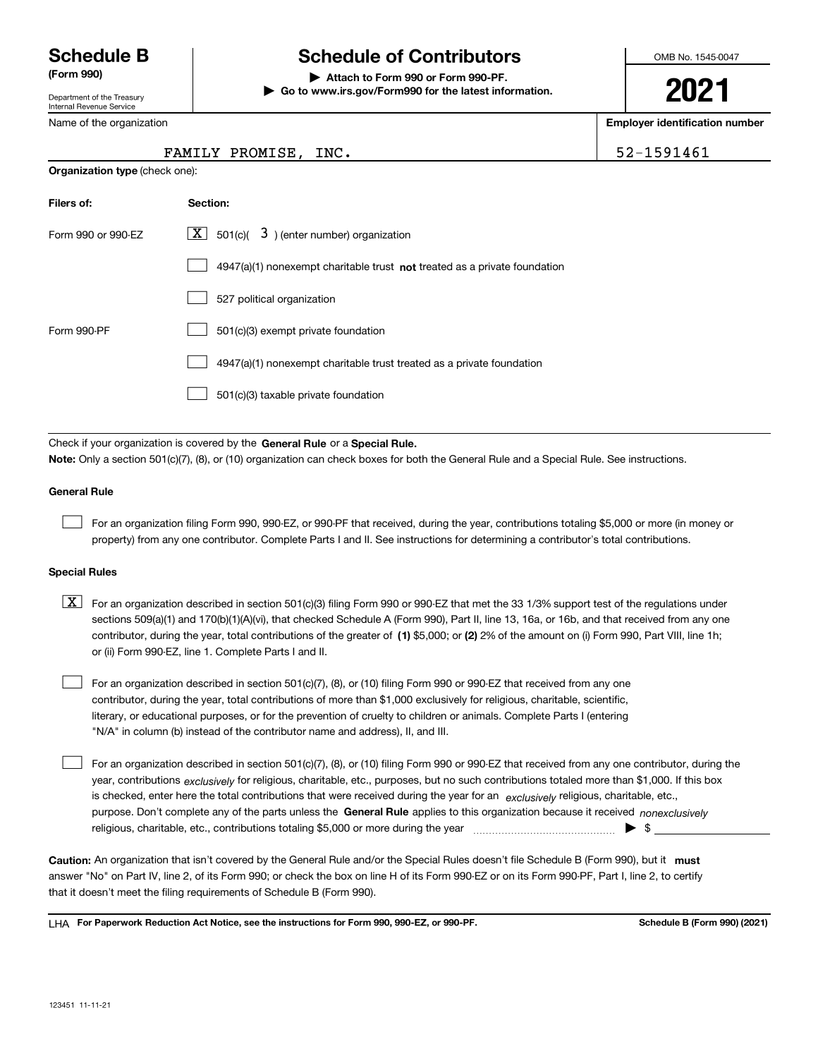Department of the Treasury Internal Revenue Service

Name of the organization

**Organization type** (check one):

## **Schedule B Schedule of Contributors**

**(Form 990) | Attach to Form 990 or Form 990-PF. | Go to www.irs.gov/Form990 for the latest information.** OMB No. 1545-0047

**2021**

**Employer identification number**

52-1591461

|  | FAMILY PROMISE, | INC |
|--|-----------------|-----|
|--|-----------------|-----|

| Filers of:         | Section:                                                                           |
|--------------------|------------------------------------------------------------------------------------|
| Form 990 or 990-FZ | $\boxed{\textbf{X}}$ 501(c)( 3) (enter number) organization                        |
|                    | $4947(a)(1)$ nonexempt charitable trust <b>not</b> treated as a private foundation |
|                    | 527 political organization                                                         |
| Form 990-PF        | 501(c)(3) exempt private foundation                                                |
|                    | 4947(a)(1) nonexempt charitable trust treated as a private foundation              |
|                    | 501(c)(3) taxable private foundation                                               |

Check if your organization is covered by the **General Rule** or a **Special Rule. Note:**  Only a section 501(c)(7), (8), or (10) organization can check boxes for both the General Rule and a Special Rule. See instructions.

#### **General Rule**

 $\mathcal{L}^{\text{max}}$ 

For an organization filing Form 990, 990-EZ, or 990-PF that received, during the year, contributions totaling \$5,000 or more (in money or property) from any one contributor. Complete Parts I and II. See instructions for determining a contributor's total contributions.

#### **Special Rules**

contributor, during the year, total contributions of the greater of (1**)** \$5,000; or (2) 2% of the amount on (i) Form 990, Part VIII, line 1h;  $\boxed{\textbf{X}}$  For an organization described in section 501(c)(3) filing Form 990 or 990-EZ that met the 33 1/3% support test of the regulations under sections 509(a)(1) and 170(b)(1)(A)(vi), that checked Schedule A (Form 990), Part II, line 13, 16a, or 16b, and that received from any one or (ii) Form 990-EZ, line 1. Complete Parts I and II.

For an organization described in section 501(c)(7), (8), or (10) filing Form 990 or 990-EZ that received from any one contributor, during the year, total contributions of more than \$1,000 exclusively for religious, charitable, scientific, literary, or educational purposes, or for the prevention of cruelty to children or animals. Complete Parts I (entering "N/A" in column (b) instead of the contributor name and address), II, and III.  $\mathcal{L}^{\text{max}}$ 

purpose. Don't complete any of the parts unless the **General Rule** applies to this organization because it received *nonexclusively* year, contributions <sub>exclusively</sub> for religious, charitable, etc., purposes, but no such contributions totaled more than \$1,000. If this box is checked, enter here the total contributions that were received during the year for an  $\;$ exclusively religious, charitable, etc., For an organization described in section 501(c)(7), (8), or (10) filing Form 990 or 990-EZ that received from any one contributor, during the religious, charitable, etc., contributions totaling \$5,000 or more during the year  $\Box$ — $\Box$   $\Box$  $\mathcal{L}^{\text{max}}$ 

Caution: An organization that isn't covered by the General Rule and/or the Special Rules doesn't file Schedule B (Form 990), but it **must** answer "No" on Part IV, line 2, of its Form 990; or check the box on line H of its Form 990-EZ or on its Form 990-PF, Part I, line 2, to certify that it doesn't meet the filing requirements of Schedule B (Form 990).

**For Paperwork Reduction Act Notice, see the instructions for Form 990, 990-EZ, or 990-PF. Schedule B (Form 990) (2021)** LHA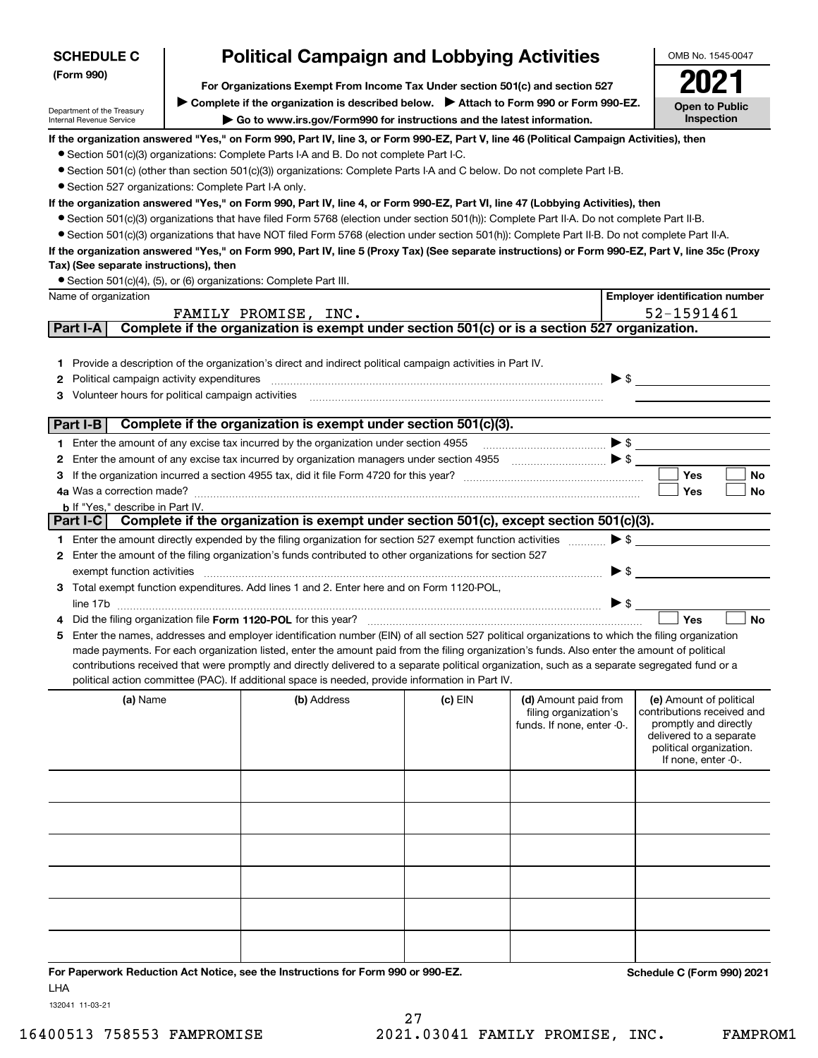| <b>SCHEDULE C</b>                                                  | <b>Political Campaign and Lobbying Activities</b>                             |                                                                                                                                                                                                                                                                                               | OMB No. 1545-0047 |                                                                                                                                                                                                                                                                                                                                                                     |                          |                                                       |
|--------------------------------------------------------------------|-------------------------------------------------------------------------------|-----------------------------------------------------------------------------------------------------------------------------------------------------------------------------------------------------------------------------------------------------------------------------------------------|-------------------|---------------------------------------------------------------------------------------------------------------------------------------------------------------------------------------------------------------------------------------------------------------------------------------------------------------------------------------------------------------------|--------------------------|-------------------------------------------------------|
| (Form 990)                                                         | For Organizations Exempt From Income Tax Under section 501(c) and section 527 |                                                                                                                                                                                                                                                                                               |                   |                                                                                                                                                                                                                                                                                                                                                                     |                          |                                                       |
|                                                                    |                                                                               | ▶ Complete if the organization is described below. ▶ Attach to Form 990 or Form 990-EZ.                                                                                                                                                                                                       |                   |                                                                                                                                                                                                                                                                                                                                                                     |                          |                                                       |
| Department of the Treasury<br>Internal Revenue Service             |                                                                               | Go to www.irs.gov/Form990 for instructions and the latest information.                                                                                                                                                                                                                        |                   |                                                                                                                                                                                                                                                                                                                                                                     |                          | <b>Open to Public</b><br>Inspection                   |
|                                                                    |                                                                               | If the organization answered "Yes," on Form 990, Part IV, line 3, or Form 990-EZ, Part V, line 46 (Political Campaign Activities), then                                                                                                                                                       |                   |                                                                                                                                                                                                                                                                                                                                                                     |                          |                                                       |
|                                                                    |                                                                               | • Section 501(c)(3) organizations: Complete Parts I-A and B. Do not complete Part I-C.                                                                                                                                                                                                        |                   |                                                                                                                                                                                                                                                                                                                                                                     |                          |                                                       |
|                                                                    |                                                                               | • Section 501(c) (other than section 501(c)(3)) organizations: Complete Parts I-A and C below. Do not complete Part I-B.                                                                                                                                                                      |                   |                                                                                                                                                                                                                                                                                                                                                                     |                          |                                                       |
| • Section 527 organizations: Complete Part I-A only.               |                                                                               |                                                                                                                                                                                                                                                                                               |                   |                                                                                                                                                                                                                                                                                                                                                                     |                          |                                                       |
|                                                                    |                                                                               | If the organization answered "Yes," on Form 990, Part IV, line 4, or Form 990-EZ, Part VI, line 47 (Lobbying Activities), then                                                                                                                                                                |                   |                                                                                                                                                                                                                                                                                                                                                                     |                          |                                                       |
|                                                                    |                                                                               | • Section 501(c)(3) organizations that have filed Form 5768 (election under section 501(h)): Complete Part II-A. Do not complete Part II-B.                                                                                                                                                   |                   |                                                                                                                                                                                                                                                                                                                                                                     |                          |                                                       |
|                                                                    |                                                                               | • Section 501(c)(3) organizations that have NOT filed Form 5768 (election under section 501(h)): Complete Part II-B. Do not complete Part II-A.                                                                                                                                               |                   |                                                                                                                                                                                                                                                                                                                                                                     |                          |                                                       |
| Tax) (See separate instructions), then                             |                                                                               | If the organization answered "Yes," on Form 990, Part IV, line 5 (Proxy Tax) (See separate instructions) or Form 990-EZ, Part V, line 35c (Proxy                                                                                                                                              |                   |                                                                                                                                                                                                                                                                                                                                                                     |                          |                                                       |
| • Section 501(c)(4), (5), or (6) organizations: Complete Part III. |                                                                               |                                                                                                                                                                                                                                                                                               |                   |                                                                                                                                                                                                                                                                                                                                                                     |                          |                                                       |
| Name of organization                                               |                                                                               |                                                                                                                                                                                                                                                                                               |                   |                                                                                                                                                                                                                                                                                                                                                                     |                          | <b>Employer identification number</b>                 |
|                                                                    |                                                                               | FAMILY PROMISE, INC.                                                                                                                                                                                                                                                                          |                   |                                                                                                                                                                                                                                                                                                                                                                     |                          | 52-1591461                                            |
| Part I-A                                                           |                                                                               | Complete if the organization is exempt under section 501(c) or is a section 527 organization.                                                                                                                                                                                                 |                   |                                                                                                                                                                                                                                                                                                                                                                     |                          |                                                       |
|                                                                    |                                                                               |                                                                                                                                                                                                                                                                                               |                   |                                                                                                                                                                                                                                                                                                                                                                     |                          |                                                       |
|                                                                    |                                                                               | 1 Provide a description of the organization's direct and indirect political campaign activities in Part IV.                                                                                                                                                                                   |                   |                                                                                                                                                                                                                                                                                                                                                                     |                          |                                                       |
| Political campaign activity expenditures<br>2                      |                                                                               |                                                                                                                                                                                                                                                                                               |                   |                                                                                                                                                                                                                                                                                                                                                                     | $\blacktriangleright$ \$ |                                                       |
| Volunteer hours for political campaign activities<br>з             |                                                                               |                                                                                                                                                                                                                                                                                               |                   |                                                                                                                                                                                                                                                                                                                                                                     |                          |                                                       |
|                                                                    |                                                                               |                                                                                                                                                                                                                                                                                               |                   |                                                                                                                                                                                                                                                                                                                                                                     |                          |                                                       |
| Part I-B                                                           |                                                                               | Complete if the organization is exempt under section 501(c)(3).                                                                                                                                                                                                                               |                   |                                                                                                                                                                                                                                                                                                                                                                     |                          |                                                       |
|                                                                    |                                                                               | 1 Enter the amount of any excise tax incurred by the organization under section 4955                                                                                                                                                                                                          |                   |                                                                                                                                                                                                                                                                                                                                                                     | $\blacktriangleright$ \$ |                                                       |
| 2<br>3                                                             |                                                                               | Enter the amount of any excise tax incurred by organization managers under section 4955                                                                                                                                                                                                       |                   | $\begin{picture}(20,10) \put(0,0){\vector(1,0){100}} \put(15,0){\vector(1,0){100}} \put(15,0){\vector(1,0){100}} \put(15,0){\vector(1,0){100}} \put(15,0){\vector(1,0){100}} \put(15,0){\vector(1,0){100}} \put(15,0){\vector(1,0){100}} \put(15,0){\vector(1,0){100}} \put(15,0){\vector(1,0){100}} \put(15,0){\vector(1,0){100}} \put(15,0){\vector(1,0){100}} \$ |                          | Yes<br>No                                             |
| 4a Was a correction made?                                          |                                                                               |                                                                                                                                                                                                                                                                                               |                   |                                                                                                                                                                                                                                                                                                                                                                     |                          | Yes<br>No                                             |
| <b>b</b> If "Yes," describe in Part IV.                            |                                                                               |                                                                                                                                                                                                                                                                                               |                   |                                                                                                                                                                                                                                                                                                                                                                     |                          |                                                       |
| Part I-C                                                           |                                                                               | Complete if the organization is exempt under section 501(c), except section 501(c)(3).                                                                                                                                                                                                        |                   |                                                                                                                                                                                                                                                                                                                                                                     |                          |                                                       |
|                                                                    |                                                                               | 1 Enter the amount directly expended by the filing organization for section 527 exempt function activities                                                                                                                                                                                    |                   |                                                                                                                                                                                                                                                                                                                                                                     | $\blacktriangleright$ \$ |                                                       |
|                                                                    |                                                                               | 2 Enter the amount of the filing organization's funds contributed to other organizations for section 527                                                                                                                                                                                      |                   |                                                                                                                                                                                                                                                                                                                                                                     |                          |                                                       |
| exempt function activities                                         |                                                                               |                                                                                                                                                                                                                                                                                               |                   |                                                                                                                                                                                                                                                                                                                                                                     | $\blacktriangleright$ \$ |                                                       |
|                                                                    |                                                                               | 3 Total exempt function expenditures. Add lines 1 and 2. Enter here and on Form 1120-POL,                                                                                                                                                                                                     |                   |                                                                                                                                                                                                                                                                                                                                                                     |                          |                                                       |
| line 17b                                                           |                                                                               |                                                                                                                                                                                                                                                                                               |                   |                                                                                                                                                                                                                                                                                                                                                                     | $\blacktriangleright$ \$ |                                                       |
|                                                                    |                                                                               | Did the filing organization file Form 1120-POL for this year?                                                                                                                                                                                                                                 |                   |                                                                                                                                                                                                                                                                                                                                                                     |                          | <b>No</b><br>Yes                                      |
| 5.                                                                 |                                                                               | Enter the names, addresses and employer identification number (EIN) of all section 527 political organizations to which the filing organization                                                                                                                                               |                   |                                                                                                                                                                                                                                                                                                                                                                     |                          |                                                       |
|                                                                    |                                                                               | made payments. For each organization listed, enter the amount paid from the filing organization's funds. Also enter the amount of political<br>contributions received that were promptly and directly delivered to a separate political organization, such as a separate segregated fund or a |                   |                                                                                                                                                                                                                                                                                                                                                                     |                          |                                                       |
|                                                                    |                                                                               | political action committee (PAC). If additional space is needed, provide information in Part IV.                                                                                                                                                                                              |                   |                                                                                                                                                                                                                                                                                                                                                                     |                          |                                                       |
|                                                                    |                                                                               | (b) Address                                                                                                                                                                                                                                                                                   |                   |                                                                                                                                                                                                                                                                                                                                                                     |                          |                                                       |
| (a) Name                                                           |                                                                               |                                                                                                                                                                                                                                                                                               | $(c)$ EIN         | (d) Amount paid from<br>filing organization's                                                                                                                                                                                                                                                                                                                       |                          | (e) Amount of political<br>contributions received and |
|                                                                    |                                                                               |                                                                                                                                                                                                                                                                                               |                   | funds. If none, enter -0-.                                                                                                                                                                                                                                                                                                                                          |                          | promptly and directly                                 |
|                                                                    |                                                                               |                                                                                                                                                                                                                                                                                               |                   |                                                                                                                                                                                                                                                                                                                                                                     |                          | delivered to a separate<br>political organization.    |
|                                                                    |                                                                               |                                                                                                                                                                                                                                                                                               |                   |                                                                                                                                                                                                                                                                                                                                                                     |                          | If none, enter -0-.                                   |
|                                                                    |                                                                               |                                                                                                                                                                                                                                                                                               |                   |                                                                                                                                                                                                                                                                                                                                                                     |                          |                                                       |
|                                                                    |                                                                               |                                                                                                                                                                                                                                                                                               |                   |                                                                                                                                                                                                                                                                                                                                                                     |                          |                                                       |
|                                                                    |                                                                               |                                                                                                                                                                                                                                                                                               |                   |                                                                                                                                                                                                                                                                                                                                                                     |                          |                                                       |
|                                                                    |                                                                               |                                                                                                                                                                                                                                                                                               |                   |                                                                                                                                                                                                                                                                                                                                                                     |                          |                                                       |
|                                                                    |                                                                               |                                                                                                                                                                                                                                                                                               |                   |                                                                                                                                                                                                                                                                                                                                                                     |                          |                                                       |
|                                                                    |                                                                               |                                                                                                                                                                                                                                                                                               |                   |                                                                                                                                                                                                                                                                                                                                                                     |                          |                                                       |
|                                                                    |                                                                               |                                                                                                                                                                                                                                                                                               |                   |                                                                                                                                                                                                                                                                                                                                                                     |                          |                                                       |
|                                                                    |                                                                               |                                                                                                                                                                                                                                                                                               |                   |                                                                                                                                                                                                                                                                                                                                                                     |                          |                                                       |
|                                                                    |                                                                               |                                                                                                                                                                                                                                                                                               |                   |                                                                                                                                                                                                                                                                                                                                                                     |                          |                                                       |
|                                                                    |                                                                               |                                                                                                                                                                                                                                                                                               |                   |                                                                                                                                                                                                                                                                                                                                                                     |                          |                                                       |
|                                                                    |                                                                               |                                                                                                                                                                                                                                                                                               |                   |                                                                                                                                                                                                                                                                                                                                                                     |                          |                                                       |
|                                                                    |                                                                               | For Paperwork Reduction Act Notice, see the Instructions for Form 990 or 990-EZ.                                                                                                                                                                                                              |                   |                                                                                                                                                                                                                                                                                                                                                                     |                          | Schedule C (Form 990) 2021                            |
| <b>LHA</b>                                                         |                                                                               |                                                                                                                                                                                                                                                                                               |                   |                                                                                                                                                                                                                                                                                                                                                                     |                          |                                                       |

132041 11-03-21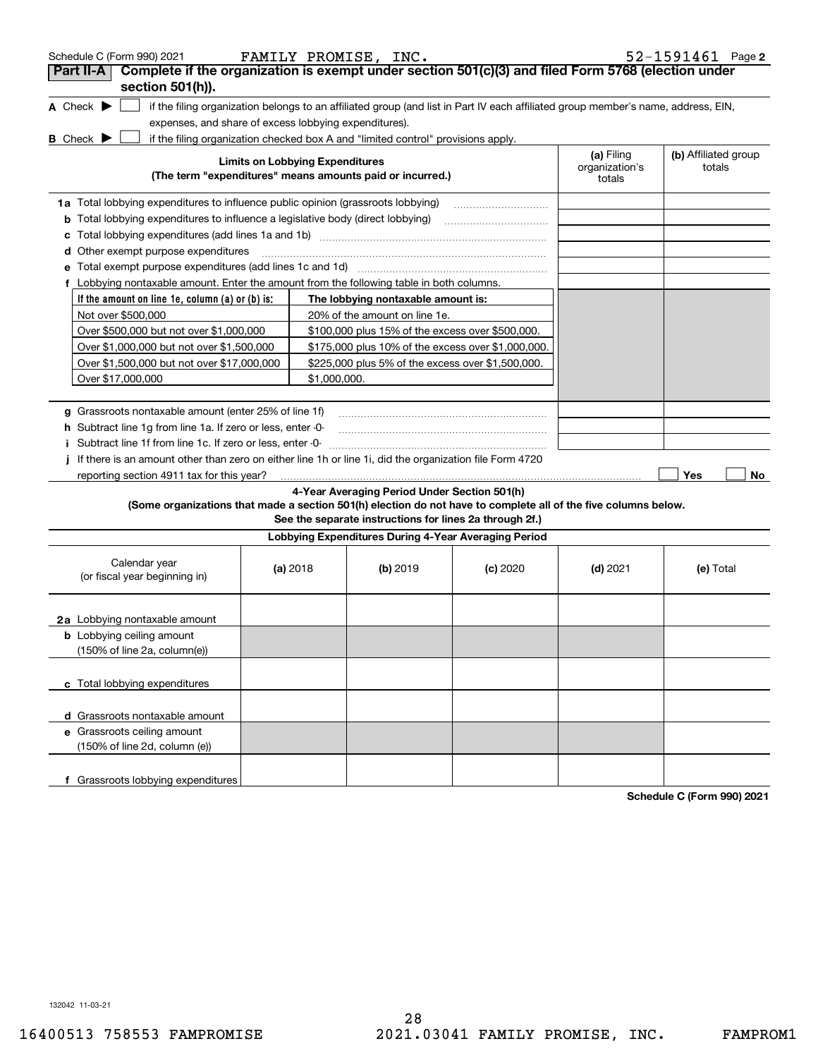| Schedule C (Form 990) 2021                                                                                                                                                                                                                                                       |  | FAMILY PROMISE, INC.                         |                                    |                                                                                                                                   |                              | $52 - 1591461$ Page 2          |
|----------------------------------------------------------------------------------------------------------------------------------------------------------------------------------------------------------------------------------------------------------------------------------|--|----------------------------------------------|------------------------------------|-----------------------------------------------------------------------------------------------------------------------------------|------------------------------|--------------------------------|
| Complete if the organization is exempt under section 501(c)(3) and filed Form 5768 (election under<br>Part II-A<br>section 501(h)).                                                                                                                                              |  |                                              |                                    |                                                                                                                                   |                              |                                |
| A Check $\blacktriangleright$                                                                                                                                                                                                                                                    |  |                                              |                                    | if the filing organization belongs to an affiliated group (and list in Part IV each affiliated group member's name, address, EIN, |                              |                                |
| expenses, and share of excess lobbying expenditures).                                                                                                                                                                                                                            |  |                                              |                                    |                                                                                                                                   |                              |                                |
| $B$ Check $\blacktriangleright$<br>if the filing organization checked box A and "limited control" provisions apply.                                                                                                                                                              |  |                                              |                                    |                                                                                                                                   |                              |                                |
|                                                                                                                                                                                                                                                                                  |  | <b>Limits on Lobbying Expenditures</b>       |                                    |                                                                                                                                   | (a) Filing<br>organization's | (b) Affiliated group<br>totals |
| (The term "expenditures" means amounts paid or incurred.)                                                                                                                                                                                                                        |  |                                              |                                    |                                                                                                                                   | totals                       |                                |
| 1a Total lobbying expenditures to influence public opinion (grassroots lobbying)                                                                                                                                                                                                 |  |                                              |                                    |                                                                                                                                   |                              |                                |
| <b>b</b> Total lobbying expenditures to influence a legislative body (direct lobbying)                                                                                                                                                                                           |  |                                              |                                    |                                                                                                                                   |                              |                                |
| с                                                                                                                                                                                                                                                                                |  |                                              |                                    |                                                                                                                                   |                              |                                |
| d Other exempt purpose expenditures                                                                                                                                                                                                                                              |  |                                              |                                    |                                                                                                                                   |                              |                                |
|                                                                                                                                                                                                                                                                                  |  |                                              |                                    |                                                                                                                                   |                              |                                |
| f Lobbying nontaxable amount. Enter the amount from the following table in both columns.                                                                                                                                                                                         |  |                                              |                                    |                                                                                                                                   |                              |                                |
| If the amount on line 1e, column (a) or (b) is:                                                                                                                                                                                                                                  |  |                                              | The lobbying nontaxable amount is: |                                                                                                                                   |                              |                                |
| Not over \$500,000                                                                                                                                                                                                                                                               |  |                                              | 20% of the amount on line 1e.      |                                                                                                                                   |                              |                                |
| Over \$500,000 but not over \$1,000,000                                                                                                                                                                                                                                          |  |                                              |                                    | \$100,000 plus 15% of the excess over \$500,000.                                                                                  |                              |                                |
| Over \$1,000,000 but not over \$1,500,000                                                                                                                                                                                                                                        |  |                                              |                                    | \$175,000 plus 10% of the excess over \$1,000,000.                                                                                |                              |                                |
| Over \$1,500,000 but not over \$17,000,000<br>\$225,000 plus 5% of the excess over \$1,500,000.                                                                                                                                                                                  |  |                                              |                                    |                                                                                                                                   |                              |                                |
| Over \$17,000,000                                                                                                                                                                                                                                                                |  |                                              |                                    |                                                                                                                                   |                              |                                |
| h Subtract line 1g from line 1a. If zero or less, enter -0-<br>Subtract line 1f from line 1c. If zero or less, enter -0-<br>If there is an amount other than zero on either line 1h or line 1i, did the organization file Form 4720<br>reporting section 4911 tax for this year? |  |                                              |                                    |                                                                                                                                   |                              | Yes<br>No                      |
| (Some organizations that made a section 501(h) election do not have to complete all of the five columns below.                                                                                                                                                                   |  | 4-Year Averaging Period Under Section 501(h) |                                    | See the separate instructions for lines 2a through 2f.)                                                                           |                              |                                |
|                                                                                                                                                                                                                                                                                  |  |                                              |                                    | Lobbying Expenditures During 4-Year Averaging Period                                                                              |                              |                                |
| Calendar year<br>(or fiscal year beginning in)                                                                                                                                                                                                                                   |  | (a) 2018                                     | $(b)$ 2019                         | $(c)$ 2020                                                                                                                        | $(d)$ 2021                   | (e) Total                      |
| 2a Lobbying nontaxable amount                                                                                                                                                                                                                                                    |  |                                              |                                    |                                                                                                                                   |                              |                                |
| <b>b</b> Lobbying ceiling amount<br>(150% of line 2a, column(e))                                                                                                                                                                                                                 |  |                                              |                                    |                                                                                                                                   |                              |                                |
| c Total lobbying expenditures                                                                                                                                                                                                                                                    |  |                                              |                                    |                                                                                                                                   |                              |                                |
| d Grassroots nontaxable amount                                                                                                                                                                                                                                                   |  |                                              |                                    |                                                                                                                                   |                              |                                |
| e Grassroots ceiling amount<br>(150% of line 2d, column (e))                                                                                                                                                                                                                     |  |                                              |                                    |                                                                                                                                   |                              |                                |
| f Grassroots lobbying expenditures                                                                                                                                                                                                                                               |  |                                              |                                    |                                                                                                                                   |                              | Schodule C (Form 000) 2024     |

**Schedule C (Form 990) 2021**

132042 11-03-21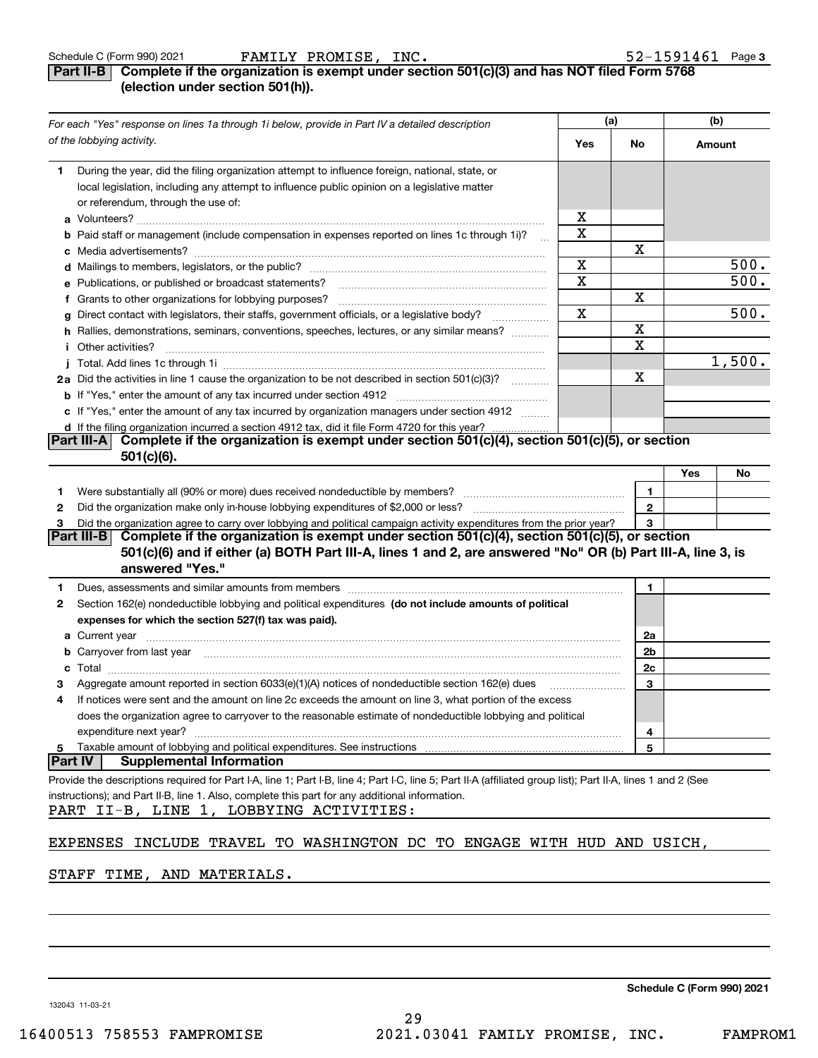### **Part II-B Complete if the organization is exempt under section 501(c)(3) and has NOT filed Form 5768 (election under section 501(h)).**

|         | For each "Yes" response on lines 1a through 1i below, provide in Part IV a detailed description                                                                                                                                     | (a)                     |                |     | (b)    |
|---------|-------------------------------------------------------------------------------------------------------------------------------------------------------------------------------------------------------------------------------------|-------------------------|----------------|-----|--------|
|         | of the lobbying activity.                                                                                                                                                                                                           | Yes                     | No             |     | Amount |
| 1.      | During the year, did the filing organization attempt to influence foreign, national, state, or                                                                                                                                      |                         |                |     |        |
|         | local legislation, including any attempt to influence public opinion on a legislative matter                                                                                                                                        |                         |                |     |        |
|         | or referendum, through the use of:                                                                                                                                                                                                  |                         |                |     |        |
|         |                                                                                                                                                                                                                                     | х<br>$\mathbf x$        |                |     |        |
|         | <b>b</b> Paid staff or management (include compensation in expenses reported on lines 1c through 1i)?                                                                                                                               |                         |                |     |        |
|         |                                                                                                                                                                                                                                     |                         | х              |     |        |
|         |                                                                                                                                                                                                                                     | $\mathbf X$             |                |     | 500.   |
|         | e Publications, or published or broadcast statements?                                                                                                                                                                               | $\overline{\mathbf{x}}$ |                |     | 500.   |
|         | f Grants to other organizations for lobbying purposes?                                                                                                                                                                              |                         | X              |     |        |
|         | g Direct contact with legislators, their staffs, government officials, or a legislative body?                                                                                                                                       | $\mathbf x$             |                |     | 500.   |
|         | h Rallies, demonstrations, seminars, conventions, speeches, lectures, or any similar means?                                                                                                                                         |                         | X              |     |        |
|         | <i>i</i> Other activities?                                                                                                                                                                                                          |                         | X              |     |        |
|         |                                                                                                                                                                                                                                     |                         |                |     | 1,500. |
|         | 2a Did the activities in line 1 cause the organization to be not described in section 501(c)(3)?                                                                                                                                    |                         | X              |     |        |
|         |                                                                                                                                                                                                                                     |                         |                |     |        |
|         | c If "Yes," enter the amount of any tax incurred by organization managers under section 4912                                                                                                                                        |                         |                |     |        |
|         | d If the filing organization incurred a section 4912 tax, did it file Form 4720 for this year?                                                                                                                                      |                         |                |     |        |
|         | Complete if the organization is exempt under section 501(c)(4), section 501(c)(5), or section<br>Part III-A                                                                                                                         |                         |                |     |        |
|         | $501(c)(6)$ .                                                                                                                                                                                                                       |                         |                |     |        |
|         |                                                                                                                                                                                                                                     |                         |                | Yes | No     |
| 1       | Were substantially all (90% or more) dues received nondeductible by members?                                                                                                                                                        |                         | 1.             |     |        |
| 2       | Did the organization make only in-house lobbying expenditures of \$2,000 or less?                                                                                                                                                   |                         | $\overline{2}$ |     |        |
| з       | Did the organization agree to carry over lobbying and political campaign activity expenditures from the prior year?<br>Part III-B Complete if the organization is exempt under section 501(c)(4), section 501(c)(5), or section     |                         | 3              |     |        |
|         | 501(c)(6) and if either (a) BOTH Part III-A, lines 1 and 2, are answered "No" OR (b) Part III-A, line 3, is                                                                                                                         |                         |                |     |        |
|         | answered "Yes."                                                                                                                                                                                                                     |                         |                |     |        |
| 1       |                                                                                                                                                                                                                                     |                         | 1              |     |        |
| 2       | Section 162(e) nondeductible lobbying and political expenditures (do not include amounts of political                                                                                                                               |                         |                |     |        |
|         | expenses for which the section 527(f) tax was paid).                                                                                                                                                                                |                         |                |     |        |
|         |                                                                                                                                                                                                                                     |                         | 2a             |     |        |
|         | <b>b</b> Carryover from last year manufactured and content to content the content of the content of the content of the content of the content of the content of the content of the content of the content of the content of the con |                         | 2b             |     |        |
| c       |                                                                                                                                                                                                                                     |                         | 2c             |     |        |
| з       | Aggregate amount reported in section 6033(e)(1)(A) notices of nondeductible section 162(e) dues                                                                                                                                     |                         | 3              |     |        |
| 4       | If notices were sent and the amount on line 2c exceeds the amount on line 3, what portion of the excess                                                                                                                             |                         |                |     |        |
|         | does the organization agree to carryover to the reasonable estimate of nondeductible lobbying and political                                                                                                                         |                         |                |     |        |
|         | expenditure next year?                                                                                                                                                                                                              |                         | 4              |     |        |
| 5       | Taxable amount of lobbying and political expenditures. See instructions                                                                                                                                                             |                         | 5              |     |        |
| Part IV | <b>Supplemental Information</b>                                                                                                                                                                                                     |                         |                |     |        |
|         | Provide the descriptions required for Part I-A, line 1; Part I-B, line 4; Part I-C, line 5; Part II-A (affiliated group list); Part II-A, lines 1 and 2 (See                                                                        |                         |                |     |        |
|         | instructions); and Part II-B, line 1. Also, complete this part for any additional information.                                                                                                                                      |                         |                |     |        |
|         | PART II-B, LINE 1, LOBBYING ACTIVITIES:                                                                                                                                                                                             |                         |                |     |        |
|         |                                                                                                                                                                                                                                     |                         |                |     |        |
|         | EXPENSES INCLUDE TRAVEL TO WASHINGTON DC TO ENGAGE WITH HUD AND USICH,                                                                                                                                                              |                         |                |     |        |

### STAFF TIME, AND MATERIALS.

**Schedule C (Form 990) 2021**

132043 11-03-21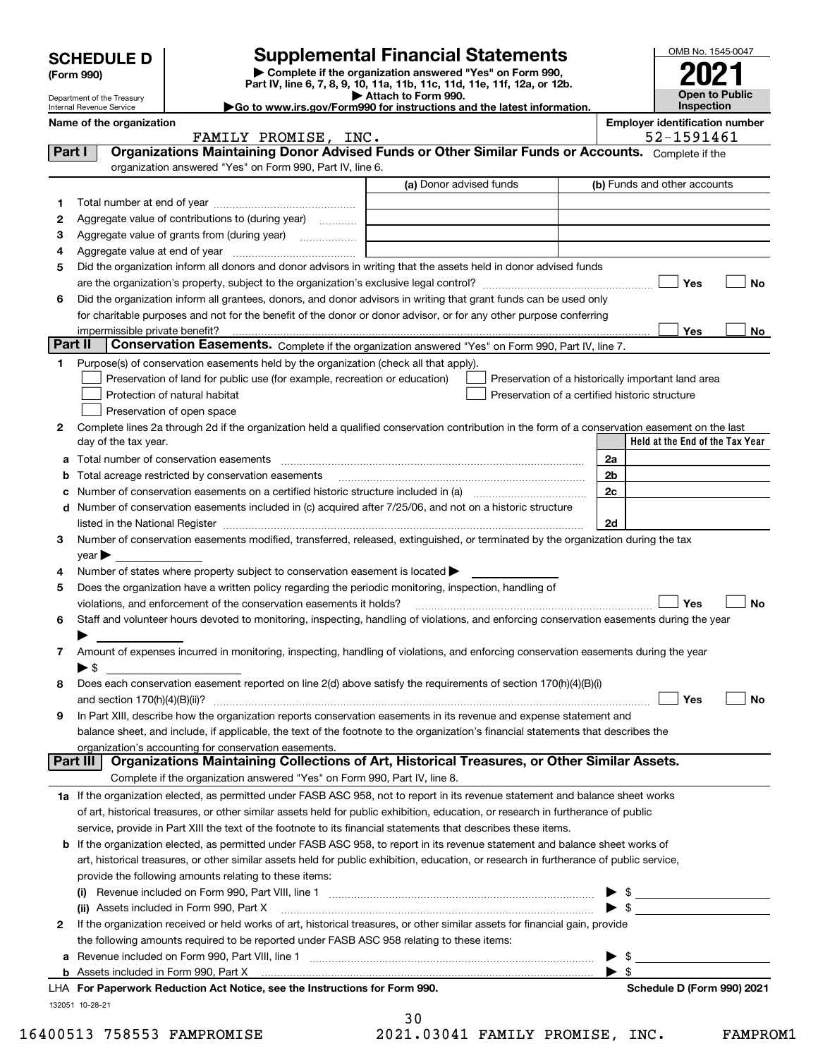|          |                                                                                                                  |                                                                                                             |                                                                                                                                                                                                                                                                          | OMB No. 1545-0047                                  |
|----------|------------------------------------------------------------------------------------------------------------------|-------------------------------------------------------------------------------------------------------------|--------------------------------------------------------------------------------------------------------------------------------------------------------------------------------------------------------------------------------------------------------------------------|----------------------------------------------------|
|          | <b>SCHEDULE D</b>                                                                                                |                                                                                                             | <b>Supplemental Financial Statements</b><br>Complete if the organization answered "Yes" on Form 990,                                                                                                                                                                     |                                                    |
|          | (Form 990)                                                                                                       |                                                                                                             | Part IV, line 6, 7, 8, 9, 10, 11a, 11b, 11c, 11d, 11e, 11f, 12a, or 12b.                                                                                                                                                                                                 |                                                    |
|          | Department of the Treasury<br>Internal Revenue Service                                                           |                                                                                                             | Attach to Form 990.<br>Go to www.irs.gov/Form990 for instructions and the latest information.                                                                                                                                                                            | Open to Public<br><b>Inspection</b>                |
|          | Name of the organization                                                                                         |                                                                                                             |                                                                                                                                                                                                                                                                          | <b>Employer identification number</b>              |
|          |                                                                                                                  | FAMILY PROMISE, INC.                                                                                        |                                                                                                                                                                                                                                                                          | 52-1591461                                         |
| Part I   |                                                                                                                  | organization answered "Yes" on Form 990, Part IV, line 6.                                                   | Organizations Maintaining Donor Advised Funds or Other Similar Funds or Accounts. Complete if the                                                                                                                                                                        |                                                    |
|          |                                                                                                                  |                                                                                                             | (a) Donor advised funds                                                                                                                                                                                                                                                  | (b) Funds and other accounts                       |
| 1.       |                                                                                                                  |                                                                                                             |                                                                                                                                                                                                                                                                          |                                                    |
| 2        |                                                                                                                  | Aggregate value of contributions to (during year)                                                           |                                                                                                                                                                                                                                                                          |                                                    |
| з        |                                                                                                                  | Aggregate value of grants from (during year)                                                                |                                                                                                                                                                                                                                                                          |                                                    |
| 4        |                                                                                                                  |                                                                                                             |                                                                                                                                                                                                                                                                          |                                                    |
| 5        | Did the organization inform all donors and donor advisors in writing that the assets held in donor advised funds |                                                                                                             |                                                                                                                                                                                                                                                                          |                                                    |
|          |                                                                                                                  |                                                                                                             |                                                                                                                                                                                                                                                                          | <b>No</b><br>Yes                                   |
| 6        |                                                                                                                  |                                                                                                             | Did the organization inform all grantees, donors, and donor advisors in writing that grant funds can be used only                                                                                                                                                        |                                                    |
|          |                                                                                                                  |                                                                                                             | for charitable purposes and not for the benefit of the donor or donor advisor, or for any other purpose conferring                                                                                                                                                       |                                                    |
|          | impermissible private benefit?                                                                                   |                                                                                                             |                                                                                                                                                                                                                                                                          | Yes<br>No                                          |
| Part II  |                                                                                                                  |                                                                                                             | Conservation Easements. Complete if the organization answered "Yes" on Form 990, Part IV, line 7.                                                                                                                                                                        |                                                    |
| 1        |                                                                                                                  | Purpose(s) of conservation easements held by the organization (check all that apply).                       |                                                                                                                                                                                                                                                                          |                                                    |
|          |                                                                                                                  | Preservation of land for public use (for example, recreation or education)<br>Protection of natural habitat | Preservation of a certified historic structure                                                                                                                                                                                                                           | Preservation of a historically important land area |
|          |                                                                                                                  | Preservation of open space                                                                                  |                                                                                                                                                                                                                                                                          |                                                    |
| 2        |                                                                                                                  |                                                                                                             | Complete lines 2a through 2d if the organization held a qualified conservation contribution in the form of a conservation easement on the last                                                                                                                           |                                                    |
|          | day of the tax year.                                                                                             |                                                                                                             |                                                                                                                                                                                                                                                                          | Held at the End of the Tax Year                    |
| a        |                                                                                                                  | Total number of conservation easements                                                                      |                                                                                                                                                                                                                                                                          | 2a                                                 |
| b        |                                                                                                                  | Total acreage restricted by conservation easements                                                          |                                                                                                                                                                                                                                                                          | 2b                                                 |
| с        |                                                                                                                  |                                                                                                             | Number of conservation easements on a certified historic structure included in (a) manufacture included in (a)                                                                                                                                                           | 2c                                                 |
| d        |                                                                                                                  |                                                                                                             | Number of conservation easements included in (c) acquired after 7/25/06, and not on a historic structure                                                                                                                                                                 |                                                    |
|          |                                                                                                                  |                                                                                                             | listed in the National Register [111] Marshall Register [11] Marshall Register [11] Marshall Register [11] Marshall Register [11] Marshall Register [11] Marshall Register [11] Marshall Register [11] Marshall Register [11]                                            | 2d                                                 |
| 3        |                                                                                                                  |                                                                                                             | Number of conservation easements modified, transferred, released, extinguished, or terminated by the organization during the tax                                                                                                                                         |                                                    |
|          | $year \blacktriangleright$                                                                                       |                                                                                                             |                                                                                                                                                                                                                                                                          |                                                    |
| 4        |                                                                                                                  | Number of states where property subject to conservation easement is located >                               |                                                                                                                                                                                                                                                                          |                                                    |
| 5        |                                                                                                                  | Does the organization have a written policy regarding the periodic monitoring, inspection, handling of      |                                                                                                                                                                                                                                                                          |                                                    |
|          |                                                                                                                  | violations, and enforcement of the conservation easements it holds?                                         |                                                                                                                                                                                                                                                                          | <b>No</b><br>Yes                                   |
| 6        |                                                                                                                  |                                                                                                             | Staff and volunteer hours devoted to monitoring, inspecting, handling of violations, and enforcing conservation easements during the year                                                                                                                                |                                                    |
| 7        |                                                                                                                  |                                                                                                             | Amount of expenses incurred in monitoring, inspecting, handling of violations, and enforcing conservation easements during the year                                                                                                                                      |                                                    |
|          | $\blacktriangleright$ \$                                                                                         |                                                                                                             |                                                                                                                                                                                                                                                                          |                                                    |
| 8        |                                                                                                                  |                                                                                                             | Does each conservation easement reported on line 2(d) above satisfy the requirements of section 170(h)(4)(B)(i)                                                                                                                                                          |                                                    |
|          |                                                                                                                  |                                                                                                             |                                                                                                                                                                                                                                                                          | Yes<br>No                                          |
| 9        |                                                                                                                  |                                                                                                             | In Part XIII, describe how the organization reports conservation easements in its revenue and expense statement and                                                                                                                                                      |                                                    |
|          |                                                                                                                  |                                                                                                             | balance sheet, and include, if applicable, the text of the footnote to the organization's financial statements that describes the                                                                                                                                        |                                                    |
|          |                                                                                                                  | organization's accounting for conservation easements.                                                       |                                                                                                                                                                                                                                                                          |                                                    |
| Part III |                                                                                                                  |                                                                                                             | Organizations Maintaining Collections of Art, Historical Treasures, or Other Similar Assets.                                                                                                                                                                             |                                                    |
|          |                                                                                                                  | Complete if the organization answered "Yes" on Form 990, Part IV, line 8.                                   |                                                                                                                                                                                                                                                                          |                                                    |
|          |                                                                                                                  |                                                                                                             | 1a If the organization elected, as permitted under FASB ASC 958, not to report in its revenue statement and balance sheet works                                                                                                                                          |                                                    |
|          |                                                                                                                  |                                                                                                             | of art, historical treasures, or other similar assets held for public exhibition, education, or research in furtherance of public                                                                                                                                        |                                                    |
|          |                                                                                                                  |                                                                                                             | service, provide in Part XIII the text of the footnote to its financial statements that describes these items.                                                                                                                                                           |                                                    |
|          |                                                                                                                  |                                                                                                             | b If the organization elected, as permitted under FASB ASC 958, to report in its revenue statement and balance sheet works of<br>art, historical treasures, or other similar assets held for public exhibition, education, or research in furtherance of public service, |                                                    |
|          |                                                                                                                  | provide the following amounts relating to these items:                                                      |                                                                                                                                                                                                                                                                          |                                                    |
|          | (i)                                                                                                              |                                                                                                             |                                                                                                                                                                                                                                                                          |                                                    |
|          |                                                                                                                  |                                                                                                             | (ii) Assets included in Form 990, Part X <b>manual construction control and construction</b> construction construction                                                                                                                                                   |                                                    |
| 2        |                                                                                                                  |                                                                                                             | If the organization received or held works of art, historical treasures, or other similar assets for financial gain, provide                                                                                                                                             |                                                    |
|          |                                                                                                                  | the following amounts required to be reported under FASB ASC 958 relating to these items:                   |                                                                                                                                                                                                                                                                          |                                                    |
| а        |                                                                                                                  |                                                                                                             |                                                                                                                                                                                                                                                                          |                                                    |
|          |                                                                                                                  |                                                                                                             |                                                                                                                                                                                                                                                                          | $\blacktriangleright$ s                            |

| LHA For Paperwork Reduction Act Notice, see the Instructions for Form 9 |
|-------------------------------------------------------------------------|
| 132051 10-28-21                                                         |

**For Paperwork Reduction Act Notice, see the Instructions for Form 990. Schedule D (Form 990) 2021**

30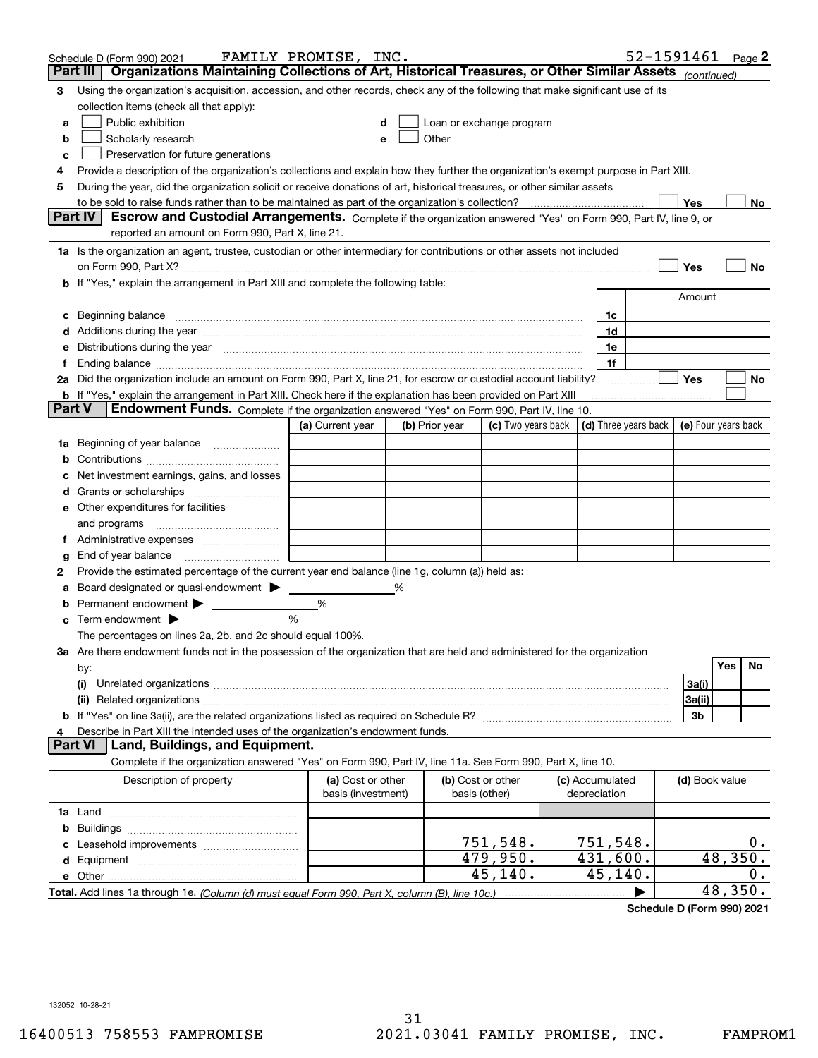|        | Schedule D (Form 990) 2021                                                                                                                                                                                                    | FAMILY PROMISE, INC.                    |   |                |                                                                                                                                                                                                                               |  |                                 |  | 52-1591461     | Page 2              |
|--------|-------------------------------------------------------------------------------------------------------------------------------------------------------------------------------------------------------------------------------|-----------------------------------------|---|----------------|-------------------------------------------------------------------------------------------------------------------------------------------------------------------------------------------------------------------------------|--|---------------------------------|--|----------------|---------------------|
|        | Organizations Maintaining Collections of Art, Historical Treasures, or Other Similar Assets (continued)<br>Part III                                                                                                           |                                         |   |                |                                                                                                                                                                                                                               |  |                                 |  |                |                     |
| 3      | Using the organization's acquisition, accession, and other records, check any of the following that make significant use of its<br>collection items (check all that apply):                                                   |                                         |   |                |                                                                                                                                                                                                                               |  |                                 |  |                |                     |
| a      | Public exhibition                                                                                                                                                                                                             |                                         | d |                | Loan or exchange program                                                                                                                                                                                                      |  |                                 |  |                |                     |
| b      | Scholarly research                                                                                                                                                                                                            |                                         | е |                | Other and the contract of the contract of the contract of the contract of the contract of the contract of the contract of the contract of the contract of the contract of the contract of the contract of the contract of the |  |                                 |  |                |                     |
| с      | Preservation for future generations                                                                                                                                                                                           |                                         |   |                |                                                                                                                                                                                                                               |  |                                 |  |                |                     |
| 4      | Provide a description of the organization's collections and explain how they further the organization's exempt purpose in Part XIII.                                                                                          |                                         |   |                |                                                                                                                                                                                                                               |  |                                 |  |                |                     |
| 5      | During the year, did the organization solicit or receive donations of art, historical treasures, or other similar assets                                                                                                      |                                         |   |                |                                                                                                                                                                                                                               |  |                                 |  |                |                     |
|        |                                                                                                                                                                                                                               |                                         |   |                |                                                                                                                                                                                                                               |  |                                 |  | Yes            | No                  |
|        | <b>Part IV</b><br>Escrow and Custodial Arrangements. Complete if the organization answered "Yes" on Form 990, Part IV, line 9, or                                                                                             |                                         |   |                |                                                                                                                                                                                                                               |  |                                 |  |                |                     |
|        | reported an amount on Form 990, Part X, line 21.                                                                                                                                                                              |                                         |   |                |                                                                                                                                                                                                                               |  |                                 |  |                |                     |
|        | 1a Is the organization an agent, trustee, custodian or other intermediary for contributions or other assets not included                                                                                                      |                                         |   |                |                                                                                                                                                                                                                               |  |                                 |  |                |                     |
|        |                                                                                                                                                                                                                               |                                         |   |                |                                                                                                                                                                                                                               |  |                                 |  | Yes            | No                  |
|        | b If "Yes," explain the arrangement in Part XIII and complete the following table:                                                                                                                                            |                                         |   |                |                                                                                                                                                                                                                               |  |                                 |  |                |                     |
|        |                                                                                                                                                                                                                               |                                         |   |                |                                                                                                                                                                                                                               |  |                                 |  | Amount         |                     |
| c      | Beginning balance material content contracts and all the content of the content of the content of the content of the content of the content of the content of the content of the content of the content of the content of the |                                         |   |                |                                                                                                                                                                                                                               |  | 1c                              |  |                |                     |
|        |                                                                                                                                                                                                                               |                                         |   |                |                                                                                                                                                                                                                               |  | 1d                              |  |                |                     |
| е      | Distributions during the year measurement contains and all the state of the state of the state of the state of                                                                                                                |                                         |   |                |                                                                                                                                                                                                                               |  | 1e                              |  |                |                     |
| Ť.     |                                                                                                                                                                                                                               |                                         |   |                |                                                                                                                                                                                                                               |  | 1f                              |  |                |                     |
|        | 2a Did the organization include an amount on Form 990, Part X, line 21, for escrow or custodial account liability?                                                                                                            |                                         |   |                |                                                                                                                                                                                                                               |  |                                 |  | Yes            | No                  |
| Part V | b If "Yes," explain the arrangement in Part XIII. Check here if the explanation has been provided on Part XIII                                                                                                                |                                         |   |                |                                                                                                                                                                                                                               |  |                                 |  |                |                     |
|        | Endowment Funds. Complete if the organization answered "Yes" on Form 990, Part IV, line 10.                                                                                                                                   | (a) Current year                        |   | (b) Prior year | (c) Two years back $\vert$ (d) Three years back $\vert$                                                                                                                                                                       |  |                                 |  |                | (e) Four years back |
|        |                                                                                                                                                                                                                               |                                         |   |                |                                                                                                                                                                                                                               |  |                                 |  |                |                     |
|        | 1a Beginning of year balance                                                                                                                                                                                                  |                                         |   |                |                                                                                                                                                                                                                               |  |                                 |  |                |                     |
| b      |                                                                                                                                                                                                                               |                                         |   |                |                                                                                                                                                                                                                               |  |                                 |  |                |                     |
|        | Net investment earnings, gains, and losses                                                                                                                                                                                    |                                         |   |                |                                                                                                                                                                                                                               |  |                                 |  |                |                     |
|        | Grants or scholarships                                                                                                                                                                                                        |                                         |   |                |                                                                                                                                                                                                                               |  |                                 |  |                |                     |
|        | e Other expenditures for facilities                                                                                                                                                                                           |                                         |   |                |                                                                                                                                                                                                                               |  |                                 |  |                |                     |
|        | and programs                                                                                                                                                                                                                  |                                         |   |                |                                                                                                                                                                                                                               |  |                                 |  |                |                     |
| Ť.     |                                                                                                                                                                                                                               |                                         |   |                |                                                                                                                                                                                                                               |  |                                 |  |                |                     |
| g      | End of year balance                                                                                                                                                                                                           |                                         |   |                |                                                                                                                                                                                                                               |  |                                 |  |                |                     |
| 2      | Provide the estimated percentage of the current year end balance (line 1g, column (a)) held as:                                                                                                                               |                                         |   |                |                                                                                                                                                                                                                               |  |                                 |  |                |                     |
| а<br>b | Board designated or quasi-endowment<br>Permanent endowment $\blacktriangleright$                                                                                                                                              | %                                       | % |                |                                                                                                                                                                                                                               |  |                                 |  |                |                     |
| c      | Term endowment $\blacktriangleright$                                                                                                                                                                                          | %                                       |   |                |                                                                                                                                                                                                                               |  |                                 |  |                |                     |
|        | The percentages on lines 2a, 2b, and 2c should equal 100%.                                                                                                                                                                    |                                         |   |                |                                                                                                                                                                                                                               |  |                                 |  |                |                     |
|        | 3a Are there endowment funds not in the possession of the organization that are held and administered for the organization                                                                                                    |                                         |   |                |                                                                                                                                                                                                                               |  |                                 |  |                |                     |
|        | by:                                                                                                                                                                                                                           |                                         |   |                |                                                                                                                                                                                                                               |  |                                 |  |                | Yes<br>No           |
|        | (i)                                                                                                                                                                                                                           |                                         |   |                |                                                                                                                                                                                                                               |  |                                 |  | 3a(i)          |                     |
|        |                                                                                                                                                                                                                               |                                         |   |                |                                                                                                                                                                                                                               |  |                                 |  | 3a(ii)         |                     |
|        |                                                                                                                                                                                                                               |                                         |   |                |                                                                                                                                                                                                                               |  |                                 |  | 3b             |                     |
| 4      | Describe in Part XIII the intended uses of the organization's endowment funds.                                                                                                                                                |                                         |   |                |                                                                                                                                                                                                                               |  |                                 |  |                |                     |
|        | Land, Buildings, and Equipment.<br>Part VI                                                                                                                                                                                    |                                         |   |                |                                                                                                                                                                                                                               |  |                                 |  |                |                     |
|        | Complete if the organization answered "Yes" on Form 990, Part IV, line 11a. See Form 990, Part X, line 10.                                                                                                                    |                                         |   |                |                                                                                                                                                                                                                               |  |                                 |  |                |                     |
|        | Description of property                                                                                                                                                                                                       | (a) Cost or other<br>basis (investment) |   | basis (other)  | (b) Cost or other                                                                                                                                                                                                             |  | (c) Accumulated<br>depreciation |  | (d) Book value |                     |
|        |                                                                                                                                                                                                                               |                                         |   |                |                                                                                                                                                                                                                               |  |                                 |  |                |                     |
| b      |                                                                                                                                                                                                                               |                                         |   |                |                                                                                                                                                                                                                               |  |                                 |  |                |                     |
| c      | Leasehold improvements                                                                                                                                                                                                        |                                         |   |                | 751,548.                                                                                                                                                                                                                      |  | 751,548.                        |  |                | υ.                  |
|        |                                                                                                                                                                                                                               |                                         |   |                | 479,950.                                                                                                                                                                                                                      |  | 431,600.                        |  |                | 48,350.             |
|        |                                                                                                                                                                                                                               |                                         |   |                | 45,140.                                                                                                                                                                                                                       |  | 45,140.                         |  |                | υ.                  |
|        |                                                                                                                                                                                                                               |                                         |   |                |                                                                                                                                                                                                                               |  |                                 |  |                | 48,350.             |

**Schedule D (Form 990) 2021**

132052 10-28-21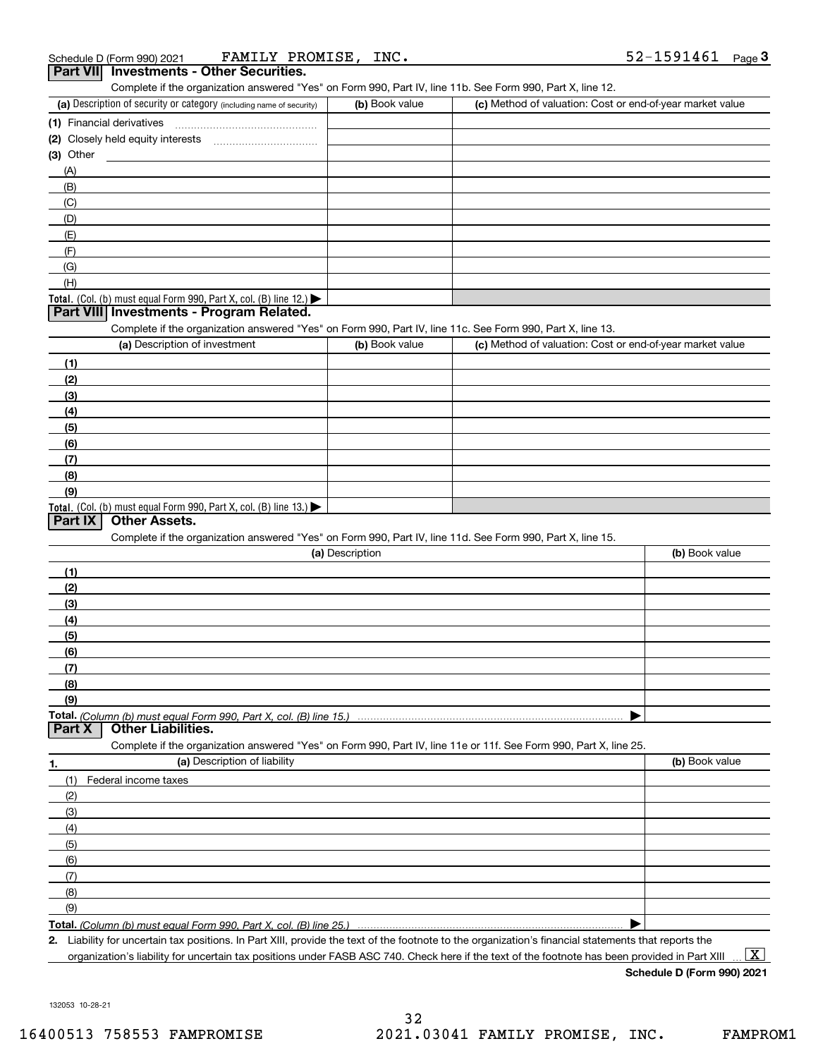| Schedule D (Form 990) 2021 |                                                 | FAMILY PROMISE, | INC. | 52-1591461 | Page |
|----------------------------|-------------------------------------------------|-----------------|------|------------|------|
|                            | <b>Part VII</b> Investments - Other Securities. |                 |      |            |      |

Complete if the organization answered "Yes" on Form 990, Part IV, line 11b. See Form 990, Part X, line 12.

| (a) Description of security or category (including name of security)                          | (b) Book value | (c) Method of valuation: Cost or end-of-year market value |
|-----------------------------------------------------------------------------------------------|----------------|-----------------------------------------------------------|
| (1) Financial derivatives                                                                     |                |                                                           |
| (2) Closely held equity interests                                                             |                |                                                           |
| $(3)$ Other                                                                                   |                |                                                           |
| (A)                                                                                           |                |                                                           |
| (B)                                                                                           |                |                                                           |
| (C)                                                                                           |                |                                                           |
| (D)                                                                                           |                |                                                           |
| (E)                                                                                           |                |                                                           |
| (F)                                                                                           |                |                                                           |
| (G)                                                                                           |                |                                                           |
| (H)                                                                                           |                |                                                           |
| <b>Total.</b> (Col. (b) must equal Form 990, Part X, col. (B) line 12.) $\blacktriangleright$ |                |                                                           |

### **Part VIII Investments - Program Related.**

Complete if the organization answered "Yes" on Form 990, Part IV, line 11c. See Form 990, Part X, line 13.

| (a) Description of investment                                    | (b) Book value | (c) Method of valuation: Cost or end-of-year market value |
|------------------------------------------------------------------|----------------|-----------------------------------------------------------|
| (1)                                                              |                |                                                           |
| (2)                                                              |                |                                                           |
| (3)                                                              |                |                                                           |
| (4)                                                              |                |                                                           |
| $\frac{1}{2}$                                                    |                |                                                           |
| (6)                                                              |                |                                                           |
| (7)                                                              |                |                                                           |
| (8)                                                              |                |                                                           |
| (9)                                                              |                |                                                           |
| Total. (Col. (b) must equal Form 990, Part X, col. (B) line 13.) |                |                                                           |

### **Part IX Other Assets.**

Complete if the organization answered "Yes" on Form 990, Part IV, line 11d. See Form 990, Part X, line 15.

| (a) Description                     | (b) Book value |
|-------------------------------------|----------------|
| (1)                                 |                |
| (2)                                 |                |
| (3)                                 |                |
| (4)                                 |                |
| (5)                                 |                |
| (6)                                 |                |
| (7)                                 |                |
| (8)                                 |                |
| (9)                                 |                |
|                                     |                |
| <b>Other Liabilities.</b><br>Part X |                |

**1.(a)** Description of liability **Book value** Book value Book value Book value Book value Complete if the organization answered "Yes" on Form 990, Part IV, line 11e or 11f. See Form 990, Part X, line 25. (1)Federal income taxes (2)(3)(4)(5) (6)(7)(8)(9) $\blacktriangleright$ 

**Total.**  *(Column (b) must equal Form 990, Part X, col. (B) line 25.)* 

**2.**Liability for uncertain tax positions. In Part XIII, provide the text of the footnote to the organization's financial statements that reports the organization's liability for uncertain tax positions under FASB ASC 740. Check here if the text of the footnote has been provided in Part XIII

 $\boxed{\text{X}}$ 

**Schedule D (Form 990) 2021**

132053 10-28-21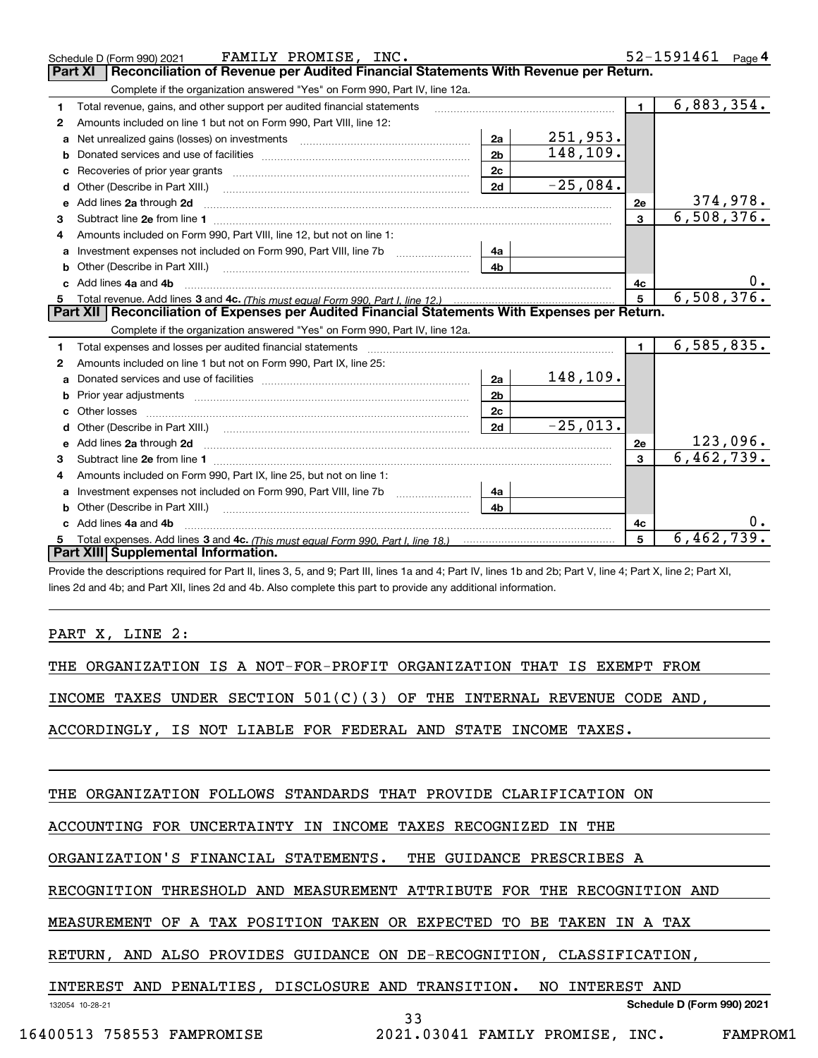|    | FAMILY PROMISE, INC.<br>Schedule D (Form 990) 2021                                                                                                                                                                                  |                |            |                         | 52-1591461<br>Page 4          |  |  |  |
|----|-------------------------------------------------------------------------------------------------------------------------------------------------------------------------------------------------------------------------------------|----------------|------------|-------------------------|-------------------------------|--|--|--|
|    | Reconciliation of Revenue per Audited Financial Statements With Revenue per Return.<br>Part XI                                                                                                                                      |                |            |                         |                               |  |  |  |
|    | Complete if the organization answered "Yes" on Form 990, Part IV, line 12a.                                                                                                                                                         |                |            |                         |                               |  |  |  |
| 1. | Total revenue, gains, and other support per audited financial statements                                                                                                                                                            |                |            | $\blacksquare$          | 6,883,354.                    |  |  |  |
| 2  | Amounts included on line 1 but not on Form 990, Part VIII, line 12:                                                                                                                                                                 |                |            |                         |                               |  |  |  |
| a  |                                                                                                                                                                                                                                     | 2a             | 251,953.   |                         |                               |  |  |  |
| b  |                                                                                                                                                                                                                                     | 2 <sub>b</sub> | 148,109.   |                         |                               |  |  |  |
|    |                                                                                                                                                                                                                                     | 2 <sub>c</sub> |            |                         |                               |  |  |  |
| d  | Other (Describe in Part XIII.) <b>Construction (Construction Construction</b> Chemical Construction Chemical Chemical Chemical Chemical Chemical Chemical Chemical Chemical Chemical Chemical Chemical Chemical Chemical Chemical C | 2d             | $-25,084.$ |                         |                               |  |  |  |
| е  | Add lines 2a through 2d                                                                                                                                                                                                             |                |            | 2e                      | $\frac{374,978.}{6,508,376.}$ |  |  |  |
| 3  |                                                                                                                                                                                                                                     |                |            | $\overline{\mathbf{3}}$ |                               |  |  |  |
| 4  | Amounts included on Form 990, Part VIII, line 12, but not on line 1:                                                                                                                                                                |                |            |                         |                               |  |  |  |
| a  |                                                                                                                                                                                                                                     | 4a             |            |                         |                               |  |  |  |
|    | Other (Describe in Part XIII.) <b>2006</b> 2006 2010 2010 2010 2010 2011 2012 2013 2014 2014 2015 2016 2017 2018 2019 2016 2017 2018 2019 2016 2017 2018 2019 2016 2017 2018 2019 2018 2019 2019 2016 2017 2018 2019 2018 2019 2019 | 4 <sub>b</sub> |            |                         |                               |  |  |  |
|    | c Add lines 4a and 4b                                                                                                                                                                                                               |                | 4c         | 0.                      |                               |  |  |  |
|    |                                                                                                                                                                                                                                     | 5              | 6,508,376. |                         |                               |  |  |  |
|    | Part XII   Reconciliation of Expenses per Audited Financial Statements With Expenses per Return.                                                                                                                                    |                |            |                         |                               |  |  |  |
|    | Complete if the organization answered "Yes" on Form 990, Part IV, line 12a.                                                                                                                                                         |                |            |                         |                               |  |  |  |
| 1  | Total expenses and losses per audited financial statements [11] [11] Total expenses and losses per audited financial statements [11] [11] Total expenses and losses per audited financial statements                                |                |            | $\blacksquare$          | 6, 585, 835.                  |  |  |  |
| 2  | Amounts included on line 1 but not on Form 990, Part IX, line 25:                                                                                                                                                                   |                |            |                         |                               |  |  |  |
| a  |                                                                                                                                                                                                                                     | 2a             | 148,109.   |                         |                               |  |  |  |
| b  | Prior year adjustments manufactured and contract and contract and contract and contract and contract and contract and contract and contract and contract and contract and contract and contract and contract and contract and       | 2 <sub>b</sub> |            |                         |                               |  |  |  |
|    | Other losses                                                                                                                                                                                                                        | 2c             |            |                         |                               |  |  |  |
|    |                                                                                                                                                                                                                                     | 2d             | $-25,013.$ |                         |                               |  |  |  |
| e  | Add lines 2a through 2d <b>must be a constructed as the constant of the constant of the constant of the construction</b>                                                                                                            |                |            | 2e                      | 123,096.                      |  |  |  |
| з  | Subtract line 2e from line 1 <b>manufacture contract and contract line 2e</b> from line 1                                                                                                                                           |                |            | 3                       | 6,462,739.                    |  |  |  |
| 4  |                                                                                                                                                                                                                                     |                |            |                         |                               |  |  |  |
|    | Amounts included on Form 990, Part IX, line 25, but not on line 1:                                                                                                                                                                  |                |            |                         |                               |  |  |  |
| a  | Investment expenses not included on Form 990, Part VIII, line 7b [1000000000000000000000000000000000                                                                                                                                | 4a             |            |                         |                               |  |  |  |
|    | Other (Describe in Part XIII.)                                                                                                                                                                                                      | 4 <sub>b</sub> |            |                         |                               |  |  |  |
|    | Add lines 4a and 4b                                                                                                                                                                                                                 |                |            | 4c                      | 0.                            |  |  |  |
| 5  |                                                                                                                                                                                                                                     |                |            | 5                       | 6,462,739.                    |  |  |  |
|    | Part XIII Supplemental Information.                                                                                                                                                                                                 |                |            |                         |                               |  |  |  |

FAMILY PROMICE, INC. **52-1591461** P.M.

Provide the descriptions required for Part II, lines 3, 5, and 9; Part III, lines 1a and 4; Part IV, lines 1b and 2b; Part V, line 4; Part X, line 2; Part XI, lines 2d and 4b; and Part XII, lines 2d and 4b. Also complete this part to provide any additional information.

PART X, LINE 2:

THE ORGANIZATION IS A NOT-FOR-PROFIT ORGANIZATION THAT IS EXEMPT FROM

INCOME TAXES UNDER SECTION 501(C)(3) OF THE INTERNAL REVENUE CODE AND,

ACCORDINGLY, IS NOT LIABLE FOR FEDERAL AND STATE INCOME TAXES.

THE ORGANIZATION FOLLOWS STANDARDS THAT PROVIDE CLARIFICATION ON

ACCOUNTING FOR UNCERTAINTY IN INCOME TAXES RECOGNIZED IN THE

ORGANIZATION'S FINANCIAL STATEMENTS. THE GUIDANCE PRESCRIBES A

RECOGNITION THRESHOLD AND MEASUREMENT ATTRIBUTE FOR THE RECOGNITION AND

MEASUREMENT OF A TAX POSITION TAKEN OR EXPECTED TO BE TAKEN IN A TAX

RETURN, AND ALSO PROVIDES GUIDANCE ON DE-RECOGNITION, CLASSIFICATION,

INTEREST AND PENALTIES, DISCLOSURE AND TRANSITION. NO INTEREST AND

33

132054 10-28-21

16400513 758553 FAMPROMISE 2021.03041 FAMILY PROMISE, INC. FAMPROM1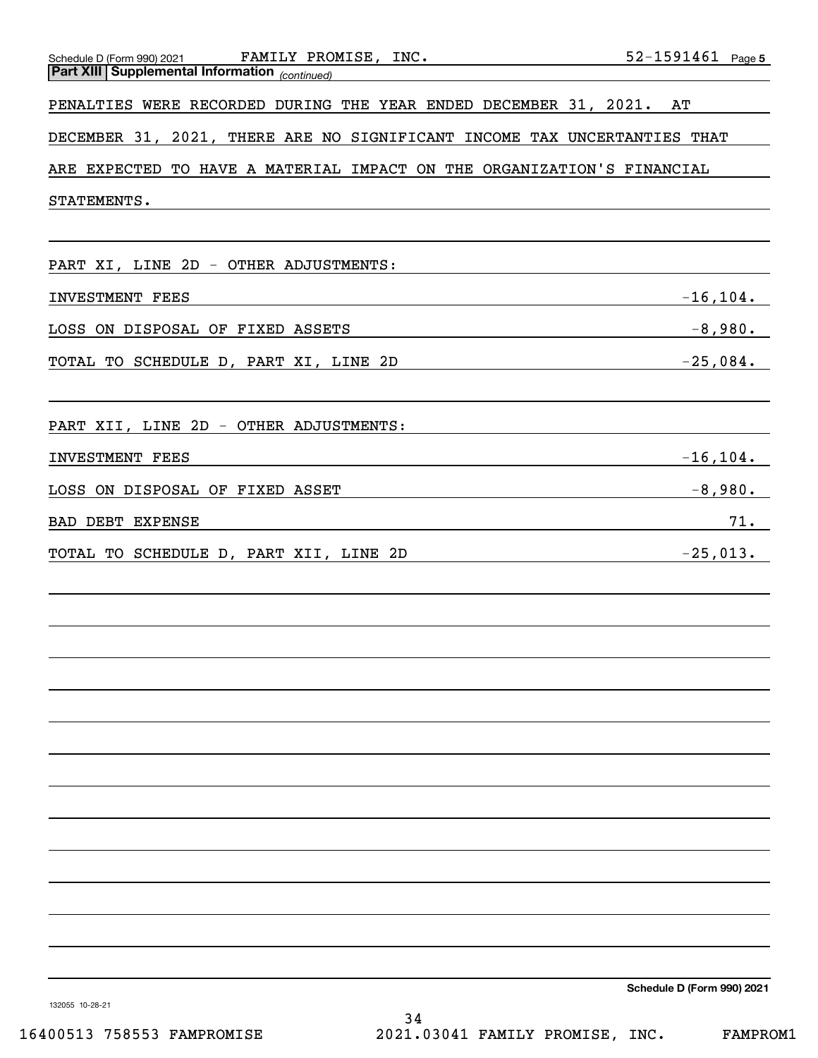| Schedule D (Form 990) 2021 FAMILY PROMISE, INC.<br><b>Part XIII Supplemental Information</b> (continued) | $52 - 1591461$ Page 5 |
|----------------------------------------------------------------------------------------------------------|-----------------------|
| PENALTIES WERE RECORDED DURING THE YEAR ENDED DECEMBER 31, 2021. AT                                      |                       |
| DECEMBER 31, 2021, THERE ARE NO SIGNIFICANT INCOME TAX UNCERTANTIES THAT                                 |                       |
| ARE EXPECTED TO HAVE A MATERIAL IMPACT ON THE ORGANIZATION'S FINANCIAL                                   |                       |
| STATEMENTS.                                                                                              |                       |
|                                                                                                          |                       |
| PART XI, LINE 2D - OTHER ADJUSTMENTS:                                                                    |                       |
| INVESTMENT FEES                                                                                          | $-16$ , 104.          |
| LOSS ON DISPOSAL OF FIXED ASSETS                                                                         | $-8,980$ .            |
| TOTAL TO SCHEDULE D, PART XI, LINE 2D                                                                    | $-25,084.$            |
|                                                                                                          |                       |
| PART XII, LINE 2D - OTHER ADJUSTMENTS:                                                                   |                       |
| INVESTMENT FEES                                                                                          | $-16$ , 104.          |
| LOSS ON DISPOSAL OF FIXED ASSET                                                                          | $-8$ ,980.            |
| BAD DEBT EXPENSE                                                                                         | 71.                   |
| TOTAL TO SCHEDULE D, PART XII, LINE 2D                                                                   | $-25,013.$            |
|                                                                                                          |                       |
|                                                                                                          |                       |
|                                                                                                          |                       |
|                                                                                                          |                       |
|                                                                                                          |                       |
|                                                                                                          |                       |
|                                                                                                          |                       |
|                                                                                                          |                       |
|                                                                                                          |                       |
|                                                                                                          |                       |
|                                                                                                          |                       |
|                                                                                                          |                       |

**Schedule D (Form 990) 2021**

132055 10-28-21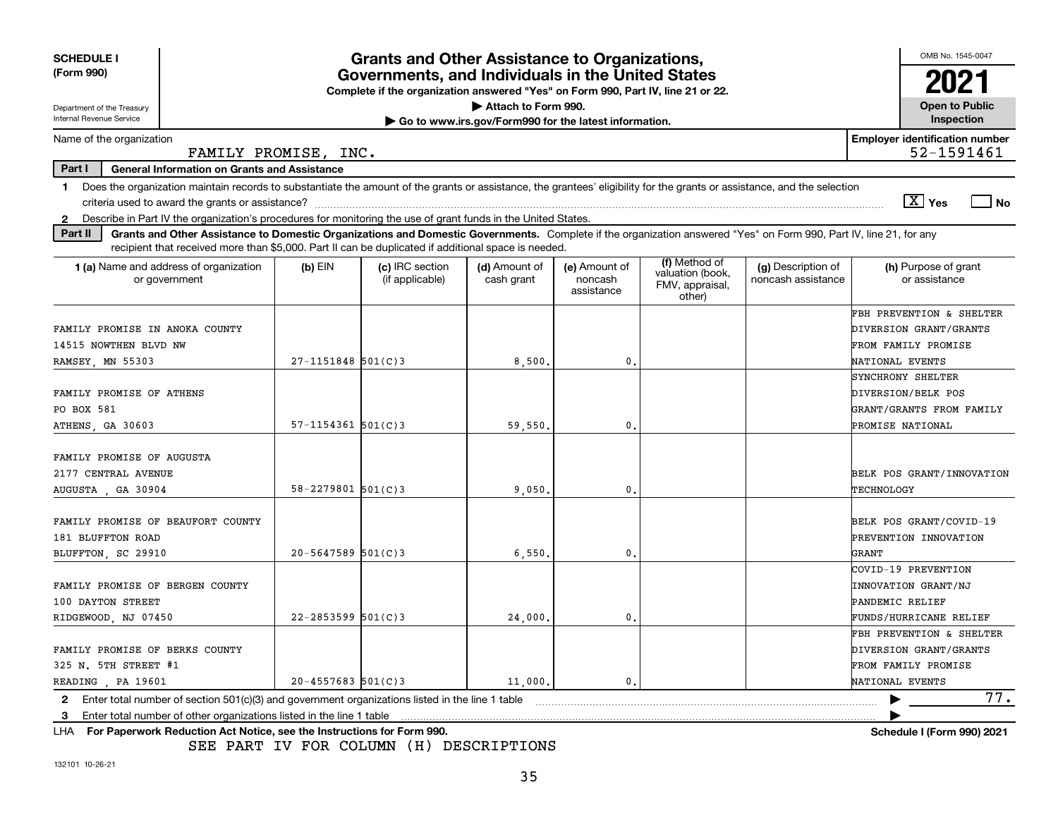| <b>SCHEDULE I</b>                                                                                                                                                                                                                                                                    |                                                                                                                                       | <b>Grants and Other Assistance to Organizations,</b> |                                                       |                                        |                                                                |                                          | OMB No. 1545-0047                                   |  |
|--------------------------------------------------------------------------------------------------------------------------------------------------------------------------------------------------------------------------------------------------------------------------------------|---------------------------------------------------------------------------------------------------------------------------------------|------------------------------------------------------|-------------------------------------------------------|----------------------------------------|----------------------------------------------------------------|------------------------------------------|-----------------------------------------------------|--|
| (Form 990)                                                                                                                                                                                                                                                                           | Governments, and Individuals in the United States<br>Complete if the organization answered "Yes" on Form 990, Part IV, line 21 or 22. |                                                      |                                                       |                                        |                                                                |                                          |                                                     |  |
| Department of the Treasury                                                                                                                                                                                                                                                           |                                                                                                                                       |                                                      | Attach to Form 990.                                   |                                        |                                                                |                                          | <b>Open to Public</b>                               |  |
| Internal Revenue Service                                                                                                                                                                                                                                                             |                                                                                                                                       |                                                      | Go to www.irs.gov/Form990 for the latest information. |                                        |                                                                |                                          | Inspection                                          |  |
| Name of the organization<br>FAMILY PROMISE, INC.                                                                                                                                                                                                                                     |                                                                                                                                       |                                                      |                                                       |                                        |                                                                |                                          | <b>Employer identification number</b><br>52-1591461 |  |
| Part I<br><b>General Information on Grants and Assistance</b>                                                                                                                                                                                                                        |                                                                                                                                       |                                                      |                                                       |                                        |                                                                |                                          |                                                     |  |
| Does the organization maintain records to substantiate the amount of the grants or assistance, the grantees' eligibility for the grants or assistance, and the selection<br>$\mathbf 1$                                                                                              |                                                                                                                                       |                                                      |                                                       |                                        |                                                                |                                          |                                                     |  |
| criteria used to award the grants or assistance?                                                                                                                                                                                                                                     |                                                                                                                                       |                                                      |                                                       |                                        |                                                                |                                          | $\sqrt{X}$ Yes<br>l No                              |  |
| Describe in Part IV the organization's procedures for monitoring the use of grant funds in the United States.<br>$\mathbf{2}$                                                                                                                                                        |                                                                                                                                       |                                                      |                                                       |                                        |                                                                |                                          |                                                     |  |
| Grants and Other Assistance to Domestic Organizations and Domestic Governments. Complete if the organization answered "Yes" on Form 990, Part IV, line 21, for any<br>Part II<br>recipient that received more than \$5,000. Part II can be duplicated if additional space is needed. |                                                                                                                                       |                                                      |                                                       |                                        |                                                                |                                          |                                                     |  |
| 1 (a) Name and address of organization<br>or government                                                                                                                                                                                                                              | $(b)$ EIN                                                                                                                             | (c) IRC section<br>(if applicable)                   | (d) Amount of<br>cash grant                           | (e) Amount of<br>noncash<br>assistance | (f) Method of<br>valuation (book,<br>FMV, appraisal,<br>other) | (g) Description of<br>noncash assistance | (h) Purpose of grant<br>or assistance               |  |
|                                                                                                                                                                                                                                                                                      |                                                                                                                                       |                                                      |                                                       |                                        |                                                                |                                          | FBH PREVENTION & SHELTER                            |  |
| FAMILY PROMISE IN ANOKA COUNTY                                                                                                                                                                                                                                                       |                                                                                                                                       |                                                      |                                                       |                                        |                                                                |                                          | DIVERSION GRANT/GRANTS                              |  |
| 14515 NOWTHEN BLVD NW                                                                                                                                                                                                                                                                |                                                                                                                                       |                                                      |                                                       |                                        |                                                                |                                          | FROM FAMILY PROMISE                                 |  |
| RAMSEY, MN 55303                                                                                                                                                                                                                                                                     | $27 - 1151848$ 501(C)3                                                                                                                |                                                      | 8,500                                                 | $\mathbf{0}$ .                         |                                                                |                                          | NATIONAL EVENTS                                     |  |
|                                                                                                                                                                                                                                                                                      |                                                                                                                                       |                                                      |                                                       |                                        |                                                                |                                          | SYNCHRONY SHELTER                                   |  |
| FAMILY PROMISE OF ATHENS                                                                                                                                                                                                                                                             |                                                                                                                                       |                                                      |                                                       |                                        |                                                                |                                          | DIVERSION/BELK POS                                  |  |
| PO BOX 581                                                                                                                                                                                                                                                                           |                                                                                                                                       |                                                      |                                                       |                                        |                                                                |                                          | GRANT/GRANTS FROM FAMILY                            |  |
| ATHENS, GA 30603                                                                                                                                                                                                                                                                     | $57 - 1154361$ 501(C)3                                                                                                                |                                                      | 59,550                                                | $\mathbf{0}$                           |                                                                |                                          | PROMISE NATIONAL                                    |  |
| FAMILY PROMISE OF AUGUSTA                                                                                                                                                                                                                                                            |                                                                                                                                       |                                                      |                                                       |                                        |                                                                |                                          |                                                     |  |
| 2177 CENTRAL AVENUE                                                                                                                                                                                                                                                                  |                                                                                                                                       |                                                      |                                                       |                                        |                                                                |                                          | BELK POS GRANT/INNOVATION                           |  |
| AUGUSTA, GA 30904                                                                                                                                                                                                                                                                    | $58 - 2279801$ 501(C) 3                                                                                                               |                                                      | 9,050                                                 | 0.                                     |                                                                |                                          | TECHNOLOGY                                          |  |
|                                                                                                                                                                                                                                                                                      |                                                                                                                                       |                                                      |                                                       |                                        |                                                                |                                          |                                                     |  |
| FAMILY PROMISE OF BEAUFORT COUNTY                                                                                                                                                                                                                                                    |                                                                                                                                       |                                                      |                                                       |                                        |                                                                |                                          | BELK POS GRANT/COVID-19                             |  |
| 181 BLUFFTON ROAD                                                                                                                                                                                                                                                                    |                                                                                                                                       |                                                      |                                                       |                                        |                                                                |                                          | <b>PREVENTION INNOVATION</b>                        |  |
| BLUFFTON, SC 29910                                                                                                                                                                                                                                                                   | $20 - 5647589$ 501(C)3                                                                                                                |                                                      | 6,550                                                 | 0.                                     |                                                                |                                          | <b>GRANT</b>                                        |  |
|                                                                                                                                                                                                                                                                                      |                                                                                                                                       |                                                      |                                                       |                                        |                                                                |                                          | COVID-19 PREVENTION                                 |  |
| FAMILY PROMISE OF BERGEN COUNTY                                                                                                                                                                                                                                                      |                                                                                                                                       |                                                      |                                                       |                                        |                                                                |                                          | <b>INNOVATION GRANT/NJ</b>                          |  |
| 100 DAYTON STREET                                                                                                                                                                                                                                                                    |                                                                                                                                       |                                                      |                                                       |                                        |                                                                |                                          | PANDEMIC RELIEF                                     |  |
| RIDGEWOOD, NJ 07450                                                                                                                                                                                                                                                                  | $22 - 2853599$ 501(C)3                                                                                                                |                                                      | 24,000                                                | $\mathbf{0}$                           |                                                                |                                          | FUNDS/HURRICANE RELIEF                              |  |
|                                                                                                                                                                                                                                                                                      |                                                                                                                                       |                                                      |                                                       |                                        |                                                                |                                          | FBH PREVENTION & SHELTER                            |  |
| FAMILY PROMISE OF BERKS COUNTY                                                                                                                                                                                                                                                       |                                                                                                                                       |                                                      |                                                       |                                        |                                                                |                                          | DIVERSION GRANT/GRANTS                              |  |
| 325 N. 5TH STREET #1                                                                                                                                                                                                                                                                 |                                                                                                                                       |                                                      |                                                       |                                        |                                                                |                                          | FROM FAMILY PROMISE                                 |  |
| READING, PA 19601                                                                                                                                                                                                                                                                    | $20 - 4557683$ 501(C)3                                                                                                                |                                                      | 11,000                                                | $\mathbf{0}$                           |                                                                |                                          | NATIONAL EVENTS                                     |  |
| Enter total number of section 501(c)(3) and government organizations listed in the line 1 table<br>2                                                                                                                                                                                 |                                                                                                                                       |                                                      |                                                       |                                        |                                                                |                                          | 77.                                                 |  |
| 3                                                                                                                                                                                                                                                                                    |                                                                                                                                       |                                                      |                                                       |                                        |                                                                |                                          |                                                     |  |
|                                                                                                                                                                                                                                                                                      |                                                                                                                                       |                                                      |                                                       |                                        |                                                                |                                          |                                                     |  |

**For Paperwork Reduction Act Notice, see the Instructions for Form 990. Schedule I (Form 990) 2021** LHA

SEE PART IV FOR COLUMN (H) DESCRIPTIONS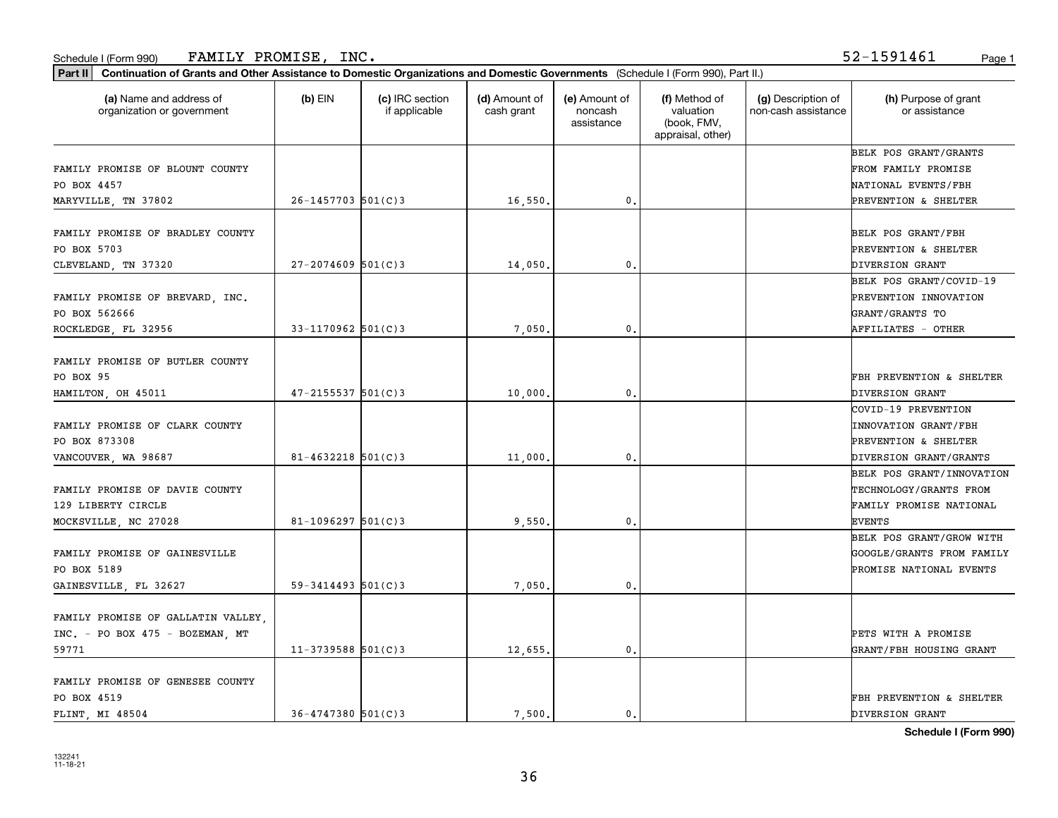#### Schedule I (Form 990) **FAMILY PROMISE, INC.** 52-1591461 <sub>Page 1</sub>

| (a) Name and address of<br>organization or government | $(b)$ EIN                | (c) IRC section<br>if applicable | (d) Amount of<br>cash grant | (e) Amount of<br>noncash | (f) Method of<br>valuation       | (g) Description of<br>non-cash assistance | (h) Purpose of grant<br>or assistance |
|-------------------------------------------------------|--------------------------|----------------------------------|-----------------------------|--------------------------|----------------------------------|-------------------------------------------|---------------------------------------|
|                                                       |                          |                                  |                             | assistance               | (book, FMV,<br>appraisal, other) |                                           |                                       |
|                                                       |                          |                                  |                             |                          |                                  |                                           | BELK POS GRANT/GRANTS                 |
| FAMILY PROMISE OF BLOUNT COUNTY                       |                          |                                  |                             |                          |                                  |                                           | FROM FAMILY PROMISE                   |
| PO BOX 4457                                           |                          |                                  |                             |                          |                                  |                                           | NATIONAL EVENTS/FBH                   |
| MARYVILLE, TN 37802                                   | $26 - 1457703$ 501(C) 3  |                                  | 16,550.                     | 0.                       |                                  |                                           | PREVENTION & SHELTER                  |
| FAMILY PROMISE OF BRADLEY COUNTY                      |                          |                                  |                             |                          |                                  |                                           | BELK POS GRANT/FBH                    |
| PO BOX 5703                                           |                          |                                  |                             |                          |                                  |                                           | <b>PREVENTION &amp; SHELTER</b>       |
| CLEVELAND, TN 37320                                   | $27 - 2074609$ 501(C)3   |                                  | 14,050.                     | 0.                       |                                  |                                           | <b>DIVERSION GRANT</b>                |
|                                                       |                          |                                  |                             |                          |                                  |                                           | BELK POS GRANT/COVID-19               |
| FAMILY PROMISE OF BREVARD, INC.                       |                          |                                  |                             |                          |                                  |                                           | PREVENTION INNOVATION                 |
| PO BOX 562666                                         |                          |                                  |                             |                          |                                  |                                           | GRANT/GRANTS TO                       |
| ROCKLEDGE, FL 32956                                   | $33 - 1170962$ 501(C) 3  |                                  | 7,050.                      | 0.                       |                                  |                                           | AFFILIATES - OTHER                    |
|                                                       |                          |                                  |                             |                          |                                  |                                           |                                       |
| FAMILY PROMISE OF BUTLER COUNTY                       |                          |                                  |                             |                          |                                  |                                           |                                       |
| PO BOX 95                                             |                          |                                  |                             |                          |                                  |                                           | FBH PREVENTION & SHELTER              |
| HAMILTON, OH 45011                                    | $47 - 2155537$ $501(C)3$ |                                  | 10,000                      | $\mathbf{0}$             |                                  |                                           | DIVERSION GRANT                       |
|                                                       |                          |                                  |                             |                          |                                  |                                           | COVID-19 PREVENTION                   |
| FAMILY PROMISE OF CLARK COUNTY                        |                          |                                  |                             |                          |                                  |                                           | <b>INNOVATION GRANT/FBH</b>           |
| PO BOX 873308                                         |                          |                                  |                             |                          |                                  |                                           | <b>PREVENTION &amp; SHELTER</b>       |
| VANCOUVER, WA 98687                                   | $81 - 4632218$ 501(C)3   |                                  | 11,000                      | 0.                       |                                  |                                           | DIVERSION GRANT/GRANTS                |
|                                                       |                          |                                  |                             |                          |                                  |                                           | BELK POS GRANT/INNOVATION             |
| FAMILY PROMISE OF DAVIE COUNTY                        |                          |                                  |                             |                          |                                  |                                           | TECHNOLOGY/GRANTS FROM                |
| 129 LIBERTY CIRCLE                                    |                          |                                  |                             |                          |                                  |                                           | FAMILY PROMISE NATIONAL               |
| MOCKSVILLE, NC 27028                                  | $81 - 1096297$ 501(C)3   |                                  | 9,550                       | 0.                       |                                  |                                           | <b>EVENTS</b>                         |
|                                                       |                          |                                  |                             |                          |                                  |                                           | BELK POS GRANT/GROW WITH              |
| FAMILY PROMISE OF GAINESVILLE                         |                          |                                  |                             |                          |                                  |                                           | GOOGLE/GRANTS FROM FAMILY             |
| PO BOX 5189                                           |                          |                                  |                             |                          |                                  |                                           | PROMISE NATIONAL EVENTS               |
| GAINESVILLE, FL 32627                                 | $59 - 3414493$ $501(C)3$ |                                  | 7,050.                      | 0.                       |                                  |                                           |                                       |
| FAMILY PROMISE OF GALLATIN VALLEY,                    |                          |                                  |                             |                          |                                  |                                           |                                       |
| INC. - PO BOX 475 - BOZEMAN, MT                       |                          |                                  |                             |                          |                                  |                                           | PETS WITH A PROMISE                   |
| 59771                                                 | $11 - 3739588$ 501(C) 3  |                                  | 12,655.                     | $\mathbf{0}$             |                                  |                                           | GRANT/FBH HOUSING GRANT               |
|                                                       |                          |                                  |                             |                          |                                  |                                           |                                       |
| FAMILY PROMISE OF GENESEE COUNTY                      |                          |                                  |                             |                          |                                  |                                           |                                       |
| PO BOX 4519                                           |                          |                                  |                             |                          |                                  |                                           | FBH PREVENTION & SHELTER              |
| FLINT, MI 48504                                       | $36 - 4747380$ 501(C)3   |                                  | 7,500.                      | $\mathbf{0}$ .           |                                  |                                           | <b>DIVERSION GRANT</b>                |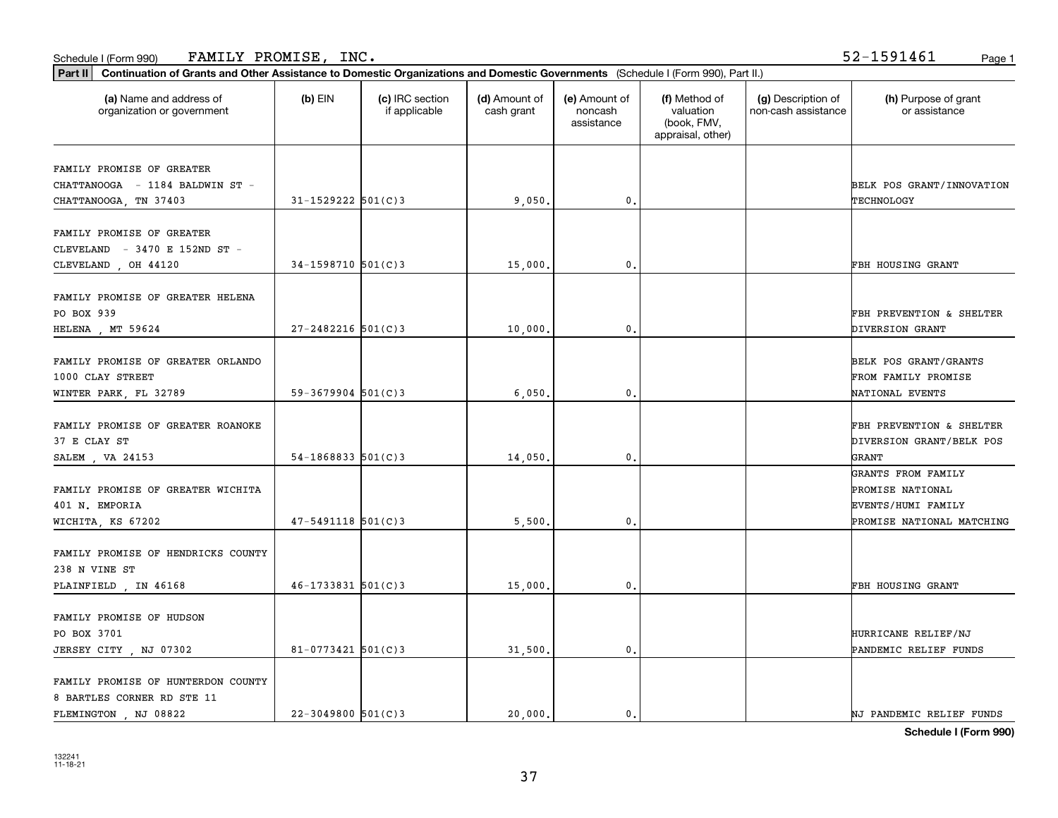| Part II   Continuation of Grants and Other Assistance to Domestic Organizations and Domestic Governments (Schedule I (Form 990), Part II.) |                          |                                  |                             |                                        |                                                                |                                           |                                          |  |
|--------------------------------------------------------------------------------------------------------------------------------------------|--------------------------|----------------------------------|-----------------------------|----------------------------------------|----------------------------------------------------------------|-------------------------------------------|------------------------------------------|--|
| (a) Name and address of<br>organization or government                                                                                      | $(b)$ EIN                | (c) IRC section<br>if applicable | (d) Amount of<br>cash grant | (e) Amount of<br>noncash<br>assistance | (f) Method of<br>valuation<br>(book, FMV,<br>appraisal, other) | (g) Description of<br>non-cash assistance | (h) Purpose of grant<br>or assistance    |  |
| FAMILY PROMISE OF GREATER                                                                                                                  |                          |                                  |                             |                                        |                                                                |                                           |                                          |  |
| CHATTANOOGA - 1184 BALDWIN ST -                                                                                                            |                          |                                  |                             |                                        |                                                                |                                           | BELK POS GRANT/INNOVATION                |  |
| CHATTANOOGA, TN 37403                                                                                                                      | $31 - 1529222$ $501(C)3$ |                                  | 9,050.                      | $\mathfrak{o}$ .                       |                                                                |                                           | TECHNOLOGY                               |  |
|                                                                                                                                            |                          |                                  |                             |                                        |                                                                |                                           |                                          |  |
| FAMILY PROMISE OF GREATER                                                                                                                  |                          |                                  |                             |                                        |                                                                |                                           |                                          |  |
| CLEVELAND $-3470$ E 152ND ST $-$                                                                                                           |                          |                                  |                             |                                        |                                                                |                                           |                                          |  |
| CLEVELAND, OH 44120                                                                                                                        | $34-1598710$ 501(C)3     |                                  | 15,000                      | $\mathbf{0}$ .                         |                                                                |                                           | FBH HOUSING GRANT                        |  |
| FAMILY PROMISE OF GREATER HELENA                                                                                                           |                          |                                  |                             |                                        |                                                                |                                           |                                          |  |
| PO BOX 939                                                                                                                                 |                          |                                  |                             |                                        |                                                                |                                           | FBH PREVENTION & SHELTER                 |  |
| HELENA, MT 59624                                                                                                                           | $27 - 2482216$ 501(C)3   |                                  | 10,000.                     | $\mathfrak{o}$ .                       |                                                                |                                           | DIVERSION GRANT                          |  |
|                                                                                                                                            |                          |                                  |                             |                                        |                                                                |                                           |                                          |  |
| FAMILY PROMISE OF GREATER ORLANDO                                                                                                          |                          |                                  |                             |                                        |                                                                |                                           | BELK POS GRANT/GRANTS                    |  |
| 1000 CLAY STREET                                                                                                                           |                          |                                  |                             |                                        |                                                                |                                           | FROM FAMILY PROMISE                      |  |
| WINTER PARK, FL 32789                                                                                                                      | $59 - 3679904$ 501(C)3   |                                  | 6,050.                      | $\mathbf{0}$                           |                                                                |                                           | NATIONAL EVENTS                          |  |
|                                                                                                                                            |                          |                                  |                             |                                        |                                                                |                                           |                                          |  |
| FAMILY PROMISE OF GREATER ROANOKE                                                                                                          |                          |                                  |                             |                                        |                                                                |                                           | FBH PREVENTION & SHELTER                 |  |
| 37 E CLAY ST                                                                                                                               | $54 - 1868833$ $501(C)3$ |                                  |                             | $\mathfrak o$ .                        |                                                                |                                           | DIVERSION GRANT/BELK POS<br><b>GRANT</b> |  |
| SALEM, VA 24153                                                                                                                            |                          |                                  | 14,050.                     |                                        |                                                                |                                           | GRANTS FROM FAMILY                       |  |
| FAMILY PROMISE OF GREATER WICHITA                                                                                                          |                          |                                  |                             |                                        |                                                                |                                           | PROMISE NATIONAL                         |  |
| 401 N. EMPORIA                                                                                                                             |                          |                                  |                             |                                        |                                                                |                                           | EVENTS/HUMI FAMILY                       |  |
| WICHITA, KS 67202                                                                                                                          | $47 - 5491118$ $501(C)3$ |                                  | 5,500                       | $\mathfrak{o}$ .                       |                                                                |                                           | PROMISE NATIONAL MATCHING                |  |
|                                                                                                                                            |                          |                                  |                             |                                        |                                                                |                                           |                                          |  |
| FAMILY PROMISE OF HENDRICKS COUNTY                                                                                                         |                          |                                  |                             |                                        |                                                                |                                           |                                          |  |
| 238 N VINE ST                                                                                                                              |                          |                                  |                             |                                        |                                                                |                                           |                                          |  |
| PLAINFIELD, IN 46168                                                                                                                       | $46 - 1733831$ 501(C)3   |                                  | 15,000.                     | $\mathfrak{o}$ .                       |                                                                |                                           | FBH HOUSING GRANT                        |  |
|                                                                                                                                            |                          |                                  |                             |                                        |                                                                |                                           |                                          |  |
| FAMILY PROMISE OF HUDSON<br>PO BOX 3701                                                                                                    |                          |                                  |                             |                                        |                                                                |                                           | HURRICANE RELIEF/NJ                      |  |
| JERSEY CITY, NJ 07302                                                                                                                      | $81 - 0773421$ 501(C)3   |                                  | 31,500.                     | $\mathbf{0}$                           |                                                                |                                           | PANDEMIC RELIEF FUNDS                    |  |
|                                                                                                                                            |                          |                                  |                             |                                        |                                                                |                                           |                                          |  |
| FAMILY PROMISE OF HUNTERDON COUNTY                                                                                                         |                          |                                  |                             |                                        |                                                                |                                           |                                          |  |
| 8 BARTLES CORNER RD STE 11                                                                                                                 |                          |                                  |                             |                                        |                                                                |                                           |                                          |  |
| FLEMINGTON, NJ 08822                                                                                                                       | $22 - 3049800$ 501(C)3   |                                  | 20,000.                     | $\mathbf{0}$ .                         |                                                                |                                           | NJ PANDEMIC RELIEF FUNDS                 |  |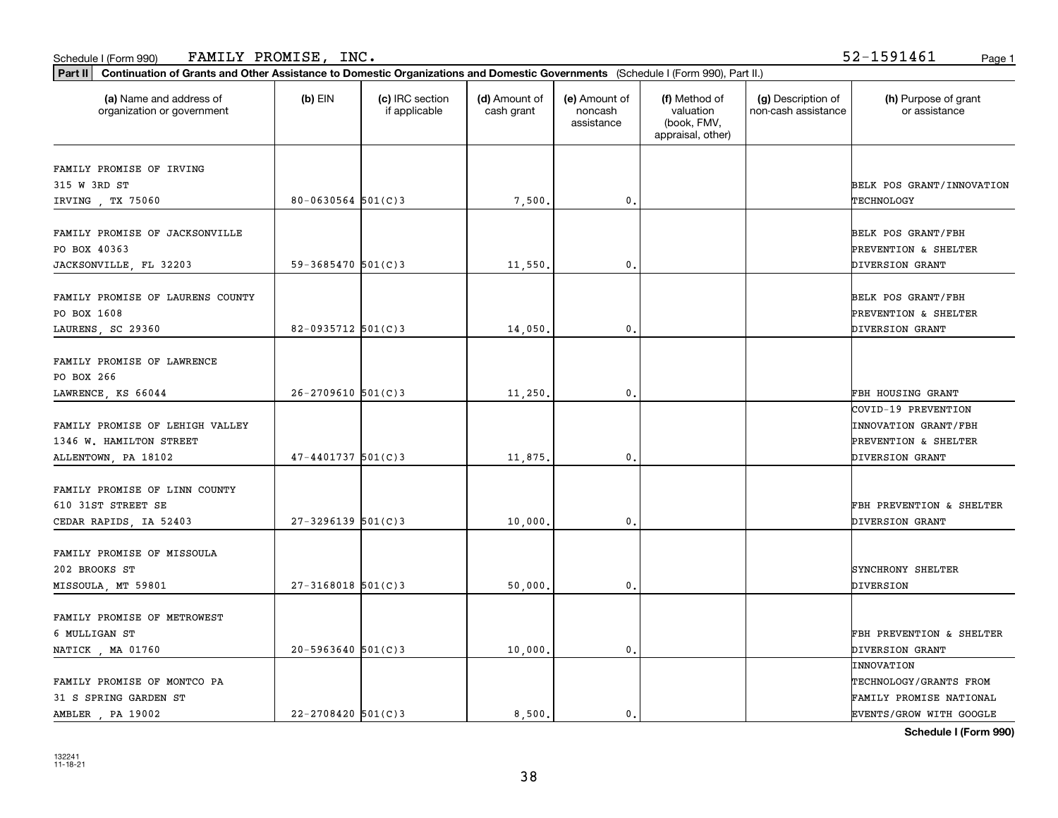| Part II   Continuation of Grants and Other Assistance to Domestic Organizations and Domestic Governments (Schedule I (Form 990), Part II.) |                         |                                  |                             |                                        |                                                                |                                           |                                                       |
|--------------------------------------------------------------------------------------------------------------------------------------------|-------------------------|----------------------------------|-----------------------------|----------------------------------------|----------------------------------------------------------------|-------------------------------------------|-------------------------------------------------------|
| (a) Name and address of<br>organization or government                                                                                      | $(b)$ EIN               | (c) IRC section<br>if applicable | (d) Amount of<br>cash grant | (e) Amount of<br>noncash<br>assistance | (f) Method of<br>valuation<br>(book, FMV,<br>appraisal, other) | (g) Description of<br>non-cash assistance | (h) Purpose of grant<br>or assistance                 |
| FAMILY PROMISE OF IRVING                                                                                                                   |                         |                                  |                             |                                        |                                                                |                                           |                                                       |
| 315 W 3RD ST                                                                                                                               |                         |                                  |                             |                                        |                                                                |                                           | BELK POS GRANT/INNOVATION                             |
| IRVING, TX 75060                                                                                                                           | $80 - 0630564$ 501(C)3  |                                  | 7,500.                      | 0.                                     |                                                                |                                           | TECHNOLOGY                                            |
|                                                                                                                                            |                         |                                  |                             |                                        |                                                                |                                           |                                                       |
| FAMILY PROMISE OF JACKSONVILLE<br>PO BOX 40363                                                                                             |                         |                                  |                             |                                        |                                                                |                                           | BELK POS GRANT/FBH<br><b>PREVENTION &amp; SHELTER</b> |
| JACKSONVILLE, FL 32203                                                                                                                     | $59 - 3685470$ 501(C) 3 |                                  | 11,550.                     | 0.                                     |                                                                |                                           | DIVERSION GRANT                                       |
|                                                                                                                                            |                         |                                  |                             |                                        |                                                                |                                           |                                                       |
| FAMILY PROMISE OF LAURENS COUNTY                                                                                                           |                         |                                  |                             |                                        |                                                                |                                           | BELK POS GRANT/FBH                                    |
| PO BOX 1608                                                                                                                                |                         |                                  |                             |                                        |                                                                |                                           | PREVENTION & SHELTER                                  |
| LAURENS, SC 29360                                                                                                                          | $82-0935712$ 501(C)3    |                                  | 14,050.                     | 0.                                     |                                                                |                                           | DIVERSION GRANT                                       |
|                                                                                                                                            |                         |                                  |                             |                                        |                                                                |                                           |                                                       |
| FAMILY PROMISE OF LAWRENCE                                                                                                                 |                         |                                  |                             |                                        |                                                                |                                           |                                                       |
| PO BOX 266                                                                                                                                 |                         |                                  |                             |                                        |                                                                |                                           |                                                       |
| LAWRENCE, KS 66044                                                                                                                         | $26 - 2709610$ 501(C)3  |                                  | 11,250.                     | $\mathbf{0}$                           |                                                                |                                           | FBH HOUSING GRANT                                     |
| FAMILY PROMISE OF LEHIGH VALLEY                                                                                                            |                         |                                  |                             |                                        |                                                                |                                           | COVID-19 PREVENTION<br><b>INNOVATION GRANT/FBH</b>    |
| 1346 W. HAMILTON STREET                                                                                                                    |                         |                                  |                             |                                        |                                                                |                                           | PREVENTION & SHELTER                                  |
| ALLENTOWN, PA 18102                                                                                                                        | $47 - 4401737$ 501(C)3  |                                  | 11,875.                     | 0.                                     |                                                                |                                           | DIVERSION GRANT                                       |
|                                                                                                                                            |                         |                                  |                             |                                        |                                                                |                                           |                                                       |
| FAMILY PROMISE OF LINN COUNTY                                                                                                              |                         |                                  |                             |                                        |                                                                |                                           |                                                       |
| 610 31ST STREET SE                                                                                                                         |                         |                                  |                             |                                        |                                                                |                                           | FBH PREVENTION & SHELTER                              |
| CEDAR RAPIDS, IA 52403                                                                                                                     | $27 - 3296139$ 501(C)3  |                                  | 10,000                      | 0.                                     |                                                                |                                           | DIVERSION GRANT                                       |
|                                                                                                                                            |                         |                                  |                             |                                        |                                                                |                                           |                                                       |
| FAMILY PROMISE OF MISSOULA                                                                                                                 |                         |                                  |                             |                                        |                                                                |                                           |                                                       |
| 202 BROOKS ST                                                                                                                              |                         |                                  |                             |                                        |                                                                |                                           | SYNCHRONY SHELTER                                     |
| MISSOULA, MT 59801                                                                                                                         | $27-3168018$ 501(C)3    |                                  | 50,000.                     | 0.                                     |                                                                |                                           | DIVERSION                                             |
| FAMILY PROMISE OF METROWEST                                                                                                                |                         |                                  |                             |                                        |                                                                |                                           |                                                       |
| 6 MULLIGAN ST                                                                                                                              |                         |                                  |                             |                                        |                                                                |                                           | FBH PREVENTION & SHELTER                              |
| NATICK, MA 01760                                                                                                                           | $20 - 5963640$ 501(C)3  |                                  | 10,000.                     | $\mathbf{0}$                           |                                                                |                                           | DIVERSION GRANT                                       |
|                                                                                                                                            |                         |                                  |                             |                                        |                                                                |                                           | <b>INNOVATION</b>                                     |
| FAMILY PROMISE OF MONTCO PA                                                                                                                |                         |                                  |                             |                                        |                                                                |                                           | TECHNOLOGY/GRANTS FROM                                |
| 31 S SPRING GARDEN ST                                                                                                                      |                         |                                  |                             |                                        |                                                                |                                           | FAMILY PROMISE NATIONAL                               |
| AMBLER, PA 19002                                                                                                                           | $22 - 2708420$ 501(C)3  |                                  | 8,500.                      | $\mathbf{0}$ .                         |                                                                |                                           | EVENTS/GROW WITH GOOGLE                               |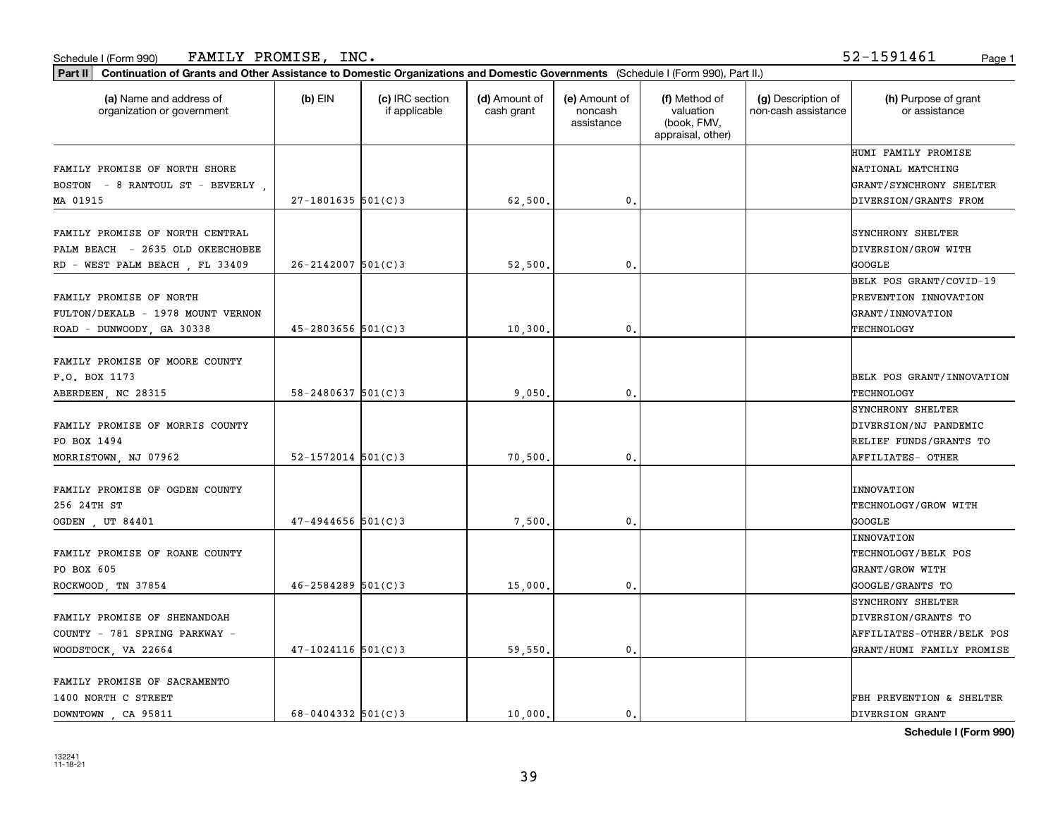| Part II   Continuation of Grants and Other Assistance to Domestic Organizations and Domestic Governments (Schedule I (Form 990), Part II.) |                          |                                  |                             |                                        |                                                                |                                           |                                                                                                    |
|--------------------------------------------------------------------------------------------------------------------------------------------|--------------------------|----------------------------------|-----------------------------|----------------------------------------|----------------------------------------------------------------|-------------------------------------------|----------------------------------------------------------------------------------------------------|
| (a) Name and address of<br>organization or government                                                                                      | $(b)$ EIN                | (c) IRC section<br>if applicable | (d) Amount of<br>cash grant | (e) Amount of<br>noncash<br>assistance | (f) Method of<br>valuation<br>(book, FMV,<br>appraisal, other) | (g) Description of<br>non-cash assistance | (h) Purpose of grant<br>or assistance                                                              |
| FAMILY PROMISE OF NORTH SHORE<br>BOSTON - 8 RANTOUL ST - BEVERLY<br>MA 01915                                                               | $27-1801635$ 501(C)3     |                                  | 62,500.                     | 0.                                     |                                                                |                                           | HUMI FAMILY PROMISE<br>NATIONAL MATCHING<br>GRANT/SYNCHRONY SHELTER<br>DIVERSION/GRANTS FROM       |
| FAMILY PROMISE OF NORTH CENTRAL<br>PALM BEACH - 2635 OLD OKEECHOBEE<br>RD - WEST PALM BEACH, FL 33409                                      | $26 - 2142007$ 501(C)3   |                                  | 52,500.                     | 0.                                     |                                                                |                                           | SYNCHRONY SHELTER<br>DIVERSION/GROW WITH<br><b>GOOGLE</b>                                          |
| FAMILY PROMISE OF NORTH<br>FULTON/DEKALB - 1978 MOUNT VERNON<br>ROAD - DUNWOODY, GA 30338                                                  | $45 - 2803656$ 501(C)3   |                                  | 10,300.                     | 0.                                     |                                                                |                                           | BELK POS GRANT/COVID-19<br>PREVENTION INNOVATION<br>GRANT/INNOVATION<br>TECHNOLOGY                 |
| FAMILY PROMISE OF MOORE COUNTY<br>P.O. BOX 1173<br>ABERDEEN, NC 28315                                                                      | $58 - 2480637$ 501(C)3   |                                  | 9,050.                      | 0.                                     |                                                                |                                           | BELK POS GRANT/INNOVATION<br>TECHNOLOGY                                                            |
| FAMILY PROMISE OF MORRIS COUNTY<br>PO BOX 1494<br>MORRISTOWN, NJ 07962                                                                     | $52 - 1572014$ $501(C)3$ |                                  | 70,500.                     | 0.                                     |                                                                |                                           | SYNCHRONY SHELTER<br>DIVERSION/NJ PANDEMIC<br>RELIEF FUNDS/GRANTS TO<br>AFFILIATES- OTHER          |
| FAMILY PROMISE OF OGDEN COUNTY<br>256 24TH ST<br>OGDEN, UT 84401                                                                           | $47 - 4944656$ 501(C) 3  |                                  | 7,500.                      | 0.                                     |                                                                |                                           | <b>INNOVATION</b><br>TECHNOLOGY/GROW WITH<br>GOOGLE                                                |
| FAMILY PROMISE OF ROANE COUNTY<br>PO BOX 605<br>ROCKWOOD, TN 37854                                                                         | $46 - 2584289$ 501(C) 3  |                                  | 15,000.                     | 0.                                     |                                                                |                                           | INNOVATION<br>TECHNOLOGY/BELK POS<br>GRANT/GROW WITH<br>GOOGLE/GRANTS TO                           |
| FAMILY PROMISE OF SHENANDOAH<br>COUNTY - 781 SPRING PARKWAY -<br>WOODSTOCK, VA 22664                                                       | $47 - 1024116$ 501(C)3   |                                  | 59,550.                     | $\mathbf{0}$ .                         |                                                                |                                           | SYNCHRONY SHELTER<br>DIVERSION/GRANTS TO<br>AFFILIATES-OTHER/BELK POS<br>GRANT/HUMI FAMILY PROMISE |
| FAMILY PROMISE OF SACRAMENTO<br>1400 NORTH C STREET<br>DOWNTOWN, CA 95811                                                                  | $68 - 0404332$ 501(C)3   |                                  | 10.000.                     | $\mathbf{0}$ .                         |                                                                |                                           | FBH PREVENTION & SHELTER<br>DIVERSION GRANT                                                        |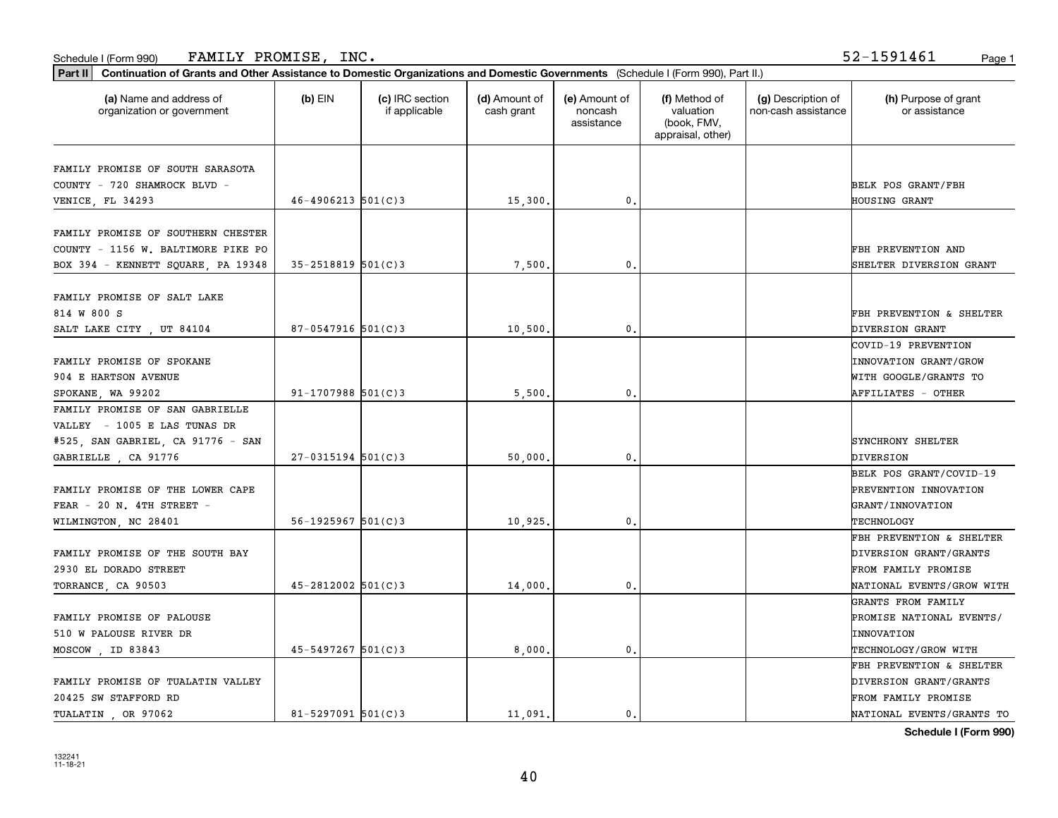| (a) Name and address of<br>organization or government | $(b)$ EIN                | (c) IRC section<br>if applicable | (d) Amount of<br>cash grant | (e) Amount of<br>noncash<br>assistance | (f) Method of<br>valuation<br>(book, FMV,<br>appraisal, other) | (g) Description of<br>non-cash assistance | (h) Purpose of grant<br>or assistance |
|-------------------------------------------------------|--------------------------|----------------------------------|-----------------------------|----------------------------------------|----------------------------------------------------------------|-------------------------------------------|---------------------------------------|
| FAMILY PROMISE OF SOUTH SARASOTA                      |                          |                                  |                             |                                        |                                                                |                                           |                                       |
| COUNTY - 720 SHAMROCK BLVD -                          |                          |                                  |                             |                                        |                                                                |                                           | BELK POS GRANT/FBH                    |
| VENICE, FL 34293                                      | $46 - 4906213$ 501(C)3   |                                  | 15,300.                     | 0.                                     |                                                                |                                           | HOUSING GRANT                         |
| FAMILY PROMISE OF SOUTHERN CHESTER                    |                          |                                  |                             |                                        |                                                                |                                           |                                       |
| COUNTY - 1156 W. BALTIMORE PIKE PO                    |                          |                                  |                             |                                        |                                                                |                                           | FBH PREVENTION AND                    |
| BOX 394 - KENNETT SQUARE, PA 19348                    | $35 - 2518819$ $501(C)3$ |                                  | 7,500,                      | $\mathbf{0}$ .                         |                                                                |                                           | SHELTER DIVERSION GRANT               |
|                                                       |                          |                                  |                             |                                        |                                                                |                                           |                                       |
| FAMILY PROMISE OF SALT LAKE                           |                          |                                  |                             |                                        |                                                                |                                           |                                       |
| 814 W 800 S                                           |                          |                                  |                             |                                        |                                                                |                                           | FBH PREVENTION & SHELTER              |
| SALT LAKE CITY, UT 84104                              | $87-0547916$ 501(C)3     |                                  | 10,500.                     | $\mathbf{0}$ .                         |                                                                |                                           | DIVERSION GRANT                       |
|                                                       |                          |                                  |                             |                                        |                                                                |                                           | COVID-19 PREVENTION                   |
| FAMILY PROMISE OF SPOKANE                             |                          |                                  |                             |                                        |                                                                |                                           | <b>INNOVATION GRANT/GROW</b>          |
| 904 E HARTSON AVENUE                                  |                          |                                  |                             |                                        |                                                                |                                           | WITH GOOGLE/GRANTS TO                 |
| SPOKANE, WA 99202                                     | $91 - 1707988$ 501(C)3   |                                  | 5,500                       | $\mathbf{0}$ .                         |                                                                |                                           | AFFILIATES - OTHER                    |
| FAMILY PROMISE OF SAN GABRIELLE                       |                          |                                  |                             |                                        |                                                                |                                           |                                       |
| VALLEY - 1005 E LAS TUNAS DR                          |                          |                                  |                             |                                        |                                                                |                                           |                                       |
| #525, SAN GABRIEL, CA 91776 - SAN                     |                          |                                  |                             |                                        |                                                                |                                           | SYNCHRONY SHELTER                     |
| GABRIELLE , CA 91776                                  | $27-0315194$ 501(C)3     |                                  | 50,000.                     | $\mathbf{0}$                           |                                                                |                                           | DIVERSION                             |
|                                                       |                          |                                  |                             |                                        |                                                                |                                           | BELK POS GRANT/COVID-19               |
| FAMILY PROMISE OF THE LOWER CAPE                      |                          |                                  |                             |                                        |                                                                |                                           | PREVENTION INNOVATION                 |
| FEAR - 20 N. 4TH STREET -                             |                          |                                  |                             |                                        |                                                                |                                           | GRANT/INNOVATION                      |
| WILMINGTON, NC 28401                                  | $56 - 1925967$ $501(C)3$ |                                  | 10,925.                     | 0.                                     |                                                                |                                           | TECHNOLOGY                            |
|                                                       |                          |                                  |                             |                                        |                                                                |                                           | FBH PREVENTION & SHELTER              |
| FAMILY PROMISE OF THE SOUTH BAY                       |                          |                                  |                             |                                        |                                                                |                                           | DIVERSION GRANT/GRANTS                |
| 2930 EL DORADO STREET                                 |                          |                                  |                             |                                        |                                                                |                                           | FROM FAMILY PROMISE                   |
| TORRANCE, CA 90503                                    | $45 - 2812002$ 501(C)3   |                                  | 14,000,                     | 0.                                     |                                                                |                                           | NATIONAL EVENTS/GROW WITH             |
|                                                       |                          |                                  |                             |                                        |                                                                |                                           | GRANTS FROM FAMILY                    |
| FAMILY PROMISE OF PALOUSE                             |                          |                                  |                             |                                        |                                                                |                                           | PROMISE NATIONAL EVENTS/              |
| 510 W PALOUSE RIVER DR                                |                          |                                  |                             |                                        |                                                                |                                           | INNOVATION                            |
| MOSCOW, ID 83843                                      | $45 - 5497267$ 501(C)3   |                                  | 8,000.                      | 0.                                     |                                                                |                                           | TECHNOLOGY/GROW WITH                  |
|                                                       |                          |                                  |                             |                                        |                                                                |                                           | FBH PREVENTION & SHELTER              |
| FAMILY PROMISE OF TUALATIN VALLEY                     |                          |                                  |                             |                                        |                                                                |                                           | DIVERSION GRANT/GRANTS                |
| 20425 SW STAFFORD RD                                  |                          |                                  |                             |                                        |                                                                |                                           | FROM FAMILY PROMISE                   |
| TUALATIN, OR 97062                                    | $81 - 5297091$ 501(C)3   |                                  | 11,091.                     | 0.                                     |                                                                |                                           | NATIONAL EVENTS/GRANTS TO             |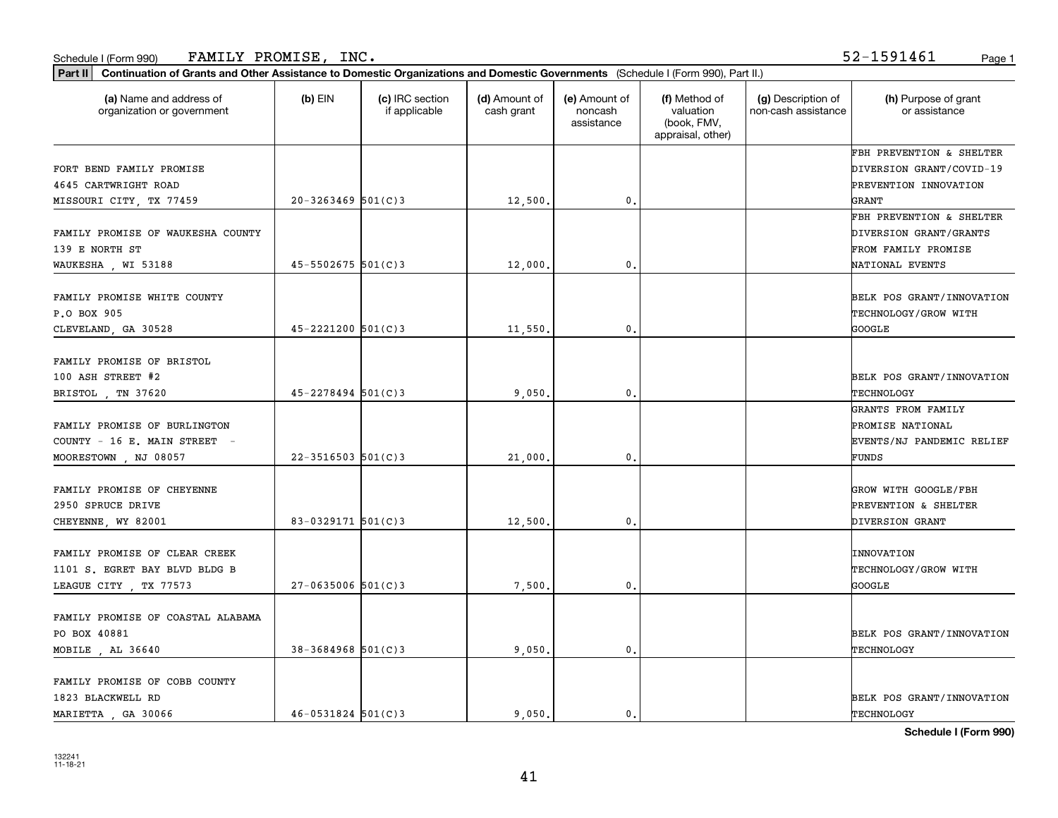| Part II   Continuation of Grants and Other Assistance to Domestic Organizations and Domestic Governments (Schedule I (Form 990), Part II.) |                         |                                  |                             |                                        |                                                                |                                           |                                       |
|--------------------------------------------------------------------------------------------------------------------------------------------|-------------------------|----------------------------------|-----------------------------|----------------------------------------|----------------------------------------------------------------|-------------------------------------------|---------------------------------------|
| (a) Name and address of<br>organization or government                                                                                      | $(b)$ EIN               | (c) IRC section<br>if applicable | (d) Amount of<br>cash grant | (e) Amount of<br>noncash<br>assistance | (f) Method of<br>valuation<br>(book, FMV,<br>appraisal, other) | (g) Description of<br>non-cash assistance | (h) Purpose of grant<br>or assistance |
|                                                                                                                                            |                         |                                  |                             |                                        |                                                                |                                           | FBH PREVENTION & SHELTER              |
| FORT BEND FAMILY PROMISE                                                                                                                   |                         |                                  |                             |                                        |                                                                |                                           | DIVERSION GRANT/COVID-19              |
| 4645 CARTWRIGHT ROAD                                                                                                                       |                         |                                  |                             |                                        |                                                                |                                           | PREVENTION INNOVATION                 |
| MISSOURI CITY, TX 77459                                                                                                                    | $20 - 3263469$ 501(C)3  |                                  | 12,500.                     | 0.                                     |                                                                |                                           | GRANT                                 |
|                                                                                                                                            |                         |                                  |                             |                                        |                                                                |                                           | FBH PREVENTION & SHELTER              |
| FAMILY PROMISE OF WAUKESHA COUNTY                                                                                                          |                         |                                  |                             |                                        |                                                                |                                           | DIVERSION GRANT/GRANTS                |
| 139 E NORTH ST                                                                                                                             |                         |                                  |                             |                                        |                                                                |                                           | FROM FAMILY PROMISE                   |
| WAUKESHA, WI 53188                                                                                                                         | $45 - 5502675$ 501(C)3  |                                  | 12,000,                     | 0.                                     |                                                                |                                           | NATIONAL EVENTS                       |
|                                                                                                                                            |                         |                                  |                             |                                        |                                                                |                                           |                                       |
| FAMILY PROMISE WHITE COUNTY                                                                                                                |                         |                                  |                             |                                        |                                                                |                                           | BELK POS GRANT/INNOVATION             |
| P.O BOX 905                                                                                                                                |                         |                                  |                             |                                        |                                                                |                                           | TECHNOLOGY/GROW WITH                  |
| CLEVELAND, GA 30528                                                                                                                        | $45 - 2221200$ 501(C)3  |                                  | 11,550.                     | 0.                                     |                                                                |                                           | <b>GOOGLE</b>                         |
|                                                                                                                                            |                         |                                  |                             |                                        |                                                                |                                           |                                       |
| FAMILY PROMISE OF BRISTOL                                                                                                                  |                         |                                  |                             |                                        |                                                                |                                           |                                       |
| 100 ASH STREET #2                                                                                                                          |                         |                                  |                             |                                        |                                                                |                                           | BELK POS GRANT/INNOVATION             |
| BRISTOL, TN 37620                                                                                                                          | $45 - 2278494$ 501(C)3  |                                  | 9,050,                      | 0.                                     |                                                                |                                           | TECHNOLOGY                            |
|                                                                                                                                            |                         |                                  |                             |                                        |                                                                |                                           | GRANTS FROM FAMILY                    |
| FAMILY PROMISE OF BURLINGTON                                                                                                               |                         |                                  |                             |                                        |                                                                |                                           | PROMISE NATIONAL                      |
| COUNTY - 16 E. MAIN STREET -                                                                                                               |                         |                                  |                             |                                        |                                                                |                                           | EVENTS/NJ PANDEMIC RELIEF             |
| MOORESTOWN, NJ 08057                                                                                                                       | $22 - 3516503$ 501(C) 3 |                                  | 21,000.                     | 0.                                     |                                                                |                                           | <b>FUNDS</b>                          |
| FAMILY PROMISE OF CHEYENNE                                                                                                                 |                         |                                  |                             |                                        |                                                                |                                           | GROW WITH GOOGLE/FBH                  |
| 2950 SPRUCE DRIVE                                                                                                                          |                         |                                  |                             |                                        |                                                                |                                           | <b>PREVENTION &amp; SHELTER</b>       |
|                                                                                                                                            |                         |                                  |                             |                                        |                                                                |                                           |                                       |
| CHEYENNE, WY 82001                                                                                                                         | $83 - 0329171$ 501(C)3  |                                  | 12,500.                     | 0.                                     |                                                                |                                           | DIVERSION GRANT                       |
| FAMILY PROMISE OF CLEAR CREEK                                                                                                              |                         |                                  |                             |                                        |                                                                |                                           | <b>INNOVATION</b>                     |
| 1101 S. EGRET BAY BLVD BLDG B                                                                                                              |                         |                                  |                             |                                        |                                                                |                                           | TECHNOLOGY/GROW WITH                  |
|                                                                                                                                            |                         |                                  |                             |                                        |                                                                |                                           |                                       |
| LEAGUE CITY, TX 77573                                                                                                                      | $27 - 0635006$ 501(C)3  |                                  | 7,500.                      | 0.                                     |                                                                |                                           | GOOGLE                                |
| FAMILY PROMISE OF COASTAL ALABAMA                                                                                                          |                         |                                  |                             |                                        |                                                                |                                           |                                       |
| PO BOX 40881                                                                                                                               |                         |                                  |                             |                                        |                                                                |                                           | BELK POS GRANT/INNOVATION             |
| MOBILE, AL 36640                                                                                                                           | $38 - 3684968$ 501(C) 3 |                                  | 9,050,                      | 0.                                     |                                                                |                                           | TECHNOLOGY                            |
|                                                                                                                                            |                         |                                  |                             |                                        |                                                                |                                           |                                       |
| FAMILY PROMISE OF COBB COUNTY                                                                                                              |                         |                                  |                             |                                        |                                                                |                                           |                                       |
| 1823 BLACKWELL RD                                                                                                                          |                         |                                  |                             |                                        |                                                                |                                           | BELK POS GRANT/INNOVATION             |
| MARIETTA, GA 30066                                                                                                                         | $46 - 0531824$ 501(C)3  |                                  | 9.050.                      | $\mathbf{0}$ .                         |                                                                |                                           | TECHNOLOGY                            |
|                                                                                                                                            |                         |                                  |                             |                                        |                                                                |                                           |                                       |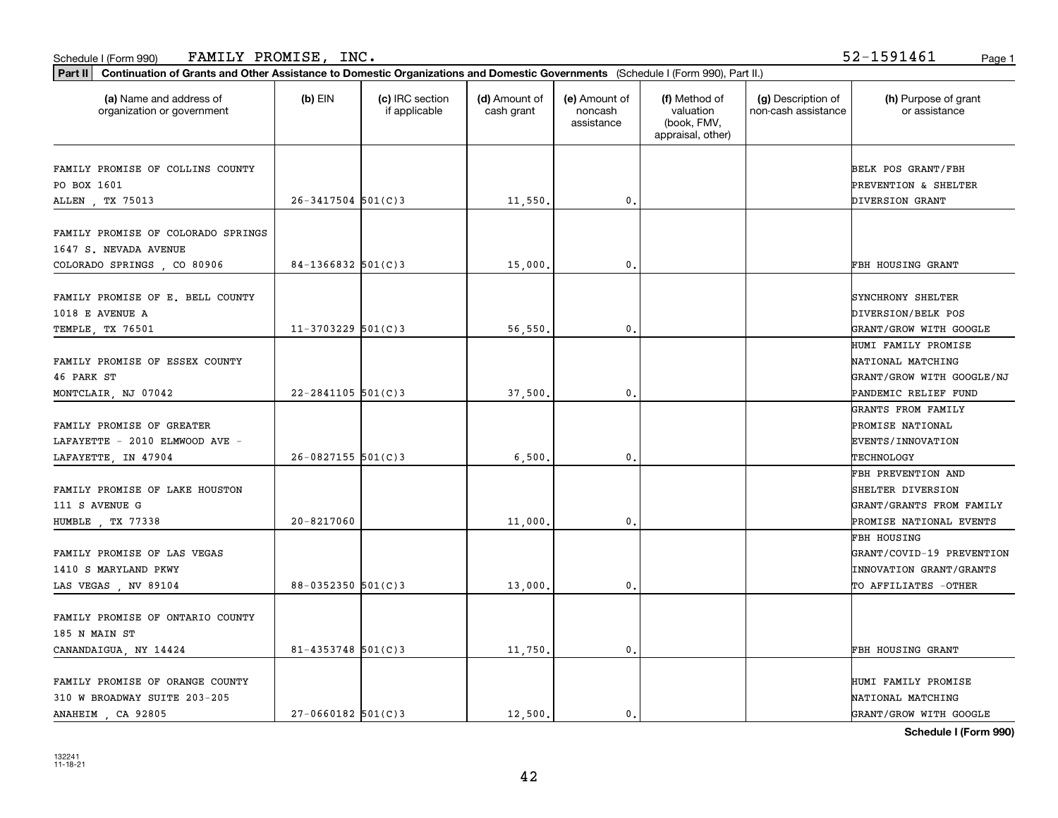#### Schedule I (Form 990) **FAMILY PROMISE, INC.** 52-1591461 <sub>Page 1</sub>

| Part II   Continuation of Grants and Other Assistance to Domestic Organizations and Domestic Governments (Schedule I (Form 990), Part II.) |                         |                                  |                             |                                        |                                                                |                                           |                                       |
|--------------------------------------------------------------------------------------------------------------------------------------------|-------------------------|----------------------------------|-----------------------------|----------------------------------------|----------------------------------------------------------------|-------------------------------------------|---------------------------------------|
| (a) Name and address of<br>organization or government                                                                                      | $(b)$ EIN               | (c) IRC section<br>if applicable | (d) Amount of<br>cash grant | (e) Amount of<br>noncash<br>assistance | (f) Method of<br>valuation<br>(book, FMV,<br>appraisal, other) | (g) Description of<br>non-cash assistance | (h) Purpose of grant<br>or assistance |
| FAMILY PROMISE OF COLLINS COUNTY                                                                                                           |                         |                                  |                             |                                        |                                                                |                                           | BELK POS GRANT/FBH                    |
| PO BOX 1601                                                                                                                                |                         |                                  |                             |                                        |                                                                |                                           | PREVENTION & SHELTER                  |
|                                                                                                                                            | $26 - 3417504$ 501(C)3  |                                  | 11,550.                     | 0.                                     |                                                                |                                           | DIVERSION GRANT                       |
| ALLEN, TX 75013                                                                                                                            |                         |                                  |                             |                                        |                                                                |                                           |                                       |
| FAMILY PROMISE OF COLORADO SPRINGS                                                                                                         |                         |                                  |                             |                                        |                                                                |                                           |                                       |
| 1647 S. NEVADA AVENUE                                                                                                                      |                         |                                  |                             |                                        |                                                                |                                           |                                       |
| COLORADO SPRINGS, CO 80906                                                                                                                 | $84-1366832$ 501(C)3    |                                  | 15,000.                     | 0.                                     |                                                                |                                           | FBH HOUSING GRANT                     |
|                                                                                                                                            |                         |                                  |                             |                                        |                                                                |                                           |                                       |
| FAMILY PROMISE OF E. BELL COUNTY                                                                                                           |                         |                                  |                             |                                        |                                                                |                                           | SYNCHRONY SHELTER                     |
| 1018 E AVENUE A                                                                                                                            |                         |                                  |                             |                                        |                                                                |                                           | DIVERSION/BELK POS                    |
|                                                                                                                                            | $11-3703229$ 501(C)3    |                                  | 56,550.                     | 0.                                     |                                                                |                                           | GRANT/GROW WITH GOOGLE                |
| TEMPLE, TX 76501                                                                                                                           |                         |                                  |                             |                                        |                                                                |                                           | HUMI FAMILY PROMISE                   |
| FAMILY PROMISE OF ESSEX COUNTY                                                                                                             |                         |                                  |                             |                                        |                                                                |                                           | NATIONAL MATCHING                     |
| <b>46 PARK ST</b>                                                                                                                          |                         |                                  |                             |                                        |                                                                |                                           |                                       |
|                                                                                                                                            |                         |                                  |                             |                                        |                                                                |                                           | GRANT/GROW WITH GOOGLE/NJ             |
| MONTCLAIR, NJ 07042                                                                                                                        | $22 - 2841105$ 501(C)3  |                                  | 37,500.                     | $\mathbf 0$                            |                                                                |                                           | PANDEMIC RELIEF FUND                  |
|                                                                                                                                            |                         |                                  |                             |                                        |                                                                |                                           | GRANTS FROM FAMILY                    |
| FAMILY PROMISE OF GREATER                                                                                                                  |                         |                                  |                             |                                        |                                                                |                                           | PROMISE NATIONAL                      |
| LAFAYETTE - 2010 ELMWOOD AVE -                                                                                                             |                         |                                  |                             |                                        |                                                                |                                           | EVENTS/INNOVATION                     |
| LAFAYETTE, IN 47904                                                                                                                        | $26 - 0827155$ 501(C)3  |                                  | 6,500                       | 0.                                     |                                                                |                                           | TECHNOLOGY                            |
|                                                                                                                                            |                         |                                  |                             |                                        |                                                                |                                           | FBH PREVENTION AND                    |
| FAMILY PROMISE OF LAKE HOUSTON                                                                                                             |                         |                                  |                             |                                        |                                                                |                                           | SHELTER DIVERSION                     |
| 111 S AVENUE G                                                                                                                             |                         |                                  |                             |                                        |                                                                |                                           | GRANT/GRANTS FROM FAMILY              |
| HUMBLE , TX 77338                                                                                                                          | 20-8217060              |                                  | 11,000                      | 0.                                     |                                                                |                                           | PROMISE NATIONAL EVENTS               |
|                                                                                                                                            |                         |                                  |                             |                                        |                                                                |                                           | FBH HOUSING                           |
| FAMILY PROMISE OF LAS VEGAS                                                                                                                |                         |                                  |                             |                                        |                                                                |                                           | GRANT/COVID-19 PREVENTION             |
| 1410 S MARYLAND PKWY                                                                                                                       |                         |                                  |                             |                                        |                                                                |                                           | <b>INNOVATION GRANT/GRANTS</b>        |
| LAS VEGAS, NV 89104                                                                                                                        | 88-0352350 501(C)3      |                                  | 13,000.                     | 0.                                     |                                                                |                                           | TO AFFILIATES -OTHER                  |
|                                                                                                                                            |                         |                                  |                             |                                        |                                                                |                                           |                                       |
| FAMILY PROMISE OF ONTARIO COUNTY                                                                                                           |                         |                                  |                             |                                        |                                                                |                                           |                                       |
| 185 N MAIN ST                                                                                                                              |                         |                                  |                             |                                        |                                                                |                                           |                                       |
| CANANDAIGUA, NY 14424                                                                                                                      | $81 - 4353748$ 501(C) 3 |                                  | 11,750.                     | $\mathbf{0}$                           |                                                                |                                           | FBH HOUSING GRANT                     |
|                                                                                                                                            |                         |                                  |                             |                                        |                                                                |                                           |                                       |
| FAMILY PROMISE OF ORANGE COUNTY                                                                                                            |                         |                                  |                             |                                        |                                                                |                                           | HUMI FAMILY PROMISE                   |
| 310 W BROADWAY SUITE 203-205                                                                                                               |                         |                                  |                             |                                        |                                                                |                                           | NATIONAL MATCHING                     |
| ANAHEIM CA 92805                                                                                                                           | $27 - 0660182$ 501(C)3  |                                  | 12,500.                     | $\mathbf{0}$ .                         |                                                                |                                           | GRANT/GROW WITH GOOGLE                |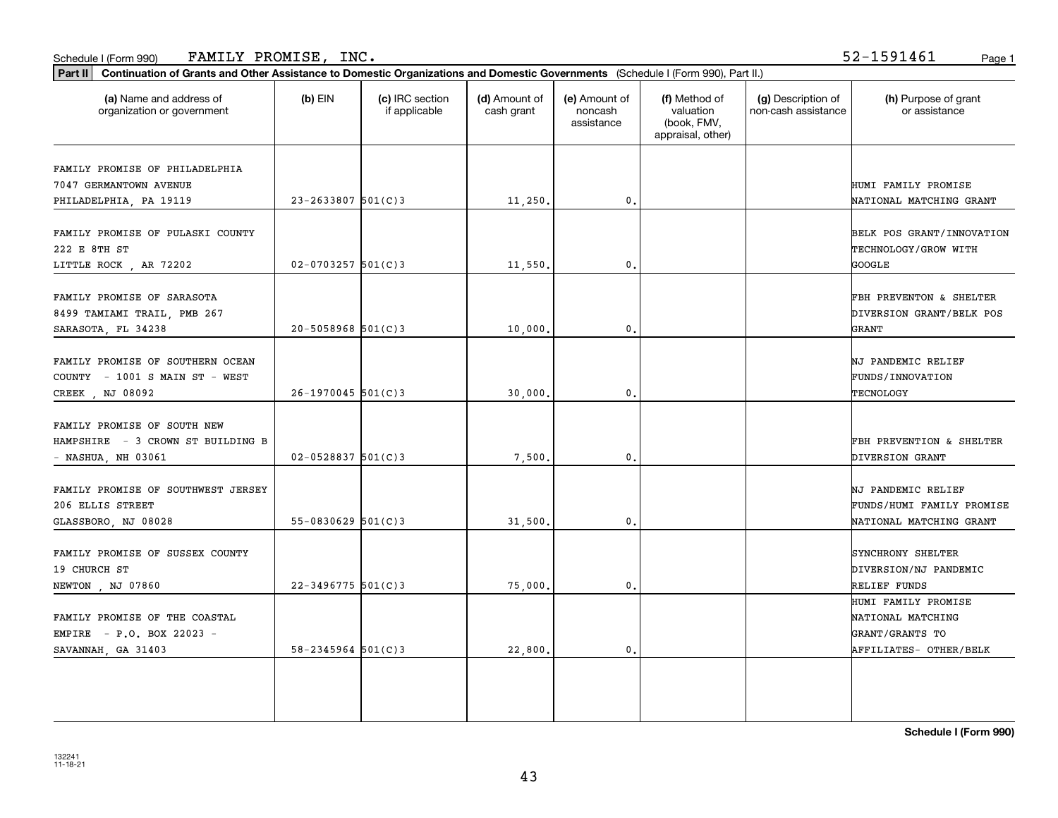| (a) Name and address of<br>organization or government                                    | $(b)$ EIN                | (c) IRC section<br>if applicable | (d) Amount of<br>cash grant | (e) Amount of<br>noncash<br>assistance | (f) Method of<br>valuation<br>(book, FMV,<br>appraisal, other) | (g) Description of<br>non-cash assistance | (h) Purpose of grant<br>or assistance                                                 |
|------------------------------------------------------------------------------------------|--------------------------|----------------------------------|-----------------------------|----------------------------------------|----------------------------------------------------------------|-------------------------------------------|---------------------------------------------------------------------------------------|
| FAMILY PROMISE OF PHILADELPHIA                                                           |                          |                                  |                             |                                        |                                                                |                                           |                                                                                       |
| 7047 GERMANTOWN AVENUE                                                                   |                          |                                  |                             |                                        |                                                                |                                           | HUMI FAMILY PROMISE                                                                   |
| PHILADELPHIA, PA 19119                                                                   | $23 - 2633807$ 501(C)3   |                                  | 11,250.                     | 0.                                     |                                                                |                                           | NATIONAL MATCHING GRANT                                                               |
| FAMILY PROMISE OF PULASKI COUNTY<br>222 E 8TH ST                                         |                          |                                  |                             |                                        |                                                                |                                           | BELK POS GRANT/INNOVATION<br>TECHNOLOGY/GROW WITH                                     |
| LITTLE ROCK, AR 72202                                                                    | $02 - 0703257$ 501(C)3   |                                  | 11,550.                     | $\mathbf{0}$                           |                                                                |                                           | GOOGLE                                                                                |
| FAMILY PROMISE OF SARASOTA<br>8499 TAMIAMI TRAIL, PMB 267<br>SARASOTA, FL 34238          | $20 - 5058968$ $501(C)3$ |                                  | 10,000.                     | 0.                                     |                                                                |                                           | FBH PREVENTON & SHELTER<br>DIVERSION GRANT/BELK POS<br>GRANT                          |
| FAMILY PROMISE OF SOUTHERN OCEAN<br>COUNTY - 1001 S MAIN ST - WEST<br>CREEK, NJ 08092    | $26 - 1970045$ 501(C)3   |                                  | 30,000.                     | $\mathbf{0}$ .                         |                                                                |                                           | NJ PANDEMIC RELIEF<br><b>FUNDS/INNOVATION</b><br>TECNOLOGY                            |
| FAMILY PROMISE OF SOUTH NEW<br>HAMPSHIRE - 3 CROWN ST BUILDING B<br>$-$ NASHUA, NH 03061 | $02 - 0528837$ 501(C) 3  |                                  | 7,500.                      | $\mathbf{0}$ .                         |                                                                |                                           | FBH PREVENTION & SHELTER<br>DIVERSION GRANT                                           |
| FAMILY PROMISE OF SOUTHWEST JERSEY<br>206 ELLIS STREET<br>GLASSBORO, NJ 08028            | $55 - 0830629$ $501(C)3$ |                                  | 31,500.                     | $\mathbf{0}$ .                         |                                                                |                                           | NJ PANDEMIC RELIEF<br>FUNDS/HUMI FAMILY PROMISE<br>NATIONAL MATCHING GRANT            |
| FAMILY PROMISE OF SUSSEX COUNTY<br>19 CHURCH ST<br>NEWTON, NJ 07860                      | $22 - 3496775$ 501(C)3   |                                  | 75,000.                     | $\mathbf{0}$ .                         |                                                                |                                           | SYNCHRONY SHELTER<br>DIVERSION/NJ PANDEMIC<br>RELIEF FUNDS                            |
| FAMILY PROMISE OF THE COASTAL<br>EMPIRE - P.O. BOX 22023 -<br>SAVANNAH, GA 31403         | $58 - 2345964$ $501(C)3$ |                                  | 22,800.                     | $\mathbf{0}$ .                         |                                                                |                                           | HUMI FAMILY PROMISE<br>NATIONAL MATCHING<br>GRANT/GRANTS TO<br>AFFILIATES- OTHER/BELK |
|                                                                                          |                          |                                  |                             |                                        |                                                                |                                           |                                                                                       |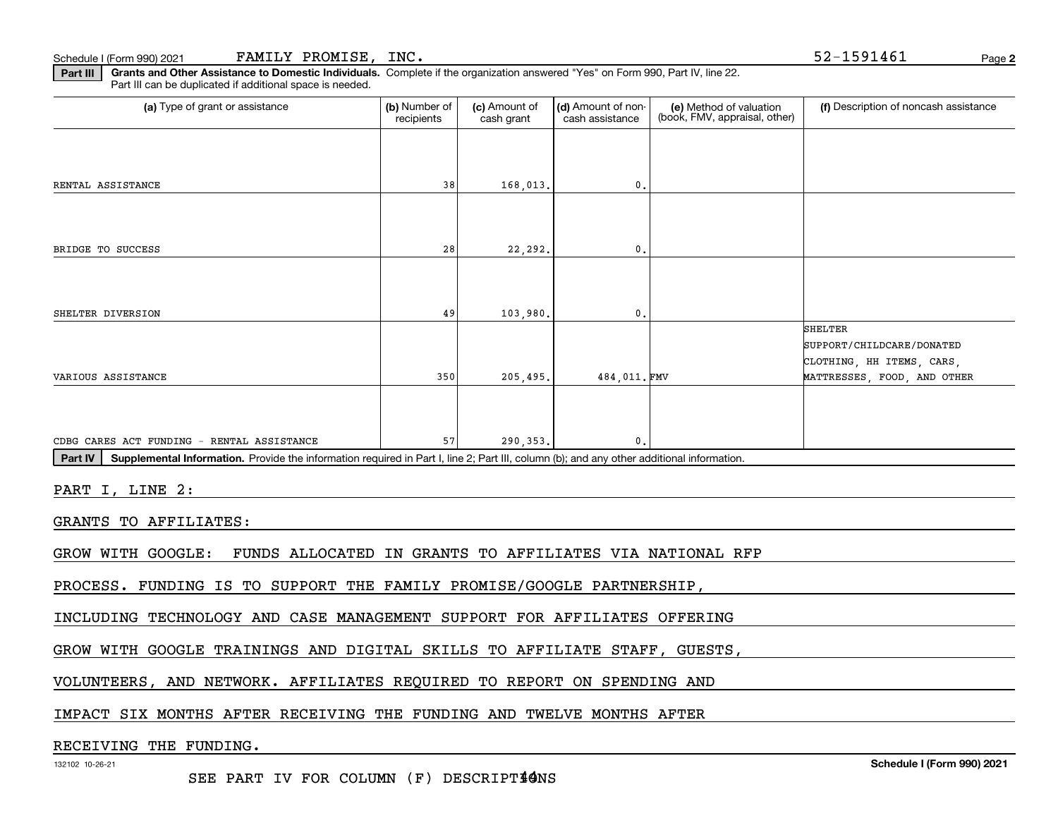**2**

**Part III Grants and Other Assistance to Domestic Individuals.**  Complete if the organization answered "Yes" on Form 990, Part IV, line 22. Part III can be duplicated if additional space is needed.

| (a) Type of grant or assistance            | (b) Number of<br>recipients | (c) Amount of<br>cash grant | (d) Amount of non-<br>cash assistance | (e) Method of valuation<br>(book, FMV, appraisal, other) | (f) Description of noncash assistance                                    |
|--------------------------------------------|-----------------------------|-----------------------------|---------------------------------------|----------------------------------------------------------|--------------------------------------------------------------------------|
|                                            |                             |                             |                                       |                                                          |                                                                          |
| RENTAL ASSISTANCE                          | 38                          | 168,013.                    | $\mathbf{0}$                          |                                                          |                                                                          |
|                                            |                             |                             |                                       |                                                          |                                                                          |
| BRIDGE TO SUCCESS                          | 28                          | 22,292.                     | $\mathfrak{o}$ .                      |                                                          |                                                                          |
|                                            |                             |                             |                                       |                                                          |                                                                          |
| SHELTER DIVERSION                          | 49                          | 103,980.                    | $\mathfrak{o}$ .                      |                                                          |                                                                          |
|                                            |                             |                             |                                       |                                                          | <b>SHELTER</b><br>SUPPORT/CHILDCARE/DONATED<br>CLOTHING, HH ITEMS, CARS, |
| VARIOUS ASSISTANCE                         | 350                         | 205, 495.                   | 484,011.FMV                           |                                                          | MATTRESSES, FOOD, AND OTHER                                              |
|                                            |                             |                             |                                       |                                                          |                                                                          |
| CDBG CARES ACT FUNDING - RENTAL ASSISTANCE | 57                          | 290, 353.                   | $\mathbf{0}$                          |                                                          |                                                                          |

Part IV | Supplemental Information. Provide the information required in Part I, line 2; Part III, column (b); and any other additional information.

PART I, LINE 2:

GRANTS TO AFFILIATES:

GROW WITH GOOGLE: FUNDS ALLOCATED IN GRANTS TO AFFILIATES VIA NATIONAL RFP

PROCESS. FUNDING IS TO SUPPORT THE FAMILY PROMISE/GOOGLE PARTNERSHIP,

INCLUDING TECHNOLOGY AND CASE MANAGEMENT SUPPORT FOR AFFILIATES OFFERING

GROW WITH GOOGLE TRAININGS AND DIGITAL SKILLS TO AFFILIATE STAFF, GUESTS,

VOLUNTEERS, AND NETWORK. AFFILIATES REQUIRED TO REPORT ON SPENDING AND

IMPACT SIX MONTHS AFTER RECEIVING THE FUNDING AND TWELVE MONTHS AFTER

RECEIVING THE FUNDING.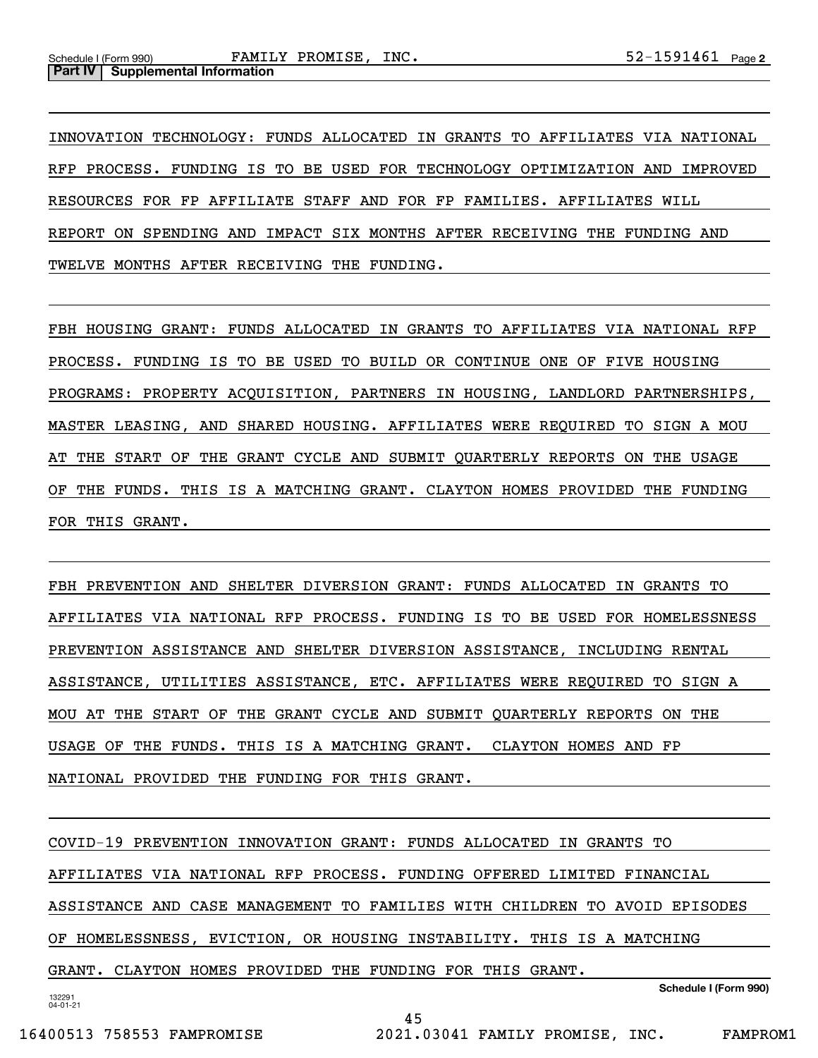INNOVATION TECHNOLOGY: FUNDS ALLOCATED IN GRANTS TO AFFILIATES VIA NATIONAL RFP PROCESS. FUNDING IS TO BE USED FOR TECHNOLOGY OPTIMIZATION AND IMPROVED RESOURCES FOR FP AFFILIATE STAFF AND FOR FP FAMILIES. AFFILIATES WILL REPORT ON SPENDING AND IMPACT SIX MONTHS AFTER RECEIVING THE FUNDING AND TWELVE MONTHS AFTER RECEIVING THE FUNDING.

FBH HOUSING GRANT: FUNDS ALLOCATED IN GRANTS TO AFFILIATES VIA NATIONAL RFP PROCESS. FUNDING IS TO BE USED TO BUILD OR CONTINUE ONE OF FIVE HOUSING PROGRAMS: PROPERTY ACQUISITION, PARTNERS IN HOUSING, LANDLORD PARTNERSHIPS, MASTER LEASING, AND SHARED HOUSING. AFFILIATES WERE REQUIRED TO SIGN A MOU AT THE START OF THE GRANT CYCLE AND SUBMIT QUARTERLY REPORTS ON THE USAGE OF THE FUNDS. THIS IS A MATCHING GRANT. CLAYTON HOMES PROVIDED THE FUNDING FOR THIS GRANT.

FBH PREVENTION AND SHELTER DIVERSION GRANT: FUNDS ALLOCATED IN GRANTS TO AFFILIATES VIA NATIONAL RFP PROCESS. FUNDING IS TO BE USED FOR HOMELESSNESS PREVENTION ASSISTANCE AND SHELTER DIVERSION ASSISTANCE, INCLUDING RENTAL ASSISTANCE, UTILITIES ASSISTANCE, ETC. AFFILIATES WERE REQUIRED TO SIGN A MOU AT THE START OF THE GRANT CYCLE AND SUBMIT QUARTERLY REPORTS ON THE USAGE OF THE FUNDS. THIS IS A MATCHING GRANT. CLAYTON HOMES AND FP NATIONAL PROVIDED THE FUNDING FOR THIS GRANT.

**Schedule I (Form 990)** COVID-19 PREVENTION INNOVATION GRANT: FUNDS ALLOCATED IN GRANTS TO AFFILIATES VIA NATIONAL RFP PROCESS. FUNDING OFFERED LIMITED FINANCIAL ASSISTANCE AND CASE MANAGEMENT TO FAMILIES WITH CHILDREN TO AVOID EPISODES OF HOMELESSNESS, EVICTION, OR HOUSING INSTABILITY. THIS IS A MATCHING GRANT. CLAYTON HOMES PROVIDED THE FUNDING FOR THIS GRANT.

45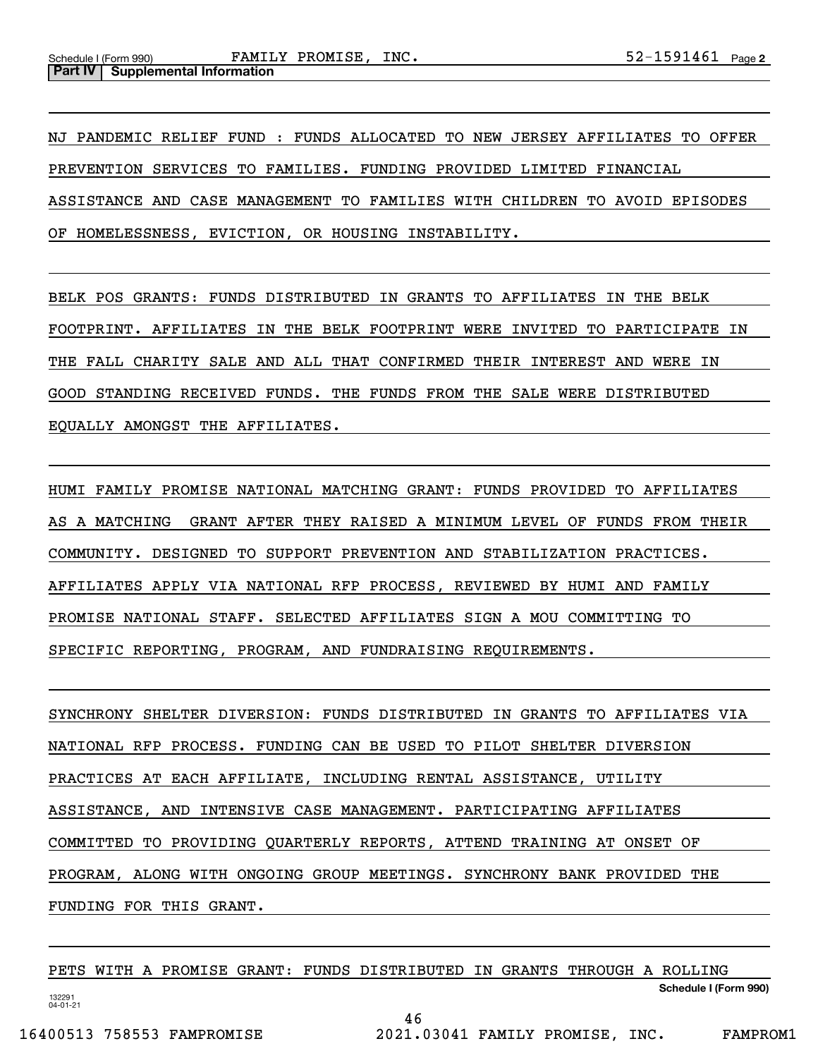NJ PANDEMIC RELIEF FUND : FUNDS ALLOCATED TO NEW JERSEY AFFILIATES TO OFFER PREVENTION SERVICES TO FAMILIES. FUNDING PROVIDED LIMITED FINANCIAL ASSISTANCE AND CASE MANAGEMENT TO FAMILIES WITH CHILDREN TO AVOID EPISODES OF HOMELESSNESS, EVICTION, OR HOUSING INSTABILITY.

BELK POS GRANTS: FUNDS DISTRIBUTED IN GRANTS TO AFFILIATES IN THE BELK FOOTPRINT. AFFILIATES IN THE BELK FOOTPRINT WERE INVITED TO PARTICIPATE IN THE FALL CHARITY SALE AND ALL THAT CONFIRMED THEIR INTEREST AND WERE IN GOOD STANDING RECEIVED FUNDS. THE FUNDS FROM THE SALE WERE DISTRIBUTED EQUALLY AMONGST THE AFFILIATES.

HUMI FAMILY PROMISE NATIONAL MATCHING GRANT: FUNDS PROVIDED TO AFFILIATES AS A MATCHING GRANT AFTER THEY RAISED A MINIMUM LEVEL OF FUNDS FROM THEIR COMMUNITY. DESIGNED TO SUPPORT PREVENTION AND STABILIZATION PRACTICES. AFFILIATES APPLY VIA NATIONAL RFP PROCESS, REVIEWED BY HUMI AND FAMILY PROMISE NATIONAL STAFF. SELECTED AFFILIATES SIGN A MOU COMMITTING TO SPECIFIC REPORTING, PROGRAM, AND FUNDRAISING REQUIREMENTS.

SYNCHRONY SHELTER DIVERSION: FUNDS DISTRIBUTED IN GRANTS TO AFFILIATES VIA NATIONAL RFP PROCESS. FUNDING CAN BE USED TO PILOT SHELTER DIVERSION PRACTICES AT EACH AFFILIATE, INCLUDING RENTAL ASSISTANCE, UTILITY ASSISTANCE, AND INTENSIVE CASE MANAGEMENT. PARTICIPATING AFFILIATES COMMITTED TO PROVIDING QUARTERLY REPORTS, ATTEND TRAINING AT ONSET OF PROGRAM, ALONG WITH ONGOING GROUP MEETINGS. SYNCHRONY BANK PROVIDED THE FUNDING FOR THIS GRANT.

132291 04-01-21**Schedule I (Form 990)** PETS WITH A PROMISE GRANT: FUNDS DISTRIBUTED IN GRANTS THROUGH A ROLLING

46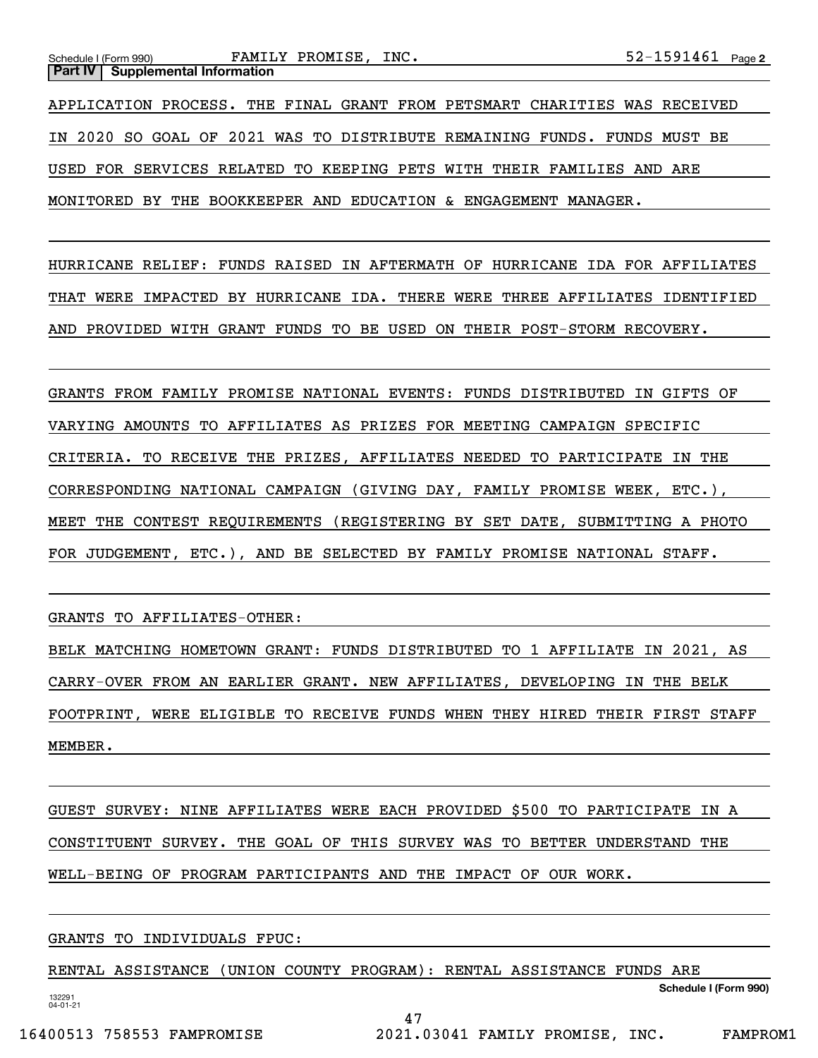APPLICATION PROCESS. THE FINAL GRANT FROM PETSMART CHARITIES WAS RECEIVED IN 2020 SO GOAL OF 2021 WAS TO DISTRIBUTE REMAINING FUNDS. FUNDS MUST BE USED FOR SERVICES RELATED TO KEEPING PETS WITH THEIR FAMILIES AND ARE MONITORED BY THE BOOKKEEPER AND EDUCATION & ENGAGEMENT MANAGER.

HURRICANE RELIEF: FUNDS RAISED IN AFTERMATH OF HURRICANE IDA FOR AFFILIATES THAT WERE IMPACTED BY HURRICANE IDA. THERE WERE THREE AFFILIATES IDENTIFIED AND PROVIDED WITH GRANT FUNDS TO BE USED ON THEIR POST-STORM RECOVERY.

GRANTS FROM FAMILY PROMISE NATIONAL EVENTS: FUNDS DISTRIBUTED IN GIFTS OF VARYING AMOUNTS TO AFFILIATES AS PRIZES FOR MEETING CAMPAIGN SPECIFIC CRITERIA. TO RECEIVE THE PRIZES, AFFILIATES NEEDED TO PARTICIPATE IN THE CORRESPONDING NATIONAL CAMPAIGN (GIVING DAY, FAMILY PROMISE WEEK, ETC.), MEET THE CONTEST REQUIREMENTS (REGISTERING BY SET DATE, SUBMITTING A PHOTO FOR JUDGEMENT, ETC.), AND BE SELECTED BY FAMILY PROMISE NATIONAL STAFF.

GRANTS TO AFFILIATES-OTHER:

BELK MATCHING HOMETOWN GRANT: FUNDS DISTRIBUTED TO 1 AFFILIATE IN 2021, AS CARRY-OVER FROM AN EARLIER GRANT. NEW AFFILIATES, DEVELOPING IN THE BELK FOOTPRINT, WERE ELIGIBLE TO RECEIVE FUNDS WHEN THEY HIRED THEIR FIRST STAFF MEMBER.

GUEST SURVEY: NINE AFFILIATES WERE EACH PROVIDED \$500 TO PARTICIPATE IN A CONSTITUENT SURVEY. THE GOAL OF THIS SURVEY WAS TO BETTER UNDERSTAND THE WELL-BEING OF PROGRAM PARTICIPANTS AND THE IMPACT OF OUR WORK.

GRANTS TO INDIVIDUALS FPUC:

RENTAL ASSISTANCE (UNION COUNTY PROGRAM): RENTAL ASSISTANCE FUNDS ARE

47

**Schedule I (Form 990)**

132291 04-01-21

16400513 758553 FAMPROMISE 2021.03041 FAMILY PROMISE, INC. FAMPROM1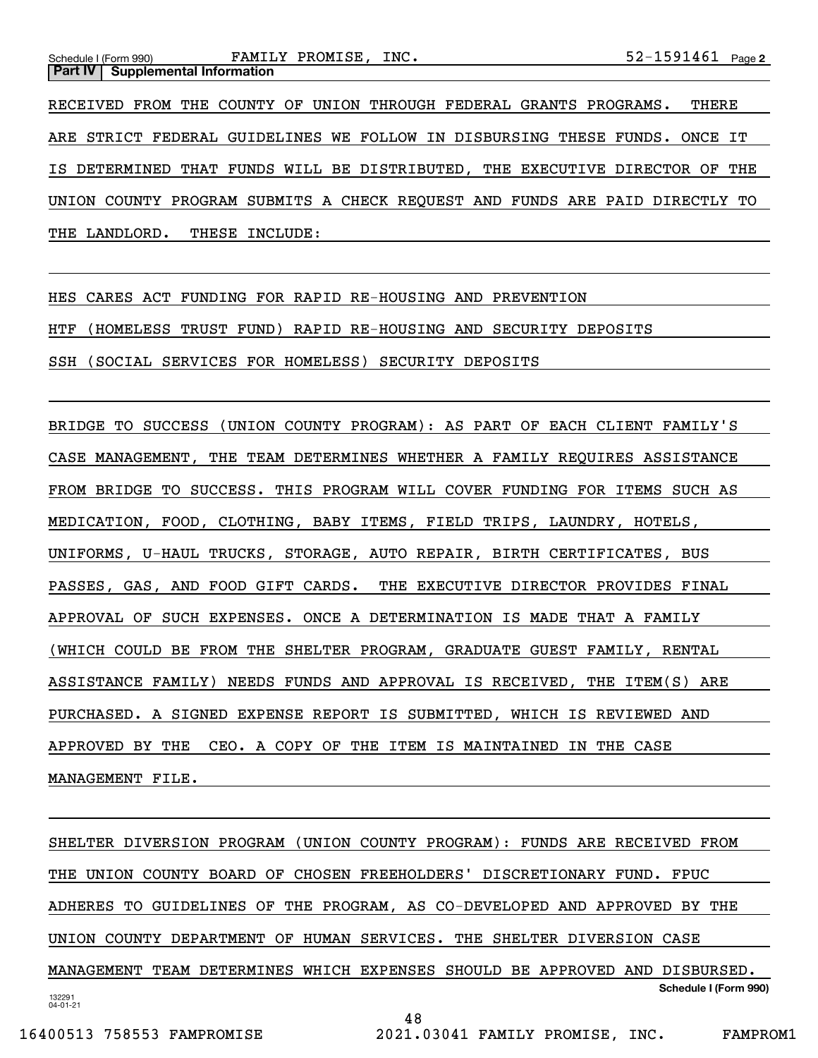RECEIVED FROM THE COUNTY OF UNION THROUGH FEDERAL GRANTS PROGRAMS. THERE ARE STRICT FEDERAL GUIDELINES WE FOLLOW IN DISBURSING THESE FUNDS. ONCE IT IS DETERMINED THAT FUNDS WILL BE DISTRIBUTED, THE EXECUTIVE DIRECTOR OF THE UNION COUNTY PROGRAM SUBMITS A CHECK REQUEST AND FUNDS ARE PAID DIRECTLY TO THE LANDLORD. THESE INCLUDE:

HES CARES ACT FUNDING FOR RAPID RE-HOUSING AND PREVENTION

HTF (HOMELESS TRUST FUND) RAPID RE-HOUSING AND SECURITY DEPOSITS

SSH (SOCIAL SERVICES FOR HOMELESS) SECURITY DEPOSITS

BRIDGE TO SUCCESS (UNION COUNTY PROGRAM): AS PART OF EACH CLIENT FAMILY'S CASE MANAGEMENT, THE TEAM DETERMINES WHETHER A FAMILY REQUIRES ASSISTANCE FROM BRIDGE TO SUCCESS. THIS PROGRAM WILL COVER FUNDING FOR ITEMS SUCH AS MEDICATION, FOOD, CLOTHING, BABY ITEMS, FIELD TRIPS, LAUNDRY, HOTELS, UNIFORMS, U-HAUL TRUCKS, STORAGE, AUTO REPAIR, BIRTH CERTIFICATES, BUS PASSES, GAS, AND FOOD GIFT CARDS. THE EXECUTIVE DIRECTOR PROVIDES FINAL APPROVAL OF SUCH EXPENSES. ONCE A DETERMINATION IS MADE THAT A FAMILY (WHICH COULD BE FROM THE SHELTER PROGRAM, GRADUATE GUEST FAMILY, RENTAL ASSISTANCE FAMILY) NEEDS FUNDS AND APPROVAL IS RECEIVED, THE ITEM(S) ARE PURCHASED. A SIGNED EXPENSE REPORT IS SUBMITTED, WHICH IS REVIEWED AND APPROVED BY THE CEO. A COPY OF THE ITEM IS MAINTAINED IN THE CASE MANAGEMENT FILE.

132291 04-01-21**Schedule I (Form 990)** SHELTER DIVERSION PROGRAM (UNION COUNTY PROGRAM): FUNDS ARE RECEIVED FROM THE UNION COUNTY BOARD OF CHOSEN FREEHOLDERS' DISCRETIONARY FUND. FPUC ADHERES TO GUIDELINES OF THE PROGRAM, AS CO-DEVELOPED AND APPROVED BY THE UNION COUNTY DEPARTMENT OF HUMAN SERVICES. THE SHELTER DIVERSION CASE MANAGEMENT TEAM DETERMINES WHICH EXPENSES SHOULD BE APPROVED AND DISBURSED.

16400513 758553 FAMPROMISE 2021.03041 FAMILY PROMISE, INC. FAMPROM1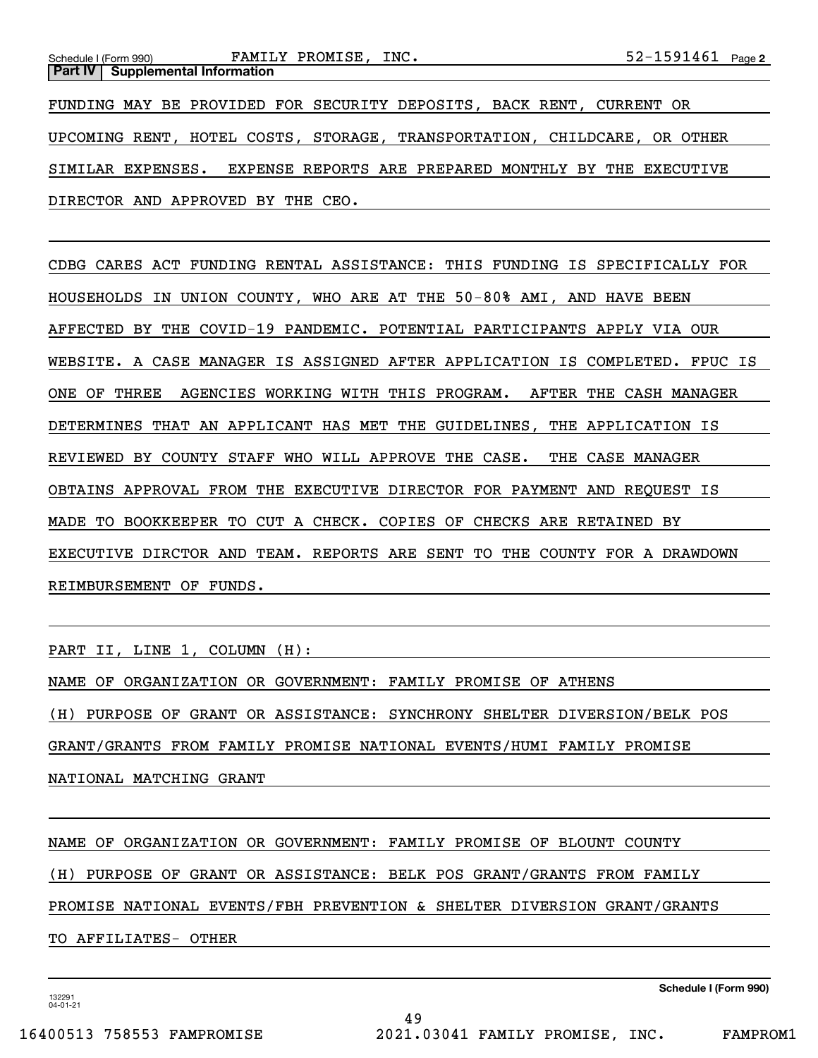DIRECTOR AND APPROVED BY THE CEO.

CDBG CARES ACT FUNDING RENTAL ASSISTANCE: THIS FUNDING IS SPECIFICALLY FOR HOUSEHOLDS IN UNION COUNTY, WHO ARE AT THE 50-80% AMI, AND HAVE BEEN AFFECTED BY THE COVID-19 PANDEMIC. POTENTIAL PARTICIPANTS APPLY VIA OUR WEBSITE. A CASE MANAGER IS ASSIGNED AFTER APPLICATION IS COMPLETED. FPUC IS ONE OF THREE AGENCIES WORKING WITH THIS PROGRAM. AFTER THE CASH MANAGER DETERMINES THAT AN APPLICANT HAS MET THE GUIDELINES, THE APPLICATION IS REVIEWED BY COUNTY STAFF WHO WILL APPROVE THE CASE. THE CASE MANAGER OBTAINS APPROVAL FROM THE EXECUTIVE DIRECTOR FOR PAYMENT AND REQUEST IS MADE TO BOOKKEEPER TO CUT A CHECK. COPIES OF CHECKS ARE RETAINED BY EXECUTIVE DIRCTOR AND TEAM. REPORTS ARE SENT TO THE COUNTY FOR A DRAWDOWN REIMBURSEMENT OF FUNDS.

PART II, LINE 1, COLUMN (H):

NAME OF ORGANIZATION OR GOVERNMENT: FAMILY PROMISE OF ATHENS (H) PURPOSE OF GRANT OR ASSISTANCE: SYNCHRONY SHELTER DIVERSION/BELK POS GRANT/GRANTS FROM FAMILY PROMISE NATIONAL EVENTS/HUMI FAMILY PROMISE NATIONAL MATCHING GRANT

NAME OF ORGANIZATION OR GOVERNMENT: FAMILY PROMISE OF BLOUNT COUNTY (H) PURPOSE OF GRANT OR ASSISTANCE: BELK POS GRANT/GRANTS FROM FAMILY PROMISE NATIONAL EVENTS/FBH PREVENTION & SHELTER DIVERSION GRANT/GRANTS TO AFFILIATES- OTHER

**Schedule I (Form 990)**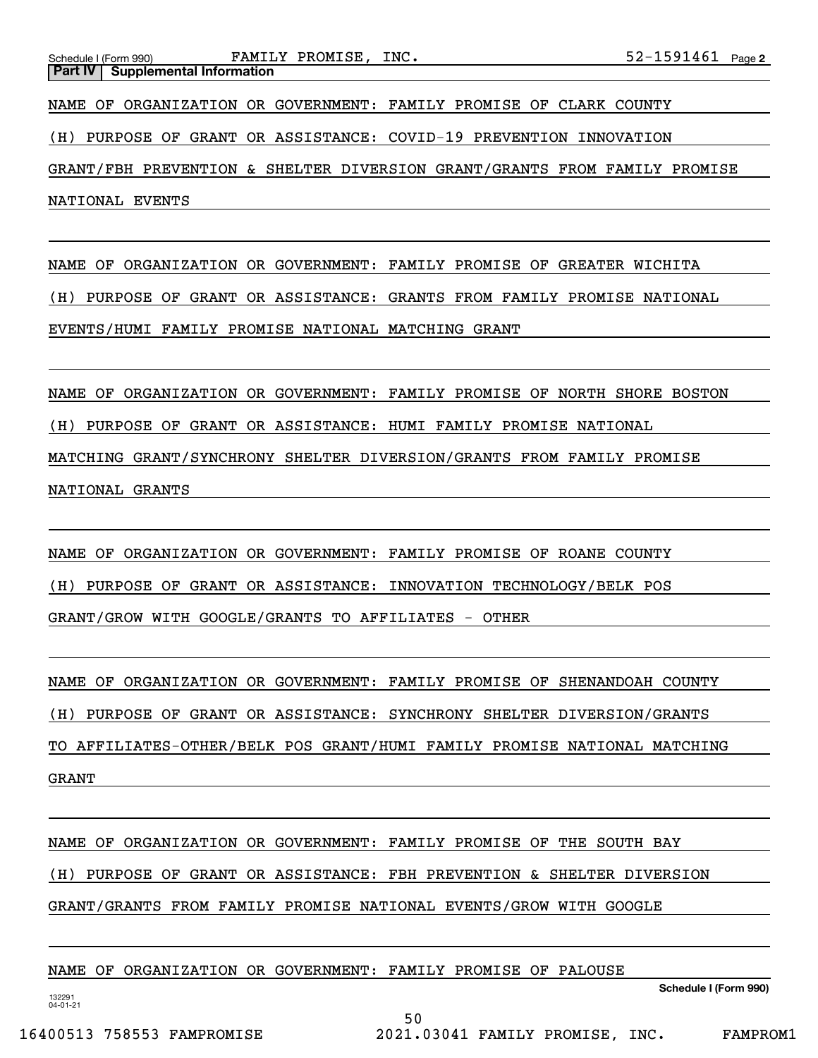NATIONAL EVENTS

NAME OF ORGANIZATION OR GOVERNMENT: FAMILY PROMISE OF GREATER WICHITA (H) PURPOSE OF GRANT OR ASSISTANCE: GRANTS FROM FAMILY PROMISE NATIONAL EVENTS/HUMI FAMILY PROMISE NATIONAL MATCHING GRANT

NAME OF ORGANIZATION OR GOVERNMENT: FAMILY PROMISE OF NORTH SHORE BOSTON (H) PURPOSE OF GRANT OR ASSISTANCE: HUMI FAMILY PROMISE NATIONAL MATCHING GRANT/SYNCHRONY SHELTER DIVERSION/GRANTS FROM FAMILY PROMISE NATIONAL GRANTS

NAME OF ORGANIZATION OR GOVERNMENT: FAMILY PROMISE OF ROANE COUNTY (H) PURPOSE OF GRANT OR ASSISTANCE: INNOVATION TECHNOLOGY/BELK POS GRANT/GROW WITH GOOGLE/GRANTS TO AFFILIATES - OTHER

NAME OF ORGANIZATION OR GOVERNMENT: FAMILY PROMISE OF SHENANDOAH COUNTY (H) PURPOSE OF GRANT OR ASSISTANCE: SYNCHRONY SHELTER DIVERSION/GRANTS TO AFFILIATES-OTHER/BELK POS GRANT/HUMI FAMILY PROMISE NATIONAL MATCHING GRANT

NAME OF ORGANIZATION OR GOVERNMENT: FAMILY PROMISE OF THE SOUTH BAY (H) PURPOSE OF GRANT OR ASSISTANCE: FBH PREVENTION & SHELTER DIVERSION GRANT/GRANTS FROM FAMILY PROMISE NATIONAL EVENTS/GROW WITH GOOGLE

50

NAME OF ORGANIZATION OR GOVERNMENT: FAMILY PROMISE OF PALOUSE

**Schedule I (Form 990)**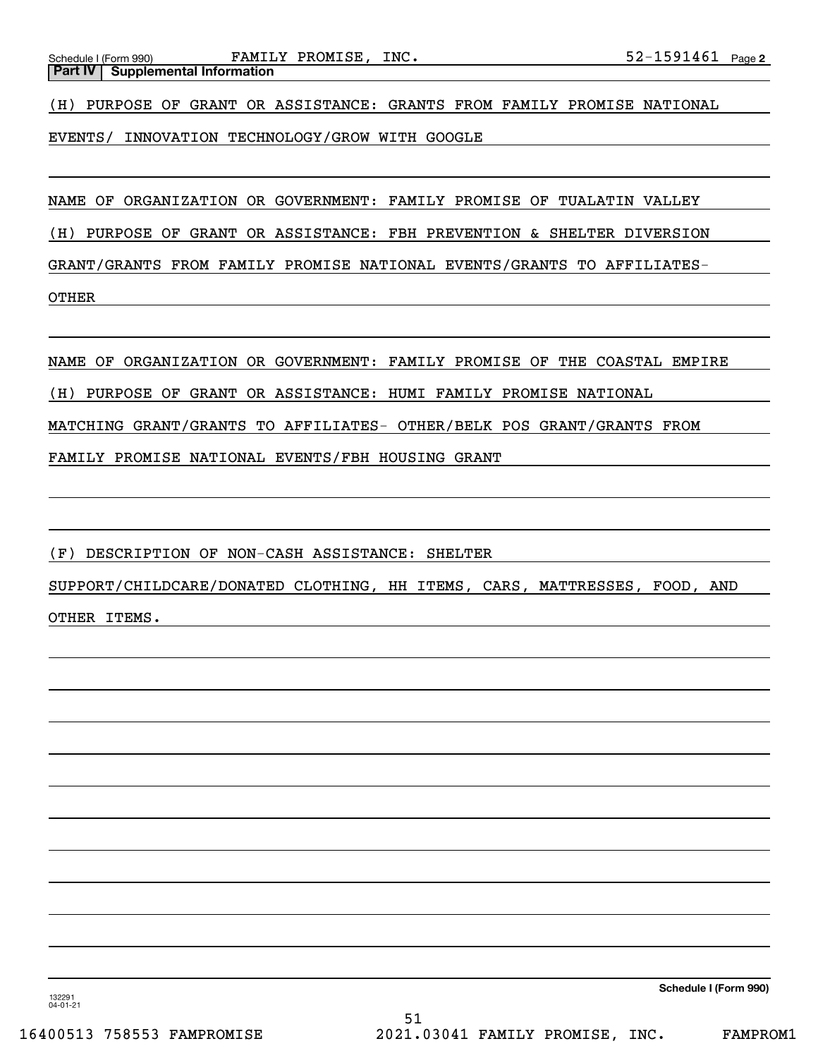**Part IV** | Supplemental Information

(H) PURPOSE OF GRANT OR ASSISTANCE: GRANTS FROM FAMILY PROMISE NATIONAL

EVENTS/ INNOVATION TECHNOLOGY/GROW WITH GOOGLE

NAME OF ORGANIZATION OR GOVERNMENT: FAMILY PROMISE OF TUALATIN VALLEY

(H) PURPOSE OF GRANT OR ASSISTANCE: FBH PREVENTION & SHELTER DIVERSION

GRANT/GRANTS FROM FAMILY PROMISE NATIONAL EVENTS/GRANTS TO AFFILIATES-

OTHER

NAME OF ORGANIZATION OR GOVERNMENT: FAMILY PROMISE OF THE COASTAL EMPIRE

(H) PURPOSE OF GRANT OR ASSISTANCE: HUMI FAMILY PROMISE NATIONAL

MATCHING GRANT/GRANTS TO AFFILIATES- OTHER/BELK POS GRANT/GRANTS FROM

FAMILY PROMISE NATIONAL EVENTS/FBH HOUSING GRANT

(F) DESCRIPTION OF NON-CASH ASSISTANCE: SHELTER

SUPPORT/CHILDCARE/DONATED CLOTHING, HH ITEMS, CARS, MATTRESSES, FOOD, AND

OTHER ITEMS.

**Schedule I (Form 990)**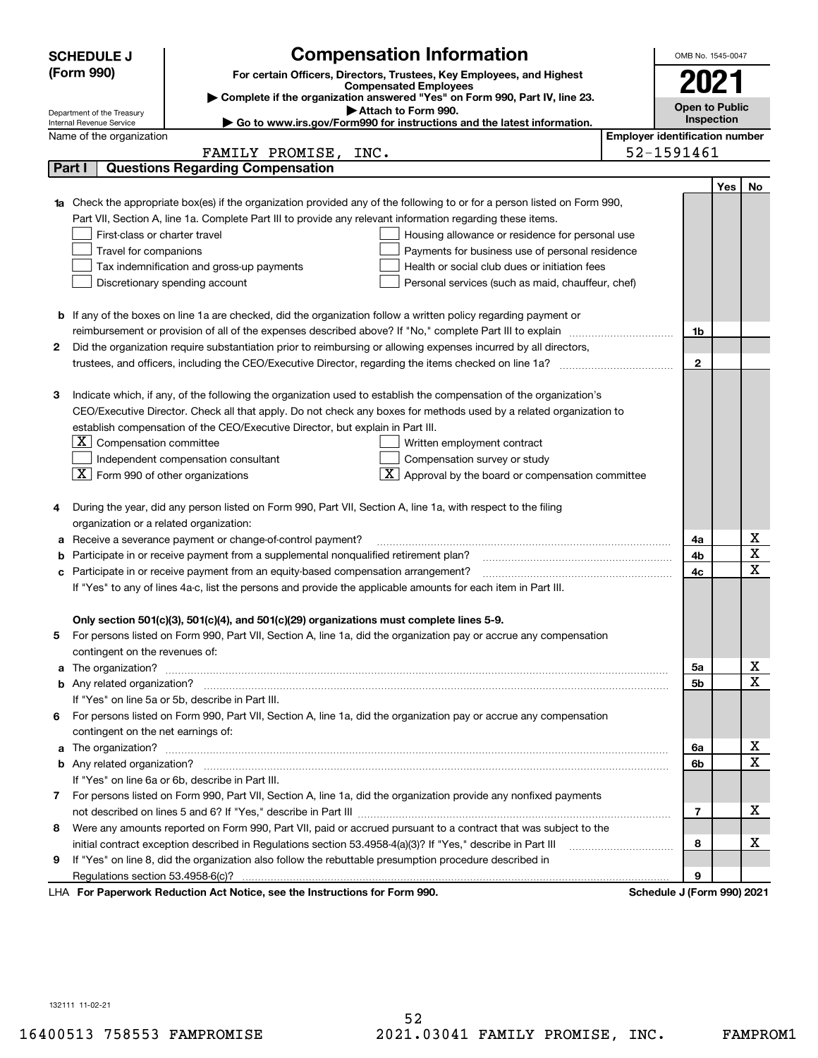|        | <b>SCHEDULE J</b>                              | OMB No. 1545-0047                                                                                                                |                                       |     |             |
|--------|------------------------------------------------|----------------------------------------------------------------------------------------------------------------------------------|---------------------------------------|-----|-------------|
|        | (Form 990)                                     | <b>Compensation Information</b><br>For certain Officers, Directors, Trustees, Key Employees, and Highest                         |                                       |     |             |
|        |                                                | <b>Compensated Employees</b>                                                                                                     | 2021                                  |     |             |
|        | Department of the Treasury                     | Complete if the organization answered "Yes" on Form 990, Part IV, line 23.<br>Attach to Form 990.                                | <b>Open to Public</b>                 |     |             |
|        | Internal Revenue Service                       | ► Go to www.irs.gov/Form990 for instructions and the latest information.                                                         | Inspection                            |     |             |
|        | Name of the organization                       |                                                                                                                                  | <b>Employer identification number</b> |     |             |
|        |                                                | FAMILY PROMISE, INC.                                                                                                             | 52-1591461                            |     |             |
| Part I |                                                | <b>Questions Regarding Compensation</b>                                                                                          |                                       |     |             |
|        |                                                |                                                                                                                                  |                                       | Yes | No.         |
|        |                                                | <b>1a</b> Check the appropriate box(es) if the organization provided any of the following to or for a person listed on Form 990, |                                       |     |             |
|        |                                                | Part VII, Section A, line 1a. Complete Part III to provide any relevant information regarding these items.                       |                                       |     |             |
|        | First-class or charter travel                  | Housing allowance or residence for personal use                                                                                  |                                       |     |             |
|        | Travel for companions                          | Payments for business use of personal residence                                                                                  |                                       |     |             |
|        |                                                | Health or social club dues or initiation fees<br>Tax indemnification and gross-up payments                                       |                                       |     |             |
|        |                                                | Discretionary spending account<br>Personal services (such as maid, chauffeur, chef)                                              |                                       |     |             |
|        |                                                |                                                                                                                                  |                                       |     |             |
|        |                                                | <b>b</b> If any of the boxes on line 1a are checked, did the organization follow a written policy regarding payment or           |                                       |     |             |
|        |                                                | reimbursement or provision of all of the expenses described above? If "No," complete Part III to explain                         | 1b                                    |     |             |
| 2      |                                                | Did the organization require substantiation prior to reimbursing or allowing expenses incurred by all directors,                 |                                       |     |             |
|        |                                                |                                                                                                                                  | $\mathbf{2}$                          |     |             |
| З      |                                                | Indicate which, if any, of the following the organization used to establish the compensation of the organization's               |                                       |     |             |
|        |                                                | CEO/Executive Director. Check all that apply. Do not check any boxes for methods used by a related organization to               |                                       |     |             |
|        |                                                | establish compensation of the CEO/Executive Director, but explain in Part III.                                                   |                                       |     |             |
|        | $ \mathbf{X} $ Compensation committee          | Written employment contract                                                                                                      |                                       |     |             |
|        | Independent compensation consultant            |                                                                                                                                  |                                       |     |             |
|        | $ \mathbf{X} $ Form 990 of other organizations |                                                                                                                                  |                                       |     |             |
|        |                                                | $ \mathbf{X} $ Approval by the board or compensation committee                                                                   |                                       |     |             |
| 4      |                                                | During the year, did any person listed on Form 990, Part VII, Section A, line 1a, with respect to the filing                     |                                       |     |             |
|        | organization or a related organization:        |                                                                                                                                  |                                       |     |             |
| а      |                                                | Receive a severance payment or change-of-control payment?                                                                        | 4a                                    |     | Χ           |
| b      |                                                | Participate in or receive payment from a supplemental nonqualified retirement plan?                                              | 4b                                    |     | X           |
| с      |                                                | Participate in or receive payment from an equity-based compensation arrangement?                                                 | 4c                                    |     | $\mathbf X$ |
|        |                                                | If "Yes" to any of lines 4a-c, list the persons and provide the applicable amounts for each item in Part III.                    |                                       |     |             |
|        |                                                |                                                                                                                                  |                                       |     |             |
|        |                                                | Only section 501(c)(3), 501(c)(4), and 501(c)(29) organizations must complete lines 5-9.                                         |                                       |     |             |
|        |                                                | For persons listed on Form 990, Part VII, Section A, line 1a, did the organization pay or accrue any compensation                |                                       |     |             |
|        | contingent on the revenues of:                 |                                                                                                                                  |                                       |     |             |
|        |                                                | a The organization? <b>Entitation</b> and the organization?                                                                      | 5а                                    |     | х           |
|        |                                                |                                                                                                                                  | 5b                                    |     | $\mathbf x$ |
|        |                                                | If "Yes" on line 5a or 5b, describe in Part III.                                                                                 |                                       |     |             |
| 6.     |                                                | For persons listed on Form 990, Part VII, Section A, line 1a, did the organization pay or accrue any compensation                |                                       |     |             |
|        | contingent on the net earnings of:             |                                                                                                                                  |                                       |     |             |
|        |                                                | a The organization? <b>Entitled Strategies and Strategies and Strategies</b> and The organization?                               | 6а                                    |     | х           |
|        |                                                |                                                                                                                                  | 6b                                    |     | $\mathbf X$ |
|        |                                                | If "Yes" on line 6a or 6b, describe in Part III.                                                                                 |                                       |     |             |
|        |                                                | 7 For persons listed on Form 990, Part VII, Section A, line 1a, did the organization provide any nonfixed payments               |                                       |     |             |
|        |                                                |                                                                                                                                  | 7                                     |     | х           |
| 8      |                                                | Were any amounts reported on Form 990, Part VII, paid or accrued pursuant to a contract that was subject to the                  |                                       |     |             |
|        |                                                | initial contract exception described in Regulations section 53.4958-4(a)(3)? If "Yes," describe in Part III                      | 8                                     |     | х           |
| 9      |                                                | If "Yes" on line 8, did the organization also follow the rebuttable presumption procedure described in                           |                                       |     |             |
|        |                                                |                                                                                                                                  | 9                                     |     |             |
|        |                                                | LHA For Paperwork Reduction Act Notice, see the Instructions for Form 990.                                                       | Schedule J (Form 990) 2021            |     |             |

132111 11-02-21

52 16400513 758553 FAMPROMISE 2021.03041 FAMILY PROMISE, INC. FAMPROM1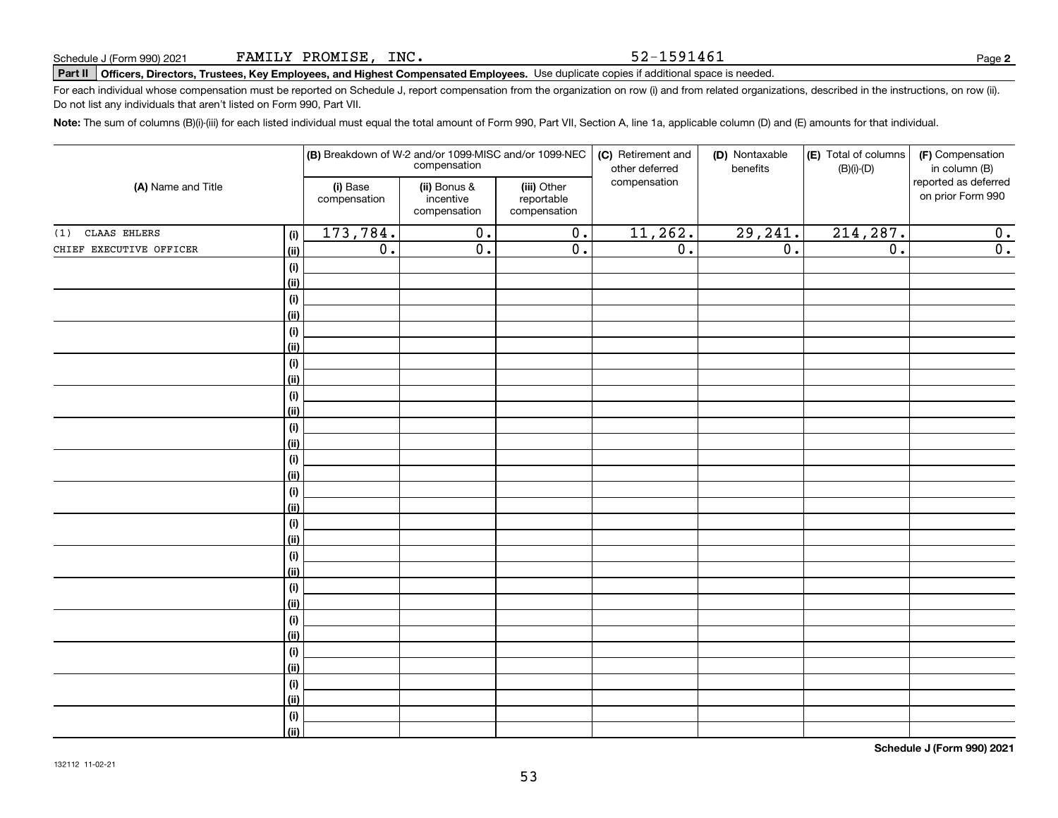52-1591461

# **Part II Officers, Directors, Trustees, Key Employees, and Highest Compensated Employees.**  Schedule J (Form 990) 2021 Page Use duplicate copies if additional space is needed.

For each individual whose compensation must be reported on Schedule J, report compensation from the organization on row (i) and from related organizations, described in the instructions, on row (ii). Do not list any individuals that aren't listed on Form 990, Part VII.

**Note:**  The sum of columns (B)(i)-(iii) for each listed individual must equal the total amount of Form 990, Part VII, Section A, line 1a, applicable column (D) and (E) amounts for that individual.

|                         |                           | (B) Breakdown of W-2 and/or 1099-MISC and/or 1099-NEC | compensation                              |                                           | (C) Retirement and<br>other deferred | (D) Nontaxable<br>benefits | (E) Total of columns<br>$(B)(i)-(D)$ | (F) Compensation<br>in column (B)         |  |
|-------------------------|---------------------------|-------------------------------------------------------|-------------------------------------------|-------------------------------------------|--------------------------------------|----------------------------|--------------------------------------|-------------------------------------------|--|
| (A) Name and Title      |                           | (i) Base<br>compensation                              | (ii) Bonus &<br>incentive<br>compensation | (iii) Other<br>reportable<br>compensation | compensation                         |                            |                                      | reported as deferred<br>on prior Form 990 |  |
| CLAAS EHLERS<br>(1)     | (i)                       | 173,784.                                              | $\overline{0}$ .                          | $\overline{0}$ .                          | 11,262.                              | 29,241.                    | 214, 287.                            | 0.                                        |  |
| CHIEF EXECUTIVE OFFICER | <u>(ii)</u>               | $\overline{0}$ .                                      | $\overline{0}$ .                          | $\overline{0}$ .                          | $\overline{0}$ .                     | $\overline{0}$ .           | $\overline{0}$ .                     | $\overline{0}$ .                          |  |
|                         | (i)                       |                                                       |                                           |                                           |                                      |                            |                                      |                                           |  |
|                         | <u>(ii)</u>               |                                                       |                                           |                                           |                                      |                            |                                      |                                           |  |
|                         | (i)                       |                                                       |                                           |                                           |                                      |                            |                                      |                                           |  |
|                         | <u>(ii)</u>               |                                                       |                                           |                                           |                                      |                            |                                      |                                           |  |
|                         | (i)                       |                                                       |                                           |                                           |                                      |                            |                                      |                                           |  |
|                         | <u>(ii)</u>               |                                                       |                                           |                                           |                                      |                            |                                      |                                           |  |
|                         | (i)                       |                                                       |                                           |                                           |                                      |                            |                                      |                                           |  |
|                         | <u>(ii)</u>               |                                                       |                                           |                                           |                                      |                            |                                      |                                           |  |
|                         | $(\sf{i})$                |                                                       |                                           |                                           |                                      |                            |                                      |                                           |  |
|                         | <u>(ii)</u>               |                                                       |                                           |                                           |                                      |                            |                                      |                                           |  |
|                         | $(\sf{i})$                |                                                       |                                           |                                           |                                      |                            |                                      |                                           |  |
|                         | <u>(ii)</u>               |                                                       |                                           |                                           |                                      |                            |                                      |                                           |  |
|                         | $(\sf{i})$<br><u>(ii)</u> |                                                       |                                           |                                           |                                      |                            |                                      |                                           |  |
|                         | $(\sf{i})$                |                                                       |                                           |                                           |                                      |                            |                                      |                                           |  |
|                         | (ii)                      |                                                       |                                           |                                           |                                      |                            |                                      |                                           |  |
|                         | (i)                       |                                                       |                                           |                                           |                                      |                            |                                      |                                           |  |
|                         | <u>(ii)</u>               |                                                       |                                           |                                           |                                      |                            |                                      |                                           |  |
|                         | $(\sf{i})$                |                                                       |                                           |                                           |                                      |                            |                                      |                                           |  |
|                         | <u>(ii)</u>               |                                                       |                                           |                                           |                                      |                            |                                      |                                           |  |
|                         | $(\sf{i})$                |                                                       |                                           |                                           |                                      |                            |                                      |                                           |  |
|                         | <u>(ii)</u>               |                                                       |                                           |                                           |                                      |                            |                                      |                                           |  |
|                         | (i)                       |                                                       |                                           |                                           |                                      |                            |                                      |                                           |  |
|                         | (ii)                      |                                                       |                                           |                                           |                                      |                            |                                      |                                           |  |
|                         | (i)                       |                                                       |                                           |                                           |                                      |                            |                                      |                                           |  |
|                         | (ii)                      |                                                       |                                           |                                           |                                      |                            |                                      |                                           |  |
|                         | (i)                       |                                                       |                                           |                                           |                                      |                            |                                      |                                           |  |
|                         | <u>(ii)</u>               |                                                       |                                           |                                           |                                      |                            |                                      |                                           |  |
|                         | (i)                       |                                                       |                                           |                                           |                                      |                            |                                      |                                           |  |
|                         | $\overline{}}$            |                                                       |                                           |                                           |                                      |                            |                                      |                                           |  |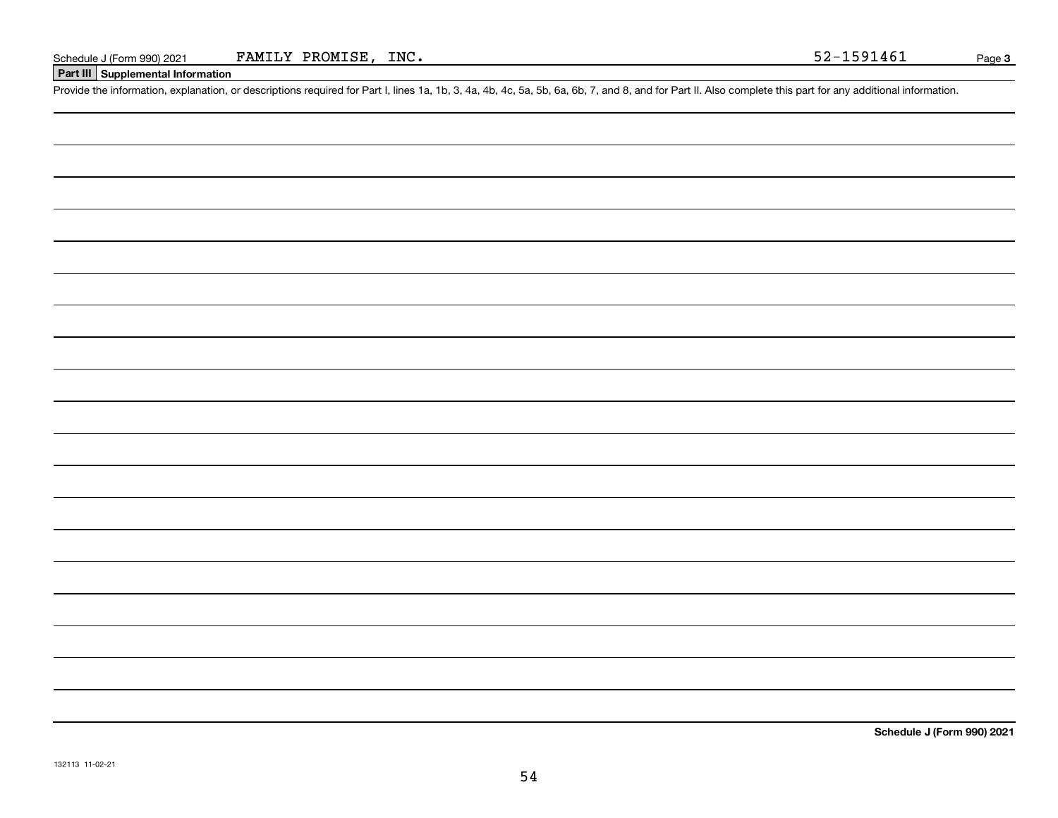### **Part III Supplemental Information**

Schedule J (Form 990) 2021 FAMILY PROMISE, INC.<br>Part III Supplemental Information<br>Provide the information, explanation, or descriptions required for Part I, lines 1a, 1b, 3, 4a, 4b, 4c, 5a, 5b, 6a, 6b, 7, and 8, and for Pa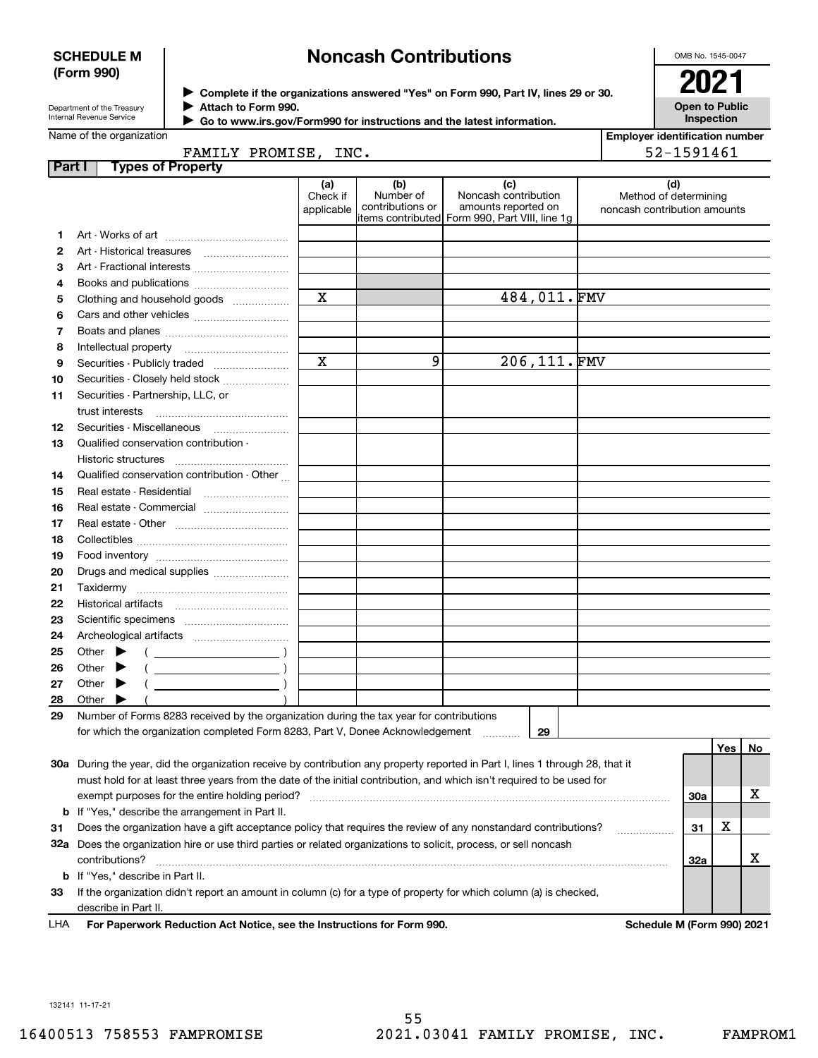### **SCHEDULE M (Form 990)**

# **Noncash Contributions**

OMB No. 1545-0047

| Department of the Treasury      |  |
|---------------------------------|--|
| <b>Internal Revenue Service</b> |  |

**Part I** 

**Complete if the organizations answered "Yes" on Form 990, Part IV, lines 29 or 30.** <sup>J</sup>**2021 Attach to Form 990.** J

**Open to Public Inspection**

|  |  | Name of the organization |
|--|--|--------------------------|
|  |  |                          |

 **Go to www.irs.gov/Form990 for instructions and the latest information.** J

| e organization           |                               |                                      |                                                                                                       | <b>Employer identification number</b>                        |
|--------------------------|-------------------------------|--------------------------------------|-------------------------------------------------------------------------------------------------------|--------------------------------------------------------------|
| FAMILY PROMISE,          | INC.                          |                                      |                                                                                                       | 52-1591461                                                   |
| <b>Types of Property</b> |                               |                                      |                                                                                                       |                                                              |
|                          | (a)<br>Check if<br>applicable | (b)<br>Number of<br>contributions or | (C)<br>Noncash contribution<br>amounts reported on<br>litems contributed Form 990, Part VIII, line 1g | (d)<br>Method of determining<br>noncash contribution amounts |
|                          |                               |                                      |                                                                                                       |                                                              |

| 1  |                                                                                         |             |   |             |           |
|----|-----------------------------------------------------------------------------------------|-------------|---|-------------|-----------|
| 2  |                                                                                         |             |   |             |           |
| 3  |                                                                                         |             |   |             |           |
| 4  |                                                                                         |             |   |             |           |
| 5  | Clothing and household goods                                                            | $\mathbf x$ |   | 484,011.FMV |           |
| 6  |                                                                                         |             |   |             |           |
| 7  |                                                                                         |             |   |             |           |
| 8  |                                                                                         |             |   |             |           |
| 9  |                                                                                         | $\mathbf x$ | 9 | 206,111.FMV |           |
| 10 | Securities - Closely held stock                                                         |             |   |             |           |
| 11 | Securities - Partnership, LLC, or                                                       |             |   |             |           |
|    | trust interests                                                                         |             |   |             |           |
| 12 | Securities - Miscellaneous                                                              |             |   |             |           |
| 13 | Qualified conservation contribution -                                                   |             |   |             |           |
|    | Historic structures                                                                     |             |   |             |           |
| 14 | Qualified conservation contribution - Other                                             |             |   |             |           |
| 15 | Real estate - Residential                                                               |             |   |             |           |
| 16 | Real estate - Commercial                                                                |             |   |             |           |
| 17 |                                                                                         |             |   |             |           |
| 18 |                                                                                         |             |   |             |           |
| 19 |                                                                                         |             |   |             |           |
| 20 | Drugs and medical supplies                                                              |             |   |             |           |
| 21 |                                                                                         |             |   |             |           |
| 22 |                                                                                         |             |   |             |           |
| 23 |                                                                                         |             |   |             |           |
| 24 |                                                                                         |             |   |             |           |
| 25 | Other $\blacktriangleright$                                                             |             |   |             |           |
| 26 | Other $\blacktriangleright$<br>$\overline{\phantom{a}}$ )                               |             |   |             |           |
| 27 | Other $\blacktriangleright$                                                             |             |   |             |           |
| 28 | Other                                                                                   |             |   |             |           |
| 29 | Number of Forms 8283 received by the organization during the tax year for contributions |             |   |             |           |
|    | for which the organization completed Form 8283, Part V, Donee Acknowledgement           |             |   | 29          |           |
|    |                                                                                         |             |   |             | Yes<br>No |
|    |                                                                                         |             |   |             |           |

|     | 30a During the year, did the organization receive by contribution any property reported in Part I, lines 1 through 28, that it |                            |   |   |
|-----|--------------------------------------------------------------------------------------------------------------------------------|----------------------------|---|---|
|     | must hold for at least three years from the date of the initial contribution, and which isn't required to be used for          |                            |   |   |
|     | exempt purposes for the entire holding period?                                                                                 | 30a                        |   |   |
|     | <b>b</b> If "Yes," describe the arrangement in Part II.                                                                        |                            |   |   |
| 31  | Does the organization have a gift acceptance policy that requires the review of any nonstandard contributions?                 | 31                         | х |   |
| 32а | Does the organization hire or use third parties or related organizations to solicit, process, or sell noncash                  |                            |   |   |
|     | contributions?                                                                                                                 | 32a                        |   | A |
|     | <b>b</b> If "Yes," describe in Part II.                                                                                        |                            |   |   |
| 33  | If the organization didn't report an amount in column (c) for a type of property for which column (a) is checked,              |                            |   |   |
|     | describe in Part II.                                                                                                           |                            |   |   |
|     | $1 \mu\Lambda$ . For Danorwork Poduction Act Notice, see the Instructions for Form 000.                                        | Schodule M (Form 000) 2021 |   |   |

**For Paperwork Reduction Act Notice, see the Instructions for Form 990. Schedule M (Form 990) 2021** LHA

132141 11-17-21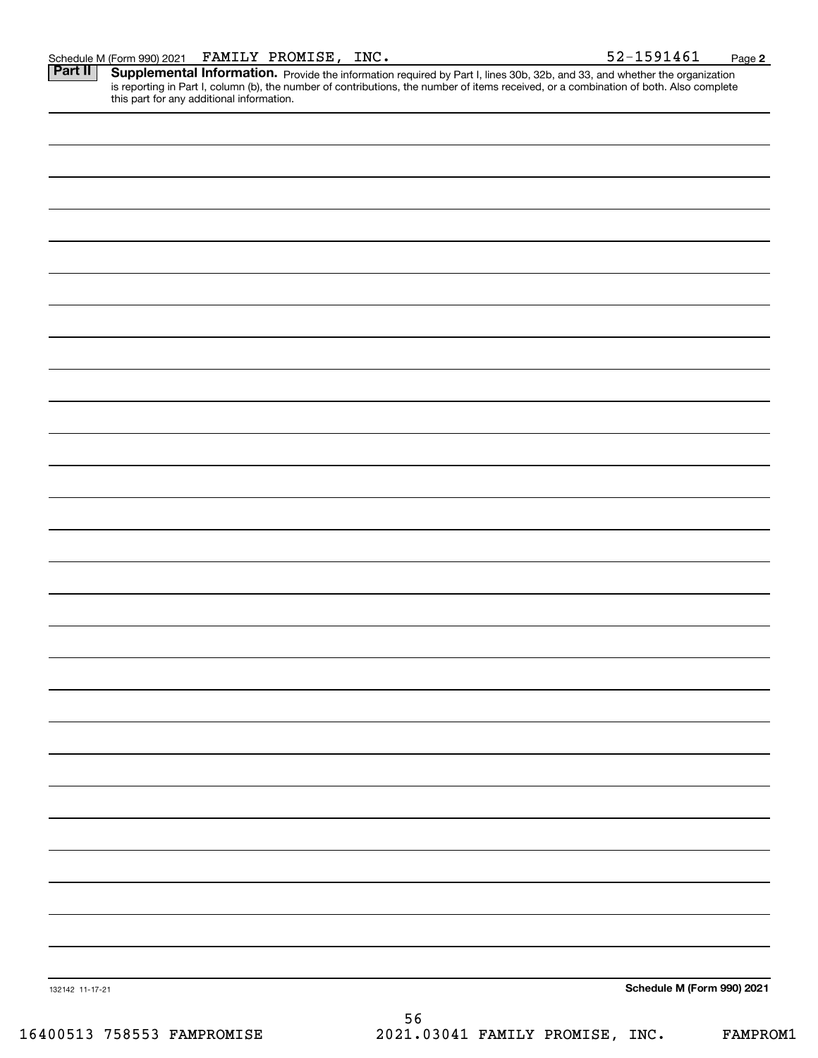**2**

Part II | Supplemental Information. Provide the information required by Part I, lines 30b, 32b, and 33, and whether the organization is reporting in Part I, column (b), the number of contributions, the number of items received, or a combination of both. Also complete this part for any additional information.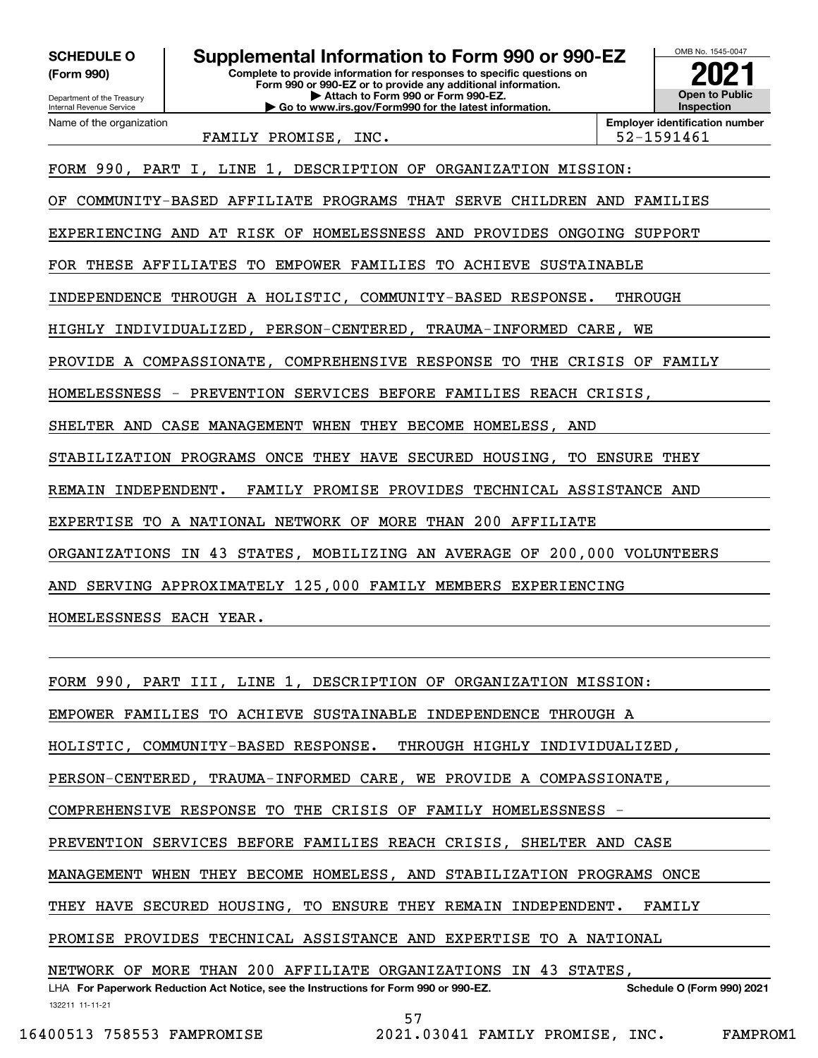**(Form 990)**

Department of the Treasury Internal Revenue Service Name of the organization

**Complete to provide information for responses to specific questions on Form 990 or 990-EZ or to provide any additional information. | Attach to Form 990 or Form 990-EZ. | Go to www.irs.gov/Form990 for the latest information. SCHEDULE O Supplemental Information to Form 990 or 990-EZ**



**Employer identification number**

FAMILY PROMISE, INC.  $\vert$  52-1591461

FORM 990, PART I, LINE 1, DESCRIPTION OF ORGANIZATION MISSION:

OF COMMUNITY-BASED AFFILIATE PROGRAMS THAT SERVE CHILDREN AND FAMILIES

EXPERIENCING AND AT RISK OF HOMELESSNESS AND PROVIDES ONGOING SUPPORT

FOR THESE AFFILIATES TO EMPOWER FAMILIES TO ACHIEVE SUSTAINABLE

INDEPENDENCE THROUGH A HOLISTIC, COMMUNITY-BASED RESPONSE. THROUGH

HIGHLY INDIVIDUALIZED, PERSON-CENTERED, TRAUMA-INFORMED CARE, WE

PROVIDE A COMPASSIONATE, COMPREHENSIVE RESPONSE TO THE CRISIS OF FAMILY

HOMELESSNESS - PREVENTION SERVICES BEFORE FAMILIES REACH CRISIS,

SHELTER AND CASE MANAGEMENT WHEN THEY BECOME HOMELESS, AND

STABILIZATION PROGRAMS ONCE THEY HAVE SECURED HOUSING, TO ENSURE THEY

REMAIN INDEPENDENT. FAMILY PROMISE PROVIDES TECHNICAL ASSISTANCE AND

EXPERTISE TO A NATIONAL NETWORK OF MORE THAN 200 AFFILIATE

ORGANIZATIONS IN 43 STATES, MOBILIZING AN AVERAGE OF 200,000 VOLUNTEERS

AND SERVING APPROXIMATELY 125,000 FAMILY MEMBERS EXPERIENCING

HOMELESSNESS EACH YEAR.

FORM 990, PART III, LINE 1, DESCRIPTION OF ORGANIZATION MISSION:

EMPOWER FAMILIES TO ACHIEVE SUSTAINABLE INDEPENDENCE THROUGH A

HOLISTIC, COMMUNITY-BASED RESPONSE. THROUGH HIGHLY INDIVIDUALIZED,

PERSON-CENTERED, TRAUMA-INFORMED CARE, WE PROVIDE A COMPASSIONATE,

COMPREHENSIVE RESPONSE TO THE CRISIS OF FAMILY HOMELESSNESS -

PREVENTION SERVICES BEFORE FAMILIES REACH CRISIS, SHELTER AND CASE

MANAGEMENT WHEN THEY BECOME HOMELESS, AND STABILIZATION PROGRAMS ONCE

THEY HAVE SECURED HOUSING, TO ENSURE THEY REMAIN INDEPENDENT. FAMILY

PROMISE PROVIDES TECHNICAL ASSISTANCE AND EXPERTISE TO A NATIONAL

NETWORK OF MORE THAN 200 AFFILIATE ORGANIZATIONS IN 43 STATES,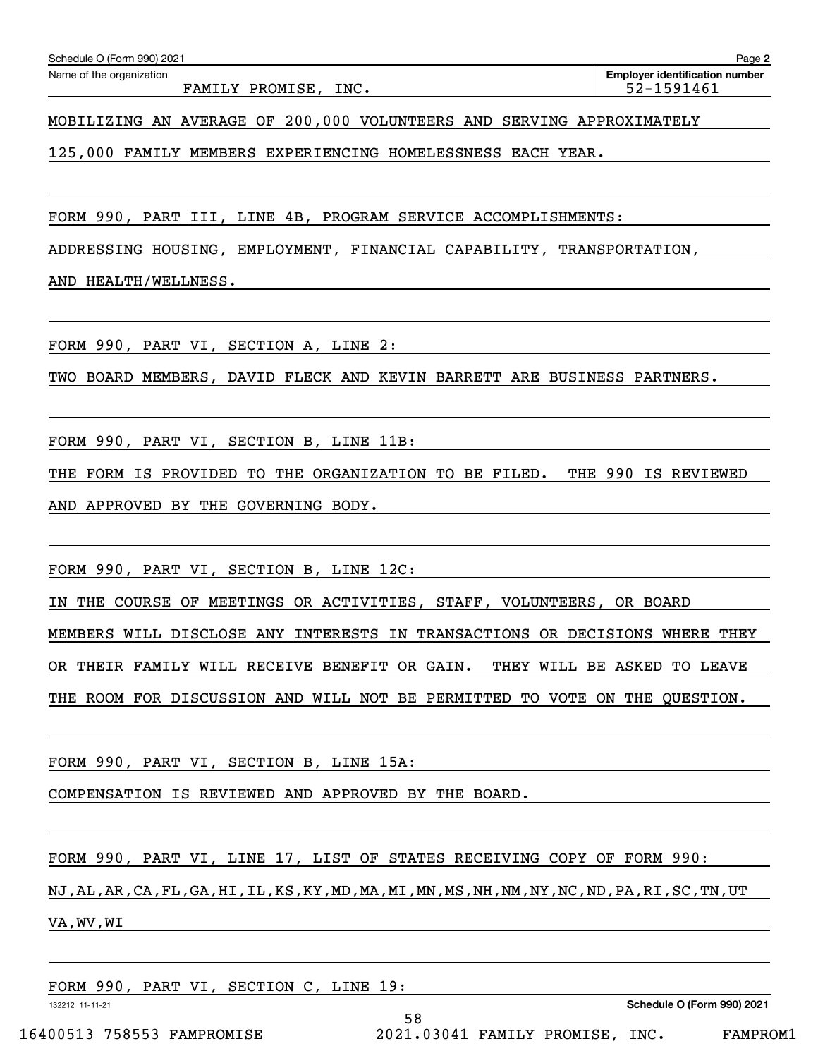MOBILIZING AN AVERAGE OF 200,000 VOLUNTEERS AND SERVING APPROXIMATELY

125,000 FAMILY MEMBERS EXPERIENCING HOMELESSNESS EACH YEAR.

FORM 990, PART III, LINE 4B, PROGRAM SERVICE ACCOMPLISHMENTS:

ADDRESSING HOUSING, EMPLOYMENT, FINANCIAL CAPABILITY, TRANSPORTATION,

AND HEALTH/WELLNESS.

FORM 990, PART VI, SECTION A, LINE 2:

TWO BOARD MEMBERS, DAVID FLECK AND KEVIN BARRETT ARE BUSINESS PARTNERS.

FORM 990, PART VI, SECTION B, LINE 11B:

THE FORM IS PROVIDED TO THE ORGANIZATION TO BE FILED. THE 990 IS REVIEWED AND APPROVED BY THE GOVERNING BODY.

FORM 990, PART VI, SECTION B, LINE 12C:

IN THE COURSE OF MEETINGS OR ACTIVITIES, STAFF, VOLUNTEERS, OR BOARD

MEMBERS WILL DISCLOSE ANY INTERESTS IN TRANSACTIONS OR DECISIONS WHERE THEY OR THEIR FAMILY WILL RECEIVE BENEFIT OR GAIN. THEY WILL BE ASKED TO LEAVE

THE ROOM FOR DISCUSSION AND WILL NOT BE PERMITTED TO VOTE ON THE QUESTION.

FORM 990, PART VI, SECTION B, LINE 15A:

COMPENSATION IS REVIEWED AND APPROVED BY THE BOARD.

FORM 990, PART VI, LINE 17, LIST OF STATES RECEIVING COPY OF FORM 990:

NJ,AL,AR,CA,FL,GA,HI,IL,KS,KY,MD,MA,MI,MN,MS,NH,NM,NY,NC,ND,PA,RI,SC,TN,UT

58

VA,WV,WI

FORM 990, PART VI, SECTION C, LINE 19:

132212 11-11-21

**Schedule O (Form 990) 2021**

16400513 758553 FAMPROMISE 2021.03041 FAMILY PROMISE, INC. FAMPROM1